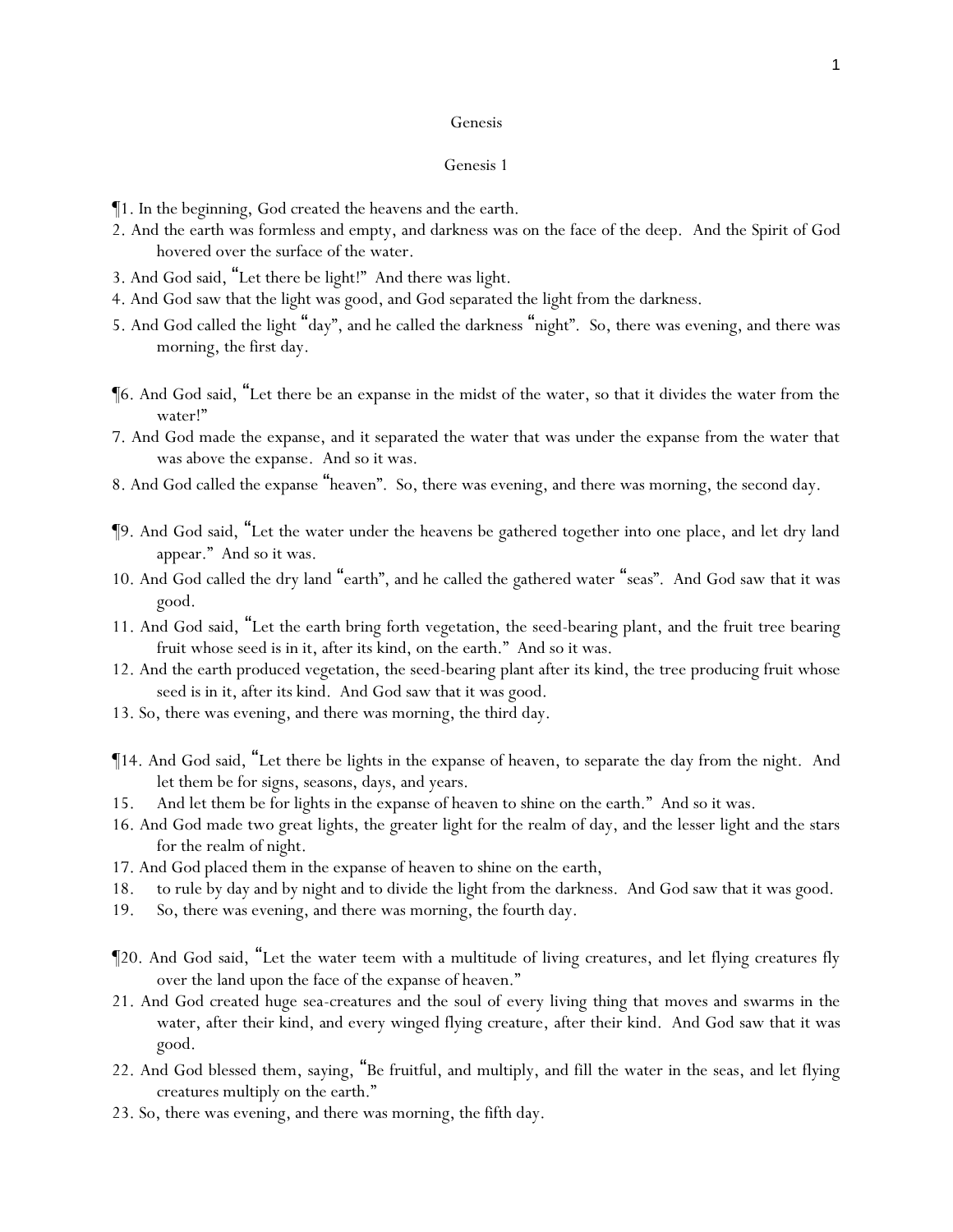- ¶1. In the beginning, God created the heavens and the earth.
- 2. And the earth was formless and empty, and darkness was on the face of the deep. And the Spirit of God hovered over the surface of the water.
- 3. And God said, "Let there be light!" And there was light.
- 4. And God saw that the light was good, and God separated the light from the darkness.
- 5. And God called the light "day", and he called the darkness "night". So, there was evening, and there was morning, the first day.
- ¶6. And God said, "Let there be an expanse in the midst of the water, so that it divides the water from the water!"
- 7. And God made the expanse, and it separated the water that was under the expanse from the water that was above the expanse. And so it was.
- 8. And God called the expanse "heaven". So, there was evening, and there was morning, the second day.
- ¶9. And God said, "Let the water under the heavens be gathered together into one place, and let dry land appear." And so it was.
- 10. And God called the dry land "earth", and he called the gathered water "seas". And God saw that it was good.
- 11. And God said, "Let the earth bring forth vegetation, the seed-bearing plant, and the fruit tree bearing fruit whose seed is in it, after its kind, on the earth." And so it was.
- 12. And the earth produced vegetation, the seed-bearing plant after its kind, the tree producing fruit whose seed is in it, after its kind. And God saw that it was good.
- 13. So, there was evening, and there was morning, the third day.
- ¶14. And God said, "Let there be lights in the expanse of heaven, to separate the day from the night. And let them be for signs, seasons, days, and years.
- 15. And let them be for lights in the expanse of heaven to shine on the earth." And so it was.
- 16. And God made two great lights, the greater light for the realm of day, and the lesser light and the stars for the realm of night.
- 17. And God placed them in the expanse of heaven to shine on the earth,
- 18. to rule by day and by night and to divide the light from the darkness. And God saw that it was good.
- 19. So, there was evening, and there was morning, the fourth day.
- ¶20. And God said, "Let the water teem with a multitude of living creatures, and let flying creatures fly over the land upon the face of the expanse of heaven."
- 21. And God created huge sea-creatures and the soul of every living thing that moves and swarms in the water, after their kind, and every winged flying creature, after their kind. And God saw that it was good.
- 22. And God blessed them, saying, "Be fruitful, and multiply, and fill the water in the seas, and let flying creatures multiply on the earth."
- 23. So, there was evening, and there was morning, the fifth day.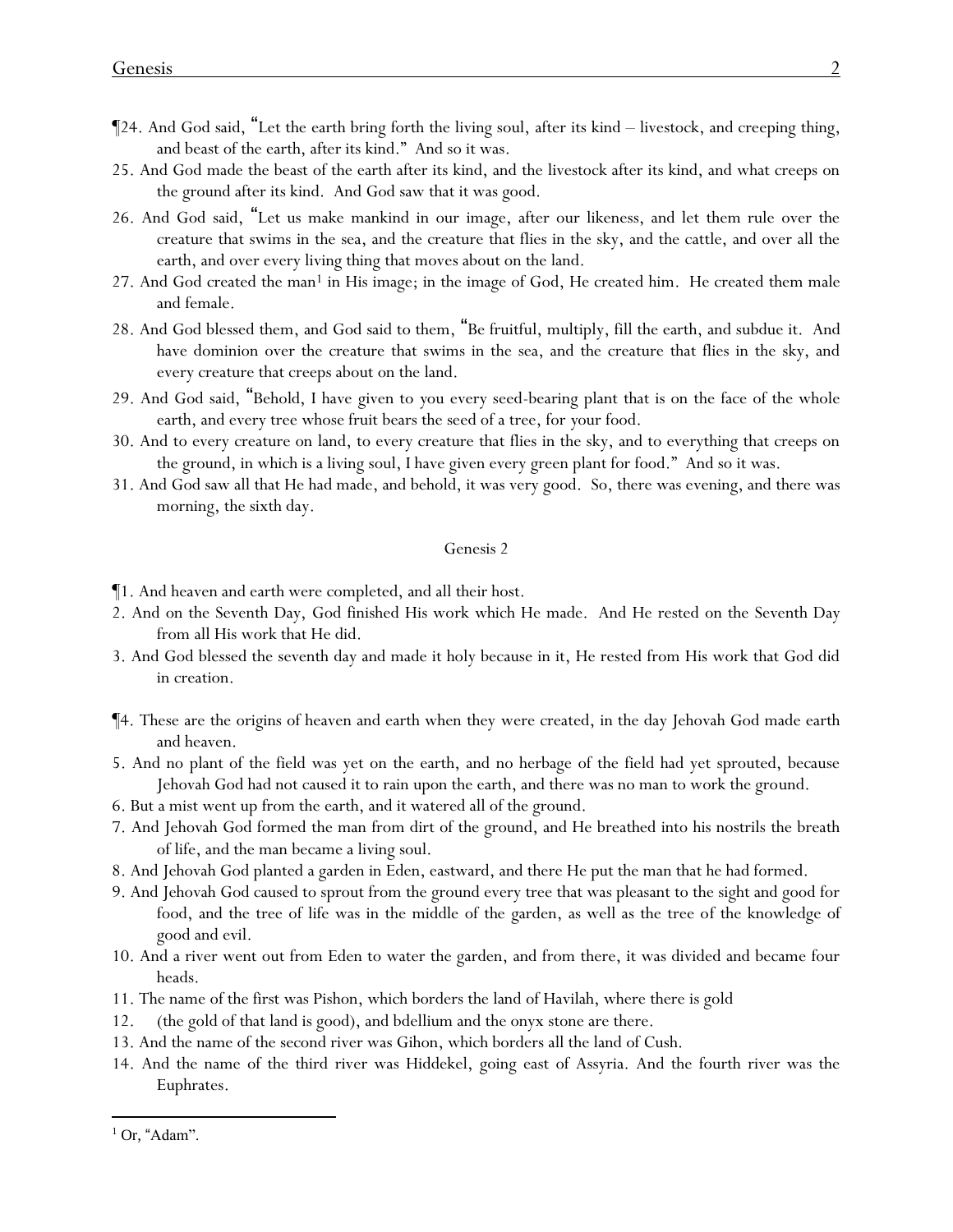- ¶24. And God said, "Let the earth bring forth the living soul, after its kind livestock, and creeping thing, and beast of the earth, after its kind." And so it was.
- 25. And God made the beast of the earth after its kind, and the livestock after its kind, and what creeps on the ground after its kind. And God saw that it was good.
- 26. And God said, "Let us make mankind in our image, after our likeness, and let them rule over the creature that swims in the sea, and the creature that flies in the sky, and the cattle, and over all the earth, and over every living thing that moves about on the land.
- 27. And God created the man<sup>1</sup> in His image; in the image of God, He created him. He created them male and female.
- 28. And God blessed them, and God said to them, "Be fruitful, multiply, fill the earth, and subdue it. And have dominion over the creature that swims in the sea, and the creature that flies in the sky, and every creature that creeps about on the land.
- 29. And God said, "Behold, I have given to *y*ou every seed-bearing plant that is on the face of the whole earth, and every tree whose fruit bears the seed of a tree, for *y*our food.
- 30. And to every creature on land, to every creature that flies in the sky, and to everything that creeps on the ground, in which is a living soul, I have given every green plant for food." And so it was.
- 31. And God saw all that He had made, and behold, it was very good. So, there was evening, and there was morning, the sixth day.

- ¶1. And heaven and earth were completed, and all their host.
- 2. And on the Seventh Day, God finished His work which He made. And He rested on the Seventh Day from all His work that He did.
- 3. And God blessed the seventh day and made it holy because in it, He rested from His work that God did in creation.
- ¶4. These are the origins of heaven and earth when they were created, in the day Jehovah God made earth and heaven.
- 5. And no plant of the field was yet on the earth, and no herbage of the field had yet sprouted, because Jehovah God had not caused it to rain upon the earth, and there was no man to work the ground.
- 6. But a mist went up from the earth, and it watered all of the ground.
- 7. And Jehovah God formed the man from dirt of the ground, and He breathed into his nostrils the breath of life, and the man became a living soul.
- 8. And Jehovah God planted a garden in Eden, eastward, and there He put the man that he had formed.
- 9. And Jehovah God caused to sprout from the ground every tree that was pleasant to the sight and good for food, and the tree of life was in the middle of the garden, as well as the tree of the knowledge of good and evil.
- 10. And a river went out from Eden to water the garden, and from there, it was divided and became four heads.
- 11. The name of the first was Pishon, which borders the land of Havilah, where there is gold
- 12. (the gold of that land is good), and bdellium and the onyx stone are there.
- 13. And the name of the second river was Gihon, which borders all the land of Cush.
- 14. And the name of the third river was Hiddekel, going east of Assyria. And the fourth river was the Euphrates.

 $<sup>1</sup>$  Or, "Adam".</sup>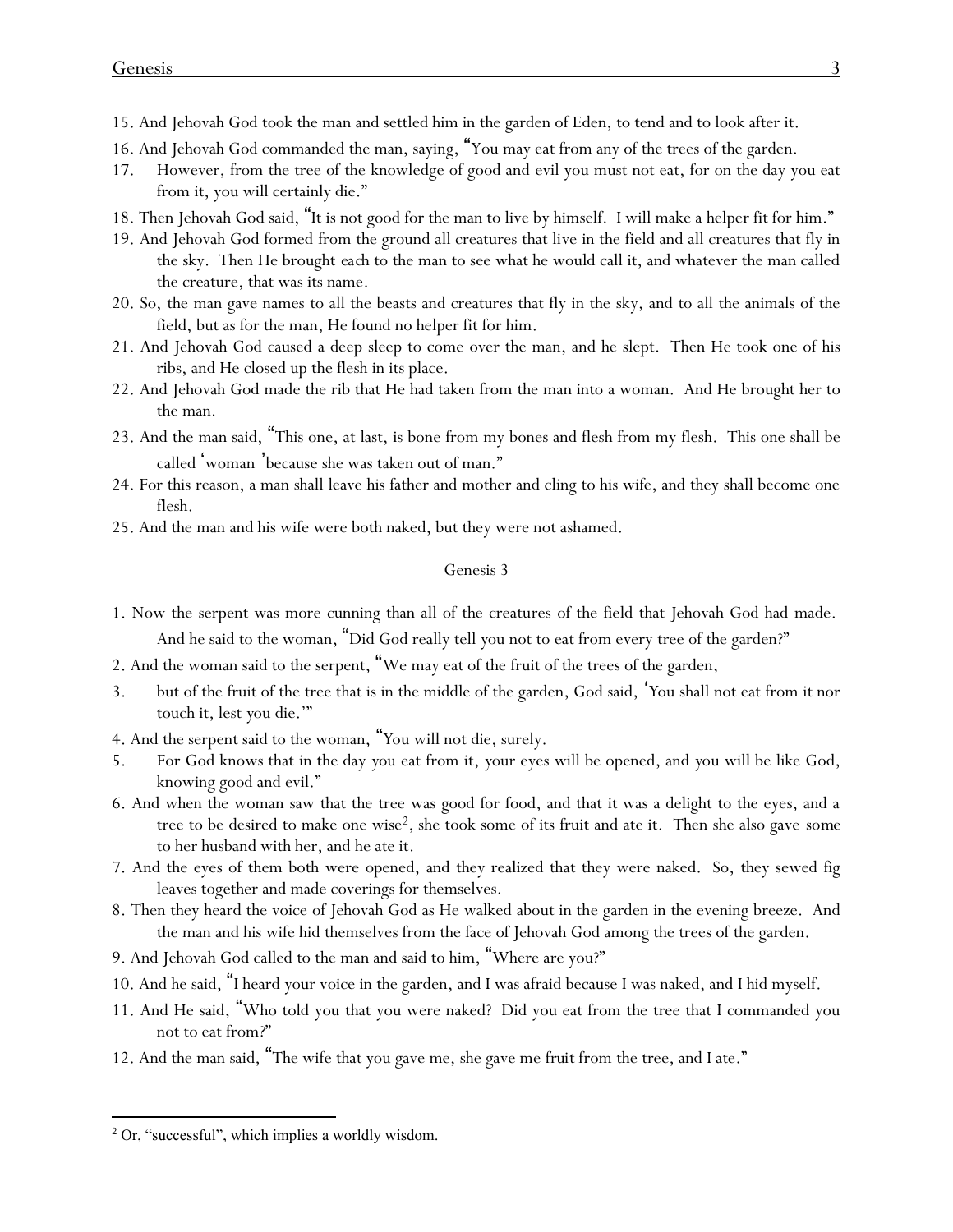- 15. And Jehovah God took the man and settled him in the garden of Eden, to tend and to look after it.
- 16. And Jehovah God commanded the man, saying, "You may eat from any of the trees of the garden.
- 17. However, from the tree of the knowledge of good and evil you must not eat, for on the day you eat from it, you will certainly die."
- 18. Then Jehovah God said, "It is not good for the man to live by himself. I will make a helper fit for him."
- 19. And Jehovah God formed from the ground all creatures that live in the field and all creatures that fly in the sky. Then He brought *each* to the man to see what he would call it, and whatever the man called the creature, that was its name.
- 20. So, the man gave names to all the beasts and creatures that fly in the sky, and to all the animals of the field, but as for the man, He found no helper fit for him.
- 21. And Jehovah God caused a deep sleep to come over the man, and he slept. Then He took one of his ribs, and He closed up the flesh in its place.
- 22. And Jehovah God made the rib that He had taken from the man into a woman. And He brought her to the man.
- 23. And the man said, "This one, at last, is bone from my bones and flesh from my flesh. This one shall be called 'woman 'because she was taken out of man."
- 24. For this reason, a man shall leave his father and mother and cling to his wife, and they shall become one flesh.
- 25. And the man and his wife were both naked, but they were not ashamed.

- 1. Now the serpent was more cunning than all of the creatures of the field that Jehovah God had made. And he said to the woman, "Did God really tell *y*ou not to eat from every tree of the garden?"
- 2. And the woman said to the serpent, "We may eat of the fruit of the trees of the garden,
- 3. but of the fruit of the tree that is in the middle of the garden, God said, '*Y*ou shall not eat from it nor touch it, lest *y*ou die.'"
- 4. And the serpent said to the woman, "*Y*ou will not die, surely.
- 5. For God knows that in the day *y*ou eat from it, *y*our eyes will be opened, and *y*ou will be like God, knowing good and evil."
- 6. And when the woman saw that the tree was good for food, and that it was a delight to the eyes, and a tree to be desired to make one wise2, she took some of its fruit and ate it. Then she also gave *some* to her husband with her, and he ate it.
- 7. And the eyes of them both were opened, and they realized that they were naked. So, they sewed fig leaves together and made coverings for themselves.
- 8. Then they heard the voice of Jehovah God as He walked about in the garden in the evening breeze. And the man and his wife hid themselves from the face of Jehovah God among the trees of the garden.
- 9. And Jehovah God called to the man and said to him, "Where are you?"
- 10. And he said, "I heard your voice in the garden, and I was afraid because I was naked, and I hid myself.
- 11. And He said, "Who told you that you were naked? Did you eat from the tree that I commanded you not to eat from?"
- 12. And the man said, "The wife that you gave me, she gave me *fruit* from the tree, and I ate."

<sup>2</sup> Or, "successful", which implies a worldly wisdom.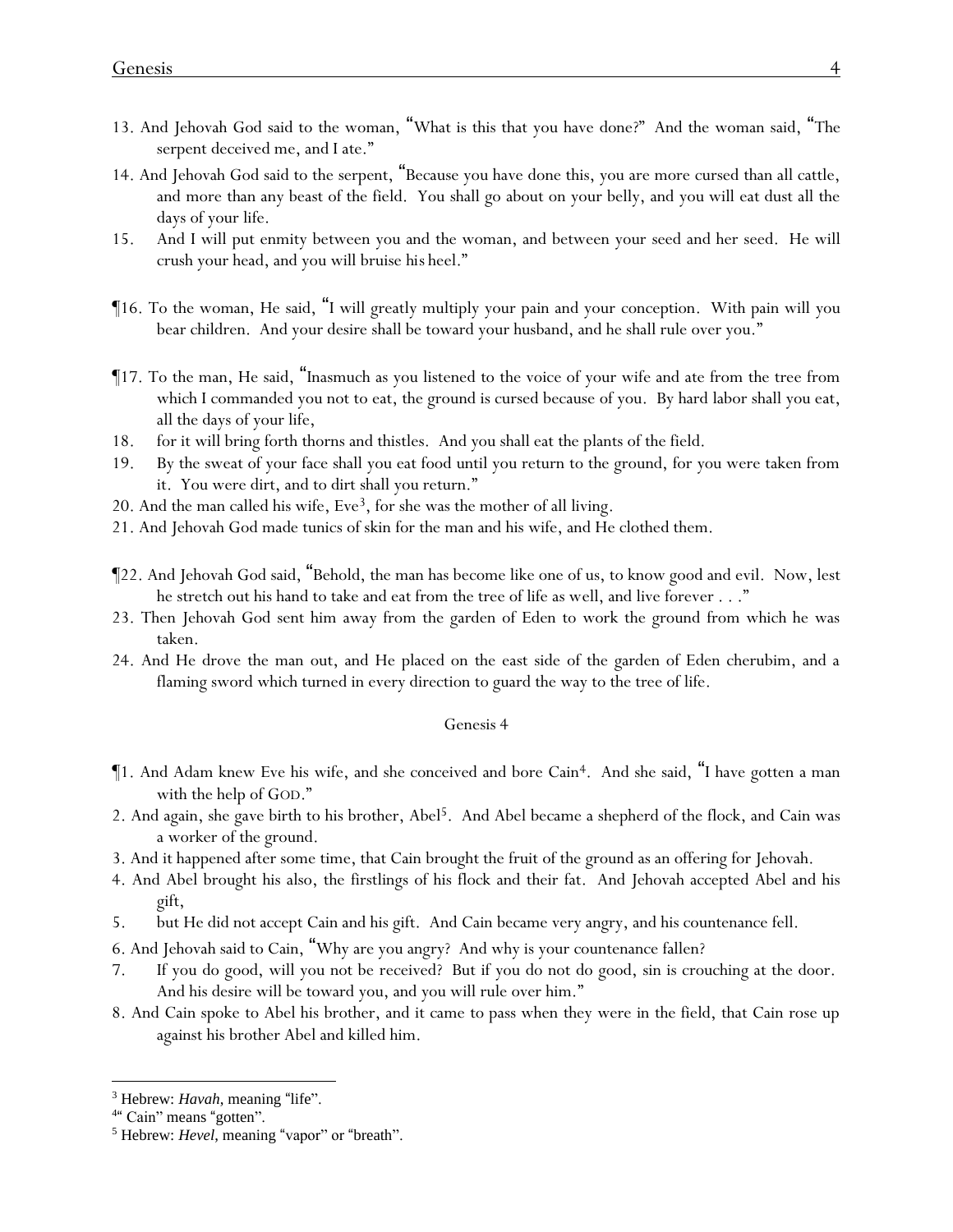- 13. And Jehovah God said to the woman, "What is this that you have done?" And the woman said, "The serpent deceived me, and I ate."
- 14. And Jehovah God said to the serpent, "Because you have done this, you are more cursed than all cattle, and more than any beast of the field. You shall go about on your belly, and you will eat dust all the days of your life.
- 15. And I will put enmity between you and the woman, and between your seed and her seed. He will crush your head, and you will bruise *his* heel."
- ¶16. To the woman, He said, "I will greatly multiply your pain and your conception. With pain will you bear children. And your desire shall be toward your husband, and he shall rule over you."
- ¶17. To the man, He said, "Inasmuch as you listened to the voice of your wife and ate from the tree from which I commanded you not to eat, the ground is cursed because of you. By hard labor shall you eat, all the days of your life,
- 18. for it will bring forth thorns and thistles. And you shall eat the plants of the field.
- 19. By the sweat of your face shall you eat food until you return to the ground, for you were taken from it. You were dirt, and to dirt shall you return."
- 20. And the man called his wife,  $Eve<sup>3</sup>$ , for she was the mother of all living.
- 21. And Jehovah God made tunics of skin for the man and his wife, and He clothed them.
- ¶22. And Jehovah God said, "Behold, the man has become like one of us, to know good and evil. Now, lest he stretch out his hand to take and eat from the tree of life as well, and live forever . . ."
- 23. Then Jehovah God sent him away from the garden of Eden to work the ground from which he was taken.
- 24. And He drove the man out, and He placed on the east side of the garden of Eden cherubim, and a flaming sword which turned in every direction to guard the way to the tree of life.

- ¶1. And Adam knew Eve his wife, and she conceived and bore Cain4. And she said, "I have gotten a man with the help of GOD."
- 2. And again, she gave birth to his brother, Abel<sup>5</sup>. And Abel became a shepherd of the flock, and Cain was a worker of the ground.
- 3. And it happened after some time, that Cain brought the fruit of the ground as an offering for Jehovah.
- 4. And Abel brought his also, the firstlings of his flock and their fat. And Jehovah accepted Abel and his gift,
- 5. but He did not accept Cain and his gift. And Cain became very angry, and his countenance fell.
- 6. And Jehovah said to Cain, "Why are you angry? And why is your countenance fallen?
- 7. If you do good, will you not be received? But if you do not do good, sin is crouching at the door. And his desire will be toward you, and you will rule over him."
- 8. And Cain spoke to Abel his brother, and it came to pass when they were in the field, that Cain rose up against his brother Abel and killed him.

<sup>3</sup> Hebrew: *Havah*, meaning "life".

<sup>&</sup>lt;sup>4"</sup> Cain" means "gotten".

<sup>5</sup> Hebrew: *Hevel*, meaning "vapor" or "breath".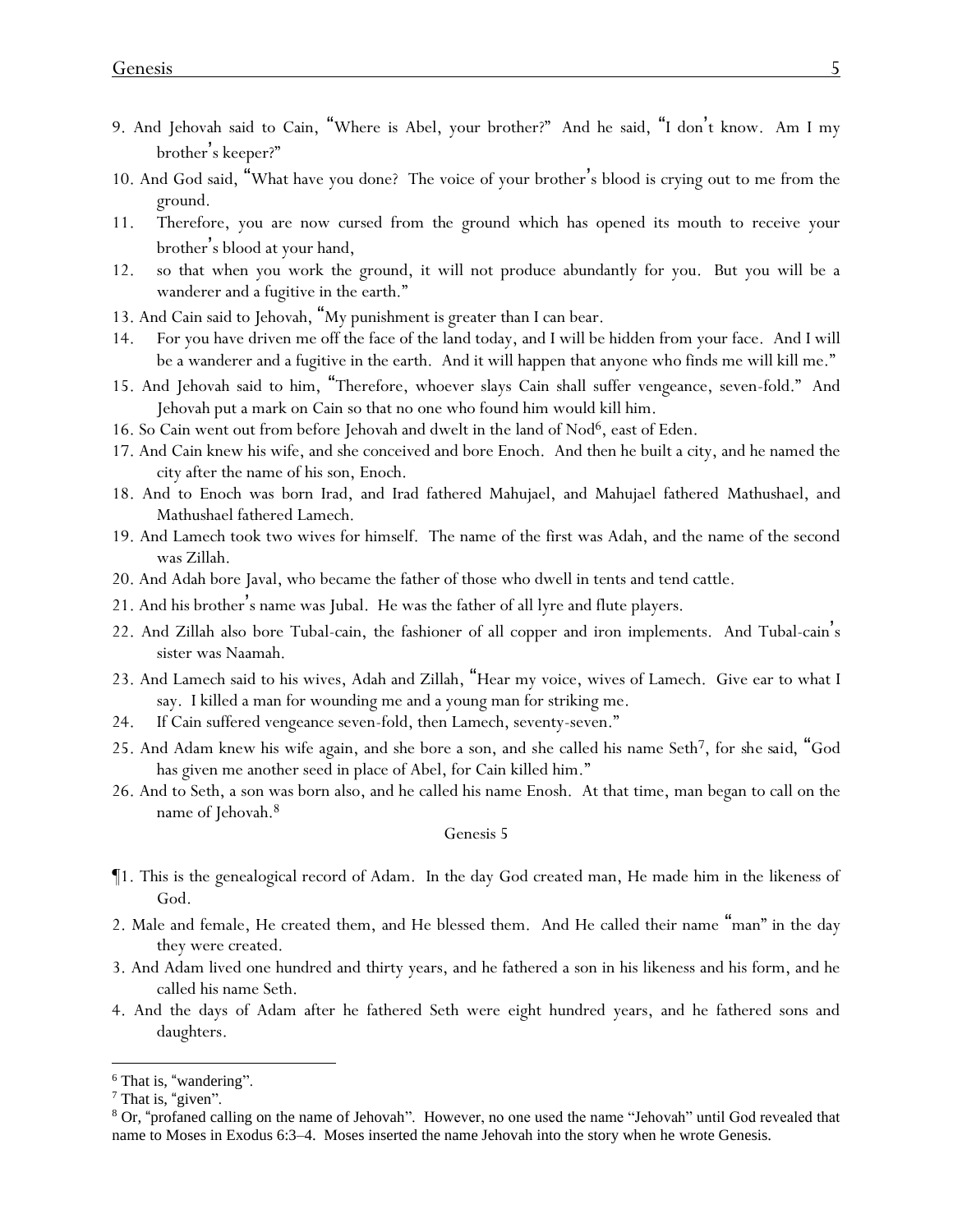- 9. And Jehovah said to Cain, "Where is Abel, your brother?" And he said, "I don't know. Am I my brother's keeper?"
- 10. And God said, "What have you done? The voice of your brother's blood is crying out to me from the ground.
- 11. Therefore, you are now cursed from the ground which has opened its mouth to receive your brother's blood at your hand,
- 12. so that when you work the ground, it will not produce abundantly for you. But you will be a wanderer and a fugitive in the earth."
- 13. And Cain said to Jehovah, "My punishment is greater than I can bear.
- 14. For you have driven me off the face of the land today, and I will be hidden from your face. And I will be a wanderer and a fugitive in the earth. And it will happen that anyone who finds me will kill me."
- 15. And Jehovah said to him, "Therefore, whoever slays Cain shall suffer vengeance, seven-fold." And Jehovah put a mark on Cain so that no one who found him would kill him.
- 16. So Cain went out from before Jehovah and dwelt in the land of Nod<sup>6</sup>, east of Eden.
- 17. And Cain knew his wife, and she conceived and bore Enoch. And then he built a city, and he named the city after the name of his son, Enoch.
- 18. And to Enoch was born Irad, and Irad fathered Mahujael, and Mahujael fathered Mathushael, and Mathushael fathered Lamech.
- 19. And Lamech took two wives for himself. The name of the first was Adah, and the name of the second was Zillah.
- 20. And Adah bore Javal, who became the father of those who dwell in tents and tend cattle.
- 21. And his brother's name was Jubal. He was the father of all lyre and flute players.
- 22. And Zillah also bore Tubal-cain, the fashioner of all copper and iron implements. And Tubal-cain's sister was Naamah.
- 23. And Lamech said to his wives, Adah and Zillah, "Hear my voice, wives of Lamech. Give ear to what I say. I killed a man for wounding me and a young man for striking me.
- 24. If Cain suffered vengeance seven-fold, then Lamech, seventy-seven."
- 25. And Adam knew his wife again, and she bore a son, and she called his name Seth7, for *she said*, "God has given me another seed in place of Abel, for Cain killed him."
- 26. And to Seth, a son was born also, and he called his name Enosh. At that time, man began to call on the name of Jehovah.<sup>8</sup>

- ¶1. This is the genealogical record of Adam. In the day God created man, He made him in the likeness of God.
- 2. Male and female, He created them, and He blessed them. And He called their name "man" in the day they were created.
- 3. And Adam lived one hundred and thirty years, and he fathered a son in his likeness and his form, and he called his name Seth.
- 4. And the days of Adam after he fathered Seth were eight hundred years, and he fathered sons and daughters.

<sup>&</sup>lt;sup>6</sup> That is, "wandering".

<sup>7</sup> That is, "given".

<sup>8</sup> Or, "profaned calling on the name of Jehovah". However, no one used the name "Jehovah" until God revealed that name to Moses in Exodus 6:3–4. Moses inserted the name Jehovah into the story when he wrote Genesis.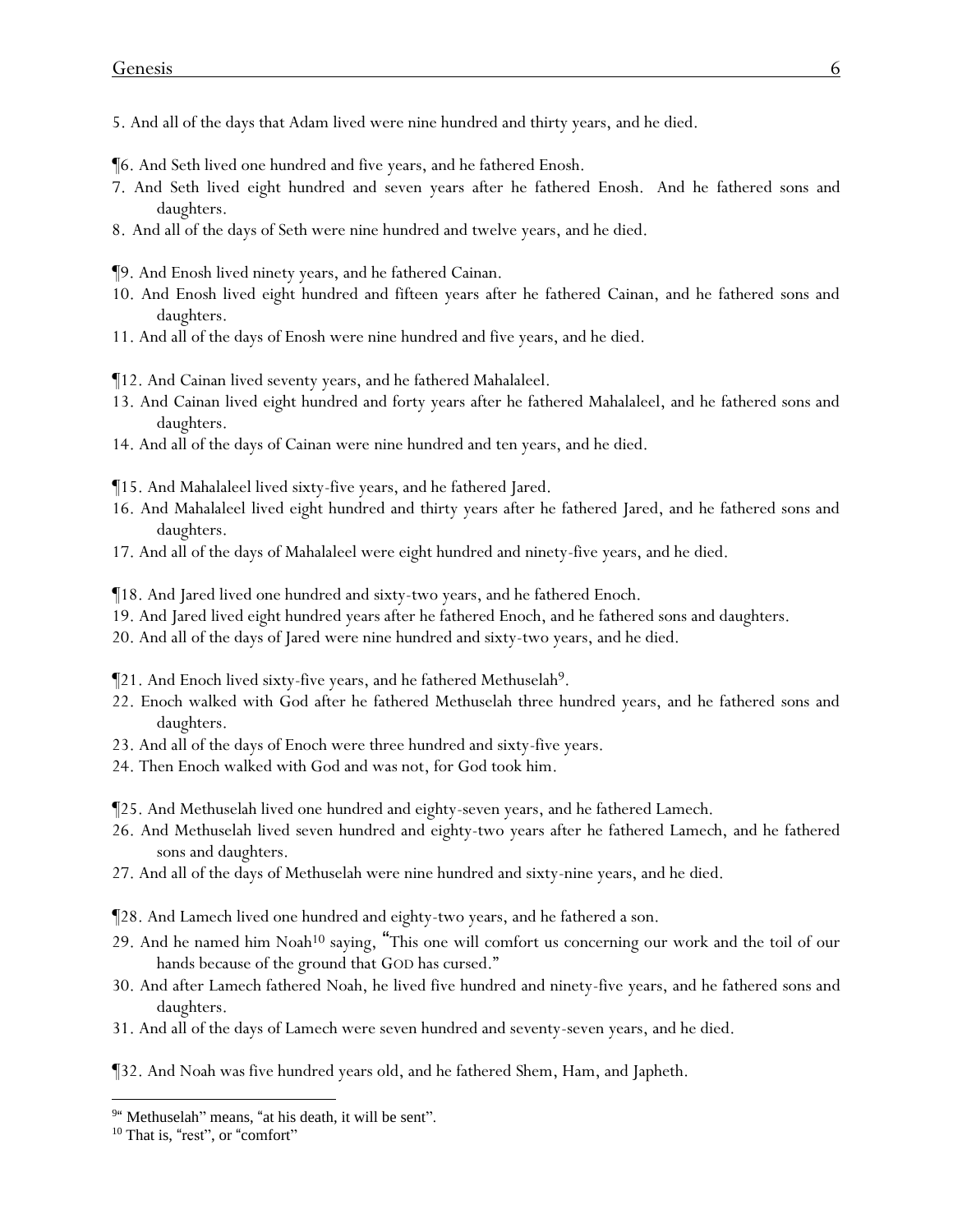- 5. And all of the days that Adam lived were nine hundred and thirty years, and he died.
- ¶6. And Seth lived one hundred and five years, and he fathered Enosh.
- 7. And Seth lived eight hundred and seven years after he fathered Enosh. And he fathered sons and daughters.
- 8. And all of the days of Seth were nine hundred and twelve years, and he died.

¶9. And Enosh lived ninety years, and he fathered Cainan.

- 10. And Enosh lived eight hundred and fifteen years after he fathered Cainan, and he fathered sons and daughters.
- 11. And all of the days of Enosh were nine hundred and five years, and he died.
- ¶12. And Cainan lived seventy years, and he fathered Mahalaleel.
- 13. And Cainan lived eight hundred and forty years after he fathered Mahalaleel, and he fathered sons and daughters.
- 14. And all of the days of Cainan were nine hundred and ten years, and he died.
- ¶15. And Mahalaleel lived sixty-five years, and he fathered Jared.
- 16. And Mahalaleel lived eight hundred and thirty years after he fathered Jared, and he fathered sons and daughters.
- 17. And all of the days of Mahalaleel were eight hundred and ninety-five years, and he died.

¶18. And Jared lived one hundred and sixty-two years, and he fathered Enoch.

- 19. And Jared lived eight hundred years after he fathered Enoch, and he fathered sons and daughters.
- 20. And all of the days of Jared were nine hundred and sixty-two years, and he died.
- ¶21. And Enoch lived sixty-five years, and he fathered Methuselah9.
- 22. Enoch walked with God after he fathered Methuselah three hundred years, and he fathered sons and daughters.
- 23. And all of the days of Enoch were three hundred and sixty-five years.
- 24. Then Enoch walked with God and was not, for God took him.
- ¶25. And Methuselah lived one hundred and eighty-seven years, and he fathered Lamech.
- 26. And Methuselah lived seven hundred and eighty-two years after he fathered Lamech, and he fathered sons and daughters.
- 27. And all of the days of Methuselah were nine hundred and sixty-nine years, and he died.
- ¶28. And Lamech lived one hundred and eighty-two years, and he fathered a son.
- 29. And he named him Noah<sup>10</sup> saying, "This one will comfort us concerning our work and the toil of our hands because of the ground that GOD has cursed."
- 30. And after Lamech fathered Noah, he lived five hundred and ninety-five years, and he fathered sons and daughters.
- 31. And all of the days of Lamech were seven hundred and seventy-seven years, and he died.

¶32. And Noah was five hundred years old, and he fathered Shem, Ham, and Japheth.

<sup>&</sup>lt;sup>9"</sup> Methuselah" means, "at his death, it will be sent".

<sup>&</sup>lt;sup>10</sup> That is, "rest", or "comfort"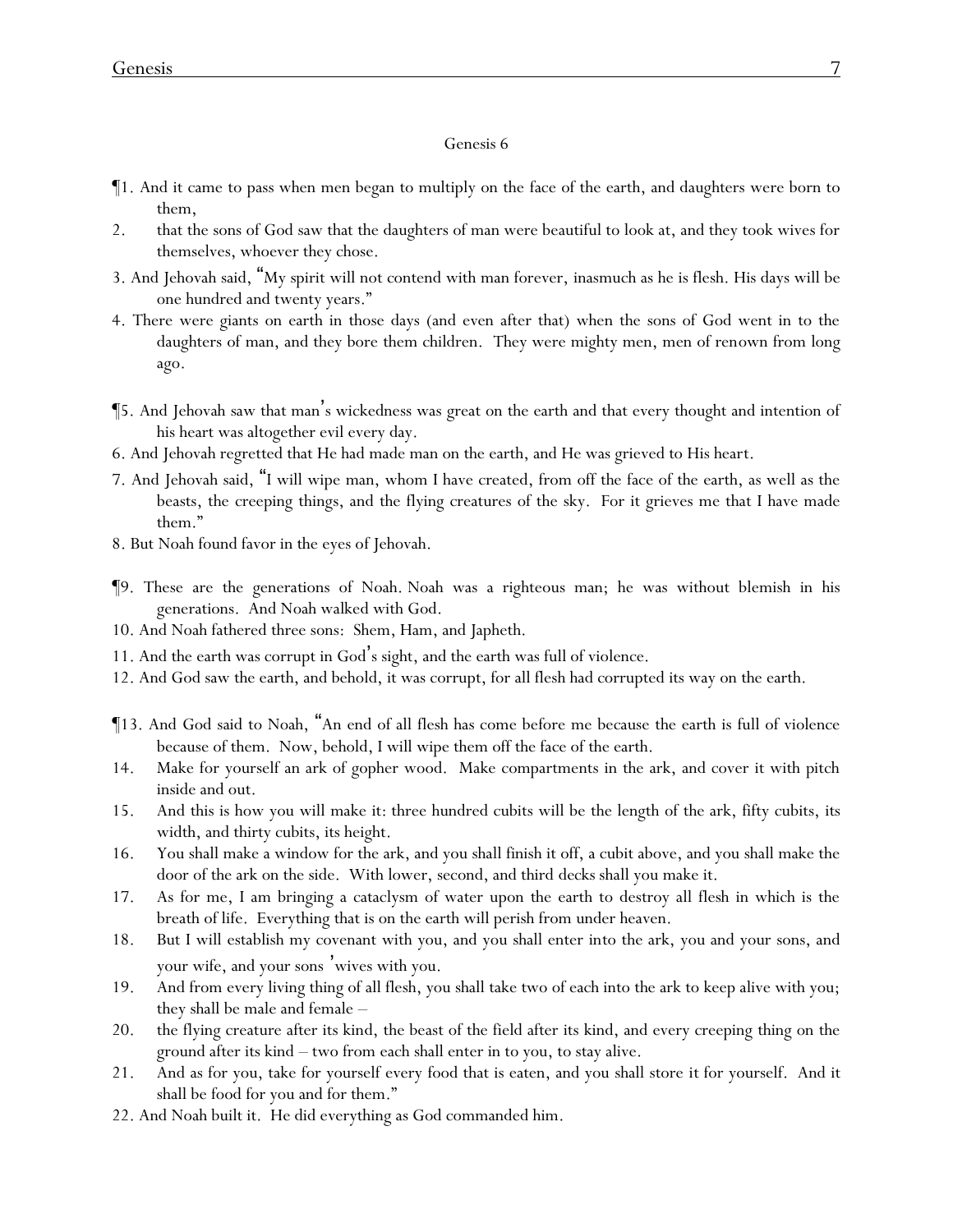- ¶1. And it came to pass when men began to multiply on the face of the earth, and daughters were born to them,
- 2. that the sons of God saw that the daughters of man were beautiful to look at, and they took wives for themselves, whoever they chose.
- 3. And Jehovah said, "My spirit will not contend with man forever, inasmuch as he is flesh. His days will be one hundred and twenty years."
- 4. There were giants on earth in those days (and even after that) when the sons of God went in to the daughters of man, and they bore them children. They were mighty men, men of renown from long ago.
- ¶5. And Jehovah saw that man's wickedness was great on the earth and that every thought and intention of his heart was altogether evil every day.
- 6. And Jehovah regretted that He had made man on the earth, and He was grieved to His heart.
- 7. And Jehovah said, "I will wipe man, whom I have created, from off the face of the earth, as well as the beasts, the creeping things, and the flying creatures of the sky. For it grieves me that I have made them."
- 8. But Noah found favor in the eyes of Jehovah.
- ¶9. These are the generations of Noah. Noah was a righteous man; he was without blemish in his generations. And Noah walked with God.
- 10. And Noah fathered three sons: Shem, Ham, and Japheth.
- 11. And the earth was corrupt in God's sight, and the earth was full of violence.
- 12. And God saw the earth, and behold, it was corrupt, for all flesh had corrupted its way on the earth.
- ¶13. And God said to Noah, "An end of all flesh has come before me because the earth is full of violence because of them. Now, behold, I will wipe them off the face of the earth.
- 14. Make for yourself an ark of gopher wood. Make compartments in the ark, and cover it with pitch inside and out.
- 15. And this is how you will make it: three hundred cubits will be the length of the ark, fifty cubits, its width, and thirty cubits, its height.
- 16. You shall make a window for the ark, and you shall finish it off, a cubit above, and you shall make the door of the ark on the side. With lower, second, and third *decks* shall you make it.
- 17. As for me, I am bringing a cataclysm of water upon the earth to destroy all flesh in which is the breath of life. Everything that is on the earth will perish from under heaven.
- 18. But I will establish my covenant with you, and you shall enter into the ark, you and your sons, and your wife, and your sons 'wives with you.
- 19. And from every living thing of all flesh, you shall take two of each into the ark to keep alive with you; they shall be male and female –
- 20. the flying creature after its kind, the beast of the field after its kind, and every creeping thing on the ground after its kind – two from each shall enter in to you, to stay alive.
- 21. And as for you, take for yourself every food that is eaten, and you shall store *it* for yourself. And it shall be food for you and for them."
- 22. And Noah built it. He did everything as God commanded him.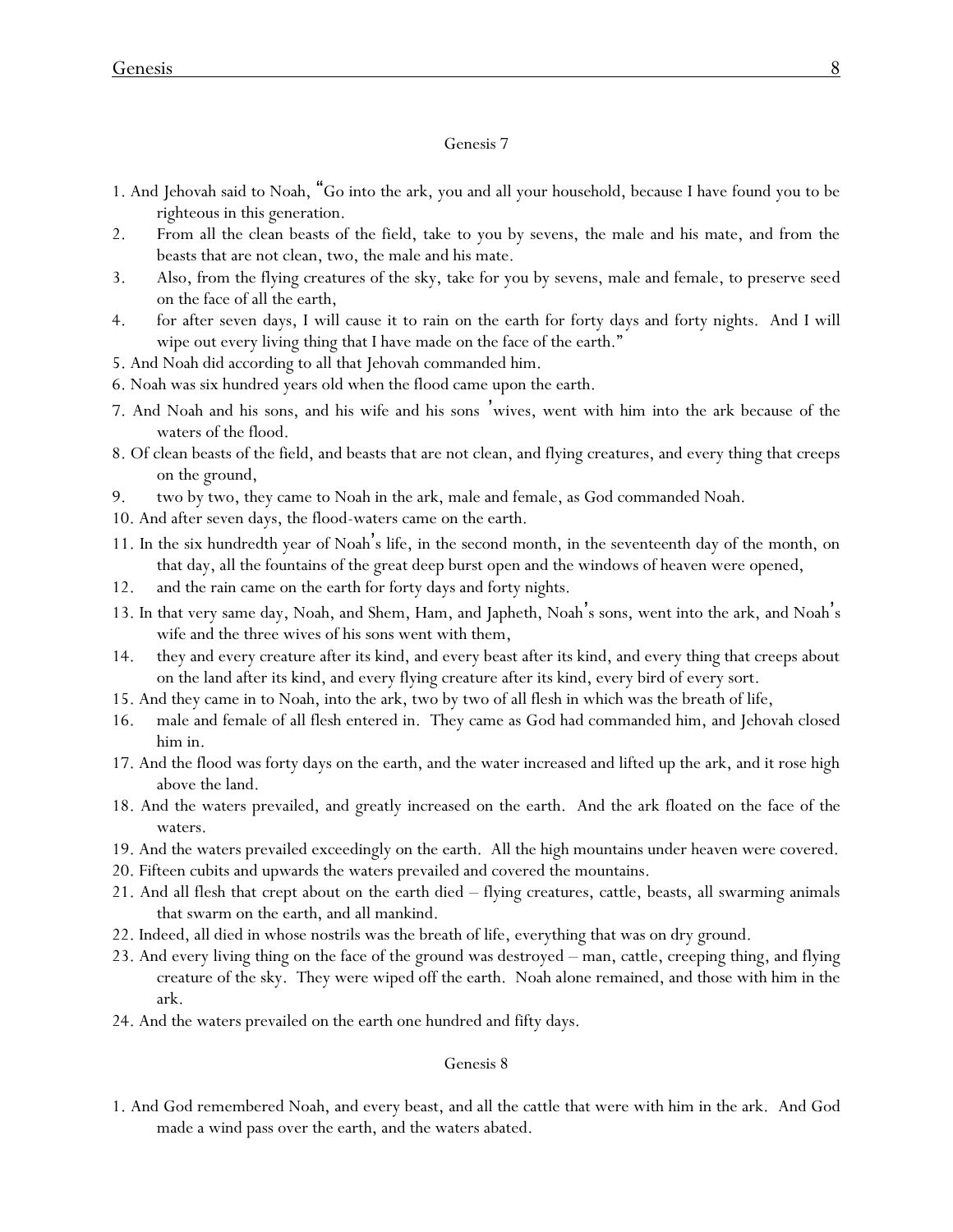- 1. And Jehovah said to Noah, "Go into the ark, you and all your household, because I have found you to be righteous in this generation.
- 2. From all the clean beasts of the field, take to you by sevens, the male and his mate, and from the beasts that are not clean, two, the male and his mate.
- 3. Also, from the flying creatures of the sky, take for you by sevens, male and female, to preserve seed on the face of all the earth,
- 4. for after seven days, I will cause it to rain on the earth for forty days and forty nights. And I will wipe out every living thing that I have made on the face of the earth."
- 5. And Noah did according to all that Jehovah commanded him.
- 6. Noah was six hundred years old when the flood came upon the earth.
- 7. And Noah and his sons, and his wife and his sons 'wives, went with him into the ark because of the waters of the flood.
- 8. Of clean beasts of the field, and beasts that are not clean, and flying creatures, and every thing that creeps on the ground,
- 9. two by two, they came to Noah in the ark, male and female, as God commanded Noah.
- 10. And after seven days, the flood-waters came on the earth.
- 11. In the six hundredth year of Noah's life, in the second month, in the seventeenth day of the month, on that day, all the fountains of the great deep burst open and the windows of heaven were opened,
- 12. and the rain came on the earth for forty days and forty nights.
- 13. In that very same day, Noah, and Shem, Ham, and Japheth, Noah's sons, went into the ark, and Noah's wife and the three wives of his sons went with them,
- 14. they and every creature after its kind, and every beast after its kind, and every thing that creeps about on the land after its kind, and every flying creature after its kind, every bird of every sort.
- 15. And they came in to Noah, into the ark, two by two of all flesh in which was the breath of life,
- 16. male and female of all flesh entered in. They came as God had commanded him, and Jehovah closed him in.
- 17. And the flood was forty days on the earth, and the water increased and lifted up the ark, and it rose high above the land.
- 18. And the waters prevailed, and greatly increased on the earth. And the ark floated on the face of the waters.
- 19. And the waters prevailed exceedingly on the earth. All the high mountains under heaven were covered.
- 20. Fifteen cubits and upwards the waters prevailed and covered the mountains.
- 21. And all flesh that crept about on the earth died flying creatures, cattle, beasts, all swarming animals that swarm on the earth, and all mankind.
- 22. Indeed, all died in whose nostrils was the breath of life, everything that was on dry ground.
- 23. And every living thing on the face of the ground was destroyed man, cattle, creeping thing, and flying creature of the sky. They were wiped off the earth. Noah alone remained, and those with him in the ark.
- 24. And the waters prevailed on the earth one hundred and fifty days.

### Genesis 8

1. And God remembered Noah, and every beast, and all the cattle that were with him in the ark. And God made a wind pass over the earth, and the waters abated.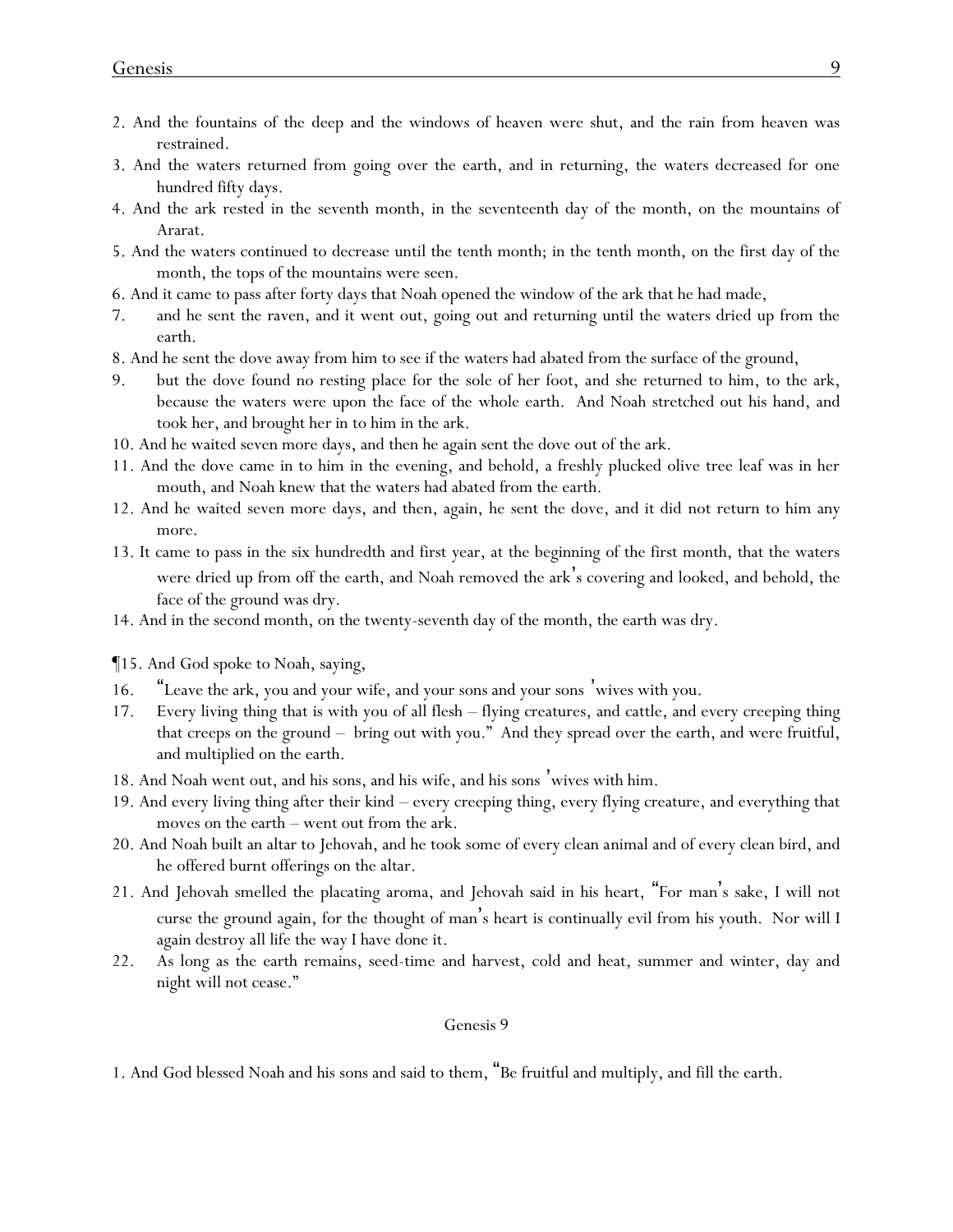- 2. And the fountains of the deep and the windows of heaven were shut, and the rain from heaven was restrained.
- 3. And the waters returned from going over the earth, and in returning, the waters decreased for one hundred fifty days.
- 4. And the ark rested in the seventh month, in the seventeenth day of the month, on the mountains of Ararat.
- 5. And the waters continued to decrease until the tenth month; in the tenth month, on the first day of the month, the tops of the mountains were seen.
- 6. And it came to pass after forty days that Noah opened the window of the ark that he had made,
- 7. and he sent the raven, and it went out, going out and returning until the waters dried up from the earth.
- 8. And he sent the dove away from him to see if the waters had abated from the surface of the ground,
- 9. but the dove found no resting place for the sole of her foot, and she returned to him, to the ark, because the waters were upon the face of the whole earth. And Noah stretched out his hand, and took her, and brought her in to him in the ark.
- 10. And he waited seven more days, and then he again sent the dove out of the ark.
- 11. And the dove came in to him in the evening, and behold, a freshly plucked olive tree leaf was in her mouth, and Noah knew that the waters had abated from the earth.
- 12. And he waited seven more days, and then, again, he sent the dove, and it did not return to him any more.
- 13. It came to pass in the six hundredth and first year, at the beginning of the first month, that the waters were dried up from off the earth, and Noah removed the ark's covering and looked, and behold, the face of the ground was dry.
- 14. And in the second month, on the twenty-seventh day of the month, the earth was dry.
- ¶15. And God spoke to Noah, saying,
- 16. "Leave the ark, you and your wife, and your sons and your sons 'wives with you.
- 17. Every living thing that is with you of all flesh flying creatures, and cattle, and every creeping thing that creeps on the ground – bring out with you." And they spread over the earth, and were fruitful, and multiplied on the earth.
- 18. And Noah went out, and his sons, and his wife, and his sons 'wives with him.
- 19. And every living thing after their kind every creeping thing, every flying creature, and everything that moves on the earth – went out from the ark.
- 20. And Noah built an altar to Jehovah, and he took some of every clean animal and of every clean bird, and he offered burnt offerings on the altar.
- 21. And Jehovah smelled the placating aroma, and Jehovah said in his heart, "For man's sake, I will not curse the ground again, for the thought of man's heart is continually evil from his youth. Nor will I again destroy all life the way I have done it.
- 22. As long as the earth remains, seed-time and harvest, cold and heat, summer and winter, day and night will not cease."

1. And God blessed Noah and his sons and said to them, "Be fruitful and multiply, and fill the earth.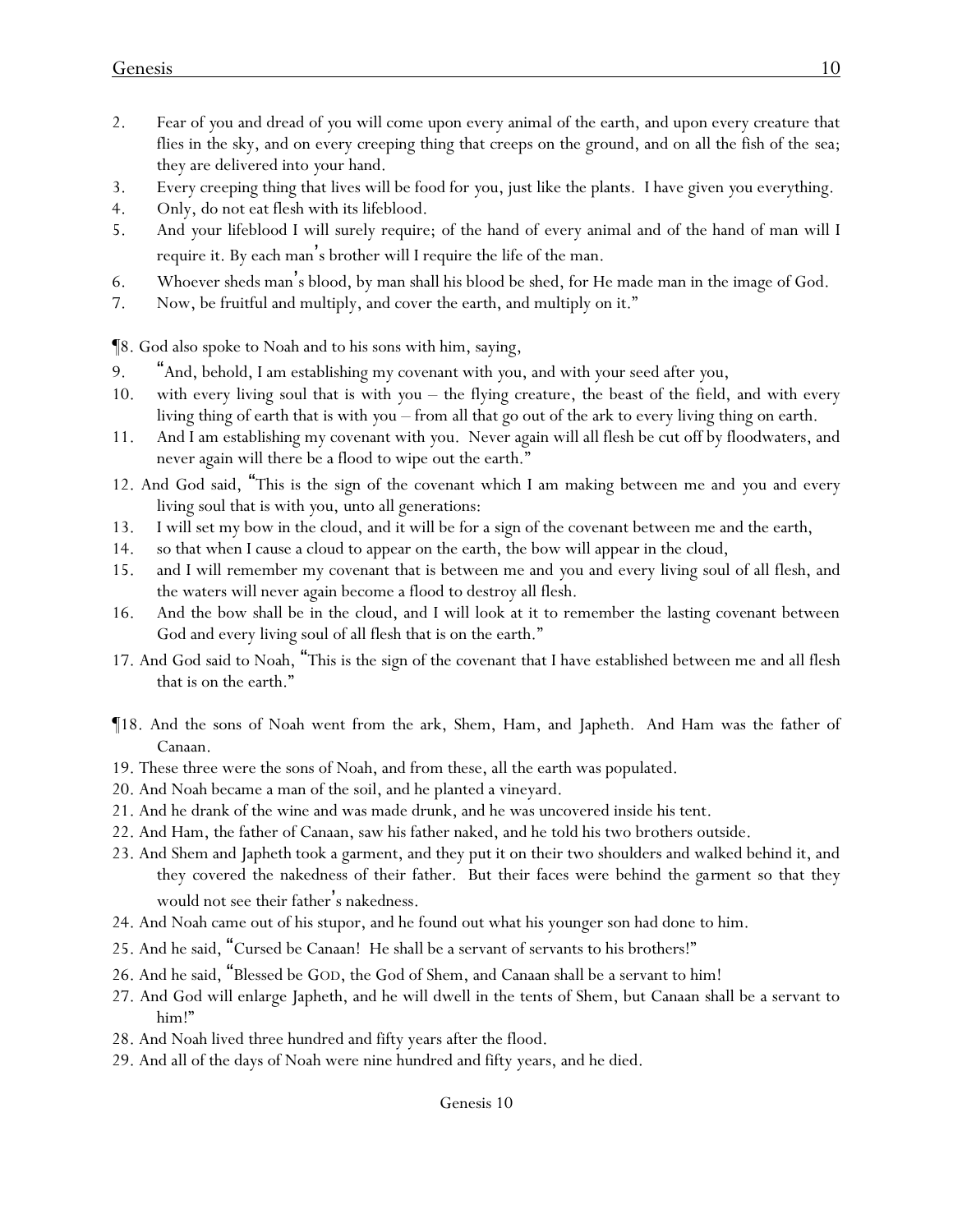- 2. Fear of *y*ou and dread of *y*ou will come upon every animal of the earth, and upon every creature that flies in the sky, and on every creeping thing that creeps on the ground, and on all the fish of the sea; they are delivered into *y*our hand.
- 3. Every creeping thing that lives will be food for *y*ou, just like the plants. I have given *y*ou everything.
- 4. Only, do not eat flesh with its lifeblood.
- 5. And *y*our lifeblood I will surely require; of the hand of every animal and of the hand of man will I require it. By each man's brother will I require the life of the man.
- 6. Whoever sheds man's blood, by man shall his blood be shed, for He made man in the image of God.
- 7. Now, be fruitful and multiply, and cover the earth, and multiply on it."

¶8. God also spoke to Noah and to his sons with him, saying,

- 9. "And, behold, I am establishing my covenant with *y*ou, and with *y*our seed after *y*ou,
- 10. with every living soul that is with *y*ou the flying creature, the beast of the field, and with every living thing of earth that is with *y*ou – from all that go out of the ark to every living thing on earth.
- 11. And I am establishing my covenant with *y*ou. Never again will all flesh be cut off by floodwaters, and never again will there be a flood to wipe out the earth."
- 12. And God said, "This is the sign of the covenant which I am making between me and *y*ou and every living soul that is with *y*ou, unto all generations:
- 13. I will set my bow in the cloud, and it will be for a sign of the covenant between me and the earth,
- 14. so that when I cause a cloud to appear on the earth, the bow will appear in the cloud,
- 15. and I will remember my covenant that is between me and *y*ou and every living soul of all flesh, and the waters will never again become a flood to destroy all flesh.
- 16. And the bow shall be in the cloud, and I will look at it to remember the lasting covenant between God and every living soul of all flesh that is on the earth."
- 17. And God said to Noah, "This is the sign of the covenant that I have established between me and all flesh that is on the earth."
- ¶18. And the sons of Noah went from the ark, Shem, Ham, and Japheth. And Ham was the father of Canaan.
- 19. These three were the sons of Noah, and from these, all the earth was populated.
- 20. And Noah became a man of the soil, and he planted a vineyard.
- 21. And he drank of the wine and was made drunk, and he was uncovered inside his tent.
- 22. And Ham, the father of Canaan, saw his father naked, and he told his two brothers outside.
- 23. And Shem and Japheth took a garment, and they put it on their two shoulders and walked behind it, and they covered the nakedness of their father. But their faces were behind *the garment* so that they would not see their father's nakedness.
- 24. And Noah came out of his stupor, and he found out what his younger son had done to him.
- 25. And he said, "Cursed be Canaan! He shall be a servant of servants to his brothers!"
- 26. And he said, "Blessed be GOD, the God of Shem, and Canaan shall be a servant to him!
- 27. And God will enlarge Japheth, and he will dwell in the tents of Shem, but Canaan shall be a servant to him!"
- 28. And Noah lived three hundred and fifty years after the flood.
- 29. And all of the days of Noah were nine hundred and fifty years, and he died.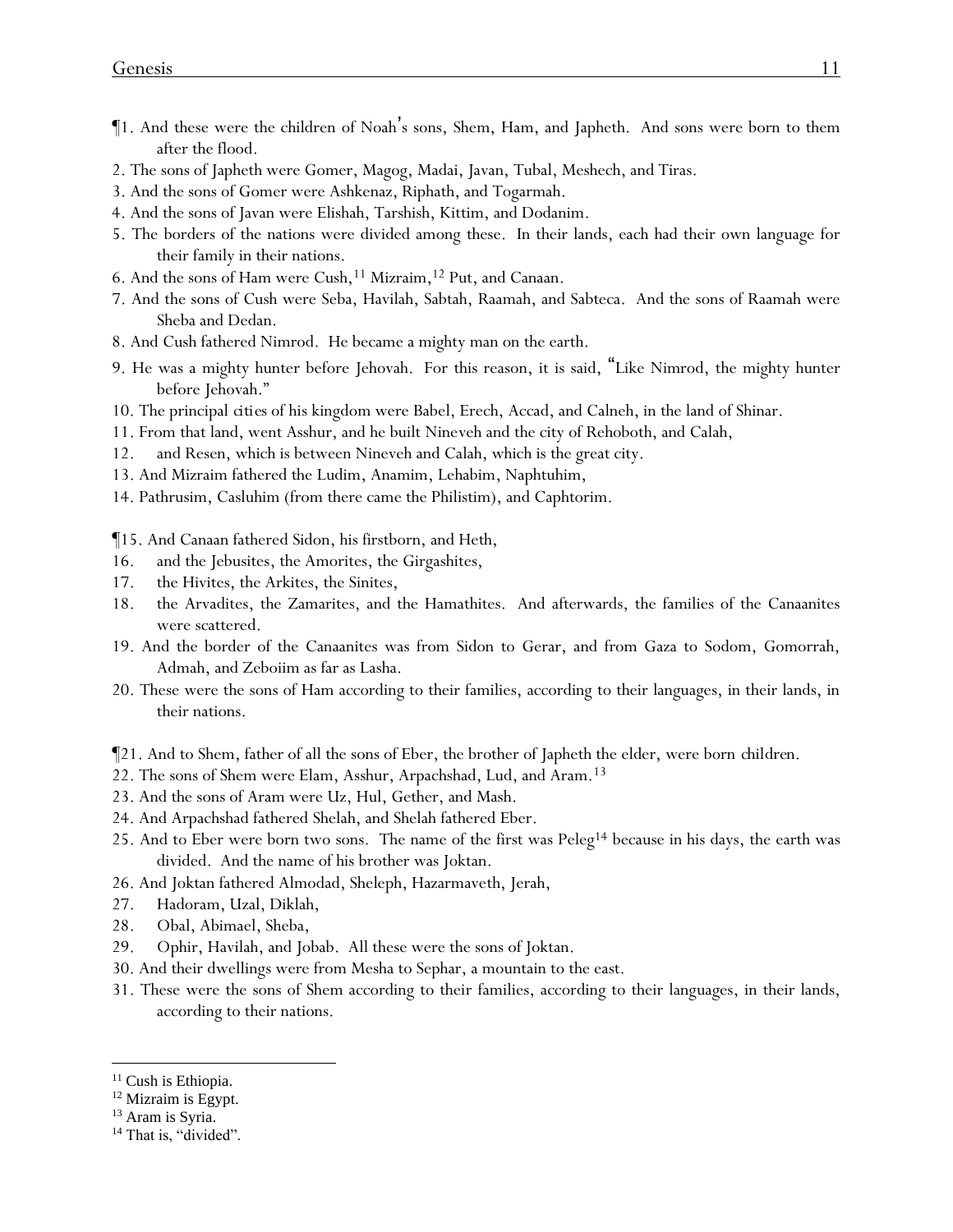- ¶1. And these were the children of Noah's sons, Shem, Ham, and Japheth. And sons were born to them after the flood.
- 2. The sons of Japheth were Gomer, Magog, Madai, Javan, Tubal, Meshech, and Tiras.
- 3. And the sons of Gomer were Ashkenaz, Riphath, and Togarmah.
- 4. And the sons of Javan were Elishah, Tarshish, Kittim, and Dodanim.
- 5. The borders of the nations were divided among these. In their lands, each had their own language for their family in their nations.
- 6. And the sons of Ham were Cush,<sup>11</sup> Mizraim,<sup>12</sup> Put, and Canaan.
- 7. And the sons of Cush were Seba, Havilah, Sabtah, Raamah, and Sabteca. And the sons of Raamah were Sheba and Dedan.
- 8. And Cush fathered Nimrod. He became a mighty man on the earth.
- 9. He was a mighty hunter before Jehovah. For this reason, it is said, "Like Nimrod, the mighty hunter before Jehovah."
- 10. The principal *cities* of his kingdom were Babel, Erech, Accad, and Calneh, in the land of Shinar.
- 11. From that land, went Asshur, and he built Nineveh and the city of Rehoboth, and Calah,
- 12. and Resen, which is between Nineveh and Calah, which is the great city.
- 13. And Mizraim fathered the Ludim, Anamim, Lehabim, Naphtuhim,
- 14. Pathrusim, Casluhim (from there came the Philistim), and Caphtorim.

¶15. And Canaan fathered Sidon, his firstborn, and Heth,

- 16. and the Jebusites, the Amorites, the Girgashites,
- 17. the Hivites, the Arkites, the Sinites,
- 18. the Arvadites, the Zamarites, and the Hamathites. And afterwards, the families of the Canaanites were scattered.
- 19. And the border of the Canaanites was from Sidon to Gerar, and from Gaza to Sodom, Gomorrah, Admah, and Zeboiim as far as Lasha.
- 20. These were the sons of Ham according to their families, according to their languages, in their lands, in their nations.
- ¶21. And to Shem, father of all the sons of Eber, the brother of Japheth the elder, were born *children*.
- 22. The sons of Shem were Elam, Asshur, Arpachshad, Lud, and Aram.<sup>13</sup>
- 23. And the sons of Aram were Uz, Hul, Gether, and Mash.
- 24. And Arpachshad fathered Shelah, and Shelah fathered Eber.
- 25. And to Eber were born two sons. The name of the first was  $Peleg<sup>14</sup>$  because in his days, the earth was divided. And the name of his brother was Joktan.
- 26. And Joktan fathered Almodad, Sheleph, Hazarmaveth, Jerah,
- 27. Hadoram, Uzal, Diklah,
- 28. Obal, Abimael, Sheba,
- 29. Ophir, Havilah, and Jobab. All these were the sons of Joktan.
- 30. And their dwellings were from Mesha to Sephar, a mountain to the east.
- 31. These were the sons of Shem according to their families, according to their languages, in their lands, according to their nations.

<sup>&</sup>lt;sup>11</sup> Cush is Ethiopia.

<sup>&</sup>lt;sup>12</sup> Mizraim is Egypt.

<sup>&</sup>lt;sup>13</sup> Aram is Syria.

<sup>&</sup>lt;sup>14</sup> That is, "divided".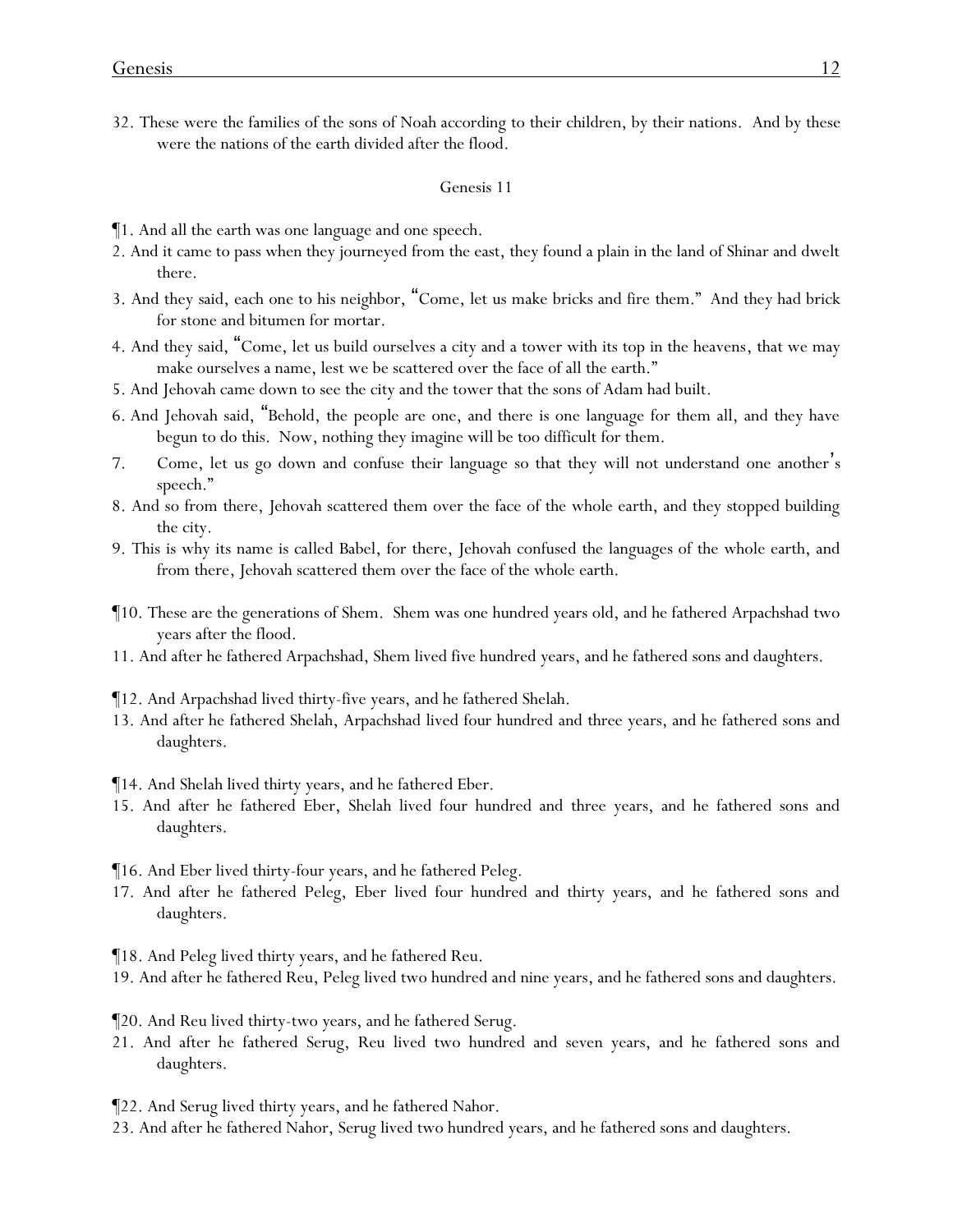32. These were the families of the sons of Noah according to their children, by their nations. And by these were the nations of the earth divided after the flood.

#### Genesis 11

- ¶1. And all the earth was one language and one speech.
- 2. And it came to pass when they journeyed from the east, they found a plain in the land of Shinar and dwelt there.
- 3. And they said, each one to his neighbor, "Come, let us make bricks and fire them." And they had brick for stone and bitumen for mortar.
- 4. And they said, "Come, let us build ourselves a city and a tower with its top in the heavens, that we may make ourselves a name, lest we be scattered over the face of all the earth."
- 5. And Jehovah came down to see the city and the tower that the sons of Adam had built.
- 6. And Jehovah said, "Behold, the people are one, and there is one language for them all, and they have begun to do this. Now, nothing they imagine will be too difficult for them.
- 7. Come, let us go down and confuse their language so that they will not understand one another's speech."
- 8. And so from there, Jehovah scattered them over the face of the whole earth, and they stopped building the city.
- 9. This is why its name is called Babel, for there, Jehovah confused the languages of the whole earth, and from there, Jehovah scattered them over the face of the whole earth.
- ¶10. These are the generations of Shem. Shem was one hundred years old, and he fathered Arpachshad two years after the flood.
- 11. And after he fathered Arpachshad, Shem lived five hundred years, and he fathered sons and daughters.
- ¶12. And Arpachshad lived thirty-five years, and he fathered Shelah.
- 13. And after he fathered Shelah, Arpachshad lived four hundred and three years, and he fathered sons and daughters.
- ¶14. And Shelah lived thirty years, and he fathered Eber.
- 15. And after he fathered Eber, Shelah lived four hundred and three years, and he fathered sons and daughters.
- ¶16. And Eber lived thirty-four years, and he fathered Peleg.
- 17. And after he fathered Peleg, Eber lived four hundred and thirty years, and he fathered sons and daughters.

¶18. And Peleg lived thirty years, and he fathered Reu.

19. And after he fathered Reu, Peleg lived two hundred and nine years, and he fathered sons and daughters.

¶20. And Reu lived thirty-two years, and he fathered Serug.

- 21. And after he fathered Serug, Reu lived two hundred and seven years, and he fathered sons and daughters.
- ¶22. And Serug lived thirty years, and he fathered Nahor.
- 23. And after he fathered Nahor, Serug lived two hundred years, and he fathered sons and daughters.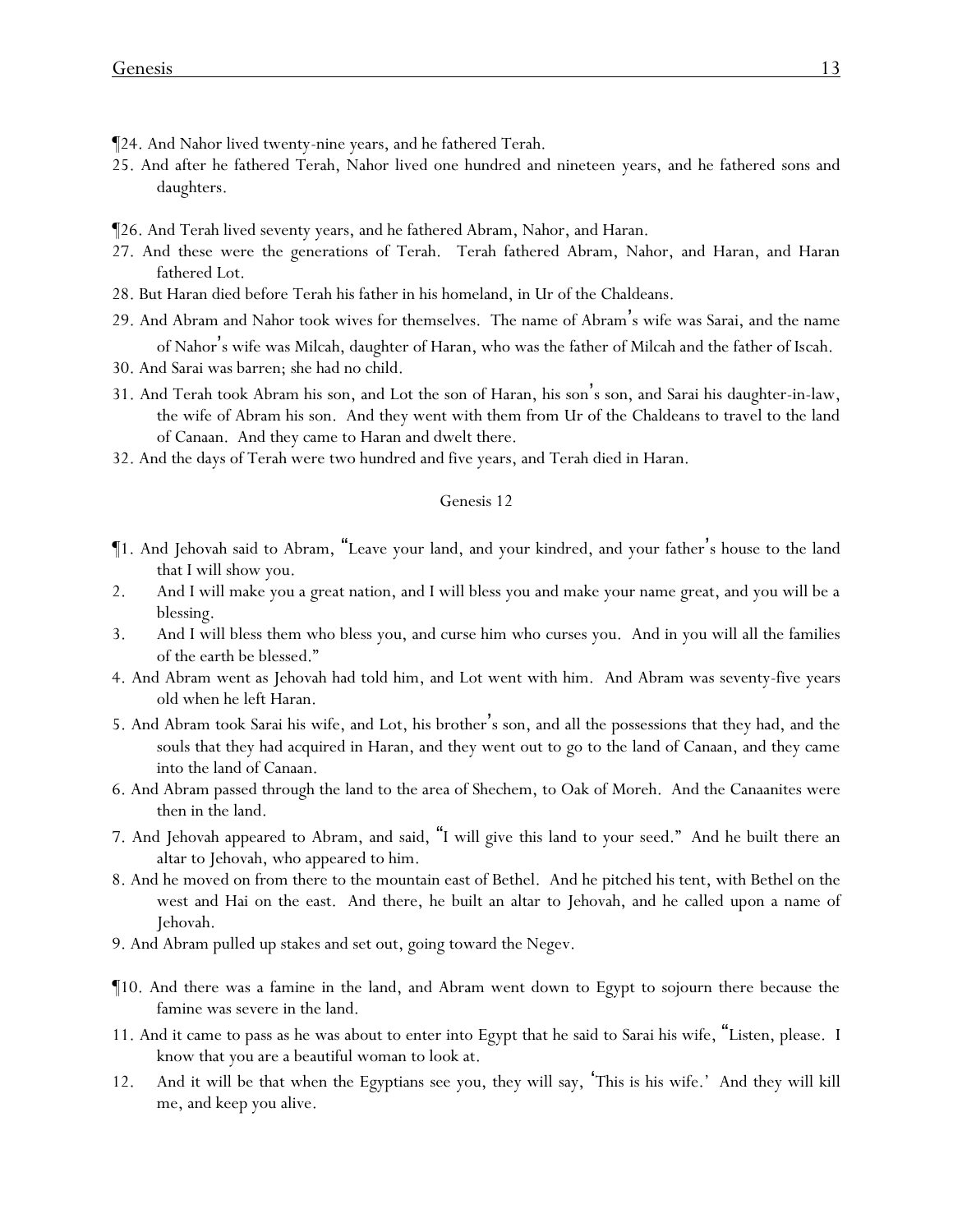- ¶24. And Nahor lived twenty-nine years, and he fathered Terah.
- 25. And after he fathered Terah, Nahor lived one hundred and nineteen years, and he fathered sons and daughters.
- ¶26. And Terah lived seventy years, and he fathered Abram, Nahor, and Haran.
- 27. And these were the generations of Terah. Terah fathered Abram, Nahor, and Haran, and Haran fathered Lot.
- 28. But Haran died before Terah his father in his homeland, in Ur of the Chaldeans.
- 29. And Abram and Nahor took wives for themselves. The name of Abram's wife was Sarai, and the name of Nahor's wife was Milcah, daughter of Haran, who was the father of Milcah and the father of Iscah.
- 30. And Sarai was barren; she had no child.
- 31. And Terah took Abram his son, and Lot the son of Haran, his son's son, and Sarai his daughter-in-law, the wife of Abram his son. And they went with them from Ur of the Chaldeans to travel to the land of Canaan. And they came to Haran and dwelt there.
- 32. And the days of Terah were two hundred and five years, and Terah died in Haran.

- ¶1. And Jehovah said to Abram, "Leave your land, and your kindred, and your father's house to the land that I will show you.
- 2. And I will make you a great nation, and I will bless you and make your name great, and you will be a blessing.
- 3. And I will bless them who bless you, and curse him who curses you. And in you will all the families of the earth be blessed."
- 4. And Abram went as Jehovah had told him, and Lot went with him. And Abram was seventy-five years old when he left Haran.
- 5. And Abram took Sarai his wife, and Lot, his brother's son, and all the possessions that they had, and the souls that they had acquired in Haran, and they went out to go to the land of Canaan, and they came into the land of Canaan.
- 6. And Abram passed through the land to the area of Shechem, to Oak of Moreh. And the Canaanites were then in the land.
- 7. And Jehovah appeared to Abram, and said, "I will give this land to your seed." And he built there an altar to Jehovah, who appeared to him.
- 8. And he moved on from there to the mountain east of Bethel. And he pitched his tent, with Bethel on the west and Hai on the east. And there, he built an altar to Jehovah, and he called upon a name of Jehovah.
- 9. And Abram pulled up stakes and set out, going toward the Negev.
- ¶10. And there was a famine in the land, and Abram went down to Egypt to sojourn there because the famine was severe in the land.
- 11. And it came to pass as he was about to enter into Egypt that he said to Sarai his wife, "Listen, please. I know that you are a beautiful woman to look at.
- 12. And it will be that when the Egyptians see you, they will say, 'This is his wife.' And they will kill me, and keep you alive.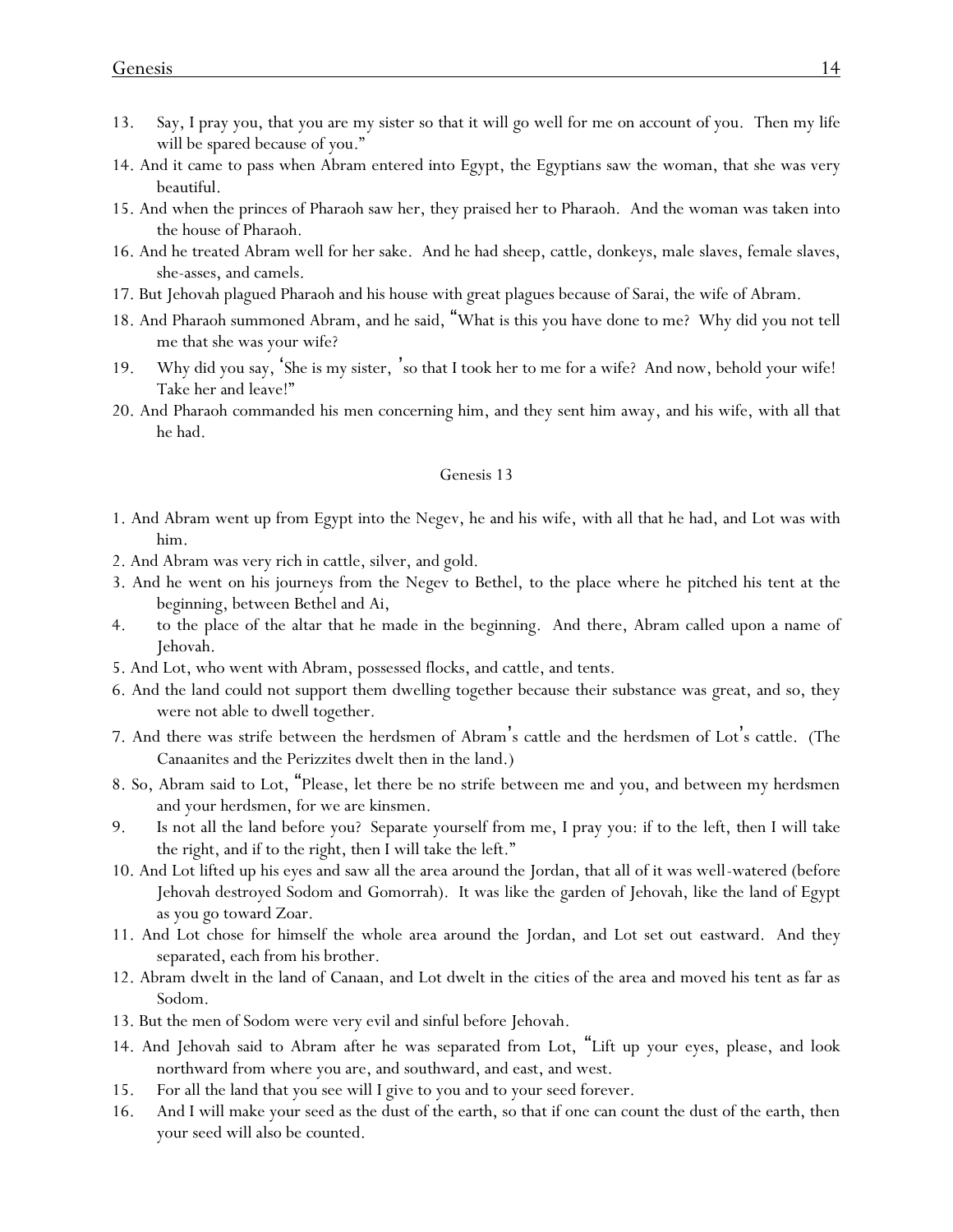- 13. Say, I pray you, that you are my sister so that it will go well for me on account of you. Then my life will be spared because of you."
- 14. And it came to pass when Abram entered into Egypt, the Egyptians saw the woman, that she was very beautiful.
- 15. And when the princes of Pharaoh saw her, they praised her to Pharaoh. And the woman was taken into the house of Pharaoh.
- 16. And he treated Abram well for her sake. And he had sheep, cattle, donkeys, male slaves, female slaves, she-asses, and camels.
- 17. But Jehovah plagued Pharaoh and his house with great plagues because of Sarai, the wife of Abram.
- 18. And Pharaoh summoned Abram, and he said, "What is this you have done to me? Why did you not tell me that she was your wife?
- 19. Why did you say, 'She is my sister, 'so that I took her to me for a wife? And now, behold your wife! Take her and leave!"
- 20. And Pharaoh commanded his men concerning him, and they sent him away, and his wife, with all that he had.

- 1. And Abram went up from Egypt into the Negev, he and his wife, with all that he had, and Lot was with him.
- 2. And Abram was very rich in cattle, silver, and gold.
- 3. And he went on his journeys from the Negev to Bethel, to the place where he pitched his tent at the beginning, between Bethel and Ai,
- 4. to the place of the altar that he made in the beginning. And there, Abram called upon a name of Jehovah.
- 5. And Lot, who went with Abram, possessed flocks, and cattle, and tents.
- 6. And the land could not support them dwelling together because their substance was great, and so, they were not able to dwell together.
- 7. And there was strife between the herdsmen of Abram's cattle and the herdsmen of Lot's cattle. (The Canaanites and the Perizzites dwelt then in the land.)
- 8. So, Abram said to Lot, "Please, let there be no strife between me and you, and between my herdsmen and your herdsmen, for we are kinsmen.
- 9. Is not all the land before you? Separate yourself from me, I pray you: if to the left, then I will take the right, and if to the right, then I will take the left."
- 10. And Lot lifted up his eyes and saw all the area around the Jordan, that all of it was well-watered (before Jehovah destroyed Sodom and Gomorrah). It was like the garden of Jehovah, like the land of Egypt as you go toward Zoar.
- 11. And Lot chose for himself the whole area around the Jordan, and Lot set out eastward. And they separated, each from his brother.
- 12. Abram dwelt in the land of Canaan, and Lot dwelt in the cities of the area and moved his tent as far as Sodom.
- 13. But the men of Sodom were very evil and sinful before Jehovah.
- 14. And Jehovah said to Abram after he was separated from Lot, "Lift up your eyes, please, and look northward from where you are, and southward, and east, and west.
- 15. For all the land that you see will I give to you and to your seed forever.
- 16. And I will make your seed as the dust of the earth, so that if one can count the dust of the earth, then your seed will also be counted.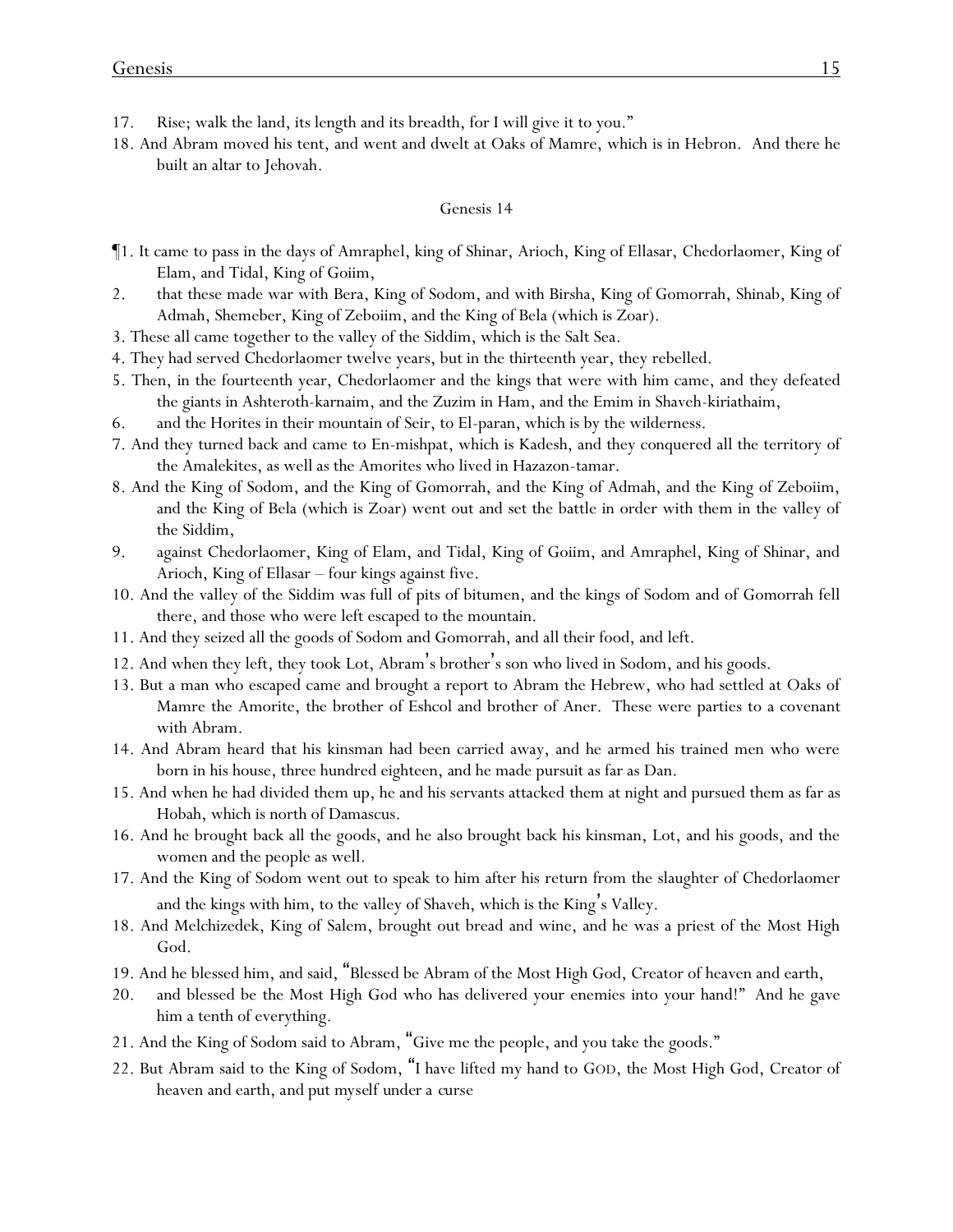- 17. Rise; walk the land, its length and its breadth, for I will give it to you."
- 18. And Abram moved his tent, and went and dwelt at Oaks of Mamre, which is in Hebron. And there he built an altar to Jehovah.

- ¶1. It came to pass in the days of Amraphel, king of Shinar, Arioch, King of Ellasar, Chedorlaomer, King of Elam, and Tidal, King of Goiim,
- 2. that these made war with Bera, King of Sodom, and with Birsha, King of Gomorrah, Shinab, King of Admah, Shemeber, King of Zeboiim, and the King of Bela (which is Zoar).
- 3. These all came together to the valley of the Siddim, which is the Salt Sea.
- 4. They had served Chedorlaomer twelve years, but in the thirteenth year, they rebelled.
- 5. Then, in the fourteenth year, Chedorlaomer and the kings that were with him came, and they defeated the giants in Ashteroth-karnaim, and the Zuzim in Ham, and the Emim in Shaveh-kiriathaim,
- 6. and the Horites in their mountain of Seir, to El-paran, which is by the wilderness.
- 7. And they turned back and came to En-mishpat, which is Kadesh, and they conquered all the territory of the Amalekites, as well as the Amorites who lived in Hazazon-tamar.
- 8. And the King of Sodom, and the King of Gomorrah, and the King of Admah, and the King of Zeboiim, and the King of Bela (which is Zoar) went out and set the battle in order with them in the valley of the Siddim,
- 9. against Chedorlaomer, King of Elam, and Tidal, King of Goiim, and Amraphel, King of Shinar, and Arioch, King of Ellasar – four kings against five.
- 10. And the valley of the Siddim was full of pits of bitumen, and the kings of Sodom and of Gomorrah fell there, and those who were left escaped to the mountain.
- 11. And they seized all the goods of Sodom and Gomorrah, and all their food, and left.
- 12. And when they left, they took Lot, Abram's brother's son who lived in Sodom, and his goods.
- 13. But a man who escaped came and brought a report to Abram the Hebrew, who had settled at Oaks of Mamre the Amorite, the brother of Eshcol and brother of Aner. These were parties to a covenant with Abram.
- 14. And Abram heard that his kinsman had been carried away, and he armed his trained men who were born in his house, three hundred eighteen, and he made pursuit as far as Dan.
- 15. And when he had divided them up, he and his servants attacked them at night and pursued them as far as Hobah, which is north of Damascus.
- 16. And he brought back all the goods, and he also brought back his kinsman, Lot, and his goods, and the women and the people as well.
- 17. And the King of Sodom went out to speak to him after his return from the slaughter of Chedorlaomer and the kings with him, to the valley of Shaveh, which is the King's Valley.
- 18. And Melchizedek, King of Salem, brought out bread and wine, and he was a priest of the Most High God.
- 19. And he blessed him, and said, "Blessed be Abram of the Most High God, Creator of heaven and earth,
- 20. and blessed be the Most High God who has delivered your enemies into your hand!" And he gave him a tenth of everything.
- 21. And the King of Sodom said to Abram, "Give me the people, and you take the goods."
- 22. But Abram said to the King of Sodom, "I have lifted my hand to GOD, the Most High God, Creator of heaven and earth, *and put myself under a curse*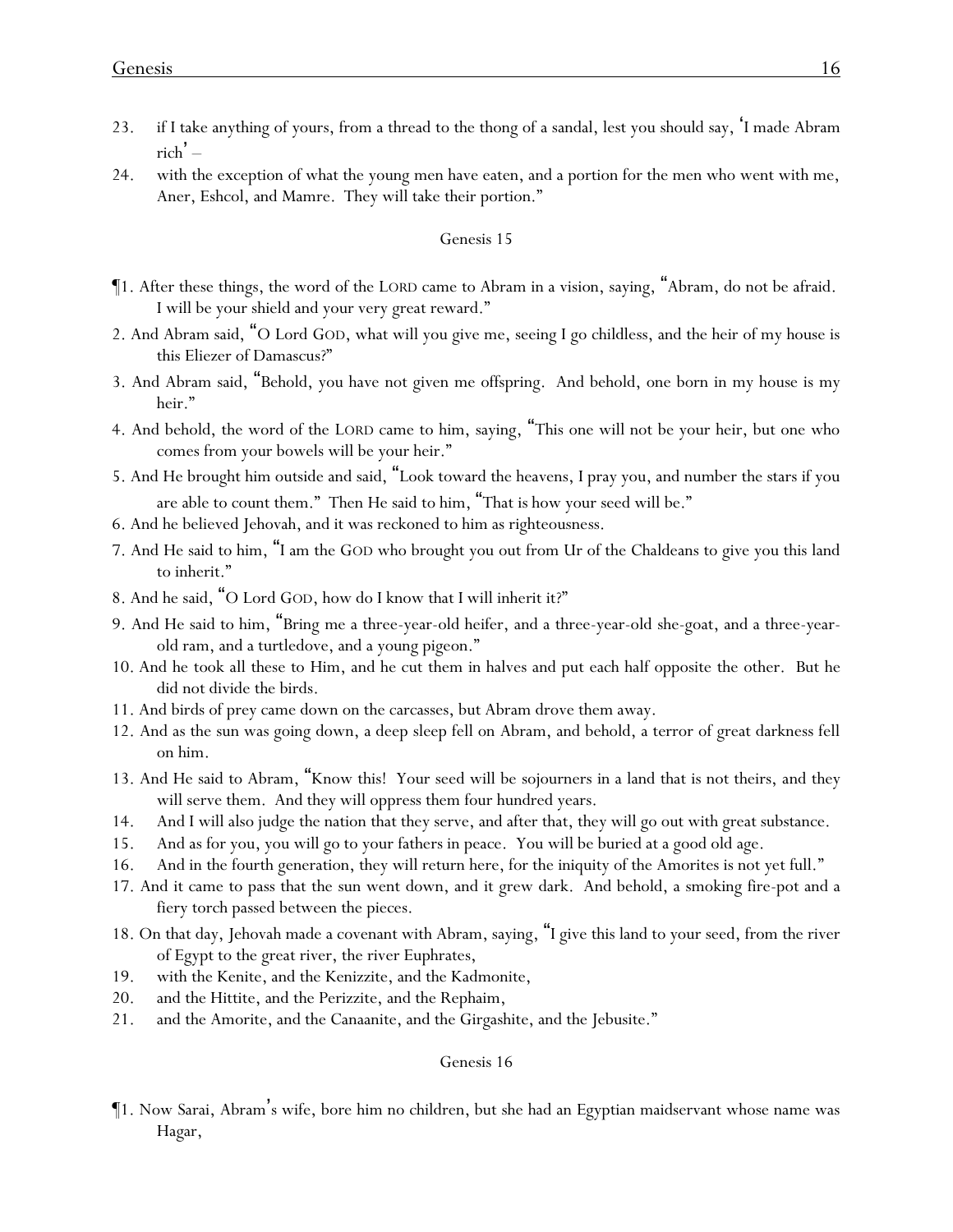- 23. if I take anything of yours, from a thread to the thong of a sandal, lest you should say, 'I made Abram  $rich$ <sup>'</sup> –
- 24. with the exception of what the young men have eaten, and a portion for the men who went with me, Aner, Eshcol, and Mamre. They will take their portion."

- ¶1. After these things, the word of the LORD came to Abram in a vision, saying, "Abram, do not be afraid. I will be your shield and your very great reward."
- 2. And Abram said, "O Lord GOD, what will you give me, seeing I go childless, and the heir of my house is this Eliezer of Damascus?"
- 3. And Abram said, "Behold, you have not given me offspring. And behold, one born in my house is my heir."
- 4. And behold, the word of the LORD came to him, saying, "This one will not be your heir, but one who comes from your bowels will be your heir."
- 5. And He brought him outside and said, "Look toward the heavens, I pray you, and number the stars if you are able to count them." Then He said to him, "That is how your seed will be."
- 6. And he believed Jehovah, and it was reckoned to him as righteousness.
- 7. And He said to him, "I am the GOD who brought you out from Ur of the Chaldeans to give you this land to inherit."
- 8. And he said, "O Lord GOD, how do I know that I will inherit it?"
- 9. And He said to him, "Bring me a three-year-old heifer, and a three-year-old she-goat, and a three-yearold ram, and a turtledove, and a young pigeon."
- 10. And he took all these to Him, and he cut them in halves and put each half opposite the other. But he did not divide the birds.
- 11. And birds of prey came down on the carcasses, but Abram drove them away.
- 12. And as the sun was going down, a deep sleep fell on Abram, and behold, a terror of great darkness fell on him.
- 13. And He said to Abram, "Know this! Your seed will be sojourners in a land that is not theirs, and they will serve them. And they will oppress them four hundred years.
- 14. And I will also judge the nation that they serve, and after that, they will go out with great substance.
- 15. And as for you, you will go to your fathers in peace. You will be buried at a good old age.
- 16. And in the fourth generation, they will return here, for the iniquity of the Amorites is not yet full."
- 17. And it came to pass that the sun went down, and it grew dark. And behold, a smoking fire-pot and a fiery torch passed between the pieces.
- 18. On that day, Jehovah made a covenant with Abram, saying, "I give this land to your seed, from the river of Egypt to the great river, the river Euphrates,
- 19. with the Kenite, and the Kenizzite, and the Kadmonite,
- 20. and the Hittite, and the Perizzite, and the Rephaim,
- 21. and the Amorite, and the Canaanite, and the Girgashite, and the Jebusite."

#### Genesis 16

¶1. Now Sarai, Abram's wife, bore him no children, but she had an Egyptian maidservant whose name was Hagar,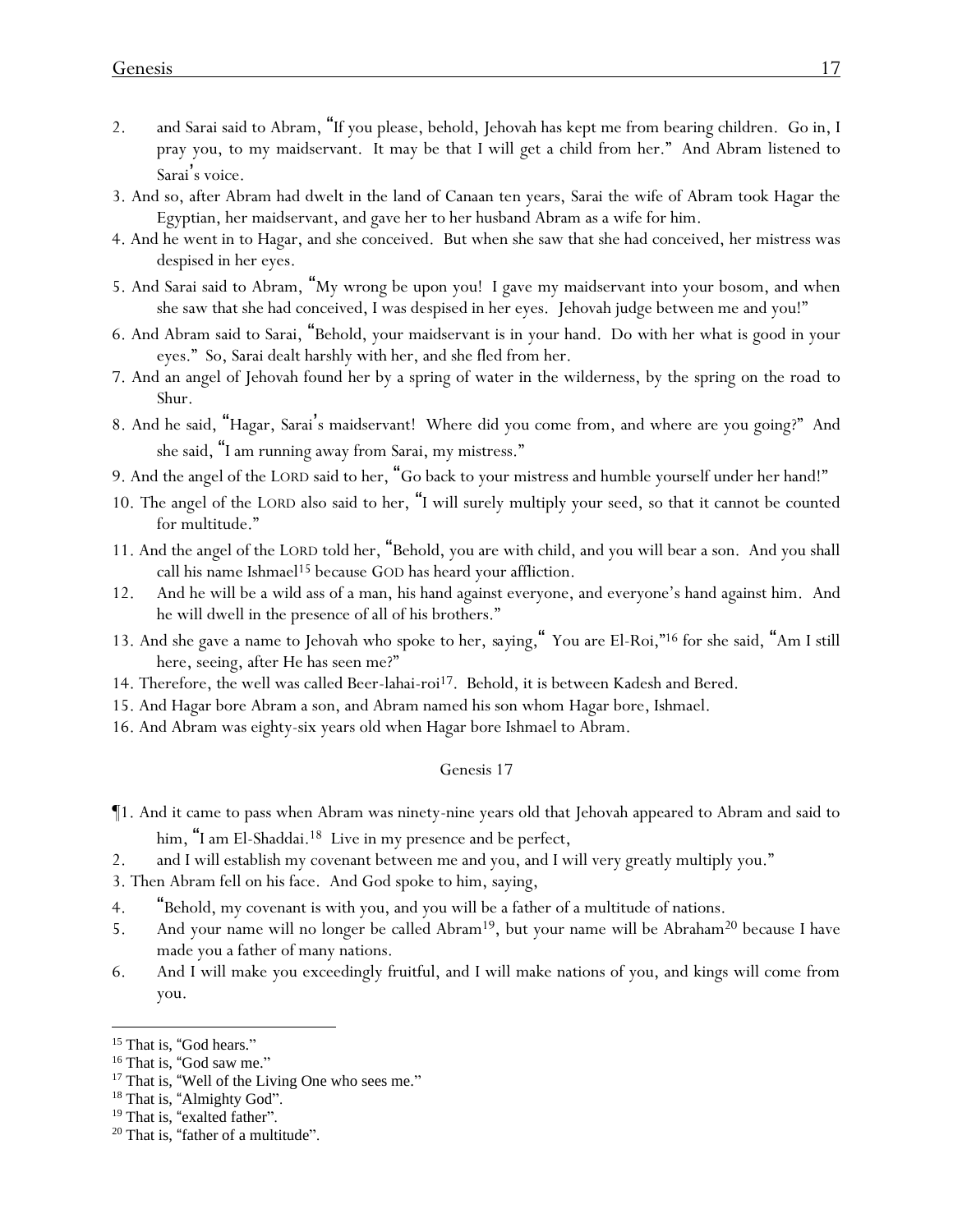- 2. and Sarai said to Abram, "If you please, behold, Jehovah has kept me from bearing children. Go in, I pray you, to my maidservant. It may be that I will get a child from her." And Abram listened to Sarai's voice.
- 3. And so, after Abram had dwelt in the land of Canaan ten years, Sarai the wife of Abram took Hagar the Egyptian, her maidservant, and gave her to her husband Abram as a wife for him.
- 4. And he went in to Hagar, and she conceived. But when she saw that she had conceived, her mistress was despised in her eyes.
- 5. And Sarai said to Abram, "My wrong be upon you! I gave my maidservant into your bosom, and when she saw that she had conceived, I was despised in her eyes. Jehovah judge between me and you!"
- 6. And Abram said to Sarai, "Behold, your maidservant is in your hand. Do with her what is good in your eyes." So, Sarai dealt harshly with her, and she fled from her.
- 7. And an angel of Jehovah found her by a spring of water in the wilderness, by the spring on the road to Shur.
- 8. And he said, "Hagar, Sarai's maidservant! Where did you come from, and where are you going?" And she said, "I am running away from Sarai, my mistress."
- 9. And the angel of the LORD said to her, "Go back to your mistress and humble yourself under her hand!"
- 10. The angel of the LORD also said to her, "I will surely multiply your seed, so that it cannot be counted for multitude."
- 11. And the angel of the LORD told her, "Behold, you are with child, and you will bear a son. And you shall call his name Ishmael<sup>15</sup> because GOD has heard your affliction.
- 12. And he will be a wild ass of a man, his hand against everyone, and everyone's hand against him. And he will dwell in the presence of all of his brothers."
- 13. And she gave a name to Jehovah who spoke to her, *saying,* " You are El-Roi,"<sup>16</sup> for she said, "Am I still here, seeing, after He has seen me?"
- 14. Therefore, the well was called Beer-lahai-roi<sup>17</sup>. Behold, it is between Kadesh and Bered.
- 15. And Hagar bore Abram a son, and Abram named his son whom Hagar bore, Ishmael.
- 16. And Abram was eighty-six years old when Hagar bore Ishmael to Abram.

- ¶1. And it came to pass when Abram was ninety-nine years old that Jehovah appeared to Abram and said to him, "I am El-Shaddai.<sup>18</sup> Live in my presence and be perfect,
- 2. and I will establish my covenant between me and you, and I will very greatly multiply you."
- 3. Then Abram fell on his face. And God spoke to him, saying,
- 4. "Behold, my covenant is with you, and you will be a father of a multitude of nations.
- 5. And your name will no longer be called Abram<sup>19</sup>, but your name will be Abraham<sup>20</sup> because I have made you a father of many nations.
- 6. And I will make you exceedingly fruitful, and I will make nations of you, and kings will come from you.

<sup>&</sup>lt;sup>15</sup> That is, "God hears."

<sup>&</sup>lt;sup>16</sup> That is, "God saw me."

<sup>&</sup>lt;sup>17</sup> That is, "Well of the Living One who sees me."

<sup>&</sup>lt;sup>18</sup> That is, "Almighty God".

<sup>&</sup>lt;sup>19</sup> That is, "exalted father".

<sup>&</sup>lt;sup>20</sup> That is, "father of a multitude".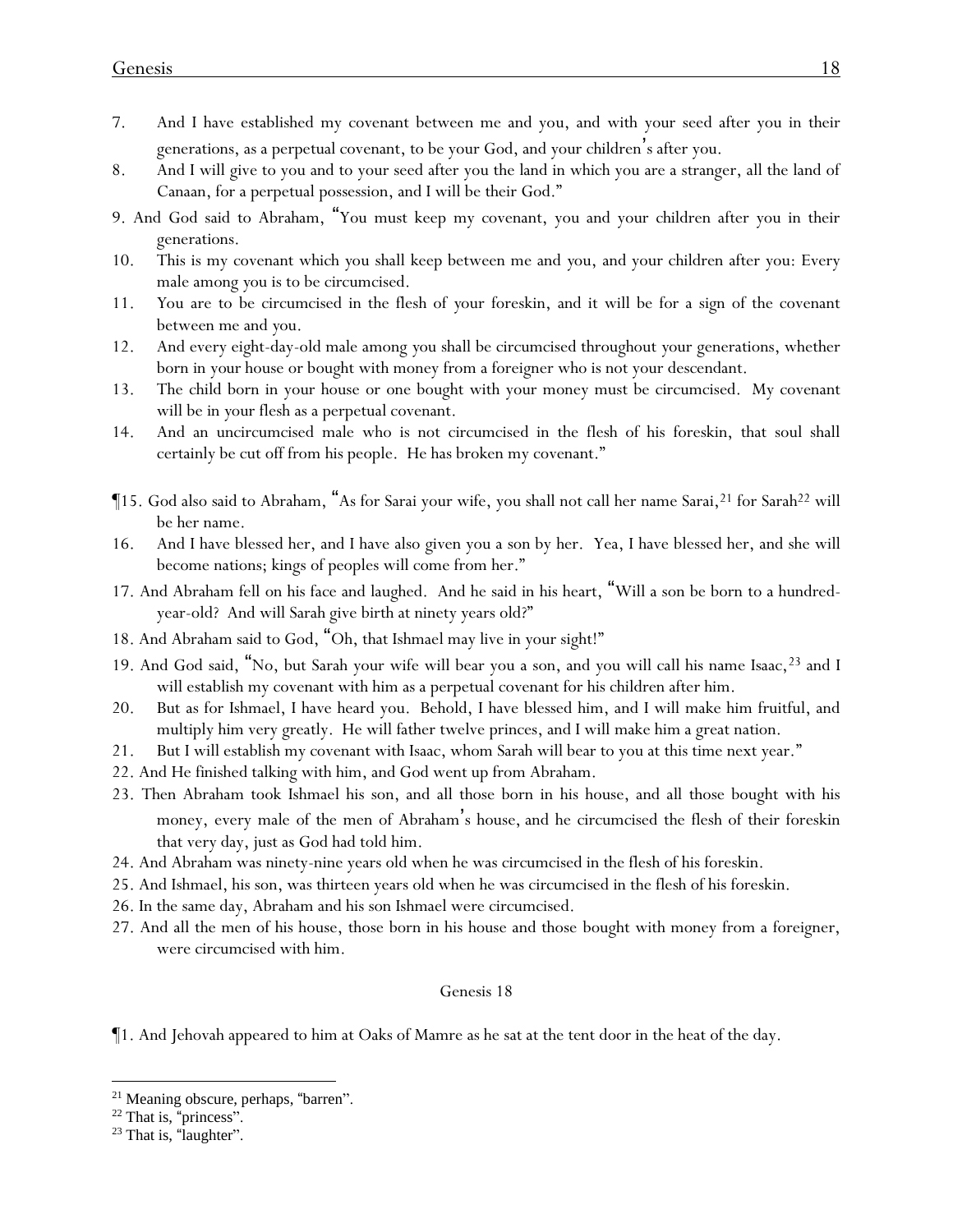- 7. And I have established my covenant between me and you, and with your seed after you in their generations, as a perpetual covenant, to be your God, and your children's after you.
- 8. And I will give to you and to your seed after you the land in which you are a stranger, all the land of Canaan, for a perpetual possession, and I will be their God."
- 9. And God said to Abraham, "You must keep my covenant, you and your children after you in their generations.
- 10. This is my covenant which *y*ou shall keep between me and *y*ou, and your children after you: Every male among *y*ou is to be circumcised.
- 11. *Y*ou are to be circumcised in the flesh of *y*our foreskin, and it will be for a sign of the covenant between me and *y*ou.
- 12. And every eight-day-old male among *y*ou shall be circumcised throughout *y*our generations, whether born in *your* house or bought with money from a foreigner who is not your descendant.
- 13. The child born in your house or one bought with your money must be circumcised. My covenant will be in *y*our flesh as a perpetual covenant.
- 14. And an uncircumcised male who is not circumcised in the flesh of his foreskin, that soul shall certainly be cut off from his people. He has broken my covenant."
- ¶15. God also said to Abraham, "As for Sarai your wife, you shall not call her name Sarai,<sup>21</sup> for Sarah<sup>22</sup> will be her name.
- 16. And I have blessed her, and I have also given you a son by her. Yea, I have blessed her, and she will become nations; kings of peoples will come from her."
- 17. And Abraham fell on his face and laughed. And he said in his heart, "Will a son be born to a hundredyear-old? And will Sarah give birth at ninety years old?"
- 18. And Abraham said to God, "Oh, that Ishmael may live in your sight!"
- 19. And God said, "No, but Sarah your wife will bear you a son, and you will call his name Isaac, <sup>23</sup> and I will establish my covenant with him as a perpetual covenant for his children after him.
- 20. But as for Ishmael, I have heard you. Behold, I have blessed him, and I will make him fruitful, and multiply him very greatly. He will father twelve princes, and I will make him a great nation.
- 21. But I will establish my covenant with Isaac, whom Sarah will bear to you at this time next year."
- 22. And He finished talking with him, and God went up from Abraham.
- 23. Then Abraham took Ishmael his son, and all those born in his house, and all those bought with his money, every male of the men of Abraham's house, and he circumcised the flesh of their foreskin that very day, just as God had told him.
- 24. And Abraham was ninety-nine years old when he was circumcised in the flesh of his foreskin.
- 25. And Ishmael, his son, was thirteen years old when he was circumcised in the flesh of his foreskin.
- 26. In the same day, Abraham and his son Ishmael were circumcised.
- 27. And all the men of his house, those born in his house and those bought with money from a foreigner, were circumcised with him.

¶1. And Jehovah appeared to him at Oaks of Mamre as he sat at the tent door in the heat of the day.

<sup>&</sup>lt;sup>21</sup> Meaning obscure, perhaps, "barren".

<sup>&</sup>lt;sup>22</sup> That is, "princess".

<sup>&</sup>lt;sup>23</sup> That is, "laughter".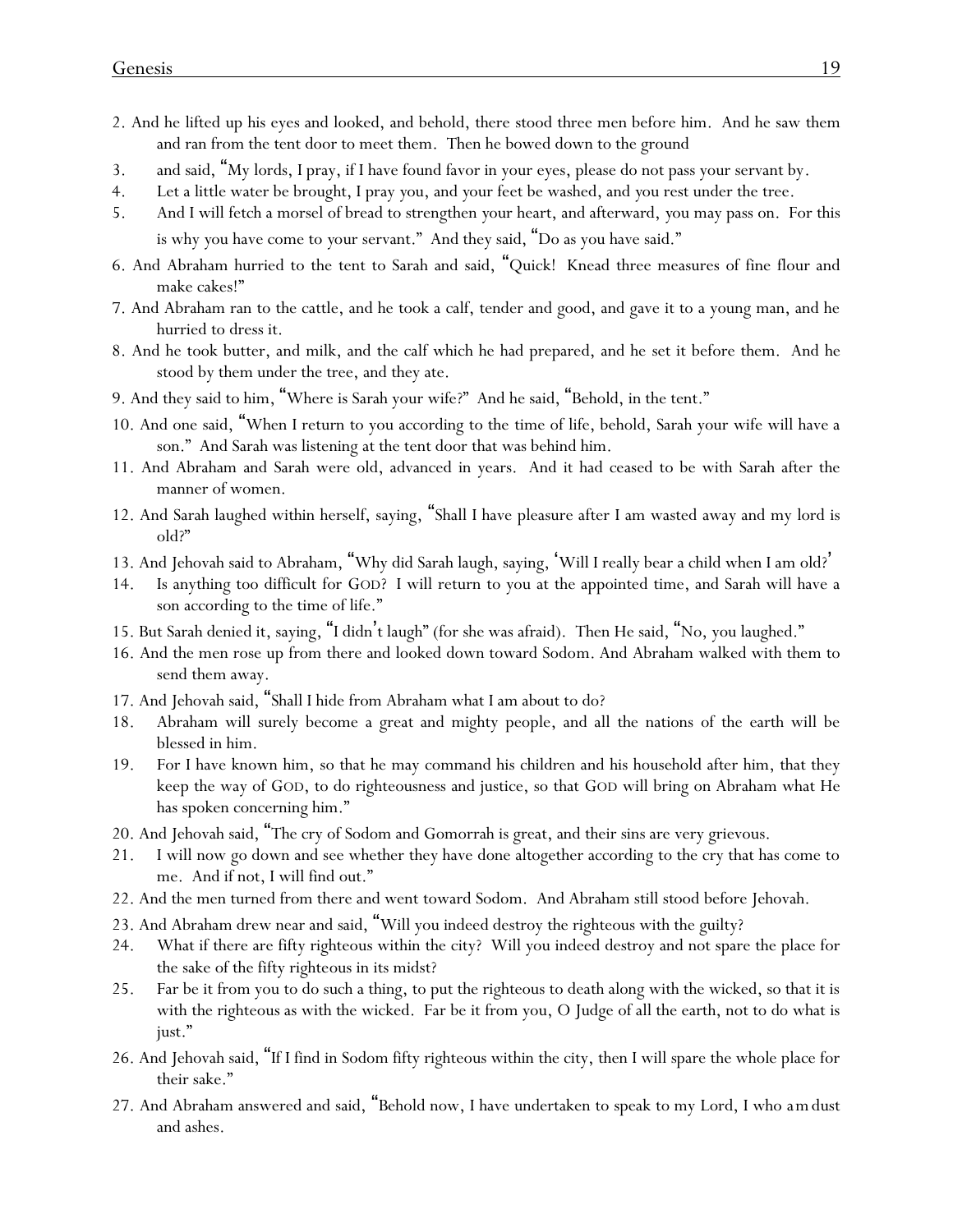- 2. And he lifted up his eyes and looked, and behold, there stood three men before him. And he saw them and ran from the tent door to meet them. Then he bowed down to the ground
- 3. and said, "My lords, I pray, if I have found favor in your eyes, please do not pass your servant by.
- 4. Let a little water be brought, I pray *y*ou, and *y*our feet be washed, and *y*ou rest under the tree.
- 5. And I will fetch a morsel of bread to strengthen *y*our heart, and afterward, *y*ou may pass on. For this is why *y*ou have come to *y*our servant." And they said, "Do as you have said."
- 6. And Abraham hurried to the tent to Sarah and said, "Quick! Knead three measures of fine flour and make cakes!"
- 7. And Abraham ran to the cattle, and he took a calf, tender and good, and gave it to a young man, and he hurried to dress it.
- 8. And he took butter, and milk, and the calf which he had prepared, and he set it before them. And he stood by them under the tree, and they ate.
- 9. And they said to him, "Where is Sarah your wife?" And he said, "Behold, in the tent."
- 10. And one said, "When I return to you according to the time of life, behold, Sarah your wife will have a son." And Sarah was listening at the tent door that was behind him.
- 11. And Abraham and Sarah were old, advanced in years. And it had ceased to be with Sarah after the manner of women.
- 12. And Sarah laughed within herself, saying, "Shall I have pleasure after I am wasted away and my lord is old?"
- 13. And Jehovah said to Abraham, "Why did Sarah laugh, saying, 'Will I really bear a child when I am old?'
- 14. Is anything too difficult for GOD? I will return to you at the appointed time, and Sarah will have a son according to the time of life."
- 15. But Sarah denied it, saying, "I didn't laugh" (for she was afraid). Then He said, "No, you laughed."
- 16. And the men rose up from there and looked down toward Sodom. And Abraham walked with them to send them away.
- 17. And Jehovah said, "Shall I hide from Abraham what I am about to do?
- 18. Abraham will surely become a great and mighty people, and all the nations of the earth will be blessed in him.
- 19. For I have known him, so that he may command his children and his household after him, that they keep the way of GOD, to do righteousness and justice, so that GOD will bring on Abraham what He has spoken concerning him."
- 20. And Jehovah said, "The cry of Sodom and Gomorrah is great, and their sins are very grievous.
- 21. I will now go down and see whether they have done altogether according to the cry that has come to me. And if not, I will find out."
- 22. And the men turned from there and went toward Sodom. And Abraham still stood before Jehovah.
- 23. And Abraham drew near and said, "Will you indeed destroy the righteous with the guilty?
- 24. What if there are fifty righteous within the city? Will you indeed destroy and not spare the place for the sake of the fifty righteous in its midst?
- 25. Far be it from you to do such a thing, to put the righteous to death along with the wicked, so that it is with the righteous as with the wicked. Far be it from you, O Judge of all the earth, not to do what is just."
- 26. And Jehovah said, "If I find in Sodom fifty righteous within the city, then I will spare the whole place for their sake."
- 27. And Abraham answered and said, "Behold now, I have undertaken to speak to my Lord, I who *am*dust and ashes.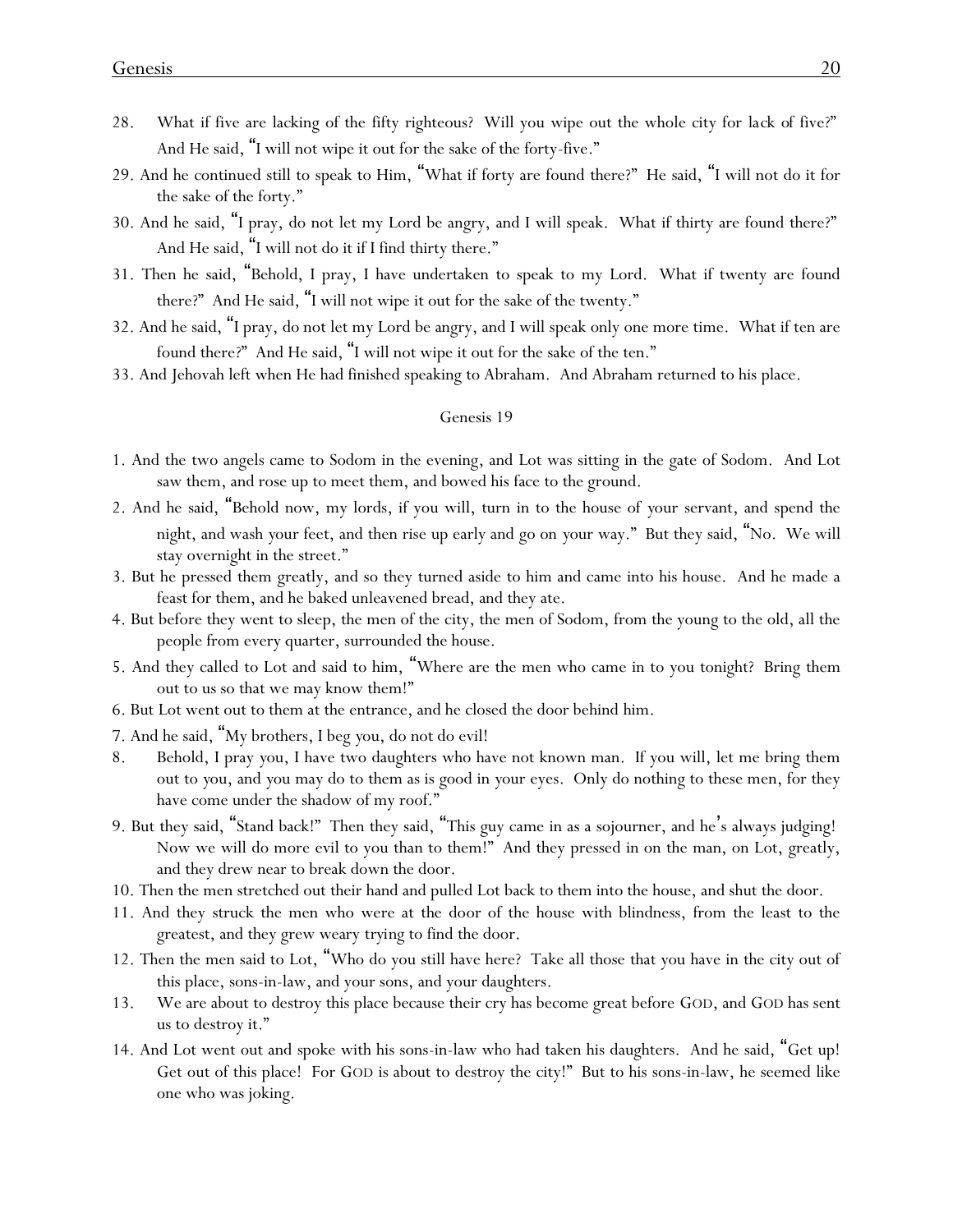- 28. What if five are lacking of the fifty righteous? Will you wipe out the whole city for *lack of* five?" And He said, "I will not wipe it out for the sake of the forty-five."
- 29. And he continued still to speak to Him, "What if forty are found there?" He said, "I will not do it for the sake of the forty."
- 30. And he said, "I pray, do not let my Lord be angry, and I will speak. What if thirty are found there?" And He said, "I will not do it if I find thirty there."
- 31. Then he said, "Behold, I pray, I have undertaken to speak to my Lord. What if twenty are found there?" And He said, "I will not wipe it out for the sake of the twenty."
- 32. And he said, "I pray, do not let my Lord be angry, and I will speak only one more time. What if ten are found there?" And He said, "I will not wipe it out for the sake of the ten."
- 33. And Jehovah left when He had finished speaking to Abraham. And Abraham returned to his place.

- 1. And the two angels came to Sodom in the evening, and Lot was sitting in the gate of Sodom. And Lot saw them, and rose up to meet them, and bowed his face to the ground.
- 2. And he said, "Behold now, my lords, if you will, turn in to the house of *y*our servant, and spend the night, and wash *y*our feet, and then rise up early and go on *y*our way." But they said, "No. We will stay overnight in the street."
- 3. But he pressed them greatly, and so they turned aside to him and came into his house. And he made a feast for them, and he baked unleavened bread, and they ate.
- 4. But before they went to sleep, the men of the city, the men of Sodom, from the young to the old, all the people from every quarter, surrounded the house.
- 5. And they called to Lot and said to him, "Where are the men who came in to you tonight? Bring them out to us so that we may know them!"
- 6. But Lot went out to them at the entrance, and he closed the door behind him.
- 7. And he said, "My brothers, I beg *y*ou, do not do evil!
- 8. Behold, I pray *y*ou, I have two daughters who have not known man. If you will, let me bring them out to *y*ou, and *y*ou may do to them as is good in *y*our eyes. Only do nothing to these men, for they have come under the shadow of my roof."
- 9. But they said, "Stand back!" Then they said, "This guy came in as a sojourner, and he's always judging! Now we will do more evil to you than to them!" And they pressed in on the man, on Lot, greatly, and they drew near to break down the door.
- 10. Then the men stretched out their hand and pulled Lot back to them into the house, and shut the door.
- 11. And they struck the men who were at the door of the house with blindness, from the least to the greatest, and they grew weary *trying* to find the door.
- 12. Then the men said to Lot, "Who do you still have here? Take all those that you have in the city out of this place, sons-in-law, and your sons, and your daughters.
- 13. We are about to destroy this place because their cry has become great before GOD, and GOD has sent us to destroy it."
- 14. And Lot went out and spoke with his sons-in-law who had taken his daughters. And he said, "Get up! Get out of this place! For GOD is about to destroy the city!" But to his sons-in-law, he seemed like one who was joking.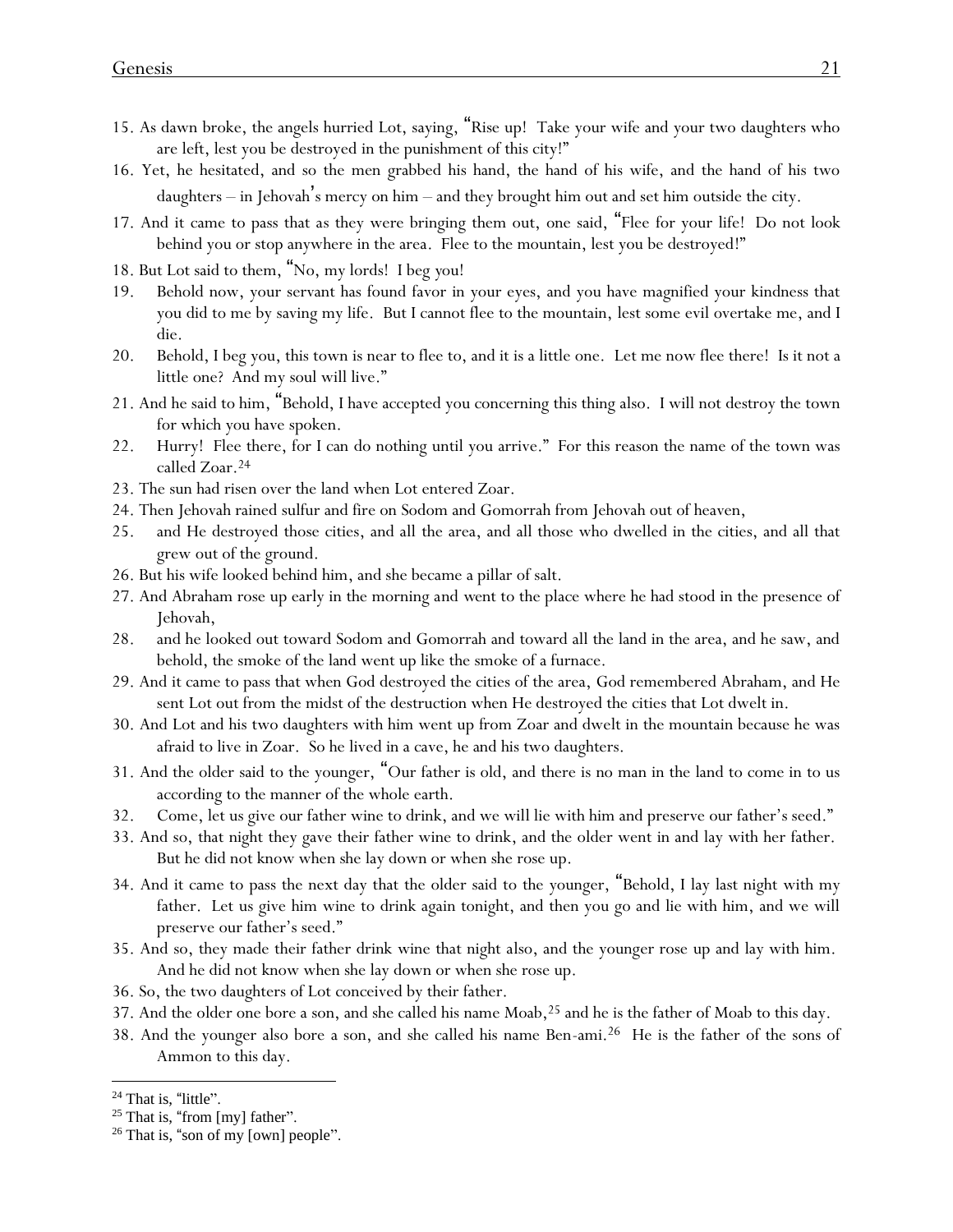- 15. As dawn broke, the angels hurried Lot, saying, "Rise up! Take your wife and your two daughters who are left, lest you be destroyed in the punishment of this city!"
- 16. Yet, he hesitated, and so the men grabbed his hand, the hand of his wife, and the hand of his two daughters – in Jehovah's mercy on him – and they brought him out and set him outside the city.
- 17. And it came to pass that as they were bringing them out, one said, "Flee for your life! Do not look behind you or stop anywhere in the area. Flee to the mountain, lest you be destroyed!"
- 18. But Lot said to them, "No, my lords! I beg *y*ou!
- 19. Behold now, your servant has found favor in your eyes, and you have magnified your kindness that you did to me by saving my life. But I cannot flee to the mountain, lest some evil overtake me, and I die.
- 20. Behold, I beg you, this town is near to flee to, and it is a little one. Let me now flee there! Is it not a little one? And my soul will live."
- 21. And he said to him, "Behold, I have accepted you concerning this thing also. I will not destroy the town for which you have spoken.
- 22. Hurry! Flee there, for I can do nothing until you arrive." For this reason the name of the town was called Zoar.<sup>24</sup>
- 23. The sun had risen over the land when Lot entered Zoar.
- 24. Then Jehovah rained sulfur and fire on Sodom and Gomorrah from Jehovah out of heaven,
- 25. and He destroyed those cities, and all the area, and all those who dwelled in the cities, and all that grew out of the ground.
- 26. But his wife looked behind him, and she became a pillar of salt.
- 27. And Abraham rose up early in the morning *and went* to the place where he had stood in the presence of Jehovah,
- 28. and he looked out toward Sodom and Gomorrah and toward all the land in the area, and he saw, and behold, the smoke of the land went up like the smoke of a furnace.
- 29. And it came to pass that when God destroyed the cities of the area, God remembered Abraham, and He sent Lot out from the midst of the destruction when He destroyed the cities that Lot dwelt in.
- 30. And Lot and his two daughters with him went up from Zoar and dwelt in the mountain because he was afraid to live in Zoar. So he lived in a cave, he and his two daughters.
- 31. And the older said to the younger, "Our father is old, and there is no man in the land to come in to us according to the manner of the whole earth.
- 32. Come, let us give our father wine to drink, and we will lie with him and preserve our father's seed."
- 33. And so, that night they gave their father wine to drink, and the older went in and lay with her father. But he did not know when she lay down or when she rose up.
- 34. And it came to pass the next day that the older said to the younger, "Behold, I lay last night with my father. Let us give him wine to drink again tonight, and then you go and lie with him, and we will preserve our father's seed."
- 35. And so, they made their father drink wine that night also, and the younger rose up and lay with him. And he did not know when she lay down or when she rose up.
- 36. So, the two daughters of Lot conceived by their father.
- 37. And the older one bore a son, and she called his name Moab, <sup>25</sup> and he is the father of Moab to this day.
- 38. And the younger also bore a son, and she called his name Ben-ami.<sup>26</sup> He is the father of the sons of Ammon to this day.

<sup>&</sup>lt;sup>24</sup> That is, "little".

 $25$  That is, "from [my] father".

 $26$  That is, "son of my [own] people".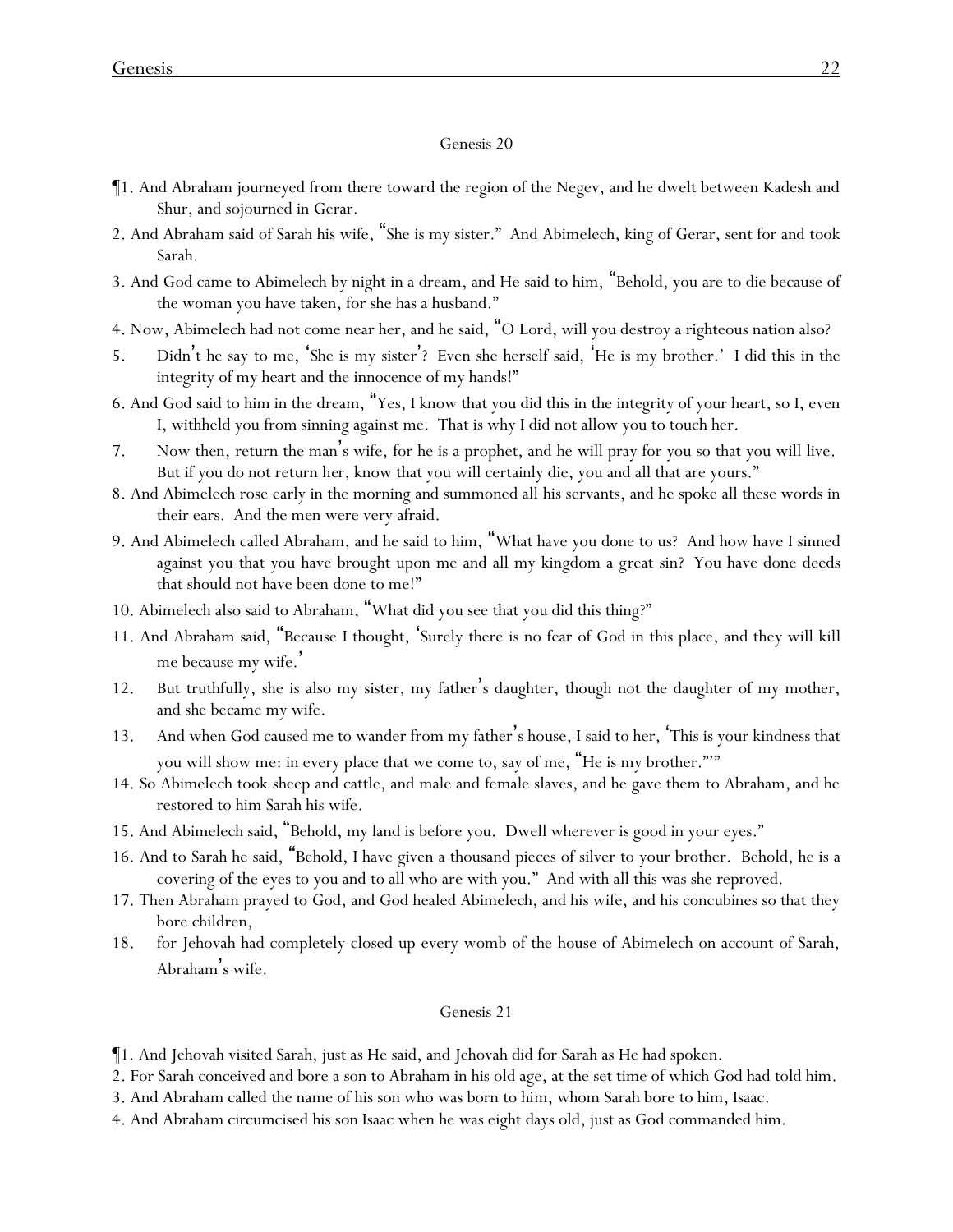- ¶1. And Abraham journeyed from there toward the region of the Negev, and he dwelt between Kadesh and Shur, and sojourned in Gerar.
- 2. And Abraham said of Sarah his wife, "She is my sister." And Abimelech, king of Gerar, sent for and took Sarah.
- 3. And God came to Abimelech by night in a dream, and He said to him, "Behold, you are to die because of the woman you have taken, for she has a husband."
- 4. Now, Abimelech had not come near her, and he said, "O Lord, will you destroy a righteous nation also?
- 5. Didn't he say to me, 'She is my sister'? Even she herself said, 'He is my brother.' I did this in the integrity of my heart and the innocence of my hands!"
- 6. And God said to him in the dream, "Yes, I know that you did this in the integrity of your heart, so I, even I, withheld you from sinning against me. That is why I did not allow you to touch her.
- 7. Now then, return the man 's wife, for he is a prophet, and he will pray for you so that you will live. But if you do not return *her*, know that you will certainly die, you and all that are yours."
- 8. And Abimelech rose early in the morning and summoned all his servants, and he spoke all these words in their ears. And the men were very afraid.
- 9. And Abimelech called Abraham, and he said to him, "What have you done to us? And how have I sinned against you that you have brought upon me and all my kingdom a great sin? You have done deeds that should not have been done to me!"
- 10. Abimelech also said to Abraham, "What did you see that you did this thing?"
- 11. And Abraham said, "Because I thought, 'Surely there is no fear of God in this place, and they will kill me because my wife. '
- 12. But truthfully, she is also my sister, my father's daughter, though not the daughter of my mother, and she became my wife.
- 13. And when God caused me to wander from my father's house, I said to her, 'This is your kindness that you will show me: in every place that we come to, say of me, "He is my brother."'"
- 14. So Abimelech took sheep and cattle, and male and female slaves, and he gave them to Abraham, and he restored to him Sarah his wife.
- 15. And Abimelech said, "Behold, my land is before you. Dwell wherever is good in your eyes."
- 16. And to Sarah he said, "Behold, I have given a thousand pieces of silver to your brother. Behold, he is a covering of the eyes to you and to all who are with you." And with all this was she reproved.
- 17. Then Abraham prayed to God, and God healed Abimelech, and his wife, and his concubines so that they bore children,
- 18. for Jehovah had completely closed up every womb of the house of Abimelech on account of Sarah, Abraham's wife.

#### Genesis 21

¶1. And Jehovah visited Sarah, just as He said, and Jehovah did for Sarah as He had spoken.

- 2. For Sarah conceived and bore a son to Abraham in his old age, at the set time of which God had told him.
- 3. And Abraham called the name of his son who was born to him, whom Sarah bore to him, Isaac.
- 4. And Abraham circumcised his son Isaac when he was eight days old, just as God commanded him.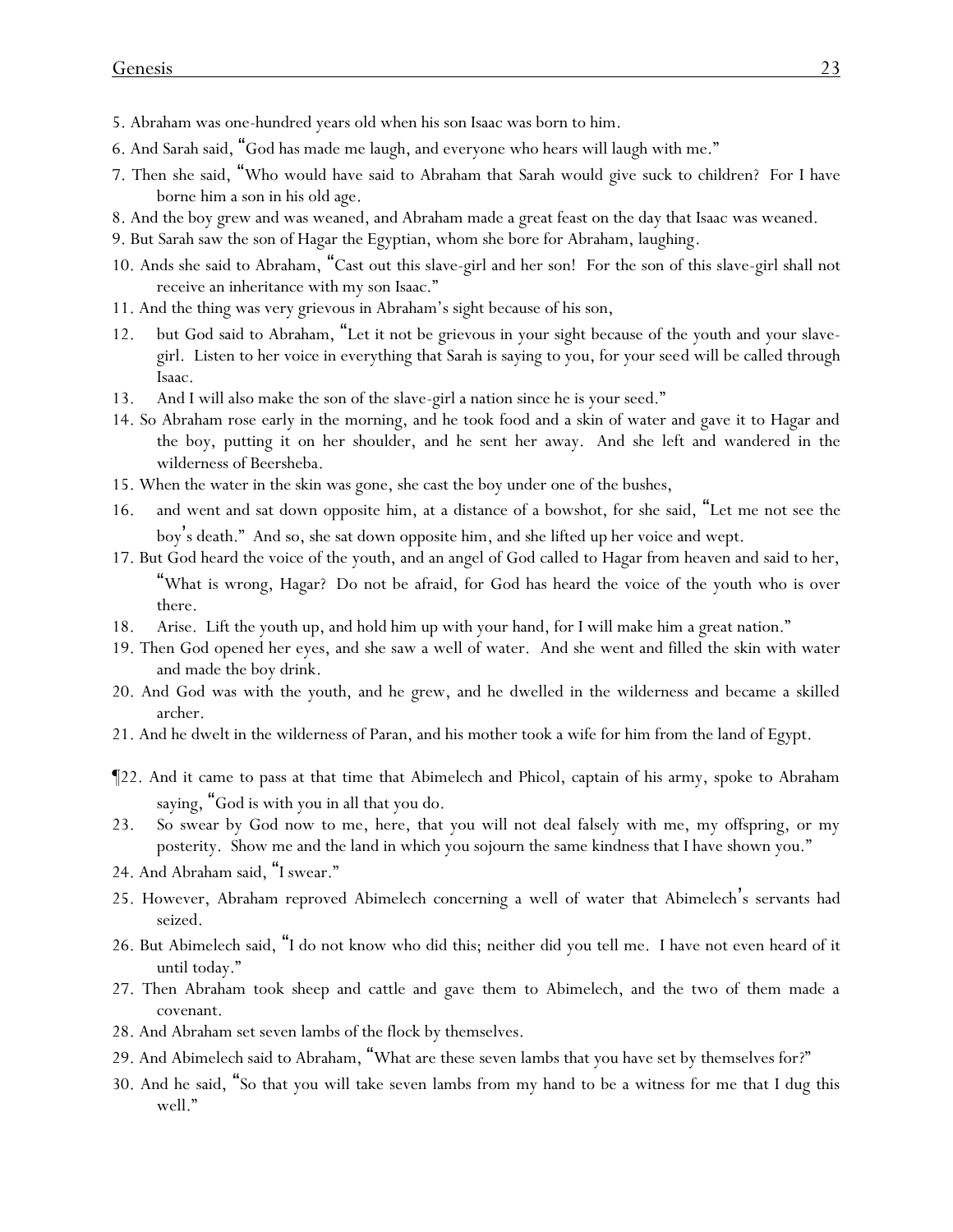- 5. Abraham was one-hundred years old when his son Isaac was born to him.
- 6. And Sarah said, "God has made me laugh, and everyone who hears will laugh with me."
- 7. Then she said, "Who would have said to Abraham that Sarah would give suck to children? For I have borne him a son in his old age.
- 8. And the boy grew and was weaned, and Abraham made a great feast on the day that Isaac was weaned.
- 9. But Sarah saw the son of Hagar the Egyptian, whom she bore for Abraham, laughing.
- 10. Ands she said to Abraham, "Cast out this slave-girl and her son! For the son of this slave-girl shall not receive an inheritance with my son Isaac."
- 11. And the thing was very grievous in Abraham's sight because of his son,
- 12. but God said to Abraham, "Let it not be grievous in your sight because of the youth and your slavegirl. Listen to her voice in everything that Sarah is saying to you, for your seed will be called through Isaac.
- 13. And I will also make the son of the slave-girl a nation since he is your seed."
- 14. So Abraham rose early in the morning, and he took food and a skin of water and gave it to Hagar and the boy, putting it on her shoulder, and he sent her away. And she left and wandered in the wilderness of Beersheba.
- 15. When the water in the skin was gone, she cast the boy under one of the bushes,
- 16. and went and sat down opposite him, at a distance of a bowshot, for she said, "Let me not see the boy's death." And so, she sat down opposite him, and she lifted up her voice and wept.
- 17. But God heard the voice of the youth, and an angel of God called to Hagar from heaven and said to her, "What is wrong, Hagar? Do not be afraid, for God has heard the voice of the youth who is over there.
- 18. Arise. Lift the youth up, and hold him up with your hand, for I will make him a great nation."
- 19. Then God opened her eyes, and she saw a well of water. And she went and filled the skin with water and made the boy drink.
- 20. And God was with the youth, and he grew, and he dwelled in the wilderness and became a skilled archer.
- 21. And he dwelt in the wilderness of Paran, and his mother took a wife for him from the land of Egypt.
- ¶22. And it came to pass at that time that Abimelech and Phicol, captain of his army, spoke to Abraham saying, "God is with you in all that you do.
- 23. So swear by God now to me, here, that you will not deal falsely with me, my offspring, or my posterity. Show me and the land in which you sojourn the same kindness that I have shown you."
- 24. And Abraham said, "I swear."
- 25. However, Abraham reproved Abimelech concerning a well of water that Abimelech's servants had seized.
- 26. But Abimelech said, "I do not know who did this; neither did you tell me. I have not even heard of it until today."
- 27. Then Abraham took sheep and cattle and gave them to Abimelech, and the two of them made a covenant.
- 28. And Abraham set seven lambs of the flock by themselves.
- 29. And Abimelech said to Abraham, "What are these seven lambs that you have set by themselves for?"
- 30. And he said, "So that you will take seven lambs from my hand to be a witness for me that I dug this well."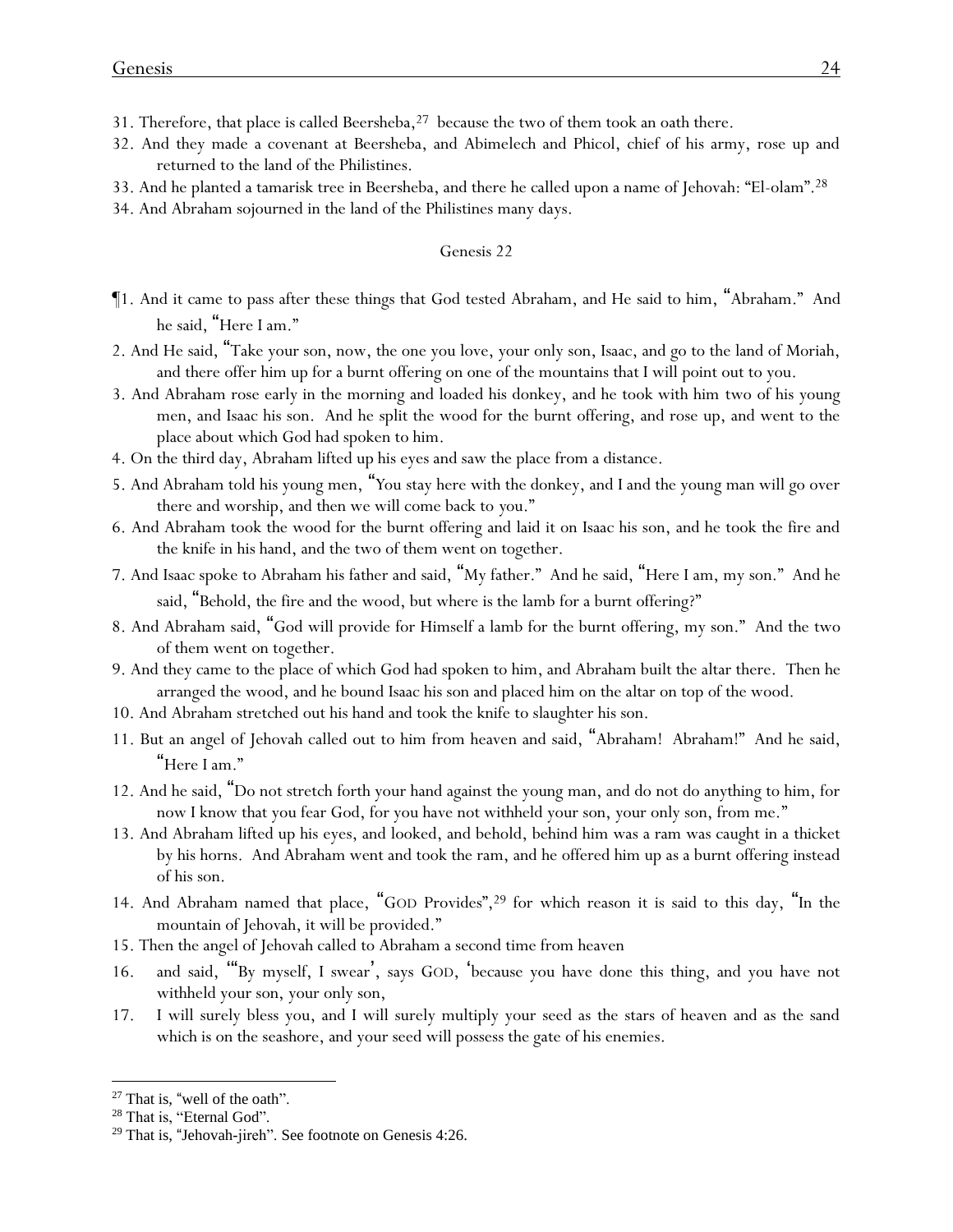- 31. Therefore, that place is called Beersheba,  $2^7$  because the two of them took an oath there.
- 32. And they made a covenant at Beersheba, and Abimelech and Phicol, chief of his army, rose up and returned to the land of the Philistines.
- 33. And he planted a tamarisk tree in Beersheba, and there he called upon a name of Jehovah: "El-olam". 28
- 34. And Abraham sojourned in the land of the Philistines many days.

- ¶1. And it came to pass after these things that God tested Abraham, and He said to him, "Abraham." And he said, "Here I am."
- 2. And He said, "Take your son, now, the one you love, your only son, Isaac, and go to the land of Moriah, and there offer him up for a burnt offering on one of the mountains that I will point out to you.
- 3. And Abraham rose early in the morning and loaded his donkey, and he took with him two of his young men, and Isaac his son. And he split the wood for the burnt offering, and rose up, and went to the place about which God had spoken to him.
- 4. On the third day, Abraham lifted up his eyes and saw the place from a distance.
- 5. And Abraham told his young men, "*Y*ou stay here with the donkey, and I and the young man will go over there and worship, and then we will come back to *y*ou."
- 6. And Abraham took the wood for the burnt offering and laid it on Isaac his son, and he took the fire and the knife in his hand, and the two of them went on together.
- 7. And Isaac spoke to Abraham his father and said, "My father." And he said, "Here I am, my son." And he said, "Behold, the fire and the wood, but where is the lamb for a burnt offering?"
- 8. And Abraham said, "God will provide for Himself a lamb for the burnt offering, my son." And the two of them went on together.
- 9. And they came to the place of which God had spoken to him, and Abraham built the altar there. Then he arranged the wood, and he bound Isaac his son and placed him on the altar on top of the wood.
- 10. And Abraham stretched out his hand and took the knife to slaughter his son.
- 11. But an angel of Jehovah called out to him from heaven and said, "Abraham! Abraham!" And he said, "Here I am."
- 12. And he said, "Do not stretch forth your hand against the young man, and do not do anything to him, for now I know that you fear God, for you have not withheld your son, your only son, from me."
- 13. And Abraham lifted up his eyes, and looked, and behold, behind him was a ram was caught in a thicket by his horns. And Abraham went and took the ram, and he offered him up as a burnt offering instead of his son.
- 14. And Abraham named that place, "GOD Provides",<sup>29</sup> for which reason it is said to this day, "In the mountain of Jehovah, it will be provided."
- 15. Then the angel of Jehovah called to Abraham a second time from heaven
- 16. and said, '"By myself, I swear', says GOD, 'because you have done this thing, and you have not withheld your son, your only son,
- 17. I will surely bless you, and I will surely multiply your seed as the stars of heaven and as the sand which is on the seashore, and your seed will possess the gate of his enemies.

<sup>27</sup> That is, "well of the oath".

<sup>&</sup>lt;sup>28</sup> That is, "Eternal God".

<sup>29</sup> That is, "Jehovah-jireh". See footnote on Genesis 4:26.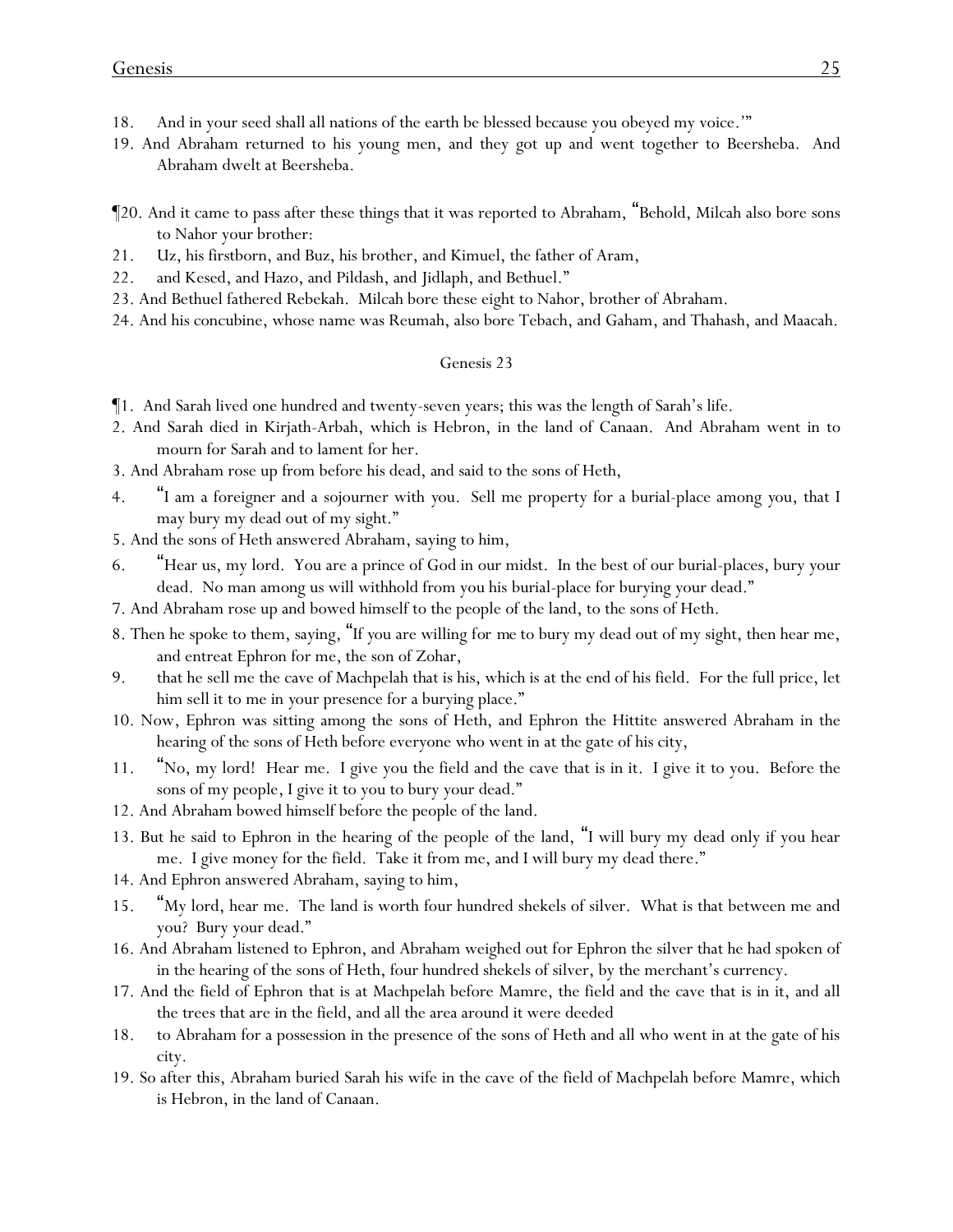- 18. And in your seed shall all nations of the earth be blessed because you obeyed my voice.'"
- 19. And Abraham returned to his young men, and they got up and went together to Beersheba. And Abraham dwelt at Beersheba.
- ¶20. And it came to pass after these things that it was reported to Abraham, "Behold, Milcah also bore sons to Nahor your brother:
- 21. Uz, his firstborn, and Buz, his brother, and Kimuel, the father of Aram,
- 22. and Kesed, and Hazo, and Pildash, and Jidlaph, and Bethuel."
- 23. And Bethuel fathered Rebekah. Milcah bore these eight to Nahor, brother of Abraham.
- 24. And his concubine, whose name was Reumah, also bore Tebach, and Gaham, and Thahash, and Maacah.

- ¶1. And Sarah lived one hundred and twenty-seven years; this was the length of Sarah's life.
- 2. And Sarah died in Kirjath-Arbah, which is Hebron, in the land of Canaan. And Abraham went in to mourn for Sarah and to lament for her.
- 3. And Abraham rose up from before his dead, and said to the sons of Heth,
- 4. "I am a foreigner and a sojourner with *y*ou. Sell me property for a burial-place among *y*ou, that I may bury my dead out of my sight."
- 5. And the sons of Heth answered Abraham, saying to him,
- 6. "Hear us, my lord. You are a prince of God in our midst. In the best of our burial-places, bury your dead. No man among us will withhold from you his burial-place for burying your dead."
- 7. And Abraham rose up and bowed himself to the people of the land, to the sons of Heth.
- 8. Then he spoke to them, saying, "If *y*ou are willing *for me* to bury my dead out of my sight, then hear me, and entreat Ephron for me, the son of Zohar,
- 9. that he sell me the cave of Machpelah that is his, which is at the end of his field. For the full price, let him sell it to me in *y*our presence for a burying place."
- 10. Now, Ephron was sitting among the sons of Heth, and Ephron the Hittite answered Abraham in the hearing of the sons of Heth before everyone who went in at the gate of his city,
- 11. "No, my lord! Hear me. I give you the field and the cave that is in it. I give it to you. Before the sons of my people, I give it to you to bury your dead."
- 12. And Abraham bowed himself before the people of the land.
- 13. But he said to Ephron in the hearing of the people of the land, "I will bury my dead only if you hear me. I give money for the field. Take it from me, and I will bury my dead there."
- 14. And Ephron answered Abraham, saying to him,
- 15. "My lord, hear me. The land is worth four hundred shekels of silver. What is that between me and you? Bury your dead."
- 16. And Abraham listened to Ephron, and Abraham weighed out for Ephron the silver that he had spoken of in the hearing of the sons of Heth, four hundred shekels of silver, by the merchant's currency.
- 17. And the field of Ephron that is at Machpelah before Mamre, the field and the cave that is in it, and all the trees that are in the field, and all the area around it were deeded
- 18. to Abraham for a possession in the presence of the sons of Heth and all who went in at the gate of his city.
- 19. So after this, Abraham buried Sarah his wife in the cave of the field of Machpelah before Mamre, which is Hebron, in the land of Canaan.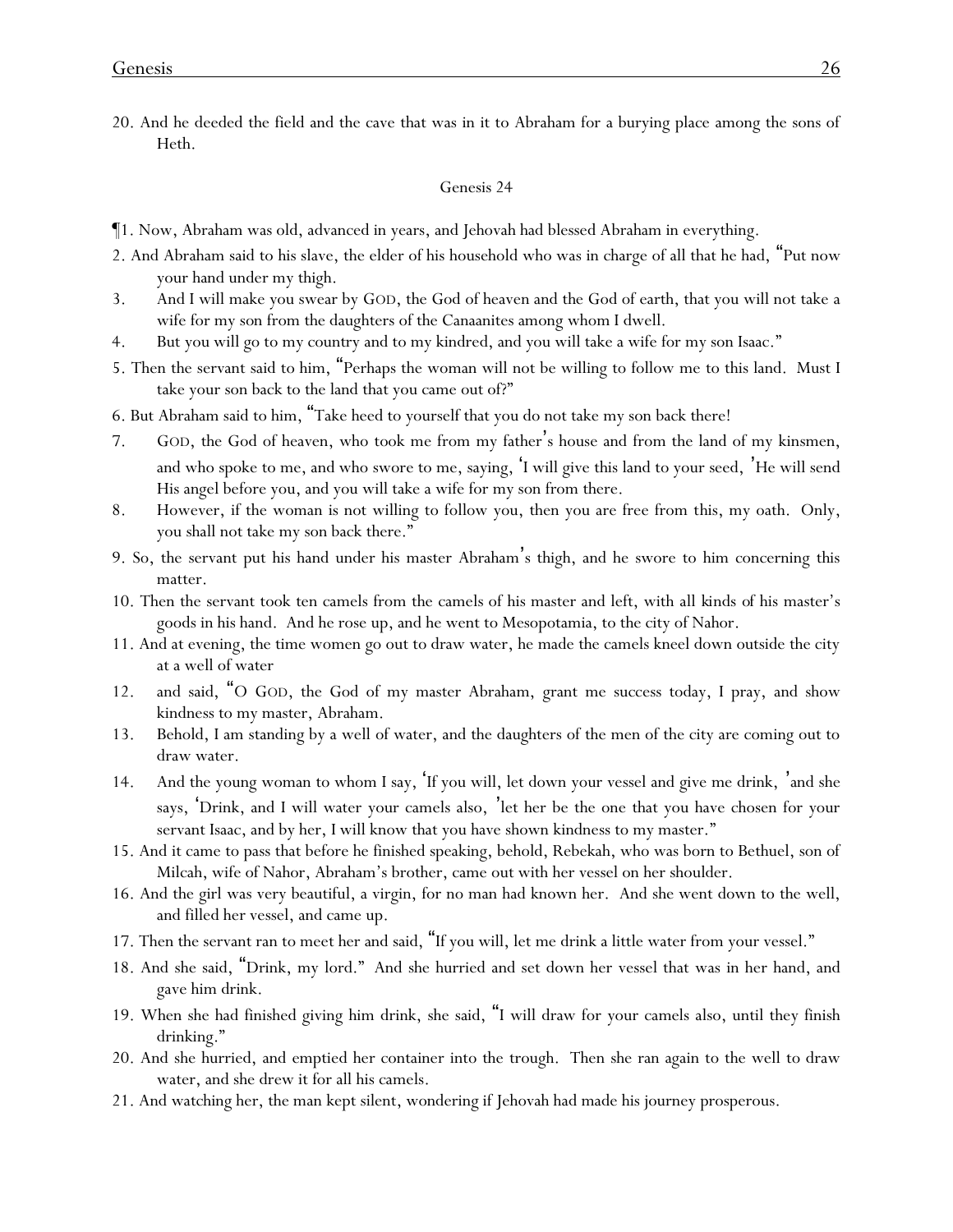20. And he deeded the field and the cave that was in it to Abraham for a burying place among the sons of Heth.

- ¶1. Now, Abraham was old, advanced in years, and Jehovah had blessed Abraham in everything.
- 2. And Abraham said to his slave, the elder of his household who was in charge of all that he had, "Put now your hand under my thigh.
- 3. And I will make you swear by GOD, the God of heaven and the God of earth, that you will not take a wife for my son from the daughters of the Canaanites among whom I dwell.
- 4. But you will go to my country and to my kindred, and you will take a wife for my son Isaac."
- 5. Then the servant said to him, "Perhaps the woman will not be willing to follow me to this land. Must I take your son back to the land that you came out of?"
- 6. But Abraham said to him, "Take heed to yourself that you do not take my son back there!
- 7. GOD, the God of heaven, who took me from my father's house and from the land of my kinsmen, and who spoke to me, and who swore to me, saying, 'I will give this land to your seed, 'He will send His angel before you, and you will take a wife for my son from there.
- 8. However, if the woman is not willing to follow you, then you are free from this, my oath. Only, you shall not take my son back there."
- 9. So, the servant put his hand under his master Abraham's thigh, and he swore to him concerning this matter.
- 10. Then the servant took ten camels from the camels of his master and left, with all *kinds of* his master's goods in his hand. And he rose up, and he went to Mesopotamia, to the city of Nahor.
- 11. And at evening, the time women go out to draw water, he made the camels kneel down outside the city at a well of water
- 12. and said, "O GOD, the God of my master Abraham, grant me success today, I pray, and show kindness to my master, Abraham.
- 13. Behold, I am standing by a well of water, and the daughters of the men of the city are coming out to draw water.
- 14. And the young woman to whom I say, 'If you will, let down your vessel and give me drink, 'and she says, 'Drink, and I will water your camels also, 'let her be the one that you have chosen for your servant Isaac, and by her, I will know that you have shown kindness to my master."
- 15. And it came to pass that before he finished speaking, behold, Rebekah, who was born to Bethuel, son of Milcah, wife of Nahor, Abraham's brother, came out with her vessel on her shoulder.
- 16. And the girl was very beautiful, a virgin, for no man had known her. And she went down to the well, and filled her vessel, and came up.
- 17. Then the servant ran to meet her and said, "If you will, let me drink a little water from your vessel."
- 18. And she said, "Drink, my lord." And she hurried and set down her vessel that was in her hand, and gave him drink.
- 19. When she had finished giving him drink, she said, "I will draw for your camels also, until they finish drinking."
- 20. And she hurried, and emptied her container into the trough. Then she ran again to the well to draw water, and she drew it for all his camels.
- 21. And watching her, the man kept silent, wondering if Jehovah had made his journey prosperous.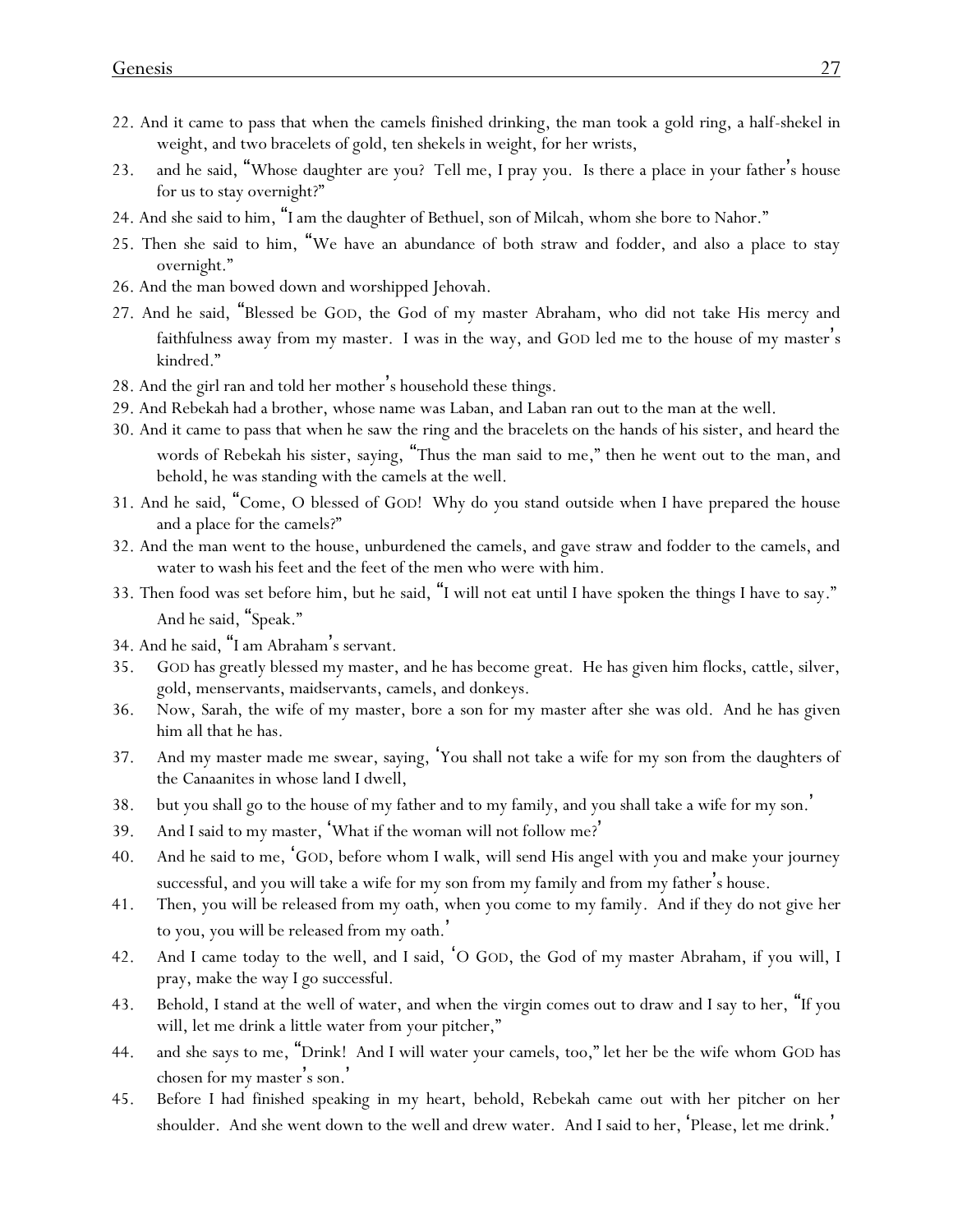- 22. And it came to pass that when the camels finished drinking, the man took a gold ring, a half-shekel in weight, and two bracelets of gold, ten shekels in weight, for her wrists,
- 23. and he said, "Whose daughter are you? Tell me, I pray you. Is there a place in your father's house for us to stay overnight?"
- 24. And she said to him, "I am the daughter of Bethuel, son of Milcah, whom she bore to Nahor."
- 25. Then she said to him, "We have an abundance of both straw and fodder, and also a place to stay overnight."
- 26. And the man bowed down and worshipped Jehovah.
- 27. And he said, "Blessed be GOD, the God of my master Abraham, who did not take His mercy and faithfulness away from my master. I was in the way, and GOD led me to the house of my master's kindred."
- 28. And the girl ran and told her mother's household these things.
- 29. And Rebekah had a brother, whose name was Laban, and Laban ran out to the man at the well.
- 30. And it came to pass that when he saw the ring and the bracelets on the hands of his sister, and heard the words of Rebekah his sister, saying, "Thus the man said to me," then he went out to the man, and behold, he was standing with the camels at the well.
- 31. And he said, "Come, O blessed of GOD! Why do you stand outside when I have prepared the house and a place for the camels?"
- 32. And the man went to the house, unburdened the camels, and gave straw and fodder to the camels, and water to wash his feet and the feet of the men who were with him.
- 33. Then food was set before him, but he said, "I will not eat until I have spoken the things I have to say." And he said, "Speak."
- 34. And he said, "I am Abraham's servant.
- 35. GOD has greatly blessed my master, and he has become great. He has given him flocks, cattle, silver, gold, menservants, maidservants, camels, and donkeys.
- 36. Now, Sarah, the wife of my master, bore a son for my master after she was old. And he has given him all that he has.
- 37. And my master made me swear, saying, 'You shall not take a wife for my son from the daughters of the Canaanites in whose land I dwell,
- 38. but you shall go to the house of my father and to my family, and you shall take a wife for my son. '
- 39. And I said to my master, 'What if the woman will not follow me? '
- 40. And he said to me, 'GOD, before whom I walk, will send His angel with you and make your journey successful, and you will take a wife for my son from my family and from my father's house.
- 41. Then, you will be released from my oath, when you come to my family. And if they do not give *her* to you, you will be released from my oath. '
- 42. And I came today to the well, and I said, 'O GOD, the God of my master Abraham, if you will, I pray, make the way I go successful.
- 43. Behold, I stand at the well of water, and when the virgin comes out to draw and I say to her, "If you will, let me drink a little water from your pitcher,"
- 44. and she says to me, "Drink! And I will water your camels, too," let her be the wife whom GOD has chosen for my master's son.'
- 45. Before I had finished speaking in my heart, behold, Rebekah came out with her pitcher on her shoulder. And she went down to the well and drew water. And I said to her, 'Please, let me drink. '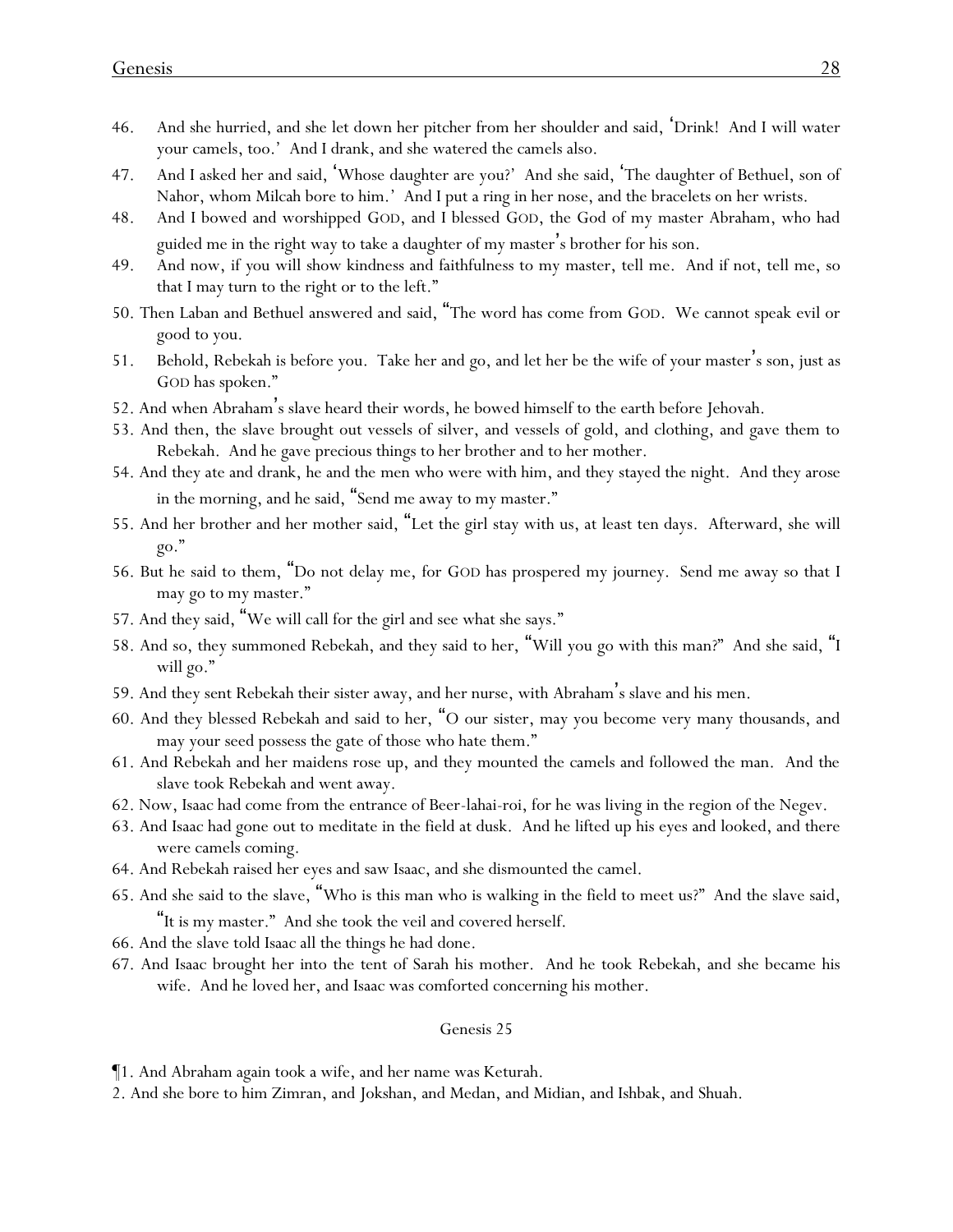- 46. And she hurried, and she let down her pitcher from her shoulder and said, 'Drink! And I will water your camels, too.' And I drank, and she watered the camels also.
- 47. And I asked her and said, 'Whose daughter are you?' And she said, 'The daughter of Bethuel, son of Nahor, whom Milcah bore to him.' And I put a ring in her nose, and the bracelets on her wrists.
- 48. And I bowed and worshipped GOD, and I blessed GOD, the God of my master Abraham, who had guided me in the right way to take a daughter of my master's brother for his son.
- 49. And now, if *y*ou will show kindness and faithfulness to my master, tell me. And if not, tell me, so that I may turn to the right or to the left."
- 50. Then Laban and Bethuel answered and said, "The word has come from GOD. We cannot speak evil or good to you.
- 51. Behold, Rebekah is before you. Take her and go, and let her be the wife of your master's son, just as GOD has spoken."
- 52. And when Abraham's slave heard their words, he bowed himself to the earth before Jehovah.
- 53. And then, the slave brought out vessels of silver, and vessels of gold, and clothing, and gave them to Rebekah. And he gave precious things to her brother and to her mother.
- 54. And they ate and drank, he and the men who were with him, and they stayed the night. And they arose in the morning, and he said, "Send me away to my master."
- 55. And her brother and her mother said, "Let the girl stay with us, at least ten days. Afterward, she will go."
- 56. But he said to them, "Do not delay me, for GOD has prospered my journey. Send me away so that I may go to my master."
- 57. And they said, "We will call for the girl and see what she says."
- 58. And so, they summoned Rebekah, and they said to her, "Will you go with this man?" And she said, "I will go."
- 59. And they sent Rebekah their sister away, and her nurse, with Abraham's slave and his men.
- 60. And they blessed Rebekah and said to her, "O our sister, may you become very many thousands, and may your seed possess the gate of those who hate them."
- 61. And Rebekah and her maidens rose up, and they mounted the camels and followed the man. And the slave took Rebekah and went away.
- 62. Now, Isaac had come from the entrance of Beer-lahai-roi, for he was living in the region of the Negev.
- 63. And Isaac had gone out to meditate in the field at dusk. And he lifted up his eyes and looked, and there were camels coming.
- 64. And Rebekah raised her eyes and saw Isaac, and she dismounted the camel.
- 65. And she said to the slave, "Who is this man who is walking in the field to meet us?" And the slave said, "It is my master." And she took the veil and covered herself.
- 66. And the slave told Isaac all the things he had done.
- 67. And Isaac brought her into the tent of Sarah his mother. And he took Rebekah, and she became his wife. And he loved her, and Isaac was comforted concerning his mother.

¶1. And Abraham again took a wife, and her name was Keturah.

2. And she bore to him Zimran, and Jokshan, and Medan, and Midian, and Ishbak, and Shuah.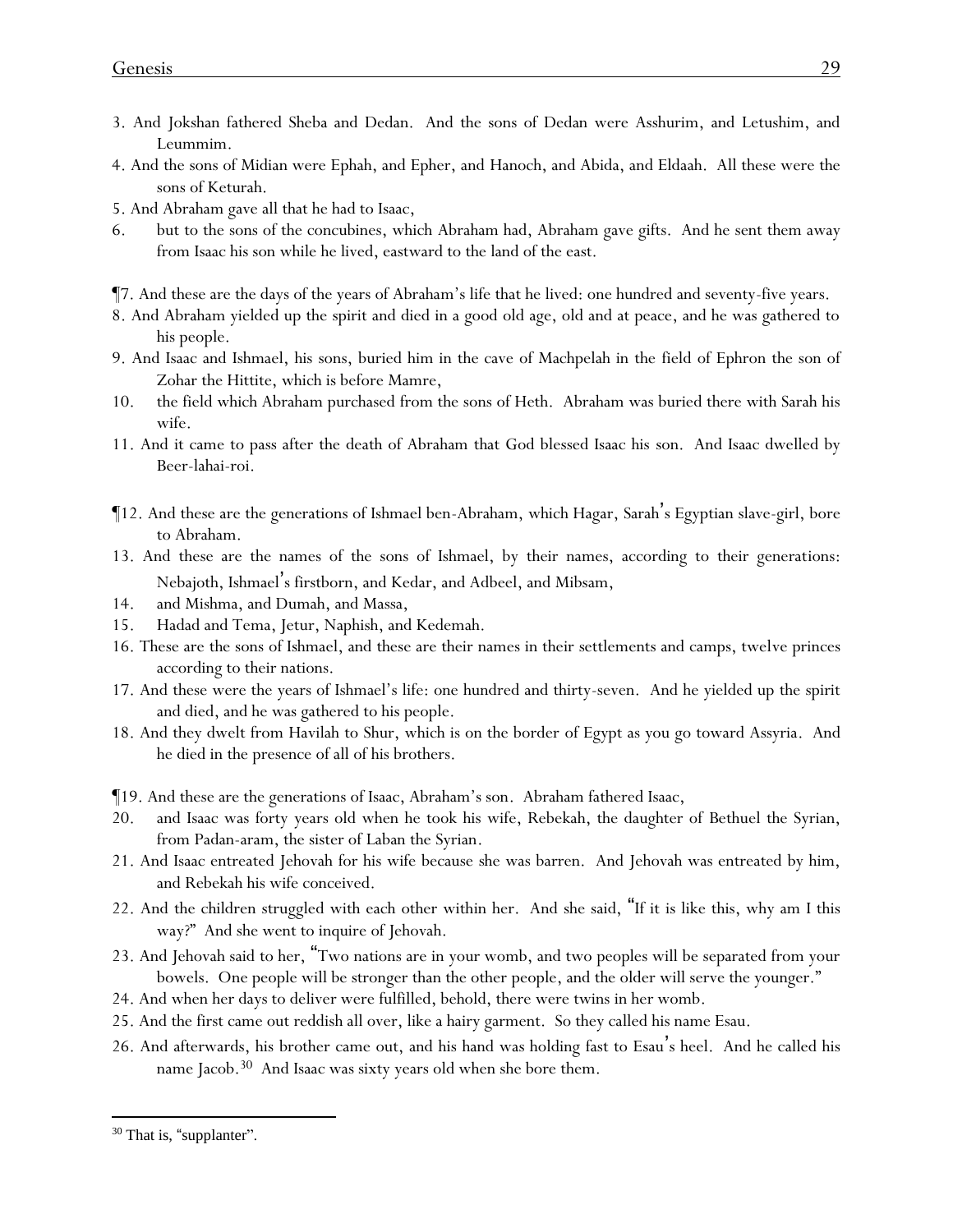- 3. And Jokshan fathered Sheba and Dedan. And the sons of Dedan were Asshurim, and Letushim, and Leummim.
- 4. And the sons of Midian were Ephah, and Epher, and Hanoch, and Abida, and Eldaah. All these were the sons of Keturah.
- 5. And Abraham gave all that he had to Isaac,
- 6. but to the sons of the concubines, which Abraham had, Abraham gave gifts. And he sent them away from Isaac his son while he lived, eastward to the land of the east.
- ¶7. And these are the days of the years of Abraham's life that he lived: one hundred and seventy-five years.
- 8. And Abraham yielded up the spirit and died in a good old age, old and at peace, and he was gathered to his people.
- 9. And Isaac and Ishmael, his sons, buried him in the cave of Machpelah in the field of Ephron the son of Zohar the Hittite, which is before Mamre,
- 10. the field which Abraham purchased from the sons of Heth. Abraham was buried there with Sarah his wife.
- 11. And it came to pass after the death of Abraham that God blessed Isaac his son. And Isaac dwelled by Beer-lahai-roi.
- ¶12. And these are the generations of Ishmael ben-Abraham, which Hagar, Sarah's Egyptian slave-girl, bore to Abraham.
- 13. And these are the names of the sons of Ishmael, by their names, according to their generations: Nebajoth, Ishmael's firstborn, and Kedar, and Adbeel, and Mibsam,
- 14. and Mishma, and Dumah, and Massa,
- 15. Hadad and Tema, Jetur, Naphish, and Kedemah.
- 16. These are the sons of Ishmael, and these are their names in their settlements and camps, twelve princes according to their nations.
- 17. And these were the years of Ishmael's life: one hundred and thirty-seven. And he yielded up the spirit and died, and he was gathered to his people.
- 18. And they dwelt from Havilah to Shur, which is on the border of Egypt as you go toward Assyria. And he died in the presence of all of his brothers.
- ¶19. And these are the generations of Isaac, Abraham's son. Abraham fathered Isaac,
- 20. and Isaac was forty years old when he took his wife, Rebekah, the daughter of Bethuel the Syrian, from Padan-aram, the sister of Laban the Syrian.
- 21. And Isaac entreated Jehovah for his wife because she was barren. And Jehovah was entreated by him, and Rebekah his wife conceived.
- 22. And the children struggled with each other within her. And she said, "If it is like this, why am I this way?" And she went to inquire of Jehovah.
- 23. And Jehovah said to her, "Two nations are in your womb, and two peoples will be separated from your bowels. One people will be stronger than the other people, and the older will serve the younger."
- 24. And when her days to deliver were fulfilled, behold, there were twins in her womb.
- 25. And the first came out reddish all over, like a hairy garment. So they called his name Esau.
- 26. And afterwards, his brother came out, and his hand was holding fast to Esau's heel. And he called his name Jacob.<sup>30</sup> And Isaac was sixty years old when she bore them.

<sup>&</sup>lt;sup>30</sup> That is, "supplanter".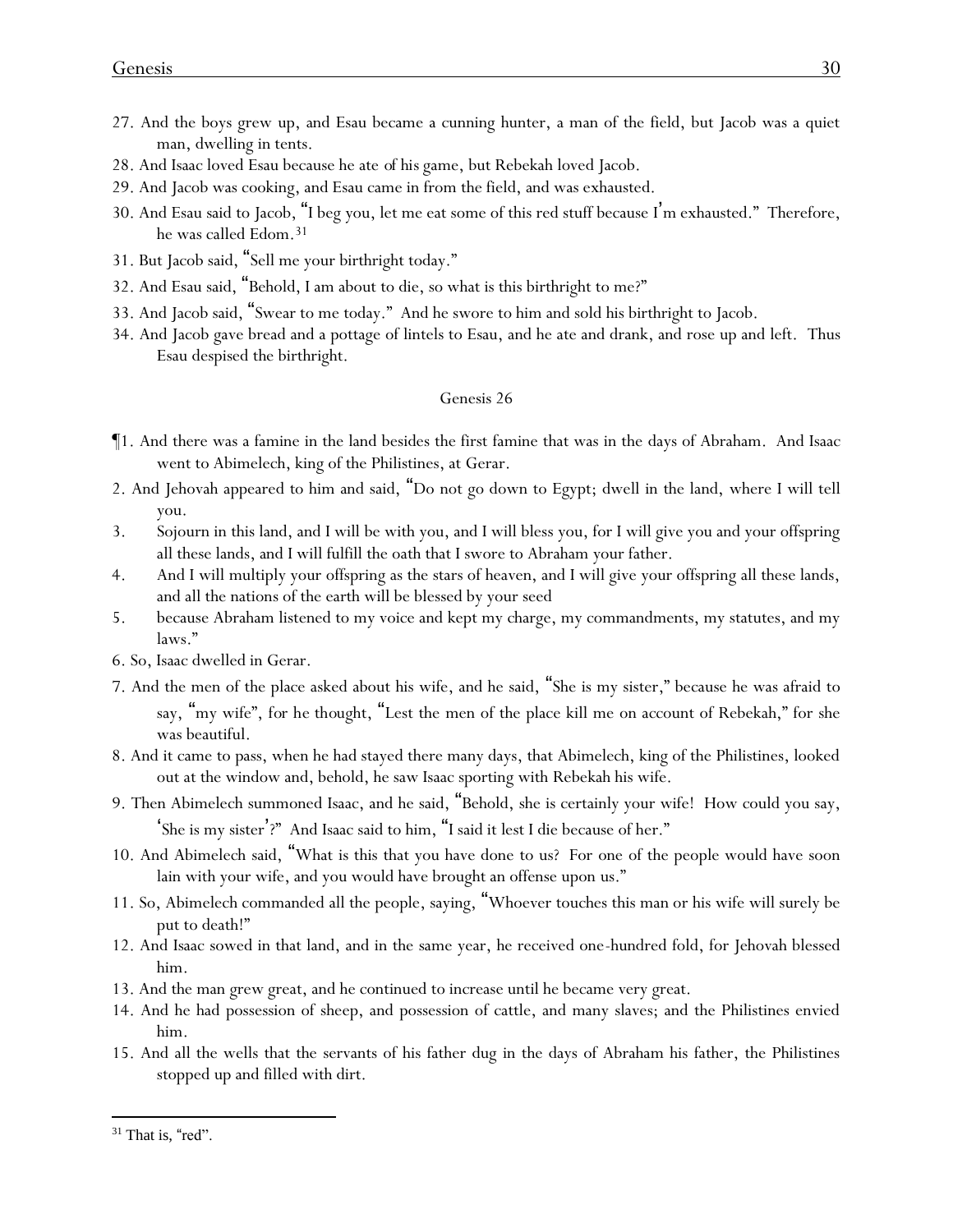- 27. And the boys grew up, and Esau became a cunning hunter, a man of the field, but Jacob was a quiet man, dwelling in tents.
- 28. And Isaac loved Esau because he ate *of his* game, but Rebekah loved Jacob.
- 29. And Jacob was cooking, and Esau came in from the field, and was exhausted.
- 30. And Esau said to Jacob, "I beg you, let me eat some of this red stuff because I'm exhausted." Therefore, he was called Edom.<sup>31</sup>
- 31. But Jacob said, "Sell me your birthright today."
- 32. And Esau said, "Behold, I am about to die, so what is this birthright to me?"
- 33. And Jacob said, "Swear to me today." And he swore to him and sold his birthright to Jacob.
- 34. And Jacob gave bread and a pottage of lintels to Esau, and he ate and drank, and rose up and left. Thus Esau despised the birthright.

- ¶1. And there was a famine in the land besides the first famine that was in the days of Abraham. And Isaac went to Abimelech, king of the Philistines, at Gerar.
- 2. And Jehovah appeared to him and said, "Do not go down to Egypt; dwell in the land, where I will tell you.
- 3. Sojourn in this land, and I will be with you, and I will bless you, for I will give you and your offspring all these lands, and I will fulfill the oath that I swore to Abraham your father.
- 4. And I will multiply your offspring as the stars of heaven, and I will give your offspring all these lands, and all the nations of the earth will be blessed by your seed
- 5. because Abraham listened to my voice and kept my charge, my commandments, my statutes, and my laws."
- 6. So, Isaac dwelled in Gerar.
- 7. And the men of the place asked about his wife, and he said, "She is my sister," because he was afraid to say, "my wife", *for he thought,* "Lest the men of the place kill me on account of Rebekah," for she was beautiful.
- 8. And it came to pass, when he had stayed there many days, that Abimelech, king of the Philistines, looked out at the window and, behold, he saw Isaac sporting with Rebekah his wife.
- 9. Then Abimelech summoned Isaac, and he said, "Behold, she is certainly your wife! How could you say, 'She is my sister'?" And Isaac said to him, "I said it lest I die because of her."
- 10. And Abimelech said, "What is this that you have done to us? For one of the people would have soon lain with your wife, and you would have brought an offense upon us."
- 11. So, Abimelech commanded all the people, saying, "Whoever touches this man or his wife will surely be put to death!"
- 12. And Isaac sowed in that land, and in the same year, he received one-hundred fold, for Jehovah blessed him.
- 13. And the man grew great, and he continued to increase until he became very great.
- 14. And he had possession of sheep, and possession of cattle, and many slaves; and the Philistines envied him.
- 15. And all the wells that the servants of his father dug in the days of Abraham his father, the Philistines stopped up and filled with dirt.

 $31$  That is, "red".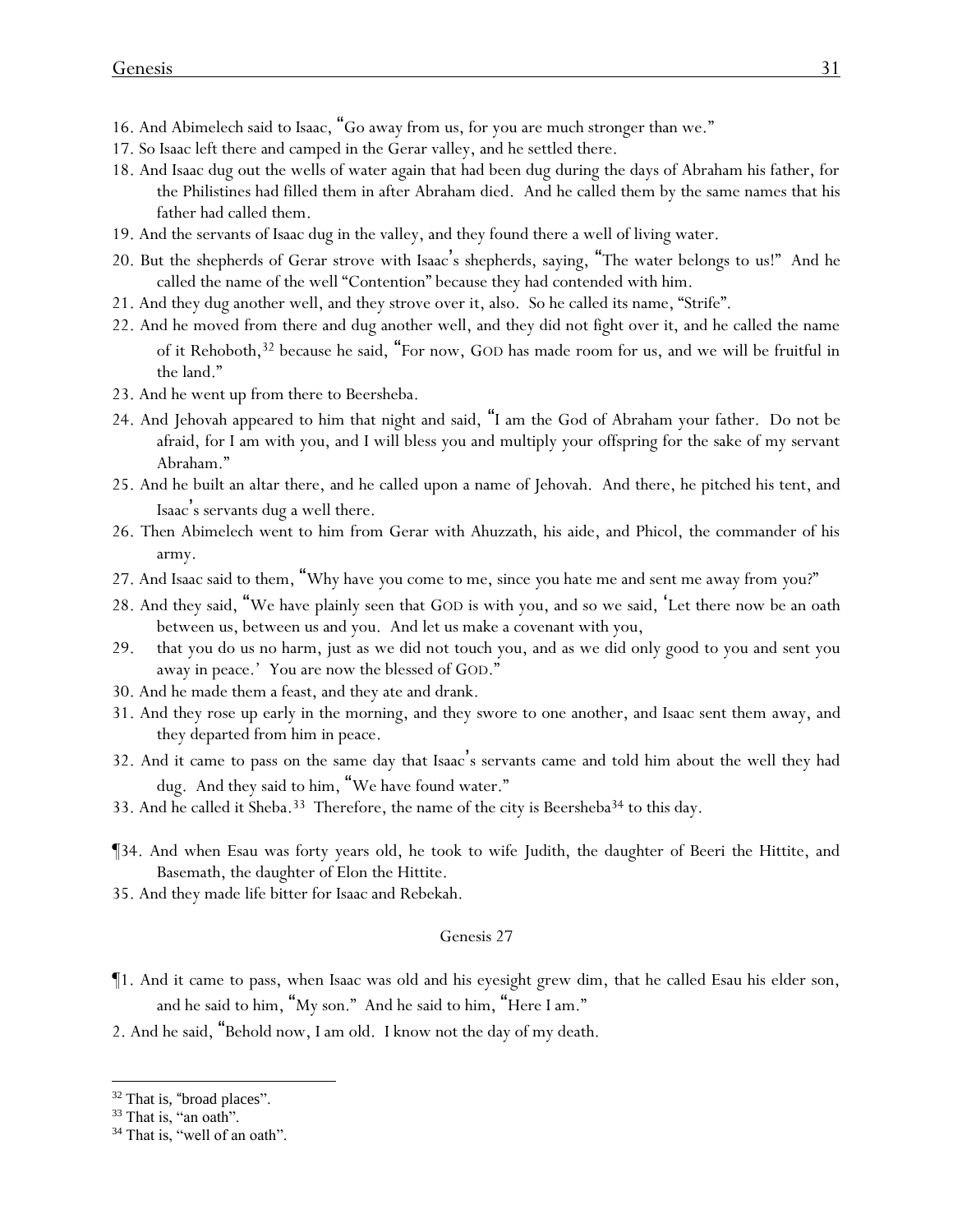- 16. And Abimelech said to Isaac, "Go away from us, for you are much stronger than we."
- 17. So Isaac left there and camped in the Gerar valley, and he settled there.
- 18. And Isaac dug out the wells of water again that had been dug during the days of Abraham his father, for the Philistines had filled them in after Abraham died. And he called them by the same names that his father had called them.
- 19. And the servants of Isaac dug in the valley, and they found there a well of living water.
- 20. But the shepherds of Gerar strove with Isaac's shepherds, saying, "The water belongs to us!" And he called the name of the well "Contention" because they had contended with him.
- 21. And they dug another well, and they strove over it, also. So he called its name, "Strife".
- 22. And he moved from there and dug another well, and they did not fight over it, and he called the name of it Rehoboth,<sup>32</sup> because he said, "For now, GOD has made room for us, and we will be fruitful in the land."
- 23. And he went up from there to Beersheba.
- 24. And Jehovah appeared to him that night and said, "I am the God of Abraham your father. Do not be afraid, for I am with you, and I will bless you and multiply your offspring for the sake of my servant Abraham."
- 25. And he built an altar there, and he called upon a name of Jehovah. And there, he pitched his tent, and Isaac's servants dug a well there.
- 26. Then Abimelech went to him from Gerar with Ahuzzath, his aide, and Phicol, the commander of his army.
- 27. And Isaac said to them, "Why have *y*ou come to me, since *y*ou hate me and sent me away from *y*ou?"
- 28. And they said, "We have plainly seen that GOD is with you, and so we said, 'Let there now be an oath between us, between us and you. And let us make a covenant with you,
- 29. that you do us no harm, just as we did not touch you, and as we did only good to you and sent you away in peace.' You are now the blessed of GOD."
- 30. And he made them a feast, and they ate and drank.
- 31. And they rose up early in the morning, and they swore to one another, and Isaac sent them away, and they departed from him in peace.
- 32. And it came to pass on the same day that Isaac's servants came and told him about the well they had dug. And they said to him, "We have found water."
- 33. And he called it Sheba.<sup>33</sup> Therefore, the name of the city is Beersheba<sup>34</sup> to this day.
- ¶34. And when Esau was forty years old, he took to wife Judith, the daughter of Beeri the Hittite, and Basemath, the daughter of Elon the Hittite.
- 35. And they made life bitter for Isaac and Rebekah.

- ¶1. And it came to pass, when Isaac was old and his eyesight grew dim, that he called Esau his elder son, and he said to him, "My son." And he said to him, "Here I am."
- 2. And he said, "Behold now, I am old. I know not the day of my death.

<sup>&</sup>lt;sup>32</sup> That is, "broad places".

<sup>&</sup>lt;sup>33</sup> That is, "an oath".

<sup>&</sup>lt;sup>34</sup> That is, "well of an oath".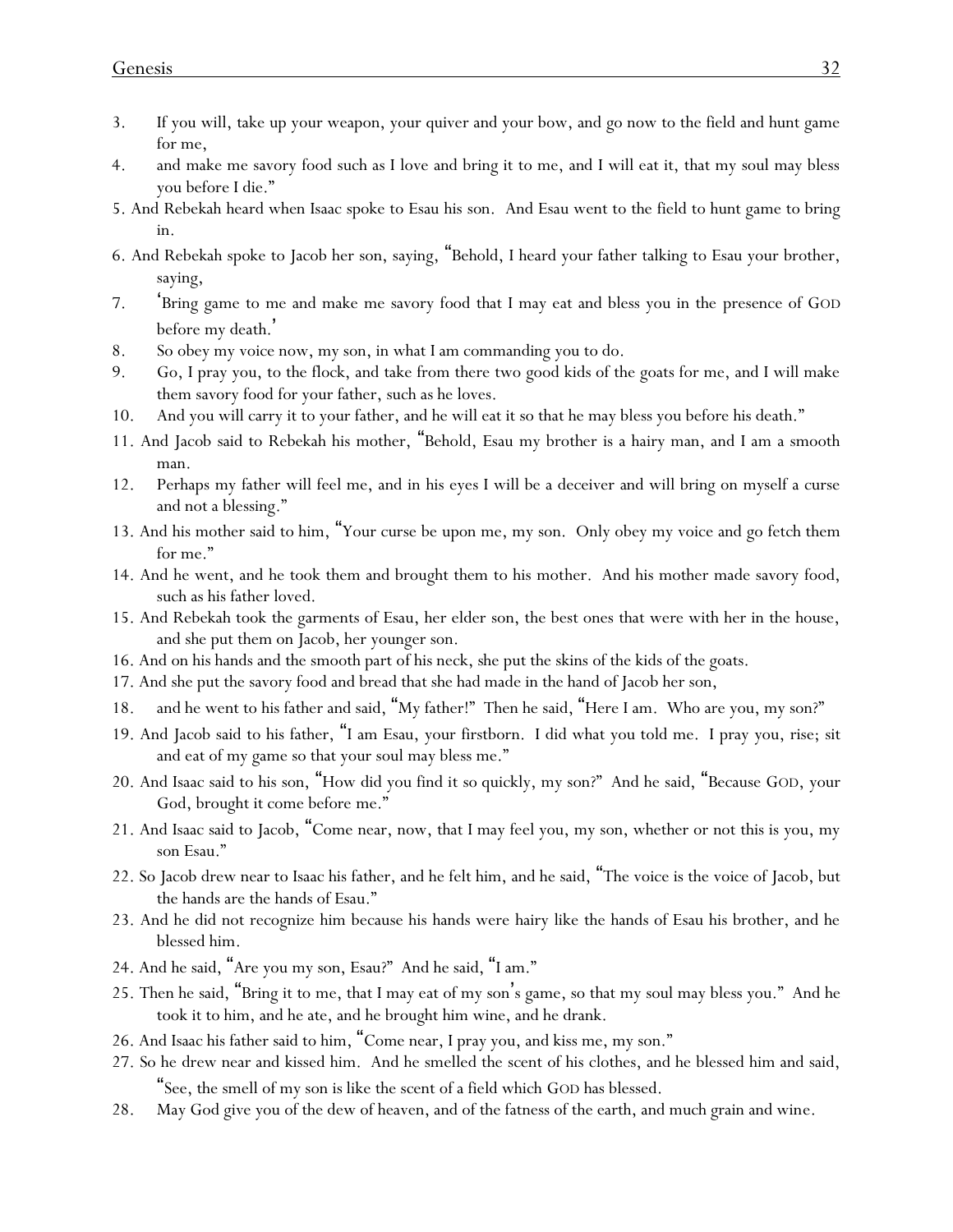- 3. If you will, take up your weapon, your quiver and your bow, and go now to the field and hunt game for me,
- 4. and make me savory food such as I love and bring it to me, and I will eat it, that my soul may bless you before I die."
- 5. And Rebekah heard when Isaac spoke to Esau his son. And Esau went to the field to hunt game to bring in.
- 6. And Rebekah spoke to Jacob her son, saying, "Behold, I heard your father talking to Esau your brother, saying,
- 7. 'Bring game to me and make me savory food that I may eat and bless you in the presence of GOD before my death. '
- 8. So obey my voice now, my son, in what I am commanding you to do.
- 9. Go, I pray you, to the flock, and take from there two good kids of the goats for me, and I will make them savory food for your father, such as he loves.
- 10. And you will carry it to your father, and he will eat it so that he may bless you before his death."
- 11. And Jacob said to Rebekah his mother, "Behold, Esau my brother is a hairy man, and I am a smooth man.
- 12. Perhaps my father will feel me, and in his eyes I will be a deceiver and will bring on myself a curse and not a blessing."
- 13. And his mother said to him, "Your curse be upon me, my son. Only obey my voice and go fetch them for me."
- 14. And he went, and he took them and brought them to his mother. And his mother made savory food, such as his father loved.
- 15. And Rebekah took the garments of Esau, her elder son, the best ones that were with her in the house, and she put them on Jacob, her younger son.
- 16. And on his hands and the smooth part of his neck, she put the skins of the kids of the goats.
- 17. And she put the savory food and bread that she had made in the hand of Jacob her son,
- 18. and he went to his father and said, "My father!" Then he said, "Here I am. Who are you, my son?"
- 19. And Jacob said to his father, "I am Esau, your firstborn. I did what you told me. I pray you, rise; sit and eat of my game so that your soul may bless me."
- 20. And Isaac said to his son, "How did you find *it so* quickly, my son?" And he said, "Because GOD, your God, brought it come before me."
- 21. And Isaac said to Jacob, "Come near, now, that I may feel you, my son, whether or not this is you, my son Esau."
- 22. So Jacob drew near to Isaac his father, and he felt him, and he said, "The voice is the voice of Jacob, but the hands are the hands of Esau."
- 23. And he did not recognize him because his hands were hairy like the hands of Esau his brother, and he blessed him.
- 24. And he said, "Are you my son, Esau?" And he said, "I am."
- 25. Then he said, "Bring it to me, that I may eat of my son's game, so that my soul may bless you." And he took it to him, and he ate, and he brought him wine, and he drank.
- 26. And Isaac his father said to him, "Come near, I pray you, and kiss me, my son."
- 27. So he drew near and kissed him. And he smelled the scent of his clothes, and he blessed him and said, "See, the smell of my son is like the scent of a field which GOD has blessed.
- 28. May God give you of the dew of heaven, and of the fatness of the earth, and much grain and wine.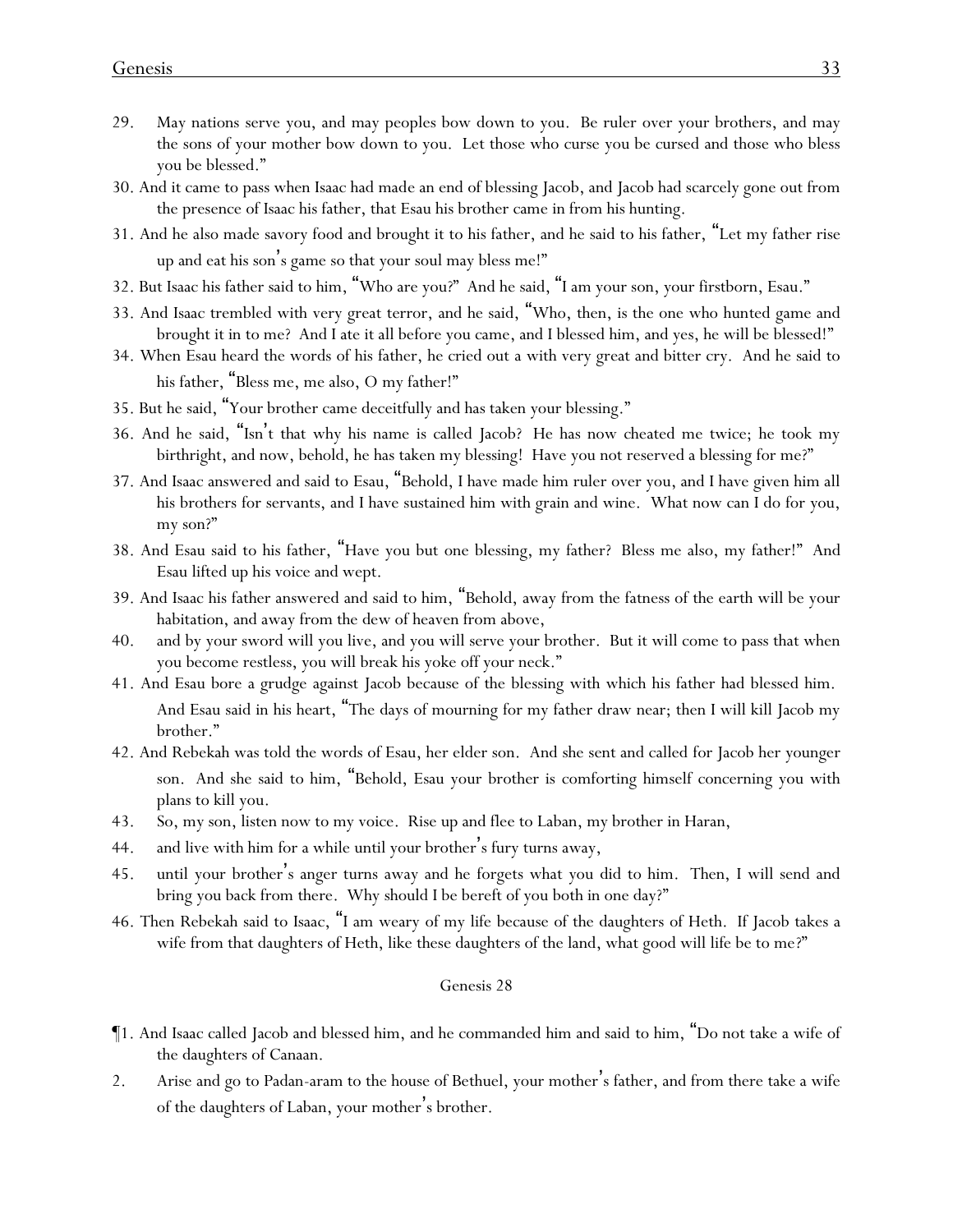- 29. May nations serve you, and may peoples bow down to you. Be ruler over your brothers, and may the sons of your mother bow down to you. Let those who curse you be cursed and those who bless you be blessed."
- 30. And it came to pass when Isaac had made an end of blessing Jacob, and Jacob had scarcely gone out from the presence of Isaac his father, that Esau his brother came in from his hunting.
- 31. And he also made savory food and brought it to his father, and he said to his father, "Let my father rise up and eat his son's game so that your soul may bless me!"
- 32. But Isaac his father said to him, "Who are you?" And he said, "I am your son, your firstborn, Esau."
- 33. And Isaac trembled with very great terror, and he said, "Who, then, is the one who hunted game and brought it in to me? And I ate it all before you came, and I blessed him, and yes, he will be blessed!"
- 34. When Esau heard the words of his father, he cried out a with very great and bitter cry. And he said to his father, "Bless me, me also, O my father!"
- 35. But he said, "Your brother came deceitfully and has taken your blessing."
- 36. And he said, "Isn't that why his name is called Jacob? He has now cheated me twice; he took my birthright, and now, behold, he has taken my blessing! Have you not reserved a blessing for me?"
- 37. And Isaac answered and said to Esau, "Behold, I have made him ruler over you, and I have given him all his brothers for servants, and I have sustained him with grain and wine. What now can I do for you, my son?"
- 38. And Esau said to his father, "Have you but one blessing, my father? Bless me also, my father!" And Esau lifted up his voice and wept.
- 39. And Isaac his father answered and said to him, "Behold, away from the fatness of the earth will be your habitation, and away from the dew of heaven from above,
- 40. and by your sword will you live, and you will serve your brother. But it will come to pass that when you become restless, you will break his yoke off your neck."
- 41. And Esau bore a grudge against Jacob because of the blessing with which his father had blessed him. And Esau said in his heart, "The days of mourning for my father draw near; then I will kill Jacob my brother."
- 42. And Rebekah was told the words of Esau, her elder son. And she sent and called for Jacob her younger son. And she said to him, "Behold, Esau your brother is comforting himself concerning you with plans to kill you.
- 43. So, my son, listen now to my voice. Rise up and flee to Laban, my brother in Haran,
- 44. and live with him for a while until your brother's fury turns away,
- 45. until your brother's anger turns away and he forgets what you did to him. Then, I will send and bring you back from there. Why should I be bereft of you both in one day?"
- 46. Then Rebekah said to Isaac, "I am weary of my life because of the daughters of Heth. If Jacob takes a wife from that daughters of Heth, like these daughters of the land, what good will life be to me?"

- ¶1. And Isaac called Jacob and blessed him, and he commanded him and said to him, "Do not take a wife of the daughters of Canaan.
- 2. Arise and go to Padan-aram to the house of Bethuel, your mother's father, and from there take a wife of the daughters of Laban, your mother's brother.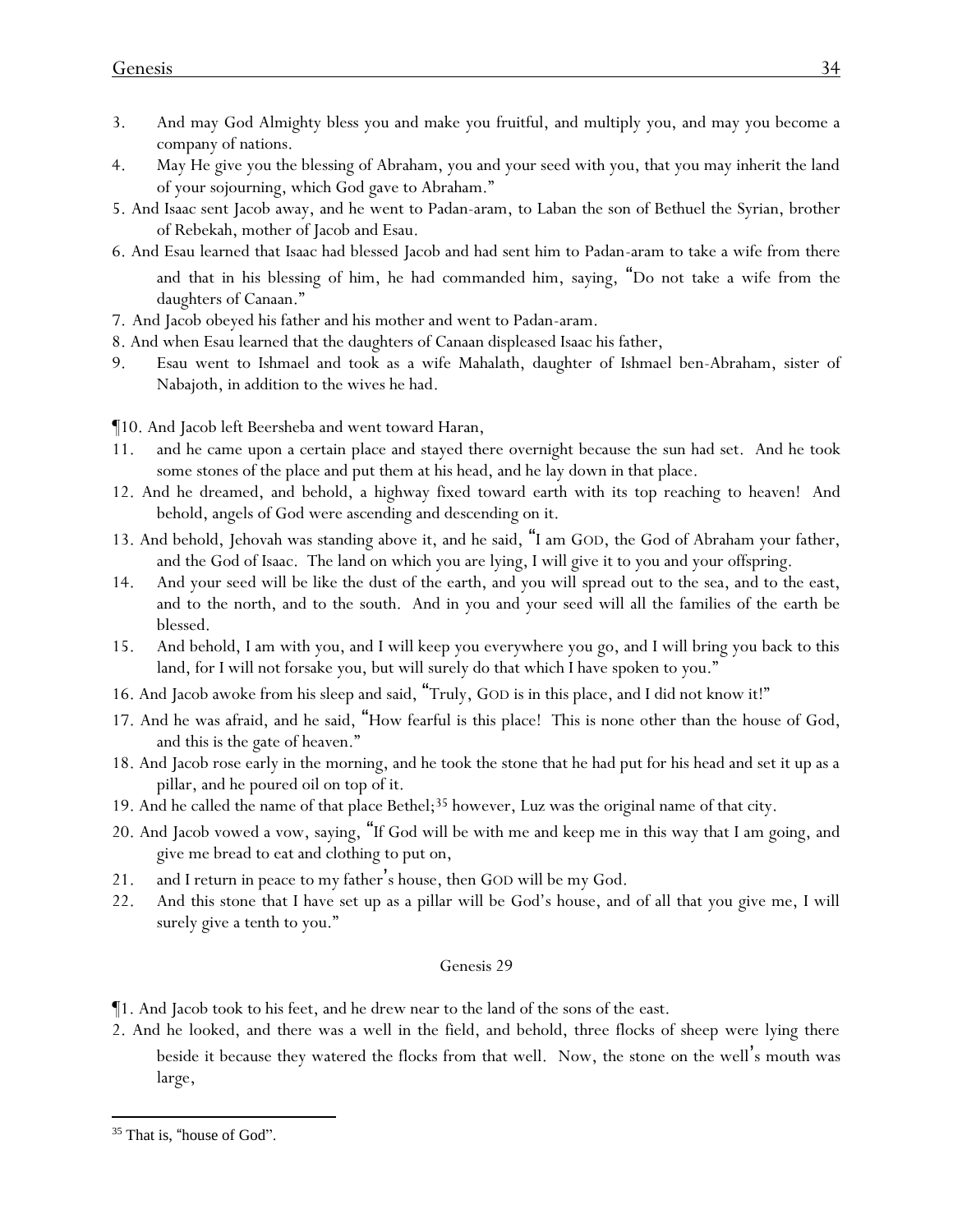- 3. And may God Almighty bless you and make you fruitful, and multiply you, and may you become a company of nations.
- 4. May He give you the blessing of Abraham, you and your seed with you, that you may inherit the land of your sojourning, which God gave to Abraham."
- 5. And Isaac sent Jacob away, and he went to Padan-aram, to Laban the son of Bethuel the Syrian, brother of Rebekah, mother of Jacob and Esau.
- 6. And Esau learned that Isaac had blessed Jacob and had sent him to Padan-aram to take a wife from there and that in his blessing of him, he had commanded him, saying, "Do not take a wife from the daughters of Canaan."
- 7. And Jacob obeyed his father and his mother and went to Padan-aram.
- 8. And when Esau learned that the daughters of Canaan displeased Isaac his father,
- 9. Esau went to Ishmael and took as a wife Mahalath, daughter of Ishmael ben-Abraham, sister of Nabajoth, in addition to the wives he had.

¶10. And Jacob left Beersheba and went toward Haran,

- 11. and he came upon a certain place and stayed there overnight because the sun had set. And he took some stones of the place and put them at his head, and he lay down in that place.
- 12. And he dreamed, and behold, a highway fixed toward earth with its top reaching to heaven! And behold, angels of God were ascending and descending on it.
- 13. And behold, Jehovah was standing above it, and he said, "I am GOD, the God of Abraham your father, and the God of Isaac. The land on which you are lying, I will give it to you and your offspring.
- 14. And your seed will be like the dust of the earth, and you will spread out to the sea, and to the east, and to the north, and to the south. And in you and your seed will all the families of the earth be blessed.
- 15. And behold, I am with you, and I will keep you everywhere you go, and I will bring you back to this land, for I will not forsake you, but will surely do that which I have spoken to you."
- 16. And Jacob awoke from his sleep and said, "Truly, GOD is in this place, and I did not know it!"
- 17. And he was afraid, and he said, "How fearful is this place! This is none other than the house of God, and this is the gate of heaven."
- 18. And Jacob rose early in the morning, and he took the stone that he had put for his head and set it up as a pillar, and he poured oil on top of it.
- 19. And he called the name of that place Bethel;<sup>35</sup> however, Luz was the original name of that city.
- 20. And Jacob vowed a vow, saying, "If God will be with me and keep me in this way that I am going, and give me bread to eat and clothing to put on,
- 21. and I return in peace to my father's house, then GOD will be my God.
- 22. And this stone that I have set up as a pillar will be God's house, and of all that you give me, I will surely give a tenth to you."

- ¶1. And Jacob took to his feet, and he drew near to the land of the sons of the east.
- 2. And he looked, and there was a well in the field, and behold, three flocks of sheep were lying there beside it because they watered the flocks from that well. Now, the stone on the well's mouth was large,

<sup>&</sup>lt;sup>35</sup> That is, "house of God".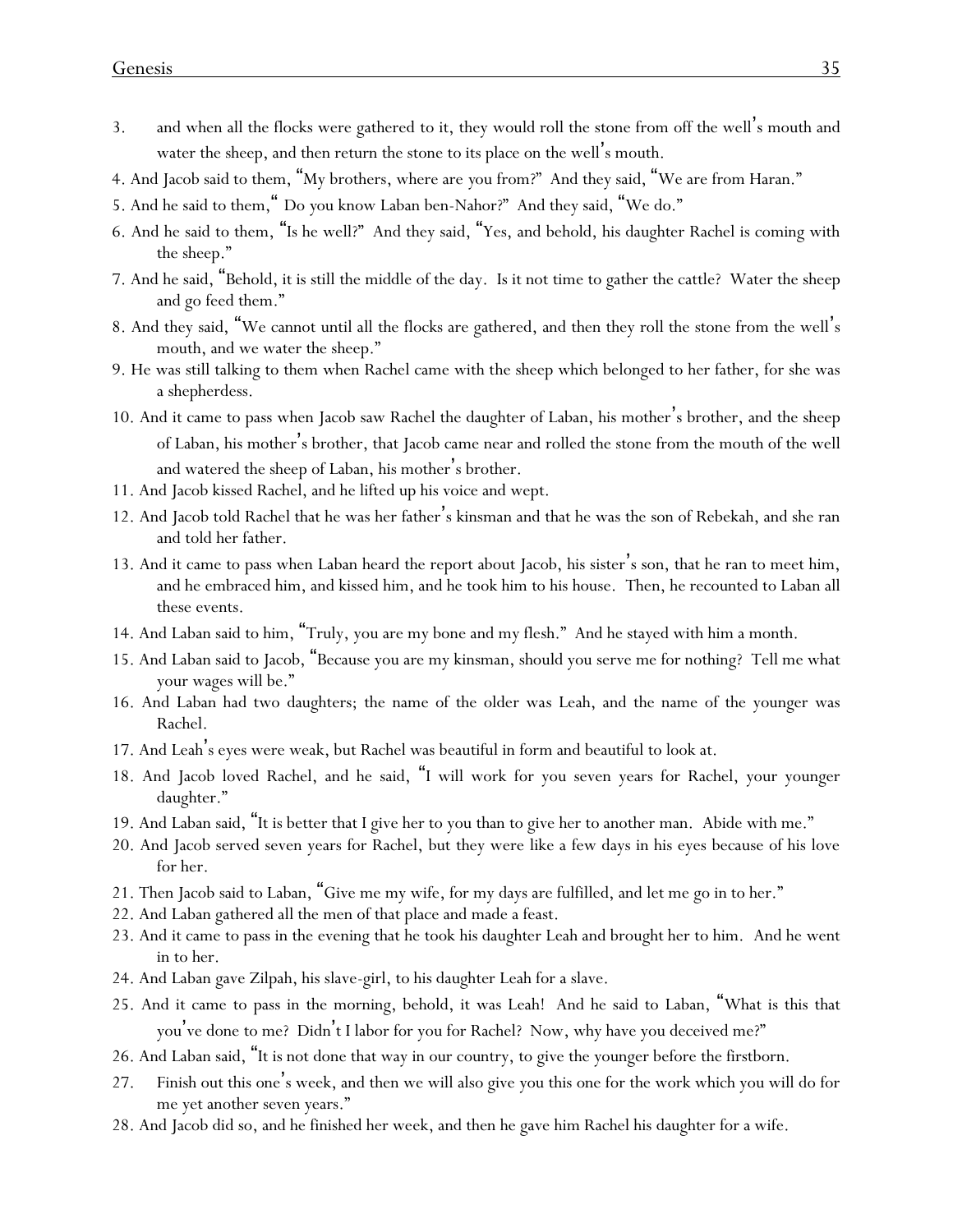- 3. and when all the flocks were gathered to it, they would roll the stone from off the well's mouth and water the sheep, and then return the stone to its place on the well's mouth.
- 4. And Jacob said to them, "My brothers, where are *y*ou from?" And they said, "We are from Haran."
- 5. And he said to them," Do *y*ou know Laban ben-Nahor?" And they said, "We do."
- 6. And he said to them, "Is he well?" And they said, "Yes, and behold, his daughter Rachel is coming with the sheep."
- 7. And he said, "Behold, it is still the middle of the day. Is it not time to gather the cattle? Water the sheep and go feed them."
- 8. And they said, "We cannot until all the flocks are gathered, and then they roll the stone from the well's mouth, and we water the sheep."
- 9. He was still talking to them when Rachel came with the sheep which belonged to her father, for she was a shepherdess.
- 10. And it came to pass when Jacob saw Rachel the daughter of Laban, his mother's brother, and the sheep of Laban, his mother's brother, that Jacob came near and rolled the stone from the mouth of the well and watered the sheep of Laban, his mother's brother.
- 11. And Jacob kissed Rachel, and he lifted up his voice and wept.
- 12. And Jacob told Rachel that he was her father's kinsman and that he was the son of Rebekah, and she ran and told her father.
- 13. And it came to pass when Laban heard the report about Jacob, his sister's son, that he ran to meet him, and he embraced him, and kissed him, and he took him to his house. Then, he recounted to Laban all these events.
- 14. And Laban said to him, "Truly, you are my bone and my flesh." And he stayed with him a month.
- 15. And Laban said to Jacob, "Because you are my kinsman, should you serve me for nothing? Tell me what your wages will be."
- 16. And Laban had two daughters; the name of the older was Leah, and the name of the younger was Rachel.
- 17. And Leah's eyes were weak, but Rachel was beautiful in form and beautiful to look at.
- 18. And Jacob loved Rachel, and he said, "I will work for you seven years for Rachel, your younger daughter."
- 19. And Laban said, "It is better that I give her to you than to give her to another man. Abide with me."
- 20. And Jacob served seven years for Rachel, but they were like a few days in his eyes because of his love for her.
- 21. Then Jacob said to Laban, "Give me my wife, for my days are fulfilled, and let me go in to her."
- 22. And Laban gathered all the men of that place and made a feast.
- 23. And it came to pass in the evening that he took his daughter Leah and brought her to him. And he went in to her.
- 24. And Laban gave Zilpah, his slave-girl, to his daughter Leah for a slave.
- 25. And it came to pass in the morning, behold, it was Leah! And he said to Laban, "What is this that you've done to me? Didn't I labor for you for Rachel? Now, why have you deceived me?"
- 26. And Laban said, "It is not done that way in our country, to give the younger before the firstborn.
- 27. Finish out this one's week, and then we will also give you this one for the work which you will do for me yet another seven years."
- 28. And Jacob did so, and he finished her week, and then he gave him Rachel his daughter for a wife.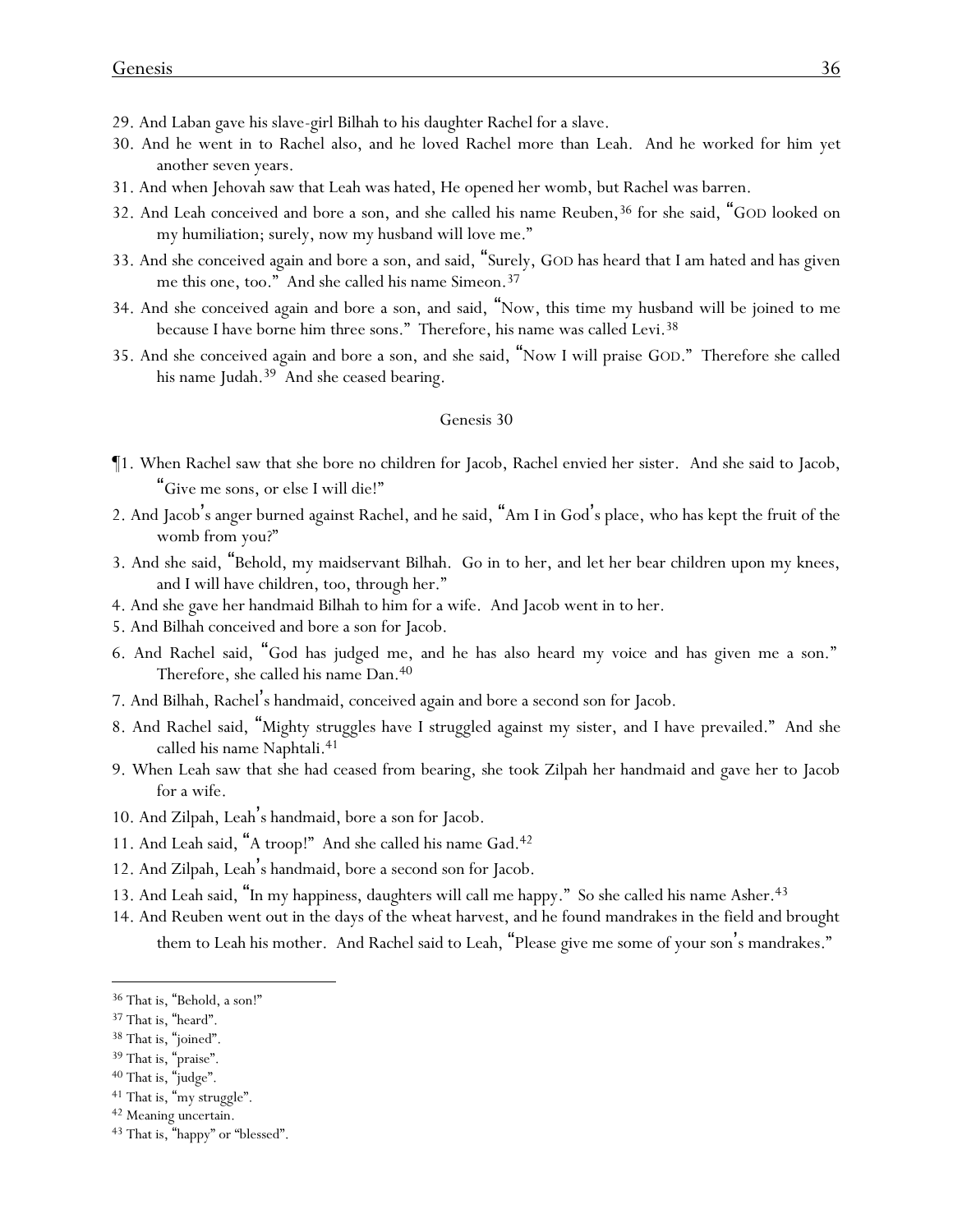- 29. And Laban gave his slave-girl Bilhah to his daughter Rachel for a slave.
- 30. And he went in to Rachel also, and he loved Rachel more than Leah. And he worked for him yet another seven years.
- 31. And when Jehovah saw that Leah was hated, He opened her womb, but Rachel was barren.
- 32. And Leah conceived and bore a son, and she called his name Reuben,<sup>36</sup> for she said, "GOD looked on my humiliation; surely, now my husband will love me."
- 33. And she conceived again and bore a son, and said, "Surely, GOD has heard that I am hated and has given me this one, too." And she called his name Simeon.<sup>37</sup>
- 34. And she conceived again and bore a son, and said, "Now, this time my husband will be joined to me because I have borne him three sons." Therefore, his name was called Levi.<sup>38</sup>
- 35. And she conceived again and bore a son, and she said, "Now I will praise GOD." Therefore she called his name Judah.<sup>39</sup> And she ceased bearing.

- ¶1. When Rachel saw that she bore no children for Jacob, Rachel envied her sister. And she said to Jacob, "Give me sons, or else I will die!"
- 2. And Jacob's anger burned against Rachel, and he said, "Am I in God's place, who has kept the fruit of the womb from you?"
- 3. And she said, "Behold, my maidservant Bilhah. Go in to her, and let her bear children upon my knees, and I will have children, too, through her."
- 4. And she gave her handmaid Bilhah to him for a wife. And Jacob went in to her.
- 5. And Bilhah conceived and bore a son for Jacob.
- 6. And Rachel said, "God has judged me, and he has also heard my voice and has given me a son." Therefore, she called his name Dan.<sup>40</sup>
- 7. And Bilhah, Rachel's handmaid, conceived again and bore a second son for Jacob.
- 8. And Rachel said, "Mighty struggles have I struggled against my sister, and I have prevailed." And she called his name Naphtali.<sup>41</sup>
- 9. When Leah saw that she had ceased from bearing, she took Zilpah her handmaid and gave her to Jacob for a wife.
- 10. And Zilpah, Leah's handmaid, bore a son for Jacob.
- 11. And Leah said, "A troop!" And she called his name Gad.<sup>42</sup>
- 12. And Zilpah, Leah's handmaid, bore a second son for Jacob.
- 13. And Leah said, "In my happiness, daughters will call me happy." So she called his name Asher.<sup>43</sup>
- 14. And Reuben went out in the days of the wheat harvest, and he found mandrakes in the field and brought
	- them to Leah his mother. And Rachel said to Leah, "Please give me some of your son's mandrakes."

<sup>36</sup> That is, "Behold, a son!"

<sup>37</sup> That is, "heard".

<sup>38</sup> That is, "joined".

<sup>39</sup> That is, "praise".

<sup>40</sup> That is, "judge".

<sup>41</sup> That is, "my struggle".

<sup>42</sup> Meaning uncertain.

<sup>43</sup> That is, "happy" or "blessed".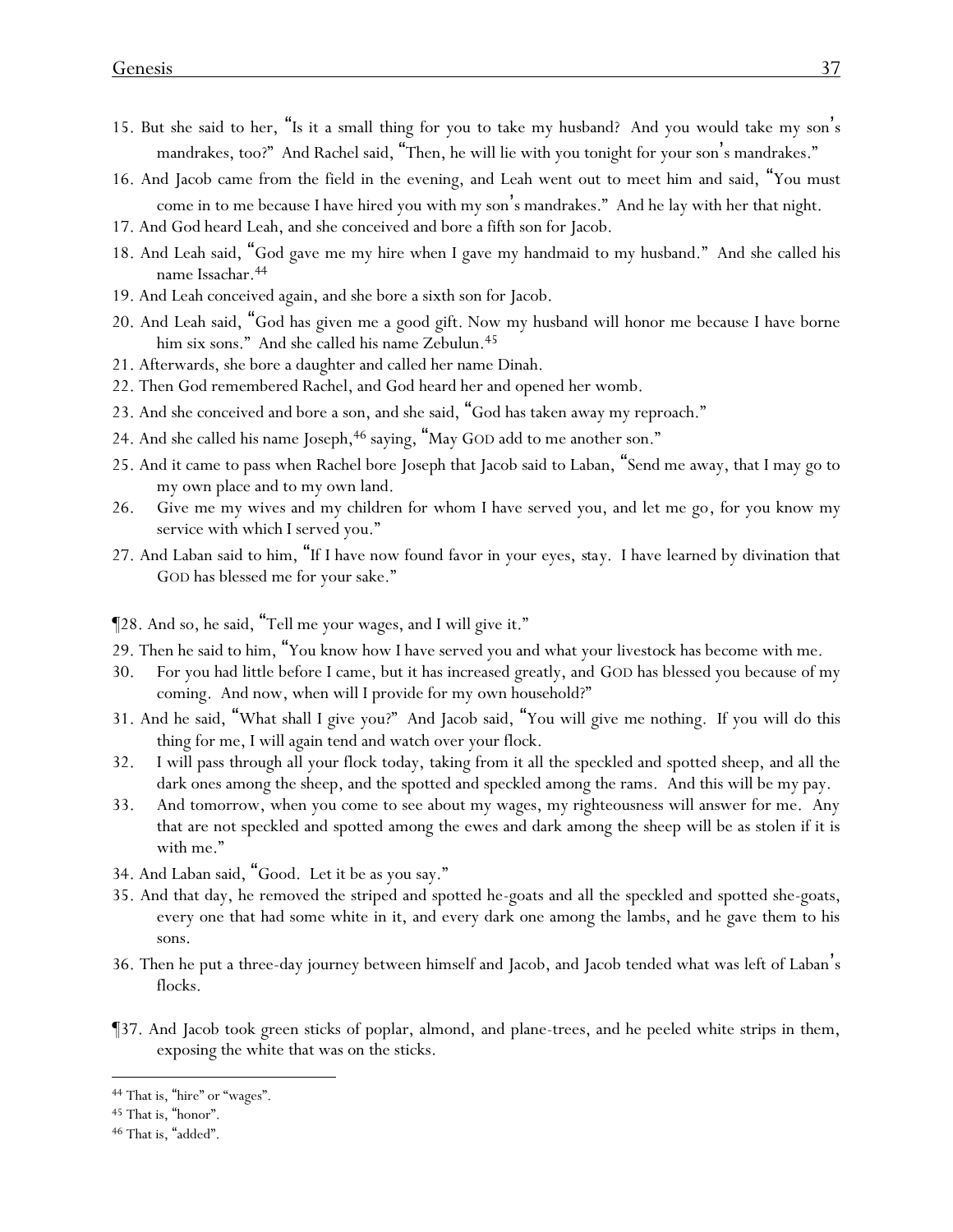- 15. But she said to her, "Is it a small thing for you to take my husband? And you would take my son's mandrakes, too?" And Rachel said, "Then, he will lie with you tonight for your son 's mandrakes."
- 16. And Jacob came from the field in the evening, and Leah went out to meet him and said, "You must come in to me because I have hired you with my son's mandrakes." And he lay with her that night.
- 17. And God heard Leah, and she conceived and bore a fifth son for Jacob.
- 18. And Leah said, "God gave me my hire when I gave my handmaid to my husband." And she called his name Issachar.<sup>44</sup>
- 19. And Leah conceived again, and she bore a sixth son for Jacob.
- 20. And Leah said, "God has given me a good gift. Now my husband will honor me because I have borne him six sons." And she called his name Zebulun.<sup>45</sup>
- 21. Afterwards, she bore a daughter and called her name Dinah.
- 22. Then God remembered Rachel, and God heard her and opened her womb.
- 23. And she conceived and bore a son, and she said, "God has taken away my reproach."
- 24. And she called his name Joseph,<sup>46</sup> saying, "May GOD add to me another son."
- 25. And it came to pass when Rachel bore Joseph that Jacob said to Laban, "Send me away, that I may go to my own place and to my own land.
- 26. Give me my wives and my children for whom I have served you, and let me go, for you know my service with which I served you."
- 27. And Laban said to him, "If I have now found favor in your eyes, *stay.* I have learned by divination that GOD has blessed me for your sake."

¶28. And so, he said, "Tell me your wages, and I will give it."

- 29. Then he said to him, "You know how I have served you and what your livestock has become with me.
- 30. For you had little before I came, but it has increased greatly, and GOD has blessed you because of my coming. And now, when will I provide for my own household?"
- 31. And he said, "What shall I give you?" And Jacob said, "You will give me nothing. If you will do this thing for me, I will again tend and watch over your flock.
- 32. I will pass through all your flock today, taking from it all the speckled and spotted sheep, and all the dark ones among the sheep, and the spotted and speckled among the rams. And this will be my pay.
- 33. And tomorrow, when you come to see about my wages, my righteousness will answer for me. Any that are not speckled and spotted among the ewes and dark among the sheep will be as stolen if it is with me."
- 34. And Laban said, "Good. Let it be as you say."
- 35. And that day, he removed the striped and spotted he-goats and all the speckled and spotted she-goats, every one that had some white in it, and every dark one among the lambs, and he gave them to his sons.
- 36. Then he put a three-day journey between himself and Jacob, and Jacob tended what was left of Laban's flocks.
- ¶37. And Jacob took green sticks of poplar, almond, and plane-trees, and he peeled white strips in them, exposing the white that was on the sticks.

<sup>44</sup> That is, "hire" or "wages".

<sup>45</sup> That is, "honor".

<sup>46</sup> That is, "added".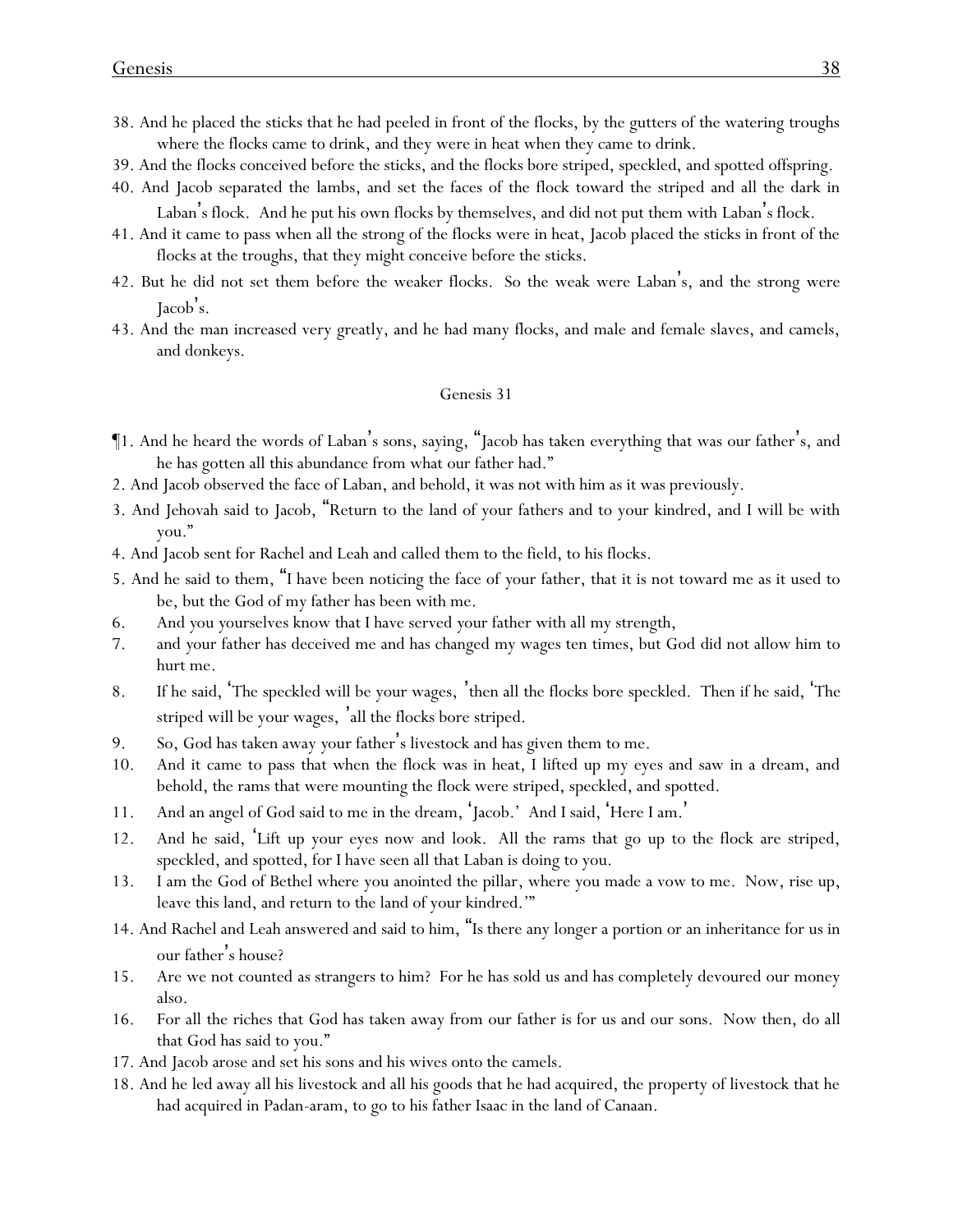- 38. And he placed the sticks that he had peeled in front of the flocks, by the gutters of the watering troughs where the flocks came to drink, and they were in heat when they came to drink.
- 39. And the flocks conceived before the sticks, and the flocks bore striped, speckled, and spotted offspring.
- 40. And Jacob separated the lambs, and set the faces of the flock toward the striped and all the dark in Laban's flock. And he put his own flocks by themselves, and did not put them with Laban's flock.
- 41. And it came to pass when all the strong of the flocks were in heat, Jacob placed the sticks in front of the flocks at the troughs, that they might conceive before the sticks.
- 42. But he did not set them before the weaker flocks. So the weak were Laban's, and the strong were Jacob's.
- 43. And the man increased very greatly, and he had many flocks, and male and female slaves, and camels, and donkeys.

- ¶1. And he heard the words of Laban's sons, saying, "Jacob has taken everything that was our father's, and he has gotten all this abundance from what our father had."
- 2. And Jacob observed the face of Laban, and behold, it was not with him as it was previously.
- 3. And Jehovah said to Jacob, "Return to the land of your fathers and to your kindred, and I will be with you."
- 4. And Jacob sent for Rachel and Leah and called them to the field, to his flocks.
- 5. And he said to them, "I have been noticing the face of *y*our father, that it is not toward me as it used to be, but the God of my father has been with me.
- 6. And *y*ou *y*ourselves know that I have served *y*our father with all my strength,
- 7. and *y*our father has deceived me and has changed my wages ten times, but God did not allow him to hurt me.
- 8. If he said, 'The speckled will be your wages, 'then all the flocks bore speckled. Then if he said, 'The striped will be your wages, 'all the flocks bore striped.
- 9. So, God has taken away *y*our father's livestock and has given them to me.
- 10. And it came to pass that when the flock was in heat, I lifted up my eyes and saw in a dream, and behold, the rams that were mounting the flock were striped, speckled, and spotted.
- 11. And an angel of God said to me in the dream, 'Jacob.' And I said, 'Here I am. '
- 12. And he said, 'Lift up your eyes now and look. All the rams that go up to the flock are striped, speckled, and spotted, for I have seen all that Laban is doing to you.
- 13. I am the God of Bethel where you anointed the pillar, where you made a vow to me. Now, rise up, leave this land, and return to the land of your kindred.'"
- 14. And Rachel and Leah answered and said to him, "Is there any longer a portion or an inheritance for us in our father's house?
- 15. Are we not counted as strangers to him? For he has sold us and has completely devoured our money also.
- 16. For all the riches that God has taken away from our father is for us and our sons. Now then, do all that God has said to you."
- 17. And Jacob arose and set his sons and his wives onto the camels.
- 18. And he led away all his livestock and all his goods that he had acquired, the property of livestock that he had acquired in Padan-aram, to go to his father Isaac in the land of Canaan.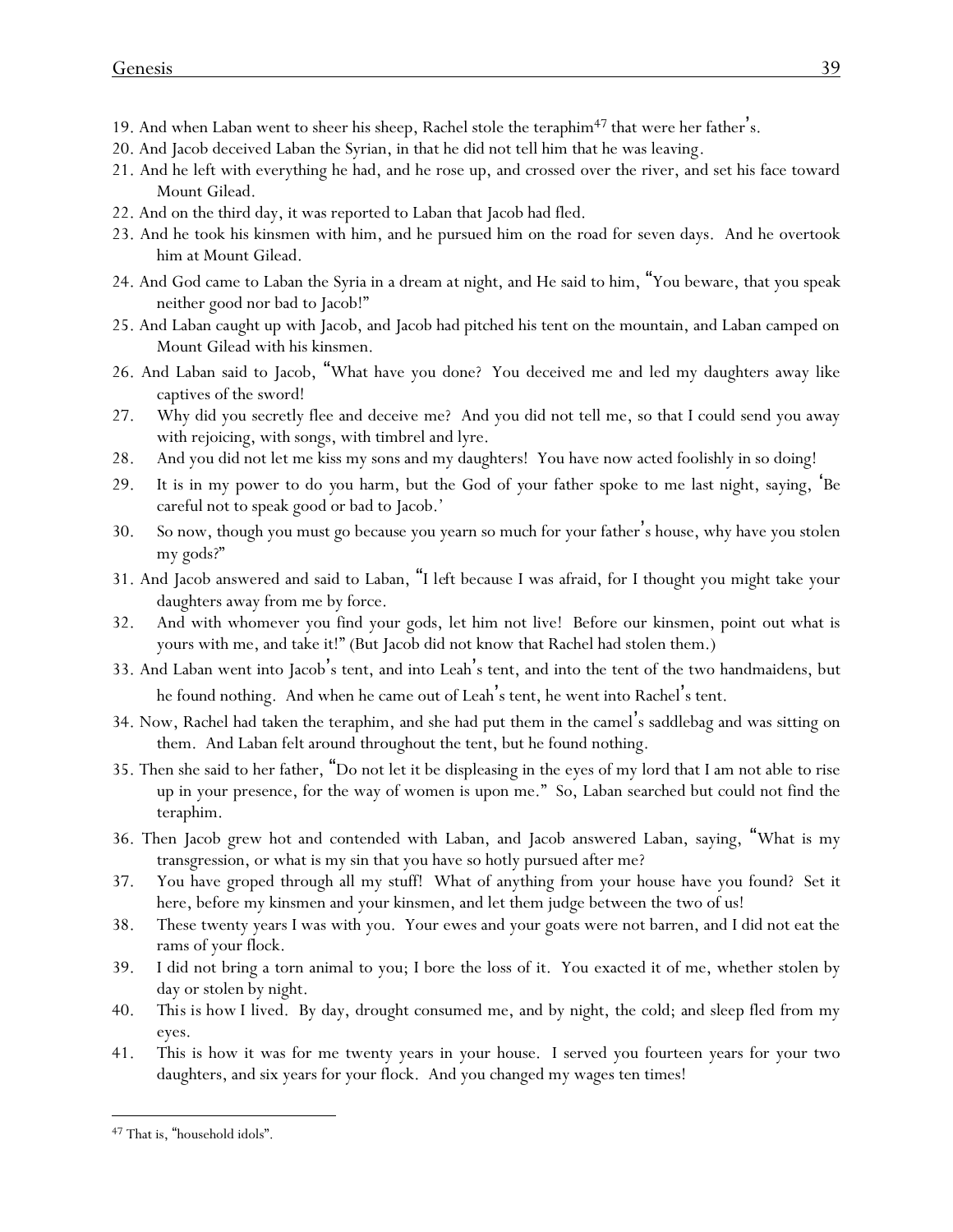- 19. And when Laban went to sheer his sheep, Rachel stole the teraphim $47$  that were her father's.
- 20. And Jacob deceived Laban the Syrian, in that he did not tell him that he was leaving.
- 21. And he left with everything he had, and he rose up, and crossed over the river, and set his face toward Mount Gilead.
- 22. And on the third day, it was reported to Laban that Jacob had fled.
- 23. And he took his kinsmen with him, and he pursued him on the road for seven days. And he overtook him at Mount Gilead.
- 24. And God came to Laban the Syria in a dream at night, and He said to him, "You beware, that you speak neither good nor bad to Jacob!"
- 25. And Laban caught up with Jacob, and Jacob had pitched his tent on the mountain, and Laban camped on Mount Gilead with his kinsmen.
- 26. And Laban said to Jacob, "What have you done? You deceived me and led my daughters away like captives of the sword!
- 27. Why did you secretly flee and deceive me? And you did not tell me, so that I could send you away with rejoicing, with songs, with timbrel and lyre.
- 28. And you did not let me kiss my sons and my daughters! You have now acted foolishly in so doing!
- 29. It is in my power to do *y*ou harm, but the God of *y*our father spoke to me last night, saying, 'Be careful not to speak good or bad to Jacob.'
- 30. So now, though you must go because you yearn so much for your father's house, why have you stolen my gods?"
- 31. And Jacob answered and said to Laban, "*I left* because I was afraid, for I thought you might take your daughters away from me by force.
- 32. And with whomever you find your gods, let him not live! Before our kinsmen, point out what is yours with me, and take it!" (But Jacob did not know that Rachel had stolen them.)
- 33. And Laban went into Jacob's tent, and into Leah's tent, and into the tent of the two handmaidens, but he found nothing. And when he came out of Leah's tent, he went into Rachel's tent.
- 34. Now, Rachel had taken the teraphim, and she had put them in the camel's saddlebag and was sitting on them. And Laban felt around throughout the tent, but he found nothing.
- 35. Then she said to her father, "Do not let it be displeasing in the eyes of my lord that I am not able to rise up in your presence, for the way of women is upon me." So, Laban searched but could not find the teraphim.
- 36. Then Jacob grew hot and contended with Laban, and Jacob answered Laban, saying, "What is my transgression, or what is my sin that you have so hotly pursued after me?
- 37. You have groped through all my stuff! What of anything from your house have you found? Set it here, before my kinsmen and your kinsmen, and let them judge between the two of us!
- 38. These twenty years I was with you. Your ewes and your goats were not barren, and I did not eat the rams of your flock.
- 39. I did not bring a torn animal to you; I bore the loss of it. You exacted it of me, whether stolen by day or stolen by night.
- 40. *This is how* I lived. By day, drought consumed me, and by night, the cold; and sleep fled from my eyes.
- 41. This is how it was for me twenty years in your house. I served you fourteen years for your two daughters, and six years for your flock. And you changed my wages ten times!

<sup>47</sup> That is, "household idols".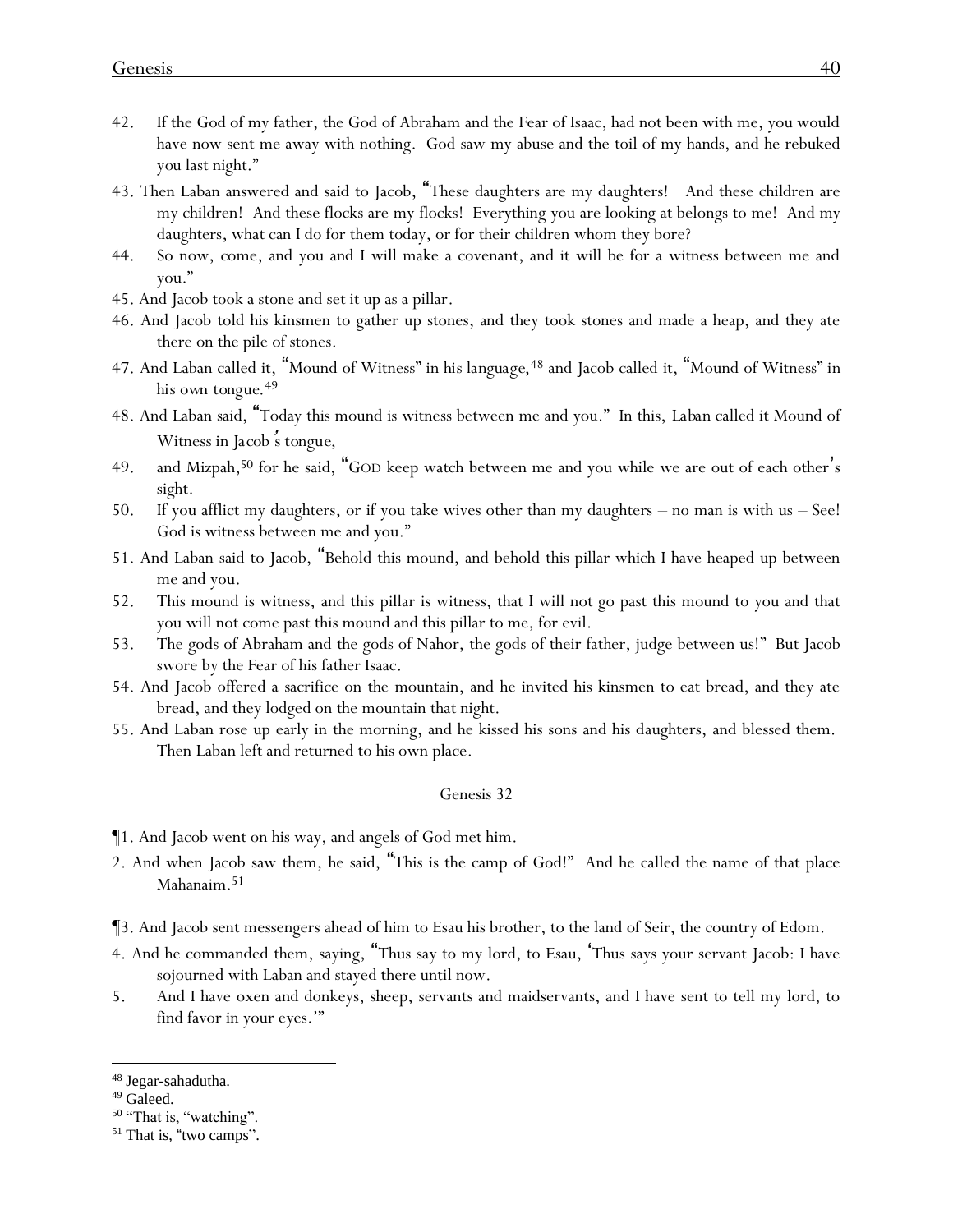- 42. If the God of my father, the God of Abraham and the Fear of Isaac, had not been with me, you would have now sent me away with nothing. God saw my abuse and the toil of my hands, and he rebuked *you* last night."
- 43. Then Laban answered and said to Jacob, "These daughters are my daughters! And these children are my children! And these flocks are my flocks! Everything you are looking at belongs to me! And my daughters, what can I do for them today, or for their children whom they bore?
- 44. So now, come, and you and I will make a covenant, and it will be for a witness between me and you."
- 45. And Jacob took a stone and set it up as a pillar.
- 46. And Jacob told his kinsmen to gather up stones, and they took stones and made a heap, and they ate there on the pile of stones.
- 47. And Laban called it, "Mound of Witness" *in his language*, <sup>48</sup> and Jacob called it, "Mound of Witness" *in his own tongue*. 49
- 48. And Laban said, "Today this mound is witness between me and you." In this, *Laban* called it Mound of Witness *in Jacob* '*s tongue,*
- 49. and Mizpah,<sup>50</sup> for he said, "GOD keep watch between me and you while we are out of each other's sight.
- 50. If you afflict my daughters, or if you take wives other than my daughters no man is with us See! God is witness between me and you."
- 51. And Laban said to Jacob, "Behold this mound, and behold this pillar which I have heaped up between me and you.
- 52. This mound is witness, and this pillar is witness, that I will not go past this mound to you and that you will not come past this mound and this pillar to me, for evil.
- 53. The gods of Abraham and the gods of Nahor, the gods of their father, judge between us!" But Jacob swore by the Fear of his father Isaac.
- 54. And Jacob offered a sacrifice on the mountain, and he invited his kinsmen to eat bread, and they ate bread, and they lodged on the mountain that night.
- 55. And Laban rose up early in the morning, and he kissed his sons and his daughters, and blessed them. Then Laban left and returned to his own place.

- ¶1. And Jacob went on his way, and angels of God met him.
- 2. And when Jacob saw them, he said, "This is the camp of God!" And he called the name of that place Mahanaim.<sup>51</sup>
- ¶3. And Jacob sent messengers ahead of him to Esau his brother, to the land of Seir, the country of Edom.
- 4. And he commanded them, saying, "Thus say to my lord, to Esau, 'Thus says your servant Jacob: I have sojourned with Laban and stayed there until now.
- 5. And I have oxen and donkeys, sheep, servants and maidservants, and I have sent to tell my lord, to find favor in your eyes.'"

<sup>50</sup> "That is, "watching".

<sup>48</sup> Jegar-sahadutha.

<sup>49</sup> Galeed.

<sup>&</sup>lt;sup>51</sup> That is, "two camps".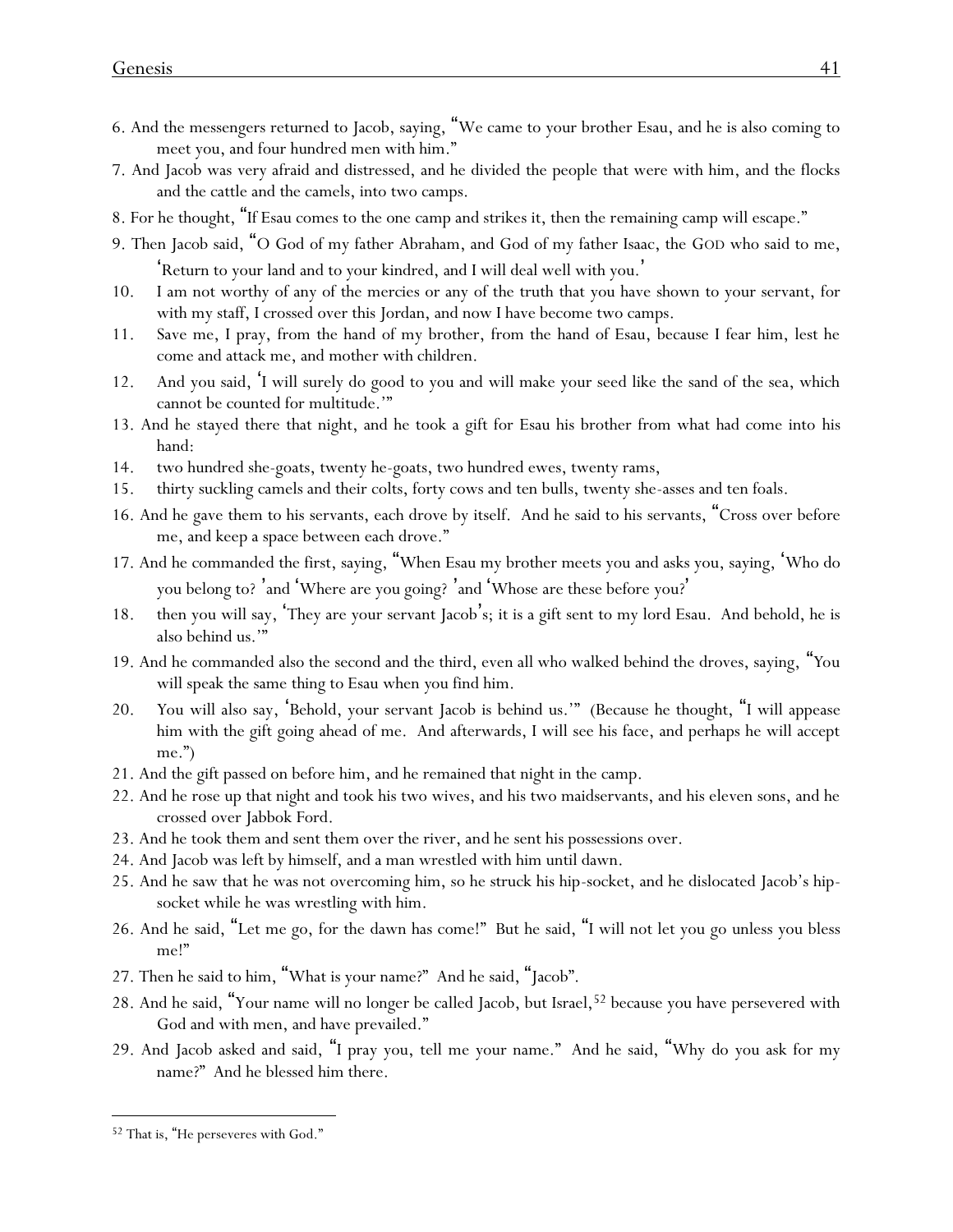- 6. And the messengers returned to Jacob, saying, "We came to your brother Esau, and he is also coming to meet you, and four hundred men with him."
- 7. And Jacob was very afraid and distressed, and he divided the people that were with him, and the flocks and the cattle and the camels, into two camps.
- 8. For he thought, "If Esau comes to the one camp and strikes it, then the remaining camp will escape."
- 9. Then Jacob said, "O God of my father Abraham, and God of my father Isaac, the GOD who said to me, 'Return to your land and to your kindred, and I will deal well with you. '
- 10. I am not worthy of any of the mercies or any of the truth that you have shown to your servant, for with my staff, I crossed over this Jordan, and now I have become two camps.
- 11. Save me, I pray, from the hand of my brother, from the hand of Esau, because I fear him, lest he come and attack me, and mother with children.
- 12. And you said, 'I will surely do good to you and will make your seed like the sand of the sea, which cannot be counted for multitude.'"
- 13. And he stayed there that night, and he took a gift for Esau his brother from what had come into his hand:
- 14. two hundred she-goats, twenty he-goats, two hundred ewes, twenty rams,
- 15. thirty suckling camels and their colts, forty cows and ten bulls, twenty she-asses and ten foals.
- 16. And he gave them to his servants, each drove by itself. And he said to his servants, "Cross over before me, and keep a space between each drove."
- 17. And he commanded the first, saying, "When Esau my brother meets you and asks you, saying, 'Who do you belong to? 'and 'Where are you going? 'and 'Whose are these before you? '
- 18. then you will say, 'They are your servant Jacob's; it is a gift sent to my lord Esau. And behold, he is also behind us.'"
- 19. And he commanded also the second and the third, even all who walked behind the droves, saying, "*Y*ou will speak the same thing to Esau when *y*ou find him.
- 20. *Y*ou will also say, 'Behold, your servant Jacob is behind us.'" (Because he thought, "I will appease him with the gift going ahead of me. And afterwards, I will see his face, and perhaps he will accept me.")
- 21. And the gift passed on before him, and he remained that night in the camp.
- 22. And he rose up that night and took his two wives, and his two maidservants, and his eleven sons, and he crossed over Jabbok Ford.
- 23. And he took them and sent them over the river, and he sent his possessions over.
- 24. And Jacob was left by himself, and a man wrestled with him until dawn.
- 25. And he saw that he was not overcoming him, so he struck his hip-socket, and he dislocated Jacob's hipsocket while he was wrestling with him.
- 26. And he said, "Let me go, for the dawn has come!" But he said, "I will not let you go unless you bless me!"
- 27. Then he said to him, "What is your name?" And he said, "Jacob".
- 28. And he said, "Your name will no longer be called Jacob, but Israel, <sup>52</sup> because you have persevered with God and with men, and have prevailed."
- 29. And Jacob asked and said, "I pray you, tell me your name." And he said, "Why do you ask for my name?" And he blessed him there.

<sup>52</sup> That is, "He perseveres with God."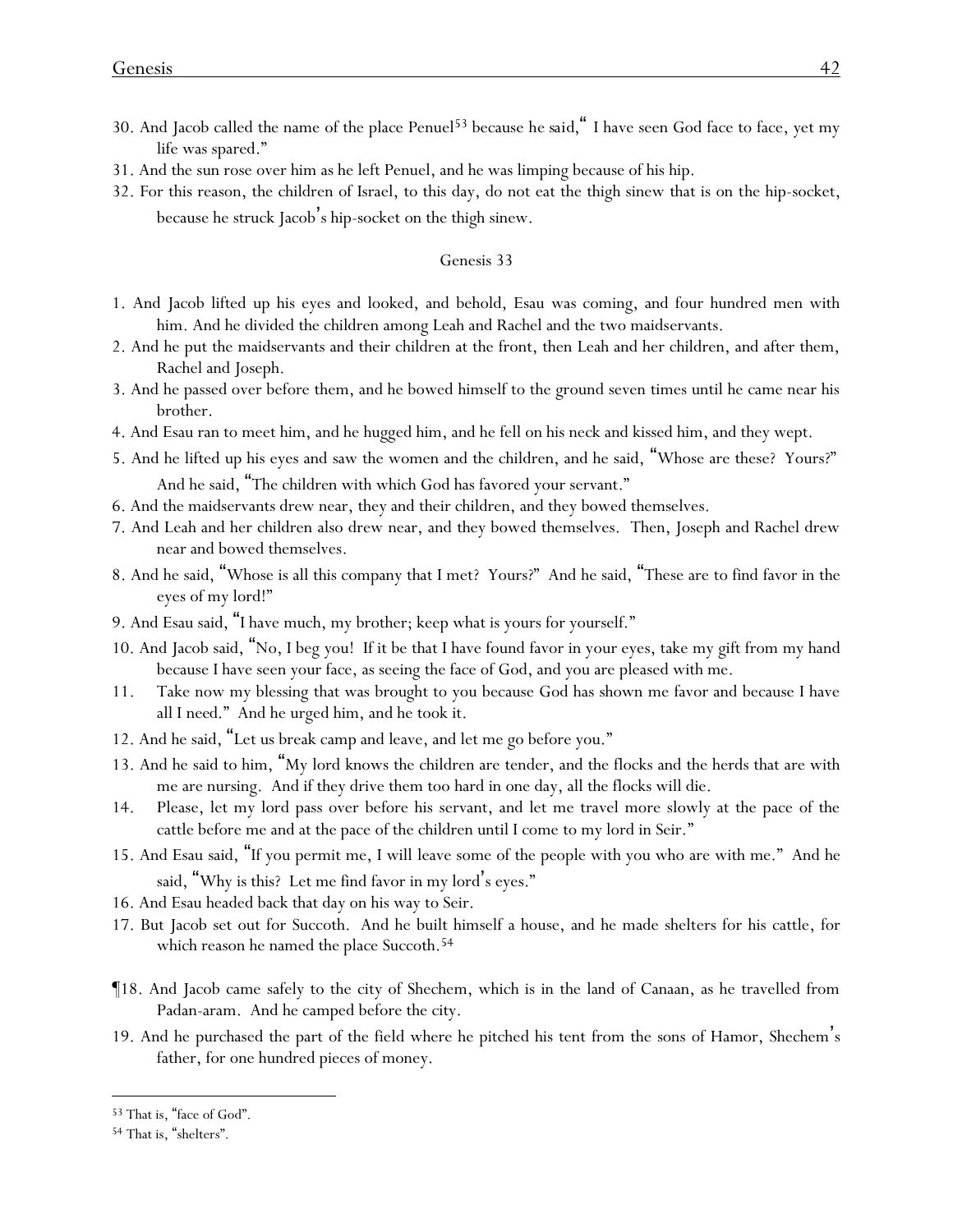- 30. And Jacob called the name of the place Penuel<sup>53</sup> because *he said,*" I have seen God face to face, yet my life was spared."
- 31. And the sun rose over him as he left Penuel, and he was limping because of his hip.
- 32. For this reason, the children of Israel, to this day, do not eat the thigh sinew that is on the hip-socket, because he struck Jacob's hip-socket on the thigh sinew.

- 1. And Jacob lifted up his eyes and looked, and behold, Esau was coming, and four hundred men with him. And he divided the children among Leah and Rachel and the two maidservants.
- 2. And he put the maidservants and their children at the front, then Leah and her children, and after them, Rachel and Joseph.
- 3. And he passed over before them, and he bowed himself to the ground seven times until he came near his brother.
- 4. And Esau ran to meet him, and he hugged him, and he fell on his neck and kissed him, and they wept.
- 5. And he lifted up his eyes and saw the women and the children, and he said, "Whose are these? Yours?" And he said, "The children with which God has favored your servant."
- 6. And the maidservants drew near, they and their children, and they bowed themselves.
- 7. And Leah and her children also drew near, and they bowed themselves. Then, Joseph and Rachel drew near and bowed themselves.
- 8. And he said, "Whose is all this company that I met? Yours?" And he said, "These are to find favor in the eyes of my lord!"
- 9. And Esau said, "I have much, my brother; keep what is yours for yourself."
- 10. And Jacob said, "No, I beg you! If it be that I have found favor in your eyes, take my gift from my hand because I have seen your face, as seeing the face of God, and you are pleased with me.
- 11. Take now my blessing that was brought to you because God has shown me favor and because I have all *I need*." And he urged him, and he took it.
- 12. And he said, "Let us break camp and leave, and let me go before you."
- 13. And he said to him, "My lord knows the children are tender, and the flocks and the herds that are with me are nursing. And if they drive them too hard in one day, all the flocks will die.
- 14. Please, let my lord pass over before his servant, and let me travel more slowly at the pace of the cattle before me and at the pace of the children until I come to my lord in Seir."
- 15. And Esau said, "If you permit me, I will leave some of the people with you who are with me." And he said, "Why is this? Let me find favor in my lord's eyes."
- 16. And Esau headed back that day on his way to Seir.
- 17. But Jacob set out for Succoth. And he built himself a house, and he made shelters for his cattle, for which reason he named the place Succoth.<sup>54</sup>
- ¶18. And Jacob came safely to the city of Shechem, which is in the land of Canaan, as he travelled from Padan-aram. And he camped before the city.
- 19. And he purchased the part of the field where he pitched his tent from the sons of Hamor, Shechem's father, for one hundred pieces of money.

<sup>53</sup> That is, "face of God".

<sup>54</sup> That is, "shelters".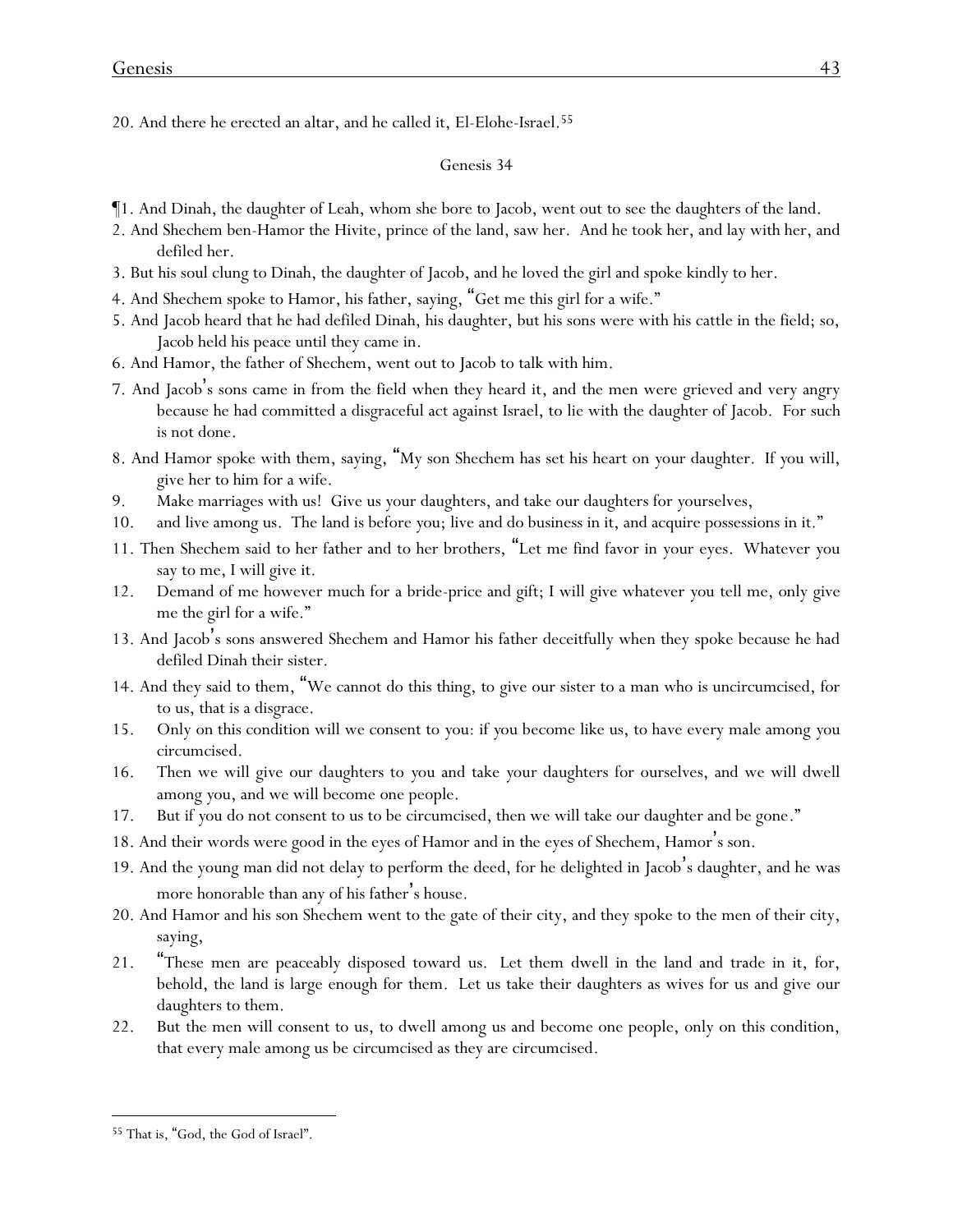20. And there he erected an altar, and he called it, El-Elohe-Israel.<sup>55</sup>

- ¶1. And Dinah, the daughter of Leah, whom she bore to Jacob, went out to see the daughters of the land.
- 2. And Shechem ben-Hamor the Hivite, prince of the land, saw her. And he took her, and lay with her, and defiled her.
- 3. But his soul clung to Dinah, the daughter of Jacob, and he loved the girl and spoke kindly to her.
- 4. And Shechem spoke to Hamor, his father, saying, "Get me this girl for a wife."
- 5. And Jacob heard that he had defiled Dinah, his daughter, but his sons were with his cattle in the field; so, Jacob held his peace until they came in.
- 6. And Hamor, the father of Shechem, went out to Jacob to talk with him.
- 7. And Jacob's sons came in from the field when they heard it*,* and the men were grieved and very angry because he had committed a disgraceful act against Israel, to lie with the daughter of Jacob. For such is not done.
- 8. And Hamor spoke with them, saying, "My son Shechem has set his heart on *y*our daughter. If *y*ou will, give her to him for a wife.
- 9. Make marriages with us! Give us *y*our daughters, and take our daughters for *y*ourselves*,*
- 10. and live among us. The land is before *y*ou; live and do business in it, and acquire possessions in it."
- 11. Then Shechem said to her father and to her brothers, "Let me find favor in *y*our eyes. Whatever *y*ou say to me, I will give it.
- 12. Demand of me however much for a bride-price and gift; I will give whatever *y*ou tell me, only give me the girl for a wife."
- 13. And Jacob's sons answered Shechem and Hamor his father deceitfully when they spoke because he had defiled Dinah their sister.
- 14. And they said to them, "We cannot do this thing, to give our sister to a man who is uncircumcised, for to us, that is a disgrace.
- 15. Only on this condition will we consent to *y*ou: if *y*ou become like us, to have every male among *y*ou circumcised.
- 16. Then we will give our daughters to *y*ou and take *y*our daughters for ourselves, and we will dwell among *y*ou, and we will become one people.
- 17. But if *y*ou do not consent to us to be circumcised, then we will take our daughter and be gone."
- 18. And their words were good in the eyes of Hamor and in the eyes of Shechem, Hamor's son.
- 19. And the young man did not delay to perform the deed, for he delighted in Jacob's daughter, and he was more honorable than any of his father's house.
- 20. And Hamor and his son Shechem went to the gate of their city, and they spoke to the men of their city, saying,
- 21. "These men are peaceably disposed toward us. Let them dwell in the land and trade in it, for, behold, the land is large enough for them. Let us take their daughters as wives for us and give our daughters to them.
- 22. But the men will consent to us, to dwell among us and become one people, only on this condition, that every male among us be circumcised as they are circumcised.

<sup>55</sup> That is, "God, the God of Israel".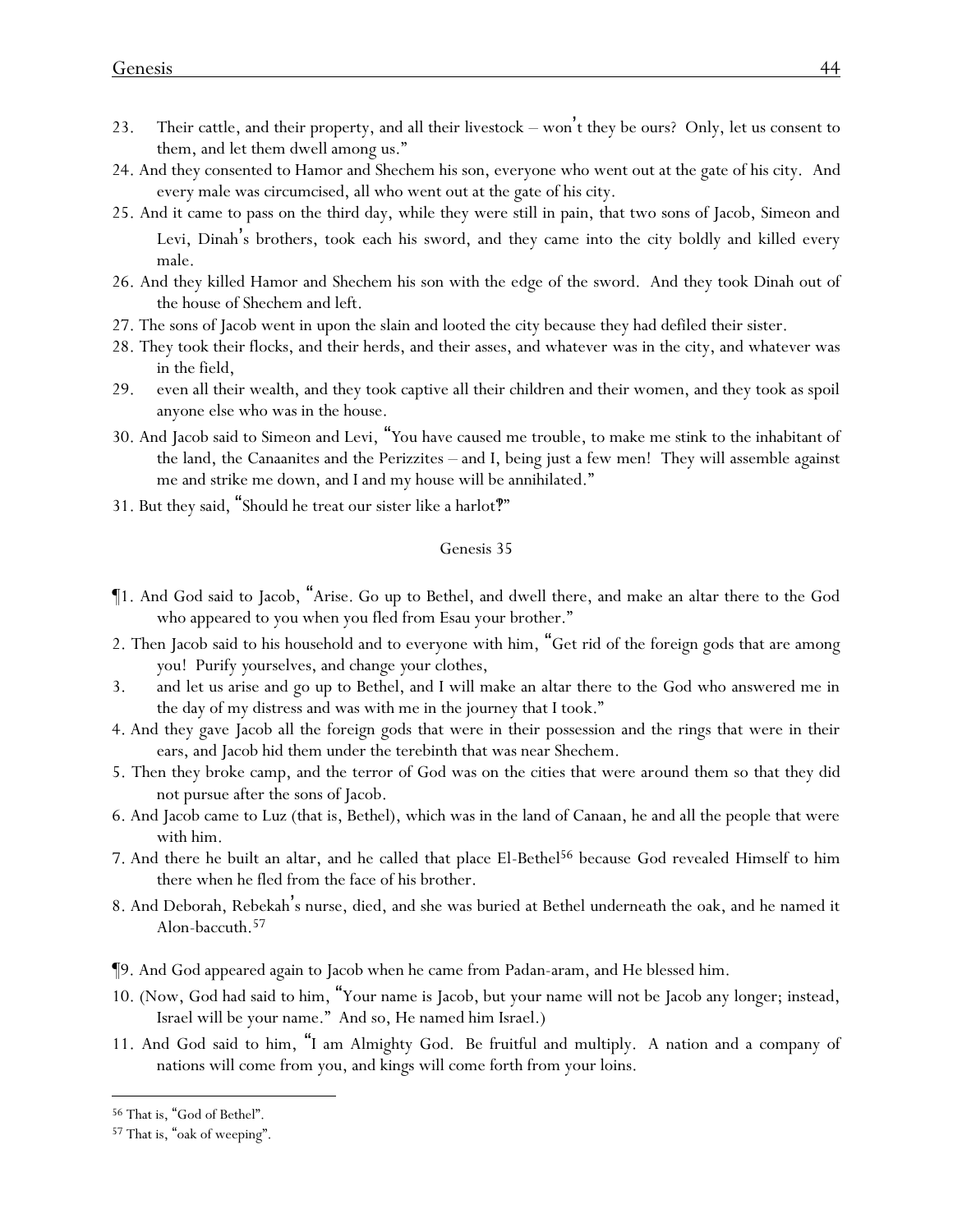- 23. Their cattle, and their property, and all their livestock won't they be ours? Only, let us consent to them, and let them dwell among us."
- 24. And they consented to Hamor and Shechem his son, everyone who went out at the gate of his city. And every male was circumcised, all who went out at the gate of his city.
- 25. And it came to pass on the third day, while they were still in pain, that two sons of Jacob, Simeon and Levi, Dinah's brothers, took each his sword, and they came into the city boldly and killed every male.
- 26. And they killed Hamor and Shechem his son with the edge of the sword. And they took Dinah out of the house of Shechem and left.
- 27. The sons of Jacob went in upon the slain and looted the city because they had defiled their sister.
- 28. They took their flocks, and their herds, and their asses, and whatever was in the city, and whatever was in the field,
- 29. even all their wealth, and they took captive all their children and their women, and they took as spoil anyone else who was in the house.
- 30. And Jacob said to Simeon and Levi, "*Y*ou have caused me trouble, to make me stink to the inhabitant of the land, the Canaanites and the Perizzites – and I, being just a few men! They will assemble against me and strike me down, and I and my house will be annihilated."
- 31. But they said, "Should he treat our sister like a harlot?"

- ¶1. And God said to Jacob, "Arise. Go up to Bethel, and dwell there, and make an altar there to the God who appeared to you when you fled from Esau your brother."
- 2. Then Jacob said to his household and to everyone with him, "Get rid of the foreign gods that are among *y*ou! Purify *y*ourselves, and change *y*our clothes,
- 3. and let us arise and go up to Bethel, and I will make an altar there to the God who answered me in the day of my distress and was with me in the journey that I took."
- 4. And they gave Jacob all the foreign gods that were in their possession and the rings that were in their ears, and Jacob hid them under the terebinth that was near Shechem.
- 5. Then they broke camp, and the terror of God was on the cities that were around them so that they did not pursue after the sons of Jacob.
- 6. And Jacob came to Luz (that is, Bethel), which was in the land of Canaan, he and all the people that were with him.
- 7. And there he built an altar, and he called that place El-Bethel<sup>56</sup> because God revealed Himself to him there when he fled from the face of his brother.
- 8. And Deborah, Rebekah's nurse, died, and she was buried at Bethel underneath the oak, and he named it Alon-baccuth.<sup>57</sup>
- ¶9. And God appeared again to Jacob when he came from Padan-aram, and He blessed him.
- 10. (Now, God had said to him, "Your name is Jacob, but your name will not be Jacob any longer; instead, Israel will be your name." And so, He named him Israel.)
- 11. And God said to him, "I am Almighty God. Be fruitful and multiply. A nation and a company of nations will come from you, and kings will come forth from your loins.

<sup>56</sup> That is, "God of Bethel".

<sup>57</sup> That is, "oak of weeping".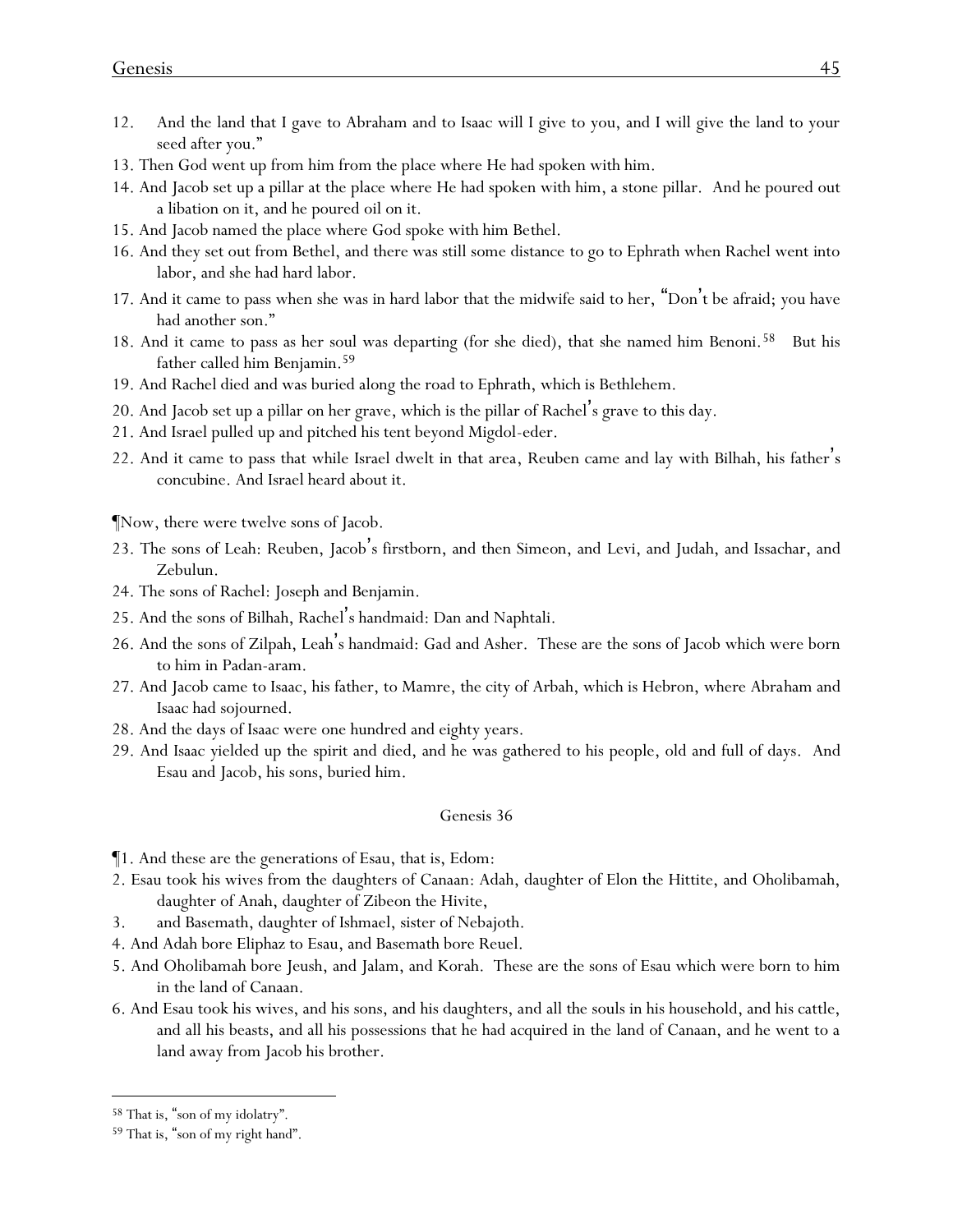- 12. And the land that I gave to Abraham and to Isaac will I give to you, and I will give the land to your seed after you."
- 13. Then God went up from him from the place where He had spoken with him.
- 14. And Jacob set up a pillar at the place where He had spoken with him, a stone pillar. And he poured out a libation on it, and he poured oil on it.
- 15. And Jacob named the place where God spoke with him Bethel.
- 16. And they set out from Bethel, and there was still some distance to go to Ephrath when Rachel went into labor, and she had hard labor.
- 17. And it came to pass when she was in hard labor that the midwife said to her, "Don't be afraid; you have had another son."
- 18. And it came to pass as her soul was departing (for she died), that she named him Benoni.<sup>58</sup> But his father called him Benjamin.<sup>59</sup>
- 19. And Rachel died and was buried along the road to Ephrath, which is Bethlehem.
- 20. And Jacob set up a pillar on her grave, which is the pillar of Rachel's grave to this day.
- 21. And Israel pulled up and pitched his tent beyond Migdol-eder.
- 22. And it came to pass that while Israel dwelt in that area, Reuben came and lay with Bilhah, his father's concubine. And Israel heard about it.

¶Now, there were twelve sons of Jacob.

- 23. The sons of Leah: Reuben, Jacob's firstborn, and then Simeon, and Levi, and Judah, and Issachar, and Zebulun.
- 24. The sons of Rachel: Joseph and Benjamin.
- 25. And the sons of Bilhah, Rachel's handmaid: Dan and Naphtali.
- 26. And the sons of Zilpah, Leah's handmaid: Gad and Asher. These are the sons of Jacob which were born to him in Padan-aram.
- 27. And Jacob came to Isaac, his father, to Mamre, the city of Arbah, which is Hebron, where Abraham and Isaac had sojourned.
- 28. And the days of Isaac were one hundred and eighty years.
- 29. And Isaac yielded up the spirit and died, and he was gathered to his people, old and full of days. And Esau and Jacob, his sons, buried him.

- ¶1. And these are the generations of Esau, that is, Edom:
- 2. Esau took his wives from the daughters of Canaan: Adah, daughter of Elon the Hittite, and Oholibamah, daughter of Anah, daughter of Zibeon the Hivite,
- 3. and Basemath, daughter of Ishmael, sister of Nebajoth.
- 4. And Adah bore Eliphaz to Esau, and Basemath bore Reuel.
- 5. And Oholibamah bore Jeush, and Jalam, and Korah. These are the sons of Esau which were born to him in the land of Canaan.
- 6. And Esau took his wives, and his sons, and his daughters, and all the souls in his household, and his cattle, and all his beasts, and all his possessions that he had acquired in the land of Canaan, and he went to a land away from Jacob his brother.

<sup>58</sup> That is, "son of my idolatry".

<sup>59</sup> That is, "son of my right hand".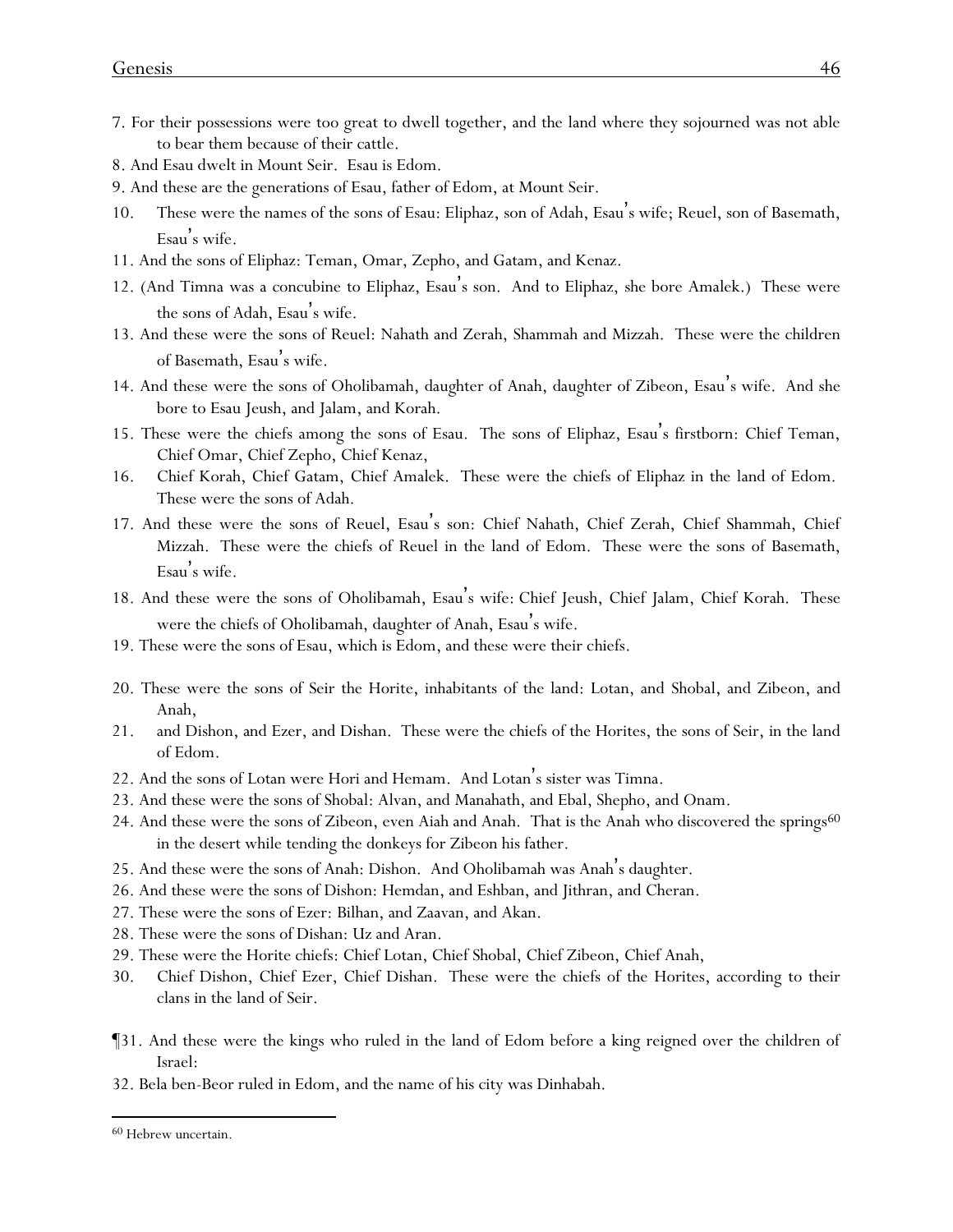- 7. For their possessions were too great to dwell together, and the land where they sojourned was not able to bear them because of their cattle.
- 8. And Esau dwelt in Mount Seir. Esau is Edom.
- 9. And these are the generations of Esau, father of Edom, at Mount Seir.
- 10. These were the names of the sons of Esau: Eliphaz, son of Adah, Esau's wife; Reuel, son of Basemath, Esau's wife.
- 11. And the sons of Eliphaz: Teman, Omar, Zepho, and Gatam, and Kenaz.
- 12. (And Timna was a concubine to Eliphaz, Esau's son. And to Eliphaz, she bore Amalek.) These were the sons of Adah, Esau's wife.
- 13. And these were the sons of Reuel: Nahath and Zerah, Shammah and Mizzah. These were the children of Basemath, Esau's wife.
- 14. And these were the sons of Oholibamah, daughter of Anah, daughter of Zibeon, Esau's wife. And she bore to Esau Jeush, and Jalam, and Korah.
- 15. These were the chiefs among the sons of Esau. The sons of Eliphaz, Esau's firstborn: Chief Teman, Chief Omar, Chief Zepho, Chief Kenaz,
- 16. Chief Korah, Chief Gatam, Chief Amalek. These were the chiefs of Eliphaz in the land of Edom. These were the sons of Adah.
- 17. And these were the sons of Reuel, Esau's son: Chief Nahath, Chief Zerah, Chief Shammah, Chief Mizzah. These were the chiefs of Reuel in the land of Edom. These were the sons of Basemath, Esau's wife.
- 18. And these were the sons of Oholibamah, Esau's wife: Chief Jeush, Chief Jalam, Chief Korah. These were the chiefs of Oholibamah, daughter of Anah, Esau 's wife.
- 19. These were the sons of Esau, which is Edom, and these were their chiefs.
- 20. These were the sons of Seir the Horite, inhabitants of the land: Lotan, and Shobal, and Zibeon, and Anah,
- 21. and Dishon, and Ezer, and Dishan. These were the chiefs of the Horites, the sons of Seir, in the land of Edom.
- 22. And the sons of Lotan were Hori and Hemam. And Lotan's sister was Timna.
- 23. And these were the sons of Shobal: Alvan, and Manahath, and Ebal, Shepho, and Onam.
- 24. And these were the sons of Zibeon, even Aiah and Anah. That is the Anah who discovered the springs<sup>60</sup> in the desert while tending the donkeys for Zibeon his father.
- 25. And these were the sons of Anah: Dishon. And Oholibamah was Anah's daughter.
- 26. And these were the sons of Dishon: Hemdan, and Eshban, and Jithran, and Cheran.
- 27. These were the sons of Ezer: Bilhan, and Zaavan, and Akan.
- 28. These were the sons of Dishan: Uz and Aran.
- 29. These were the Horite chiefs: Chief Lotan, Chief Shobal, Chief Zibeon, Chief Anah,
- 30. Chief Dishon, Chief Ezer, Chief Dishan. These were the chiefs of the Horites, according to their clans in the land of Seir.
- ¶31. And these were the kings who ruled in the land of Edom before a king reigned over the children of Israel:
- 32. Bela ben-Beor ruled in Edom, and the name of his city was Dinhabah.

<sup>60</sup> Hebrew uncertain.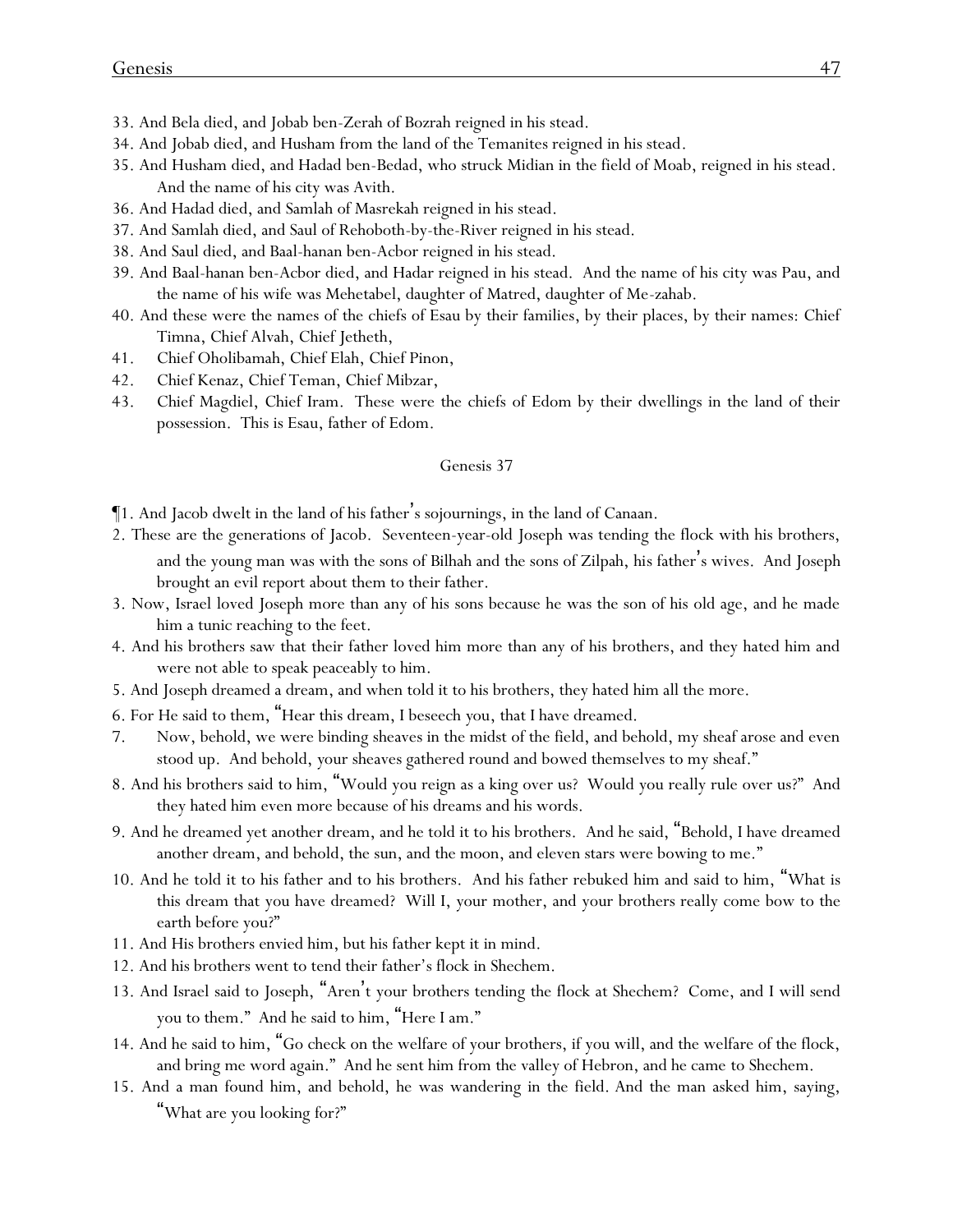- 33. And Bela died, and Jobab ben-Zerah of Bozrah reigned in his stead.
- 34. And Jobab died, and Husham from the land of the Temanites reigned in his stead.
- 35. And Husham died, and Hadad ben-Bedad, who struck Midian in the field of Moab, reigned in his stead. And the name of his city was Avith.
- 36. And Hadad died, and Samlah of Masrekah reigned in his stead.
- 37. And Samlah died, and Saul of Rehoboth-by-the-River reigned in his stead.
- 38. And Saul died, and Baal-hanan ben-Acbor reigned in his stead.
- 39. And Baal-hanan ben-Acbor died, and Hadar reigned in his stead. And the name of his city was Pau, and the name of his wife was Mehetabel, daughter of Matred, daughter of Me-zahab.
- 40. And these were the names of the chiefs of Esau by their families, by their places, by their names: Chief Timna, Chief Alvah, Chief Jetheth,
- 41. Chief Oholibamah, Chief Elah, Chief Pinon,
- 42. Chief Kenaz, Chief Teman, Chief Mibzar,
- 43. Chief Magdiel, Chief Iram. These were the chiefs of Edom by their dwellings in the land of their possession. This is Esau, father of Edom.

- ¶1. And Jacob dwelt in the land of his father's sojournings, in the land of Canaan.
- 2. These are the generations of Jacob. Seventeen-year-old Joseph was tending the flock with his brothers, and the young man was with the sons of Bilhah and the sons of Zilpah, his father's wives. And Joseph brought an evil report about them to their father.
- 3. Now, Israel loved Joseph more than any of his sons because he was the son of his old age, and he made him a tunic reaching to the feet.
- 4. And his brothers saw that their father loved him more than any of his brothers, and they hated him and were not able to speak peaceably to him.
- 5. And Joseph dreamed a dream, and when told it to his brothers, they hated him all the more.
- 6. For He said to them, "Hear this dream, I beseech *y*ou, that I have dreamed.
- 7. Now, behold, we were binding sheaves in the midst of the field, and behold, my sheaf arose and even stood up. And behold, *y*our sheaves gathered round and bowed themselves to my sheaf."
- 8. And his brothers said to him, "Would you reign as a king over us? Would you really rule over us?" And they hated him even more because of his dreams and his words.
- 9. And he dreamed yet another dream, and he told it to his brothers. And he said, "Behold, I have dreamed another dream, and behold, the sun, and the moon, and eleven stars were bowing to me."
- 10. And he told it to his father and to his brothers. And his father rebuked him and said to him, "What is this dream that you have dreamed? Will I, your mother, and your brothers really come bow to the earth before you?"
- 11. And His brothers envied him, but his father kept it in mind.
- 12. And his brothers went to tend their father's flock in Shechem.
- 13. And Israel said to Joseph, "Aren't your brothers tending the flock at Shechem? Come, and I will send you to them." And he said to him, "Here I am."
- 14. And he said to him, "Go check on the welfare of your brothers, if you will, and the welfare of the flock, and bring me word again." And he sent him from the valley of Hebron, and he came to Shechem.
- 15. And a man found him, and behold, he was wandering in the field. And the man asked him, saying, "What are you looking for?"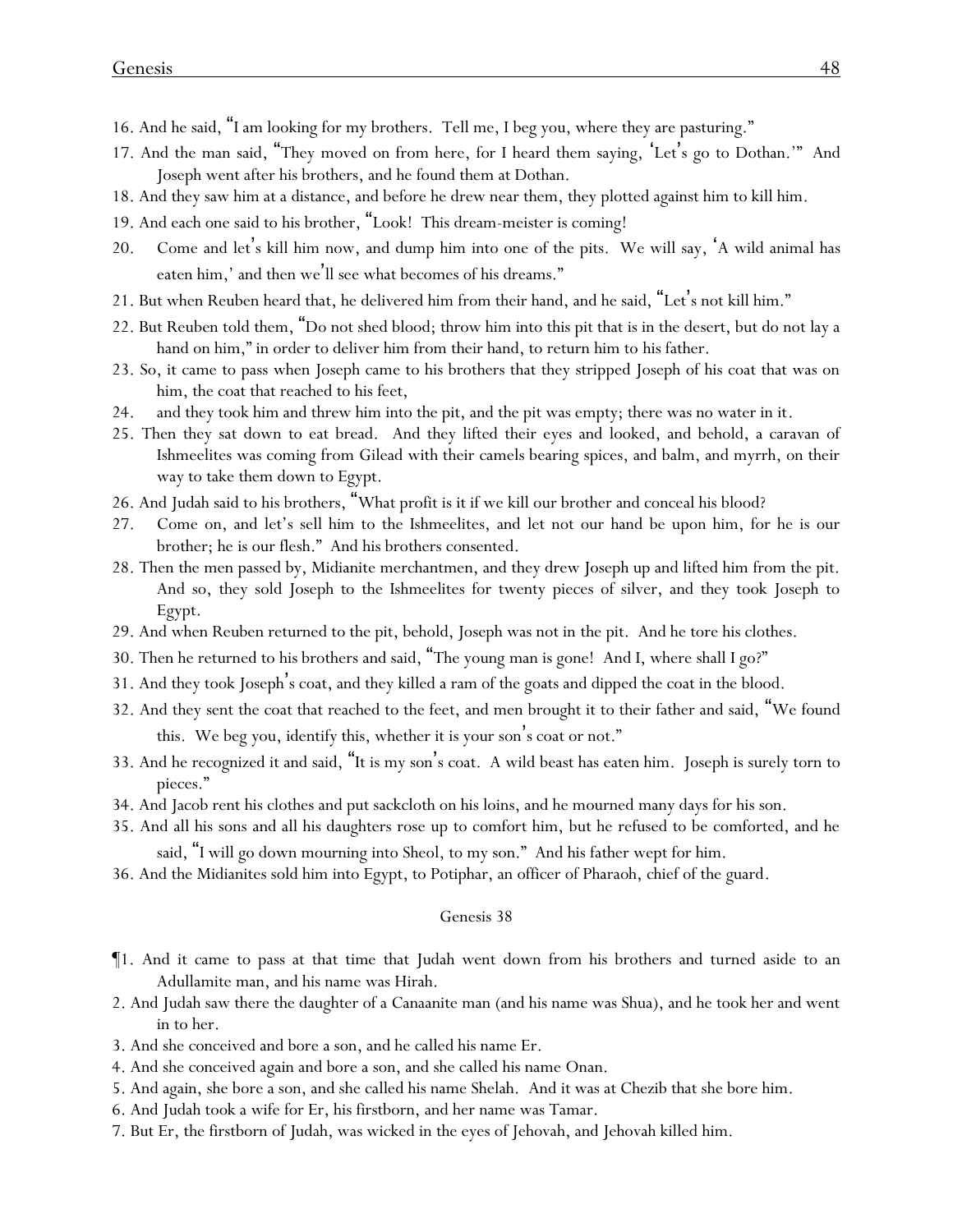- 16. And he said, "I am looking for my brothers. Tell me, I beg you, where they are pasturing."
- 17. And the man said, "They moved on from here, for I heard them saying, 'Let's go to Dothan.'" And Joseph went after his brothers, and he found them at Dothan.
- 18. And they saw him at a distance, and before he drew near them, they plotted against him to kill him.
- 19. And each one said to his brother, "Look! This dream-meister is coming!
- 20. Come and let's kill him now, and dump him into one of the pits. We will say, 'A wild animal has eaten him,' and then we'll see what becomes of his dreams."
- 21. But when Reuben heard that, he delivered him from their hand, and he said, "Let's not kill him."
- 22. But Reuben told them, "Do not shed blood; throw him into this pit that is in the desert, but do not lay a hand on him," in order to deliver him from their hand, to return him to his father.
- 23. So, it came to pass when Joseph came to his brothers that they stripped Joseph of his coat that was on him, the coat that reached to his feet,
- 24. and they took him and threw him into the pit, and the pit was empty; there was no water in it.
- 25. Then they sat down to eat bread. And they lifted their eyes and looked, and behold, a caravan of Ishmeelites was coming from Gilead with their camels bearing spices, and balm, and myrrh, on their way to take them down to Egypt.
- 26. And Judah said to his brothers, "What profit is it if we kill our brother and conceal his blood?
- 27. Come on, and let's sell him to the Ishmeelites, and let not our hand be upon him, for he is our brother; he is our flesh." And his brothers consented.
- 28. Then the men passed by, Midianite merchantmen, and they drew Joseph up and lifted him from the pit. And so, they sold Joseph to the Ishmeelites for twenty pieces of silver, and they took Joseph to Egypt.
- 29. And when Reuben returned to the pit, behold, Joseph was not in the pit. And he tore his clothes.
- 30. Then he returned to his brothers and said, "The young man is gone! And I, where shall I go?"
- 31. And they took Joseph's coat, and they killed a ram of the goats and dipped the coat in the blood.
- 32. And they sent the coat that reached to the feet, and men brought it to their father and said, "We found this. We beg you, identify this, whether it is your son's coat or not."
- 33. And he recognized it and said, "It is my son's coat. A wild beast has eaten him. Joseph is surely torn to pieces."
- 34. And Jacob rent his clothes and put sackcloth on his loins, and he mourned many days for his son.
- 35. And all his sons and all his daughters rose up to comfort him, but he refused to be comforted, and he said, "I will go down mourning into Sheol, to my son." And his father wept for him.
- 36. And the Midianites sold him into Egypt, to Potiphar, an officer of Pharaoh, chief of the guard.

- ¶1. And it came to pass at that time that Judah went down from his brothers and turned aside to an Adullamite man, and his name was Hirah.
- 2. And Judah saw there the daughter of a Canaanite man (and his name was Shua), and he took her and went in to her.
- 3. And she conceived and bore a son, and he called his name Er.
- 4. And she conceived again and bore a son, and she called his name Onan.
- 5. And again, she bore a son, and she called his name Shelah. And it was at Chezib that she bore him.
- 6. And Judah took a wife for Er, his firstborn, and her name was Tamar.
- 7. But Er, the firstborn of Judah, was wicked in the eyes of Jehovah, and Jehovah killed him.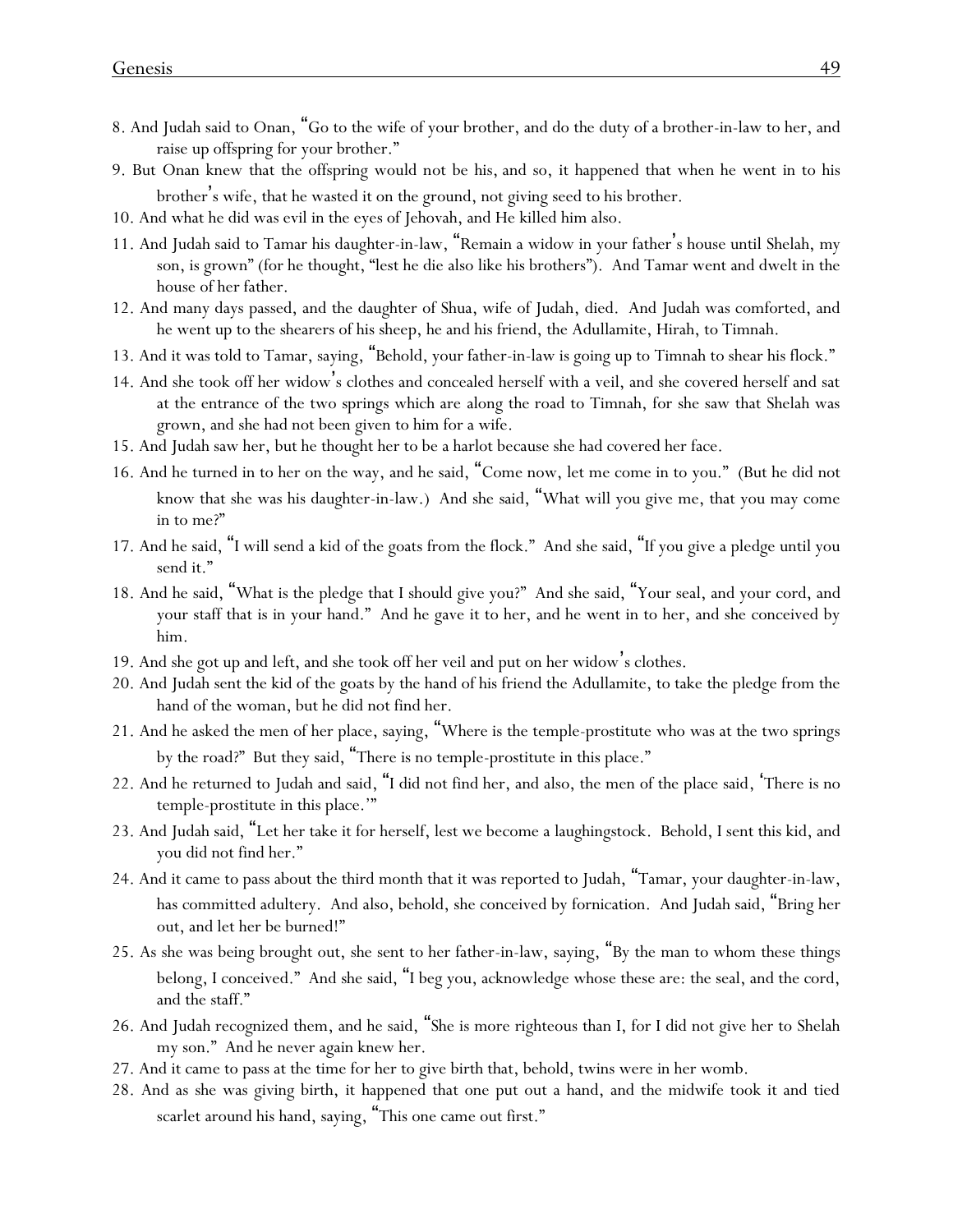- 8. And Judah said to Onan, "Go to the wife of your brother, and do the duty of a brother-in-law to her, and raise up offspring for your brother."
- 9. But Onan knew that the offspring would not be his, and so, it happened that when he went in to his brother's wife, that he wasted it on the ground, not giving seed to his brother.
- 10. And what he did was evil in the eyes of Jehovah, and He killed him also.
- 11. And Judah said to Tamar his daughter-in-law, "Remain a widow in your father's house until Shelah, my son, is grown" (for he thought, "lest he die also like his brothers"). And Tamar went and dwelt in the house of her father.
- 12. And many days passed, and the daughter of Shua, wife of Judah, died. And Judah was comforted, and he went up to the shearers of his sheep, he and his friend, the Adullamite, Hirah, to Timnah.
- 13. And it was told to Tamar, saying, "Behold, your father-in-law is going up to Timnah to shear his flock."
- 14. And she took off her widow's clothes and concealed herself with a veil, and she covered herself and sat at the entrance of the two springs which are along the road to Timnah, for she saw that Shelah was grown, and she had not been given to him for a wife.
- 15. And Judah saw her, but he thought her to be a harlot because she had covered her face.
- 16. And he turned in to her on the way, and he said, "Come now, let me come in to you." (But he did not know that she was his daughter-in-law.) And she said, "What will you give me, that you may come in to me?"
- 17. And he said, "I will send a kid of the goats from the flock." And she said, "If you give a pledge until you send it."
- 18. And he said, "What is the pledge that I should give you?" And she said, "Your seal, and your cord, and your staff that is in your hand." And he gave it to her, and he went in to her, and she conceived by him.
- 19. And she got up and left, and she took off her veil and put on her widow's clothes.
- 20. And Judah sent the kid of the goats by the hand of his friend the Adullamite, to take the pledge from the hand of the woman, but he did not find her.
- 21. And he asked the men of her place, saying, "Where is the temple-prostitute who was at the two springs by the road?" But they said, "There is no temple-prostitute in this place."
- 22. And he returned to Judah and said, "I did not find her, and also, the men of the place said, 'There is no temple-prostitute in this place.'"
- 23. And Judah said, "Let her take it for herself, lest we become a laughingstock. Behold, I sent this kid, and you did not find her."
- 24. And it came to pass about the third month that it was reported to Judah, "Tamar, your daughter-in-law, has committed adultery. And also, behold, she conceived by fornication. And Judah said, "Bring her out, and let her be burned!"
- 25. As she was being brought out, she sent to her father-in-law, saying, "By the man to whom these things belong, I conceived." And she said, "I beg you, acknowledge whose these are: the seal, and the cord, and the staff."
- 26. And Judah recognized them, and he said, "She is more righteous than I, for I did not give her to Shelah my son." And he never again knew her.
- 27. And it came to pass at the time for her to give birth that, behold, twins were in her womb.
- 28. And as she was giving birth, it happened that one put out a hand, and the midwife took it and tied scarlet around his hand, saying, "This one came out first."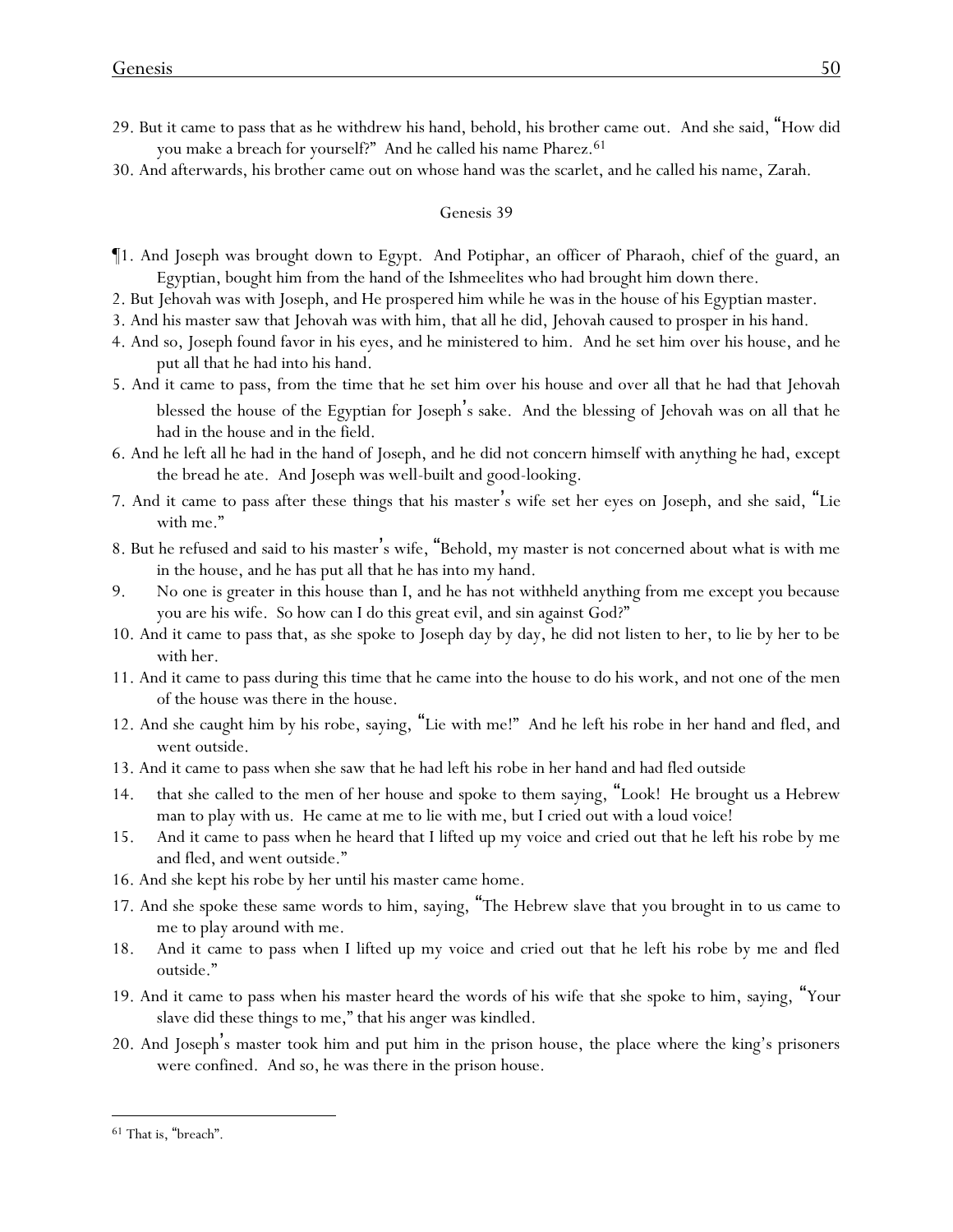- 29. But it came to pass that as he withdrew his hand, behold, his brother came out. And she said, "How did you make a breach for yourself?" And he called his name Pharez.<sup>61</sup>
- 30. And afterwards, his brother came out on whose hand was the scarlet, and he called his name, Zarah.

- ¶1. And Joseph was brought down to Egypt. And Potiphar, an officer of Pharaoh, chief of the guard, an Egyptian, bought him from the hand of the Ishmeelites who had brought him down there.
- 2. But Jehovah was with Joseph, and He prospered him while he was in the house of his Egyptian master.
- 3. And his master saw that Jehovah was with him, that all he did, Jehovah caused to prosper in his hand.
- 4. And so, Joseph found favor in his eyes, and he ministered to him. And he set him over his house, and he put all that he had into his hand.
- 5. And it came to pass, from the time that he set him over his house and over all that he had that Jehovah blessed the house of the Egyptian for Joseph's sake. And the blessing of Jehovah was on all that he had in the house and in the field.
- 6. And he left all he had in the hand of Joseph, and he did not concern himself with anything he had, except the bread he ate. And Joseph was well-built and good-looking.
- 7. And it came to pass after these things that his master's wife set her eyes on Joseph, and she said, "Lie with me."
- 8. But he refused and said to his master's wife, "Behold, my master is not concerned about what is with me in the house, and he has put all that he has into my hand.
- 9. No one is greater in this house than I, and he has not withheld anything from me except you because you are his wife. So how can I do this great evil, and sin against God?"
- 10. And it came to pass that, as she spoke to Joseph day by day, he did not listen to her, to lie by her to be with her.
- 11. And it came to pass during this time that he came into the house to do his work, and not one of the men of the house was there in the house.
- 12. And she caught him by his robe, saying, "Lie with me!" And he left his robe in her hand and fled, and went outside.
- 13. And it came to pass when she saw that he had left his robe in her hand and had fled outside
- 14. that she called to the men of her house and spoke to them saying, "Look! He brought us a Hebrew man to play with us. He came at me to lie with me, but I cried out with a loud voice!
- 15. And it came to pass when he heard that I lifted up my voice and cried out that he left his robe by me and fled, and went outside."
- 16. And she kept his robe by her until his master came home.
- 17. And she spoke these same words to him, saying, "The Hebrew slave that you brought in to us came to me to play around with me.
- 18. And it came to pass when I lifted up my voice and cried out that he left his robe by me and fled outside."
- 19. And it came to pass when his master heard the words of his wife that she spoke to him, saying, "Your slave did these things to me," that his anger was kindled.
- 20. And Joseph's master took him and put him in the prison house, the place where the king's prisoners were confined. And so, he was there in the prison house.

<sup>61</sup> That is, "breach".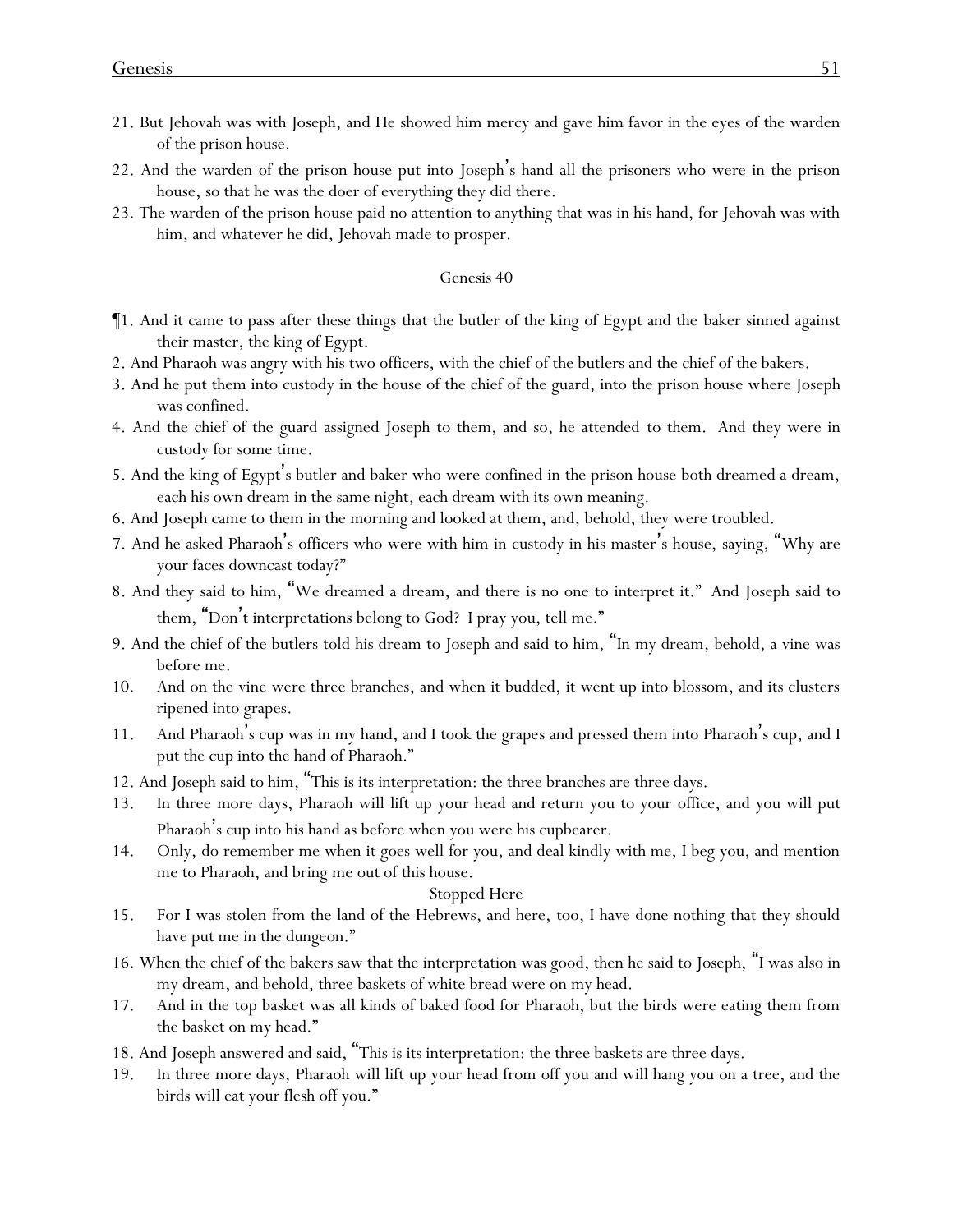- 21. But Jehovah was with Joseph, and He showed him mercy and gave him favor in the eyes of the warden of the prison house.
- 22. And the warden of the prison house put into Joseph's hand all the prisoners who were in the prison house, so that he was the doer of everything they did there.
- 23. The warden of the prison house paid no attention to anything that was in his hand, for Jehovah was with him, and whatever he did, Jehovah made to prosper.

- ¶1. And it came to pass after these things that the butler of the king of Egypt and the baker sinned against their master, the king of Egypt.
- 2. And Pharaoh was angry with his two officers, with the chief of the butlers and the chief of the bakers.
- 3. And he put them into custody in the house of the chief of the guard, into the prison house where Joseph was confined.
- 4. And the chief of the guard assigned Joseph to them, and so, he attended to them. And they were in custody for some time.
- 5. And the king of Egypt's butler and baker who were confined in the prison house both dreamed a dream, each his own dream in the same night, each dream with its own meaning.
- 6. And Joseph came to them in the morning and looked at them, and, behold, they were troubled.
- 7. And he asked Pharaoh's officers who were with him in custody in his master's house, saying, "Why are your faces downcast today?"
- 8. And they said to him, "We dreamed a dream, and there is no one to interpret it." And Joseph said to them, "Don't interpretations belong to God? I pray you, tell me."
- 9. And the chief of the butlers told his dream to Joseph and said to him, "In my dream, behold, a vine was before me.
- 10. And on the vine were three branches, and when it budded, it went up into blossom, and its clusters ripened into grapes.
- 11. And Pharaoh's cup was in my hand, and I took the grapes and pressed them into Pharaoh's cup, and I put the cup into the hand of Pharaoh."
- 12. And Joseph said to him, "This is its interpretation: the three branches are three days.
- 13. In three more days, Pharaoh will lift up your head and return you to your office, and you will put Pharaoh's cup into his hand as before when you were his cupbearer.
- 14. Only, do remember me when it goes well for you, and deal kindly with me, I beg you, and mention me to Pharaoh, and bring me out of this house.

#### Stopped Here

- 15. For I was stolen from the land of the Hebrews, and here, too, I have done nothing that they should have put me in the dungeon."
- 16. When the chief of the bakers saw that the interpretation was good, then he said to Joseph, "I was also in my dream, and behold, three baskets of white bread were on my head.
- 17. And in the top basket was all kinds of baked food for Pharaoh, but the birds were eating them from the basket on my head."
- 18. And Joseph answered and said, "This is its interpretation: the three baskets are three days.
- 19. In three more days, Pharaoh will lift up your head from off you and will hang you on a tree, and the birds will eat your flesh off you."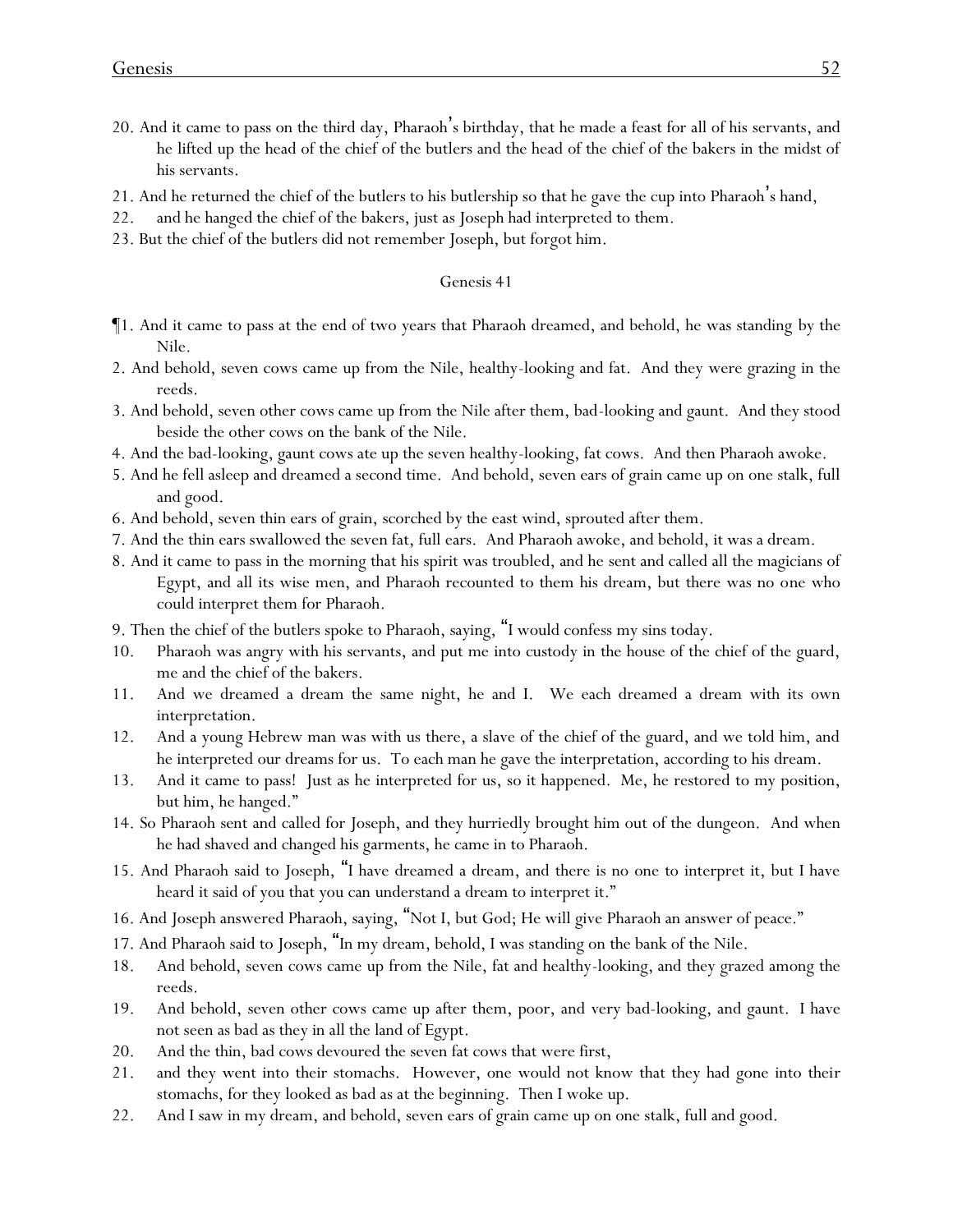- 20. And it came to pass on the third day, Pharaoh's birthday, that he made a feast for all of his servants, and he lifted up the head of the chief of the butlers and the head of the chief of the bakers in the midst of his servants.
- 21. And he returned the chief of the butlers to his butlership so that he gave the cup into Pharaoh's hand,
- 22. and he hanged the chief of the bakers, just as Joseph had interpreted to them.
- 23. But the chief of the butlers did not remember Joseph, but forgot him.

- ¶1. And it came to pass at the end of two years that Pharaoh dreamed, and behold, he was standing by the Nile.
- 2. And behold, seven cows came up from the Nile, healthy-looking and fat. And they were grazing in the reeds.
- 3. And behold, seven other cows came up from the Nile after them, bad-looking and gaunt. And they stood beside the other cows on the bank of the Nile.
- 4. And the bad-looking, gaunt cows ate up the seven healthy-looking, fat cows. And then Pharaoh awoke.
- 5. And he fell asleep and dreamed a second time. And behold, seven ears of grain came up on one stalk, full and good.
- 6. And behold, seven thin ears of grain, scorched by the east wind, sprouted after them.
- 7. And the thin ears swallowed the seven fat, full ears. And Pharaoh awoke, and behold, it was a dream.
- 8. And it came to pass in the morning that his spirit was troubled, and he sent and called all the magicians of Egypt, and all its wise men, and Pharaoh recounted to them his dream, but there was no one who could interpret them for Pharaoh.
- 9. Then the chief of the butlers spoke to Pharaoh, saying, "I would confess my sins today.
- 10. Pharaoh was angry with his servants, and put me into custody in the house of the chief of the guard, me and the chief of the bakers.
- 11. And we dreamed a dream the same night, he and I. We each dreamed a dream with its own interpretation.
- 12. And a young Hebrew man was with us there, a slave of the chief of the guard, and we told him, and he interpreted our dreams for us. To each man he gave the interpretation, according to his dream.
- 13. And it came to pass! Just as he interpreted for us, so it happened. Me, he restored to my position, but him, he hanged."
- 14. So Pharaoh sent and called for Joseph, and they hurriedly brought him out of the dungeon. And when he had shaved and changed his garments, he came in to Pharaoh.
- 15. And Pharaoh said to Joseph, "I have dreamed a dream, and there is no one to interpret it, but I have heard it said of you that you can understand a dream to interpret it."
- 16. And Joseph answered Pharaoh, saying, "Not I, but God; He will give Pharaoh an answer of peace."
- 17. And Pharaoh said to Joseph, "In my dream, behold, I was standing on the bank of the Nile.
- 18. And behold, seven cows came up from the Nile, fat and healthy-looking, and they grazed among the reeds.
- 19. And behold, seven other cows came up after them, poor, and very bad-looking, and gaunt. I have not seen as bad as they in all the land of Egypt.
- 20. And the thin, bad cows devoured the seven fat cows that were first,
- 21. and they went into their stomachs. However, one would not know that they had gone into their stomachs, for they looked as bad as at the beginning. Then I woke up.
- 22. And I saw in my dream, and behold, seven ears of grain came up on one stalk, full and good.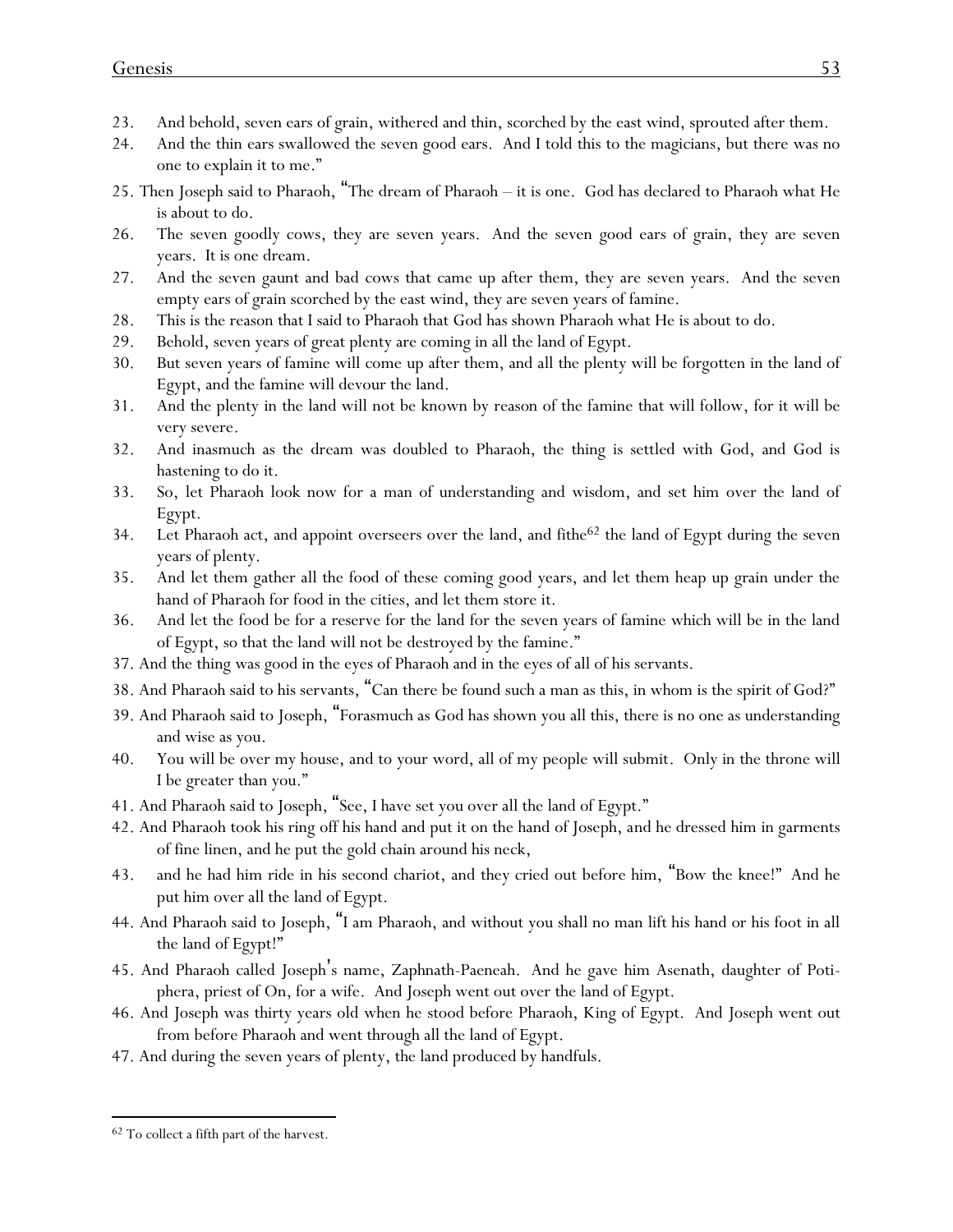- 23. And behold, seven ears of grain, withered and thin, scorched by the east wind, sprouted after them.
- 24. And the thin ears swallowed the seven good ears. And I told this to the magicians, but there was no one to explain it to me."
- 25. Then Joseph said to Pharaoh, "The dream of Pharaoh it is one. God has declared to Pharaoh what He is about to do.
- 26. The seven goodly cows, they are seven years. And the seven good ears of grain, they are seven years. It is one dream.
- 27. And the seven gaunt and bad cows that came up after them, they are seven years. And the seven empty ears of grain scorched by the east wind, they are seven years of famine.
- 28. This is the reason that I said to Pharaoh that God has shown Pharaoh what He is about to do.
- 29. Behold, seven years of great plenty are coming in all the land of Egypt.
- 30. But seven years of famine will come up after them, and all the plenty will be forgotten in the land of Egypt, and the famine will devour the land.
- 31. And the plenty in the land will not be known by reason of the famine that will follow, for it will be very severe.
- 32. And inasmuch as the dream was doubled to Pharaoh, the thing is settled with God, and God is hastening to do it.
- 33. So, let Pharaoh look now for a man of understanding and wisdom, and set him over the land of Egypt.
- 34. Let Pharaoh act, and appoint overseers over the land, and fithe $62$  the land of Egypt during the seven years of plenty.
- 35. And let them gather all the food of these coming good years, and let them heap up grain under the hand of Pharaoh for food in the cities, and let them store it.
- 36. And let the food be for a reserve for the land for the seven years of famine which will be in the land of Egypt, so that the land will not be destroyed by the famine."
- 37. And the thing was good in the eyes of Pharaoh and in the eyes of all of his servants.
- 38. And Pharaoh said to his servants, "Can there be found such a man as this, in whom is the spirit of God?"
- 39. And Pharaoh said to Joseph, "Forasmuch as God has shown you all this, there is no one as understanding and wise as you.
- 40. You will be over my house, and to your word, all of my people will submit. Only in the throne will I be greater than you."
- 41. And Pharaoh said to Joseph, "See, I have set you over all the land of Egypt."
- 42. And Pharaoh took his ring off his hand and put it on the hand of Joseph, and he dressed him in garments of fine linen, and he put the gold chain around his neck,
- 43. and he had him ride in his second chariot, and they cried out before him, "Bow the knee!" And he put him over all the land of Egypt.
- 44. And Pharaoh said to Joseph, "I am Pharaoh, and without you shall no man lift his hand or his foot in all the land of Egypt!"
- 45. And Pharaoh called Joseph's name, Zaphnath-Paeneah. And he gave him Asenath, daughter of Potiphera, priest of On, for a wife. And Joseph went out over the land of Egypt.
- 46. And Joseph was thirty years old when he stood before Pharaoh, King of Egypt. And Joseph went out from before Pharaoh and went through all the land of Egypt.
- 47. And during the seven years of plenty, the land produced by handfuls.

<sup>62</sup> To collect a fifth part of the harvest.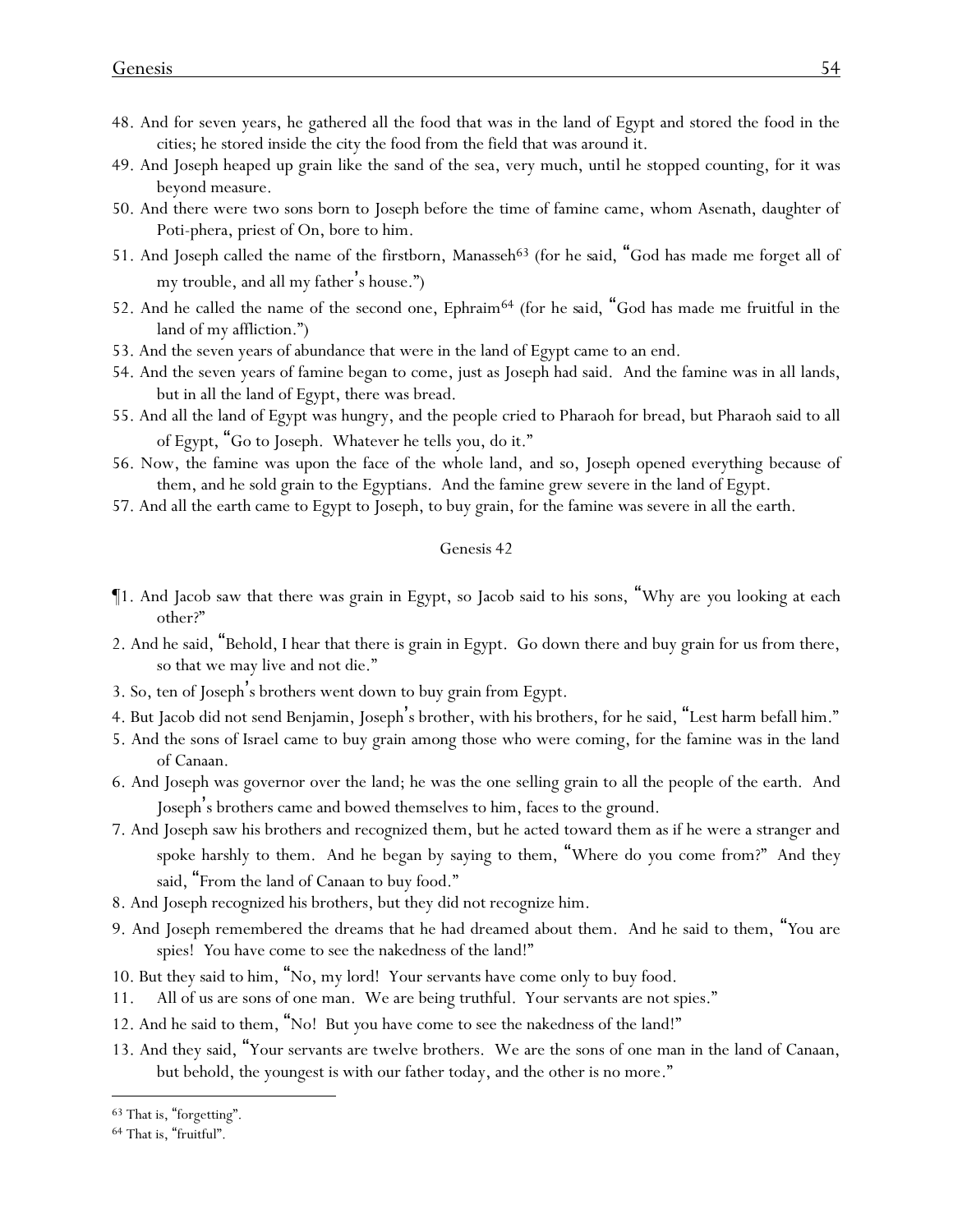- 48. And for seven years, he gathered all the food that was in the land of Egypt and stored the food in the cities; he stored inside the city the food from the field that was around it.
- 49. And Joseph heaped up grain like the sand of the sea, very much, until he stopped counting, for it was beyond measure.
- 50. And there were two sons born to Joseph before the time of famine came, whom Asenath, daughter of Poti-phera, priest of On, bore to him.
- 51. And Joseph called the name of the firstborn, Manasseh<sup>63</sup> (for *he said,* "God has made me forget all of my trouble, and all my father's house.")
- 52. And he called the name of the second one, Ephraim<sup>64</sup> (for *he said*, "God has made me fruitful in the land of my affliction.")
- 53. And the seven years of abundance that were in the land of Egypt came to an end.
- 54. And the seven years of famine began to come, just as Joseph had said. And the famine was in all lands, but in all the land of Egypt, there was bread.
- 55. And all the land of Egypt was hungry, and the people cried to Pharaoh for bread, but Pharaoh said to all of Egypt, "Go to Joseph. Whatever he tells *y*ou, do it."
- 56. Now, the famine was upon the face of the whole land, and so, Joseph opened everything because of them, and he sold grain to the Egyptians. And the famine grew severe in the land of Egypt.
- 57. And all the earth came to Egypt to Joseph, to buy grain, for the famine was severe in all the earth.

- ¶1. And Jacob saw that there was grain in Egypt, so Jacob said to his sons, "Why are *y*ou looking at each other?"
- 2. And he said, "Behold, I hear that there is grain in Egypt. Go down there and buy grain for us from there, so that we may live and not die."
- 3. So, ten of Joseph's brothers went down to buy grain from Egypt.
- 4. But Jacob did not send Benjamin, Joseph's brother, with his brothers, for he said, "Lest harm befall him."
- 5. And the sons of Israel came to buy grain among those who were coming, for the famine was in the land of Canaan.
- 6. And Joseph was governor over the land; he was the one selling grain to all the people of the earth. And Joseph's brothers came and bowed themselves to him, faces to the ground.
- 7. And Joseph saw his brothers and recognized them, but he acted toward them as if he were a stranger and spoke harshly to them. And he began by saying to them, "Where do *y*ou come from?" And they said, "From the land of Canaan to buy food."
- 8. And Joseph recognized his brothers, but they did not recognize him.
- 9. And Joseph remembered the dreams that he had dreamed about them. And he said to them, "*Y*ou are spies! *Y*ou have come to see the nakedness of the land!"
- 10. But they said to him, "No, my lord! Your servants have come only to buy food.
- 11. All of us are sons of one man. We are being truthful. Your servants are not spies."
- 12. And he said to them, "No! But *y*ou have come to see the nakedness of the land!"
- 13. And they said, "Your servants are twelve brothers. We are the sons of one man in the land of Canaan, but behold, the youngest is with our father today, and the other is no more."

<sup>63</sup> That is, "forgetting".

<sup>64</sup> That is, "fruitful".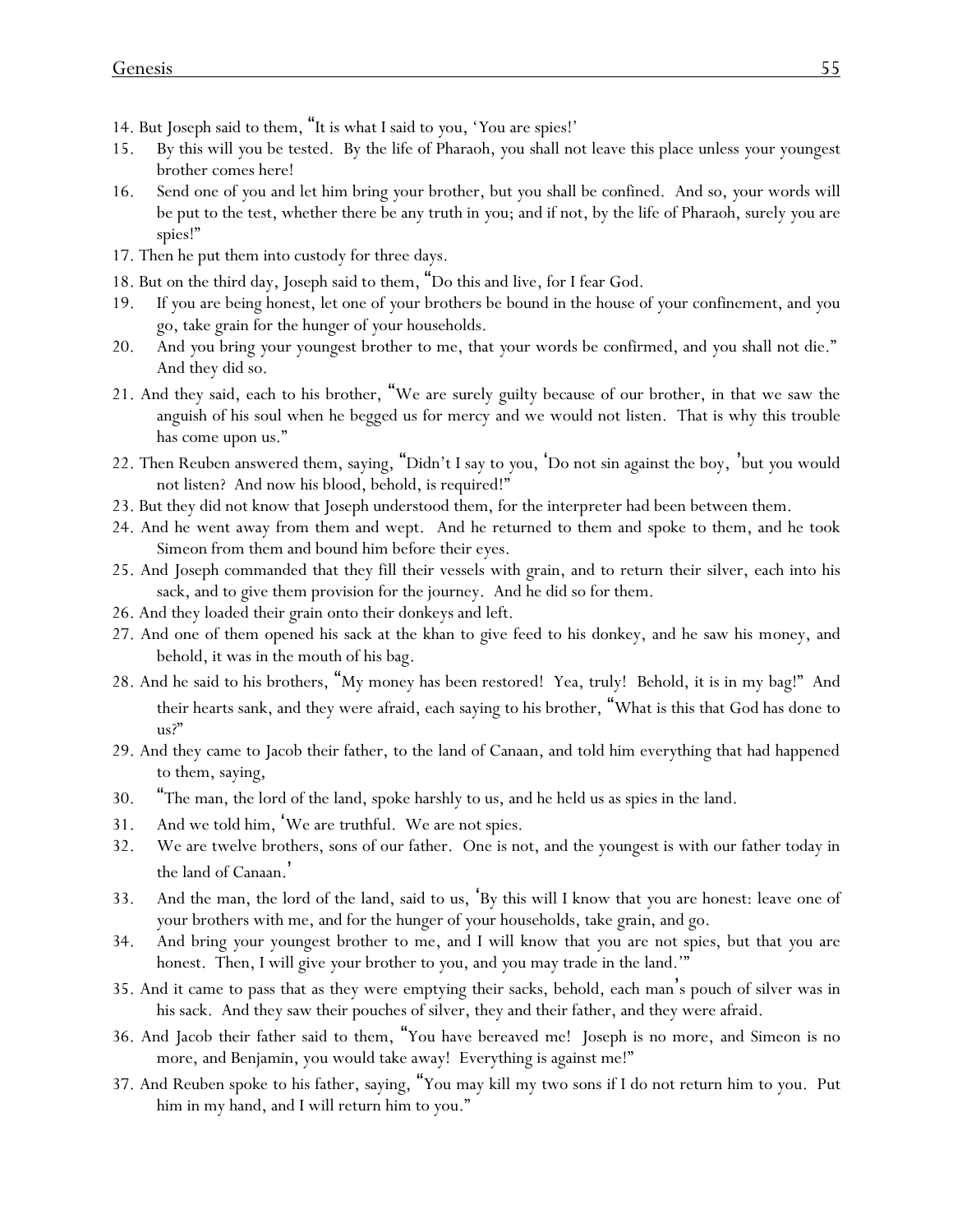- 14. But Joseph said to them, "It is what I said to *y*ou, '*Y*ou are spies!'
- 15. By this will *y*ou be tested. By the life of Pharaoh, *y*ou shall not leave this place unless *y*our youngest brother comes here!
- 16. Send one of *y*ou and let him bring *y*our brother, but *y*ou shall be confined. And so, *y*our words will be put to the test, whether there be any truth in *y*ou; and if not, by the life of Pharaoh, surely *y*ou are spies!"
- 17. Then he put them into custody for three days.
- 18. But on the third day, Joseph said to them, "Do this and live, for I fear God.
- 19. If *y*ou are being honest, let one of *y*our brothers be bound in the house of *y*our confinement, and *y*ou go, take grain for the hunger of *y*our households.
- 20. And *y*ou bring *y*our youngest brother to me, that *y*our words be confirmed, and *y*ou shall not die." And they did so.
- 21. And they said, each to his brother, "We are surely guilty because of our brother, in that we saw the anguish of his soul when he begged us for mercy and we would not listen. That is why this trouble has come upon us."
- 22. Then Reuben answered them, saying, "Didn't I say to *y*ou, 'Do not sin against the boy, 'but *y*ou would not listen? And now his blood, behold, is required!"
- 23. But they did not know that Joseph understood them, for the interpreter had been between them.
- 24. And he went away from them and wept. And he returned to them and spoke to them, and he took Simeon from them and bound him before their eyes.
- 25. And Joseph commanded that they fill their vessels with grain, and to return their silver, each into his sack, and to give them provision for the journey. And he did so for them.
- 26. And they loaded their grain onto their donkeys and left.
- 27. And one of them opened his sack at the khan to give feed to his donkey, and he saw his money, and behold, it was in the mouth of his bag.
- 28. And he said to his brothers, "My money has been restored! Yea, truly! Behold, it is in my bag!" And their hearts sank, and they were afraid, each saying to his brother, "What is this that God has done to us?"
- 29. And they came to Jacob their father, to the land of Canaan, and told him everything that had happened to them, saying,
- 30. "The man, the lord of the land, spoke harshly to us, and he held us as spies in the land.
- 31. And we told him, 'We are truthful. We are not spies.
- 32. We are twelve brothers, sons of our father. One is not, and the youngest is with our father today in the land of Canaan. '
- 33. And the man, the lord of the land, said to us, 'By this will I know that *y*ou are honest: leave one of *y*our brothers with me, and for the hunger of *y*our households, take *grain*, and go.
- 34. And bring *y*our youngest brother to me, and I will know that *y*ou are not spies, but that *y*ou are honest. Then, I will give *y*our brother to *y*ou, and *y*ou may trade in the land.'"
- 35. And it came to pass that as they were emptying their sacks, behold, each man's pouch of silver was in his sack. And they saw their pouches of silver, they and their father, and they were afraid.
- 36. And Jacob their father said to them, "You have bereaved me! Joseph is no more, and Simeon is no more, and Benjamin, you would take away! Everything is against me!"
- 37. And Reuben spoke to his father, saying, "You may kill my two sons if I do not return him to you. Put him in my hand, and I will return him to you."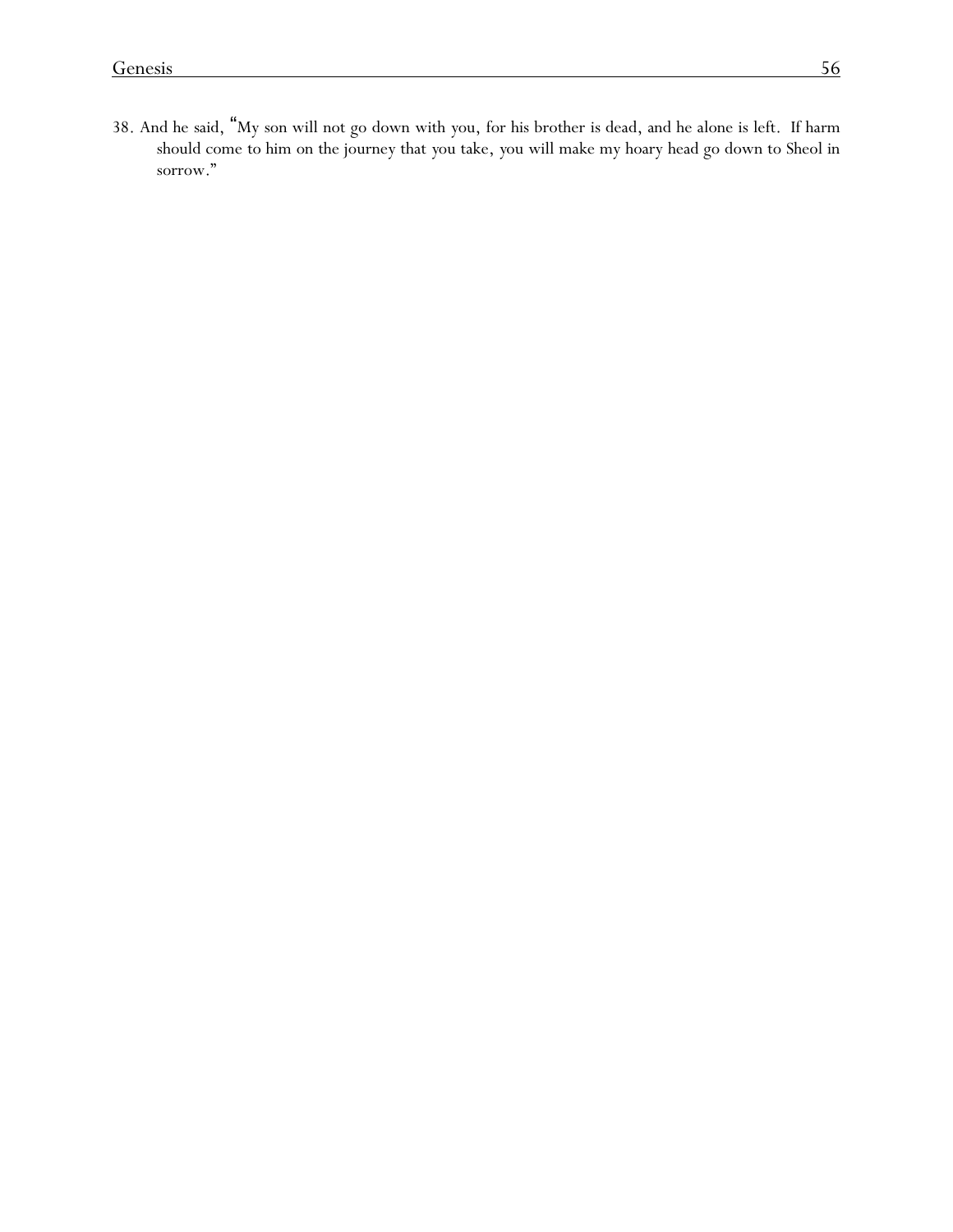38. And he said, "My son will not go down with *y*ou, for his brother is dead, and he alone is left. If harm should come to him on the journey that *y*ou take, *y*ou will make my hoary head go down to Sheol in sorrow."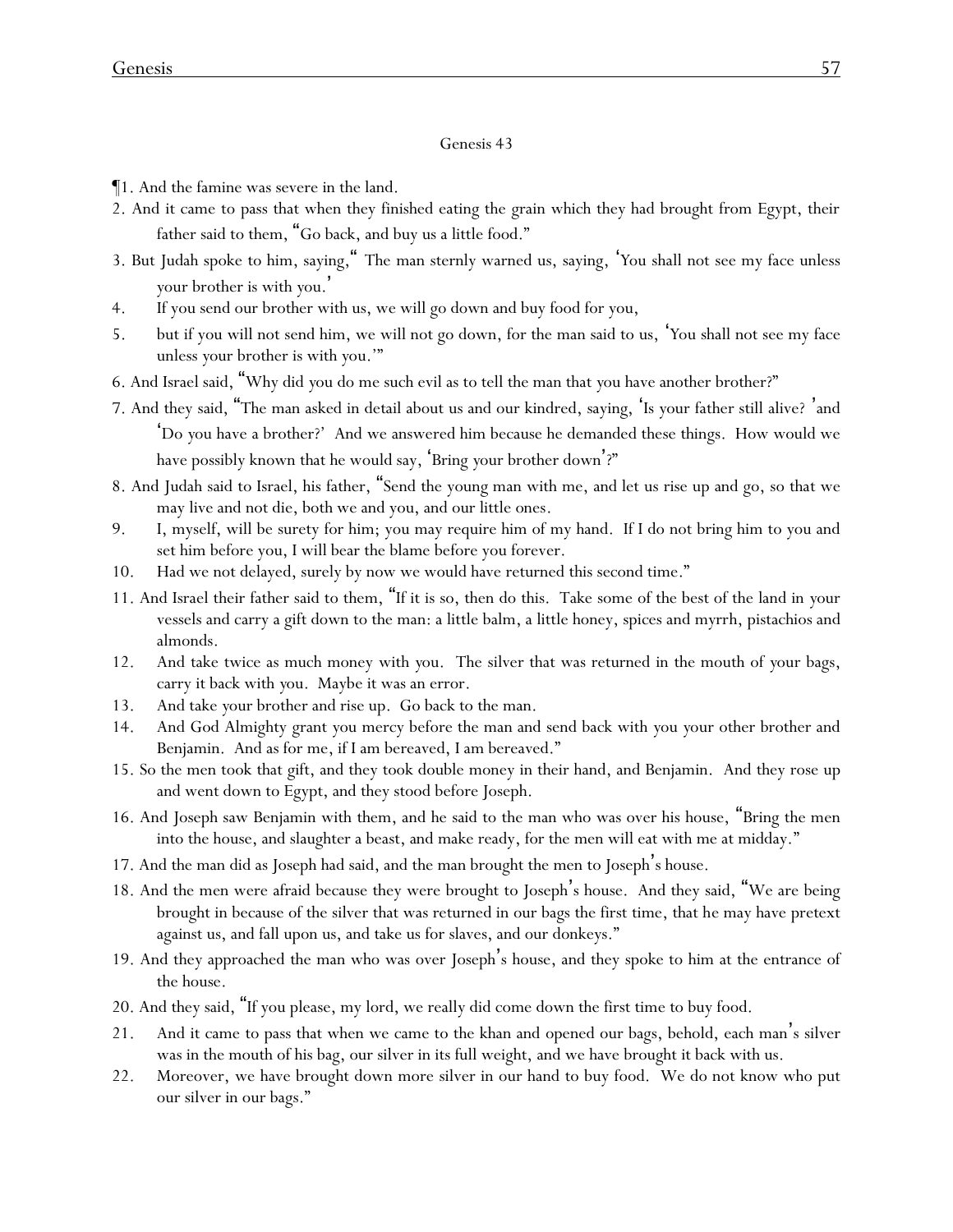- ¶1. And the famine was severe in the land.
- 2. And it came to pass that when they finished eating the grain which they had brought from Egypt, their father said to them, "Go back, and buy us a little food."
- 3. But Judah spoke to him, saying," The man sternly warned us, saying, '*Y*ou shall not see my face unless *y*our brother is with *y*ou. '
- 4. If you send our brother with us, we will go down and buy food for you,
- 5. but if you will not send him, we will not go down, for the man said to us, '*Y*ou shall not see my face unless *y*our brother is with *y*ou.'"
- 6. And Israel said, "Why did *y*ou do me such evil as to tell the man that *y*ou have another brother?"
- 7. And they said, "The man asked in detail about us and our kindred, saying, 'Is *y*our father still alive? 'and 'Do *y*ou have a brother?' And we answered him because he demanded these things. How would we have possibly known that he would say, 'Bring *y*our brother down'?"
- 8. And Judah said to Israel, his father, "Send the young man with me, and let us rise up and go, so that we may live and not die, both we and you, and our little ones.
- 9. I, myself, will be surety for him; you may require him of my hand. If I do not bring him to you and set him before you, I will bear the blame before you forever.
- 10. Had we not delayed, surely by now we would have returned this second time."
- 11. And Israel their father said to them, "If it is so, then do this. Take some of the best of the land in *y*our vessels and carry a gift down to the man: a little balm, a little honey, spices and myrrh, pistachios and almonds.
- 12. And take twice as much money with *y*ou. The silver that was returned in the mouth of *y*our bags, carry it back with *y*ou. Maybe it was an error.
- 13. And take *y*our brother and rise up. Go back to the man.
- 14. And God Almighty grant *y*ou mercy before the man and send back with *y*ou *y*our other brother and Benjamin. And as for me, if I am bereaved, I am bereaved."
- 15. So the men took that gift, and they took double money in their hand, and Benjamin. And they rose up and went down to Egypt, and they stood before Joseph.
- 16. And Joseph saw Benjamin with them, and he said to the man who was over his house, "Bring the men into the house, and slaughter a beast, and make ready, for the men will eat with me at midday."
- 17. And the man did as Joseph had said, and the man brought the men to Joseph's house.
- 18. And the men were afraid because they were brought to Joseph's house. And they said, "We are being brought in because of the silver that was returned in our bags the first time, that he may have pretext against us, and fall upon us, and take us for slaves, and our donkeys."
- 19. And they approached the man who was over Joseph's house, and they spoke to him at the entrance of the house.
- 20. And they said, "If you please, my lord, we really did come down the first time to buy food.
- 21. And it came to pass that when we came to the khan and opened our bags, behold, each man's silver was in the mouth of his bag, our silver in its full weight, and we have brought it back with us.
- 22. Moreover, we have brought down more silver in our hand to buy food. We do not know who put our silver in our bags."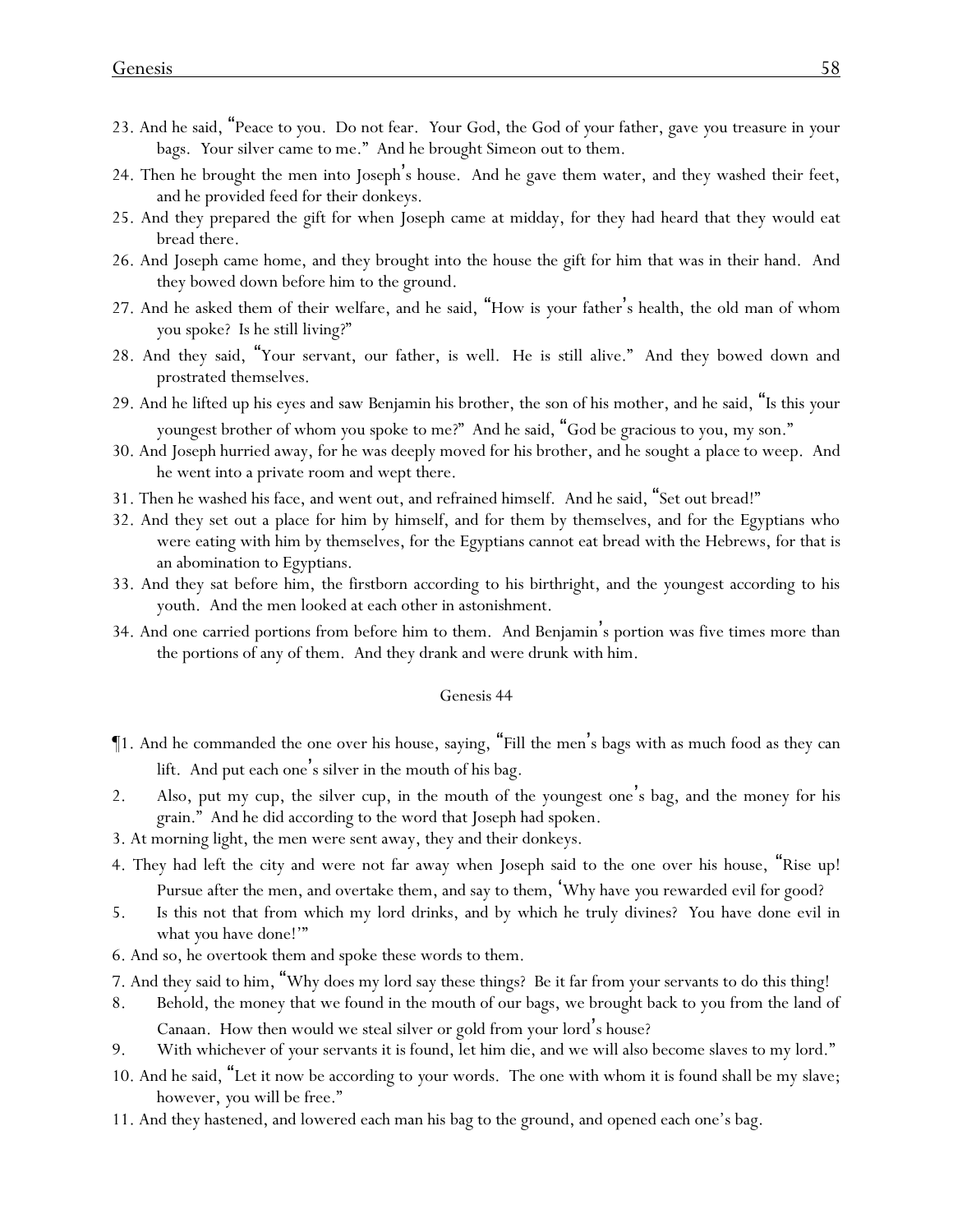- 23. And he said, "Peace to *y*ou. Do not fear. *Y*our God, the God of *y*our father, gave *y*ou treasure in *y*our bags. *Y*our silver came to me." And he brought Simeon out to them.
- 24. Then he brought the men into Joseph's house. And he gave them water, and they washed their feet, and he provided feed for their donkeys.
- 25. And they prepared the gift for when Joseph came at midday, for they had heard that they would eat bread there.
- 26. And Joseph came home, and they brought into the house the gift for him that was in their hand. And they bowed down before him to the ground.
- 27. And he asked them of their welfare, and he said, "How is *y*our father's health, the old man of whom *y*ou spoke? Is he still living?"
- 28. And they said, "Your servant, our father, is well. He is still alive." And they bowed down and prostrated themselves.
- 29. And he lifted up his eyes and saw Benjamin his brother, the son of his mother, and he said, "Is this *y*our youngest brother of whom *y*ou spoke to me?" And he said, "God be gracious to you, my son."
- 30. And Joseph hurried away, for he was deeply moved for his brother, and he sought *a place* to weep. And he went into a private room and wept there.
- 31. Then he washed his face, and went out, and refrained himself. And he said, "Set out bread!"
- 32. And they set out a place for him by himself, and for them by themselves, and for the Egyptians who were eating with him by themselves, for the Egyptians cannot eat bread with the Hebrews, for that is an abomination to Egyptians.
- 33. And they sat before him, the firstborn according to his birthright, and the youngest according to his youth. And the men looked at each other in astonishment.
- 34. And one carried portions from before him to them. And Benjamin's portion was five times more than the portions of any of them. And they drank and were drunk with him.

- ¶1. And he commanded the one over his house, saying, "Fill the men's bags with as much food as they can lift. And put each one's silver in the mouth of his bag.
- 2. Also, put my cup, the silver cup, in the mouth of the youngest one's bag, and the money for his grain." And he did according to the word that Joseph had spoken.
- 3. At morning light, the men were sent away, they and their donkeys.
- 4. They had left the city and were not far away when Joseph said to the one over his house, "Rise up! Pursue after the men, and overtake them, and say to them, 'Why have *y*ou rewarded evil for good?
- 5. Is this not that from which my lord drinks, and by which he truly divines? *Y*ou have done evil in what *y*ou have done!'"
- 6. And so, he overtook them and spoke these words to them.
- 7. And they said to him, "Why does my lord say these things? Be it far from your servants to do this thing!
- 8. Behold, the money that we found in the mouth of our bags, we brought back to you from the land of Canaan. How then would we steal silver or gold from your lord's house?
- 9. With whichever of *y*our servants it is found, let him die, and we will also become slaves to my lord."
- 10. And he said, "Let it now be according to *y*our words. The one with whom it is found shall be my slave; however, *y*ou will be free."
- 11. And they hastened, and lowered each man his bag to the ground, and opened each one's bag.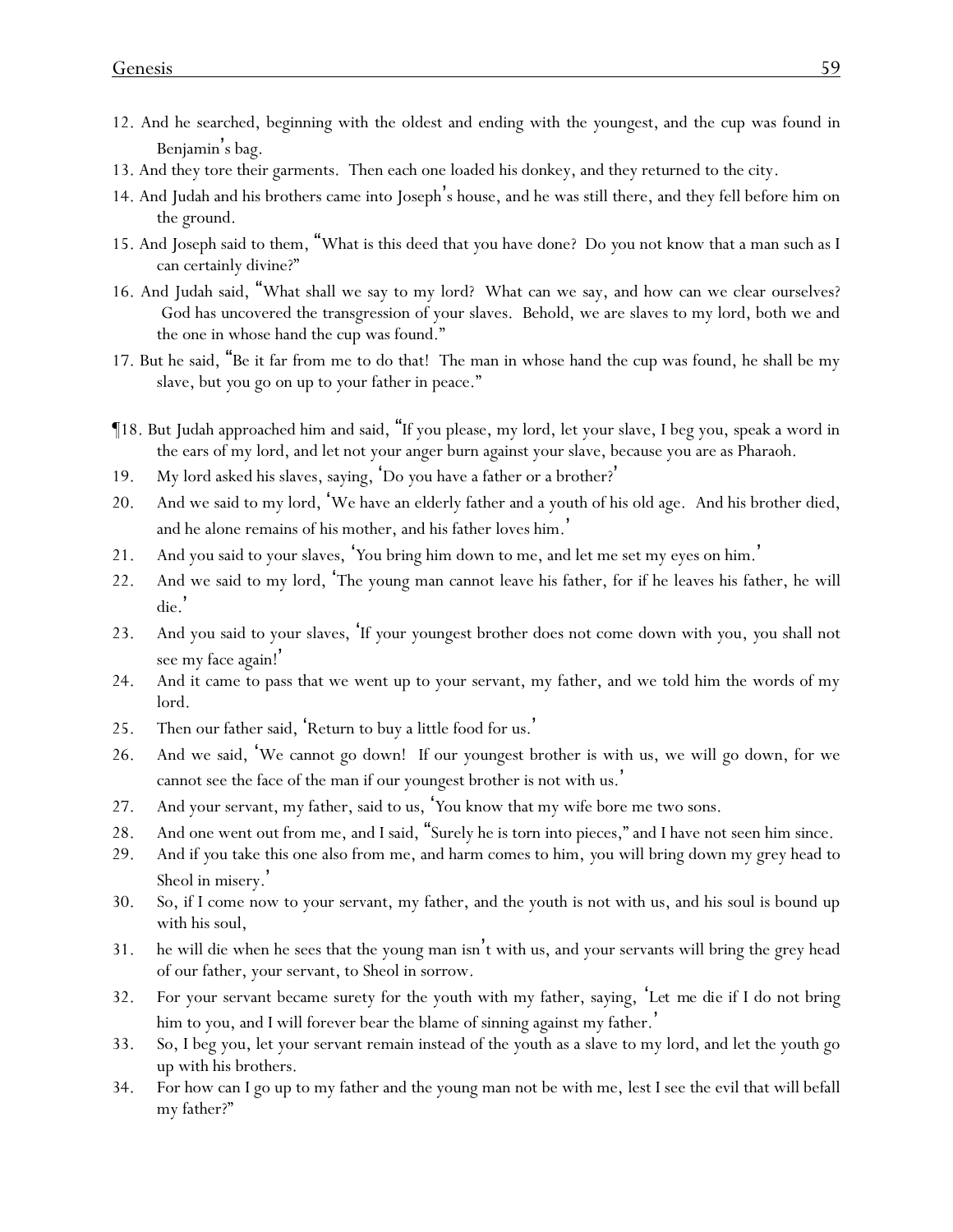- 12. And he searched, beginning with the oldest and ending with the youngest, and the cup was found in Benjamin's bag.
- 13. And they tore their garments. Then each one loaded his donkey, and they returned to the city.
- 14. And Judah and his brothers came into Joseph's house, and he was still there, and they fell before him on the ground.
- 15. And Joseph said to them, "What is this deed that *y*ou have done? Do *y*ou not know that a man such as I can certainly divine?"
- 16. And Judah said, "What shall we say to my lord? What can we say, and how can we clear ourselves? God has uncovered the transgression of your slaves. Behold, we are slaves to my lord, both we and the one in whose hand the cup was found."
- 17. But he said, "Be it far from me to do that! The man in whose hand the cup was found, he shall be my slave, but *y*ou go on up to *y*our father in peace."
- ¶18. But Judah approached him and said, "If you please, my lord, let your slave, I beg you, speak a word in the ears of my lord, and let not your anger burn against your slave, because you are as Pharaoh.
- 19. My lord asked his slaves, saying, 'Do *y*ou have a father or a brother? '
- 20. And we said to my lord, 'We have an elderly father and a youth of his old age. And his brother died, and he alone remains of his mother, and his father loves him. '
- 21. And you said to your slaves, '*Y*ou bring him down to me, and let me set my eyes on him. '
- 22. And we said to my lord, 'The young man cannot leave his father, for if he leaves his father, he will die. '
- 23. And you said to your slaves, 'If *y*our youngest brother does not come down with *y*ou, *y*ou shall not see my face again! '
- 24. And it came to pass that we went up to your servant, my father, and we told him the words of my lord.
- 25. Then our father said, 'Return to buy a little food for us.'
- 26. And we said, 'We cannot go down! If our youngest brother is with us, we will go down, for we cannot see the face of the man if our youngest brother is not with us. '
- 27. And your servant, my father, said to us, '*Y*ou know that my wife bore me two sons.
- 28. And one went out from me, and I said, "Surely he is torn into pieces," and I have not seen him since.
- 29. And if *y*ou take this one also from me, and harm comes to him, *y*ou will bring down my grey head to Sheol in misery.'
- 30. So, if I come now to your servant, my father, and the youth is not with us, and his soul is bound up with his soul,
- 31. he will die when he sees that the young man isn't with us, and your servants will bring the grey head of our father, your servant, to Sheol in sorrow.
- 32. For your servant became surety for the youth with my father, saying, '*Let me die* if I do not bring him to you, and I will forever bear the blame of sinning against my father.'
- 33. So, I beg you, let your servant remain instead of the youth as a slave to my lord, and let the youth go up with his brothers.
- 34. For how can I go up to my father and the young man not be with me, lest I see the evil that will befall my father?"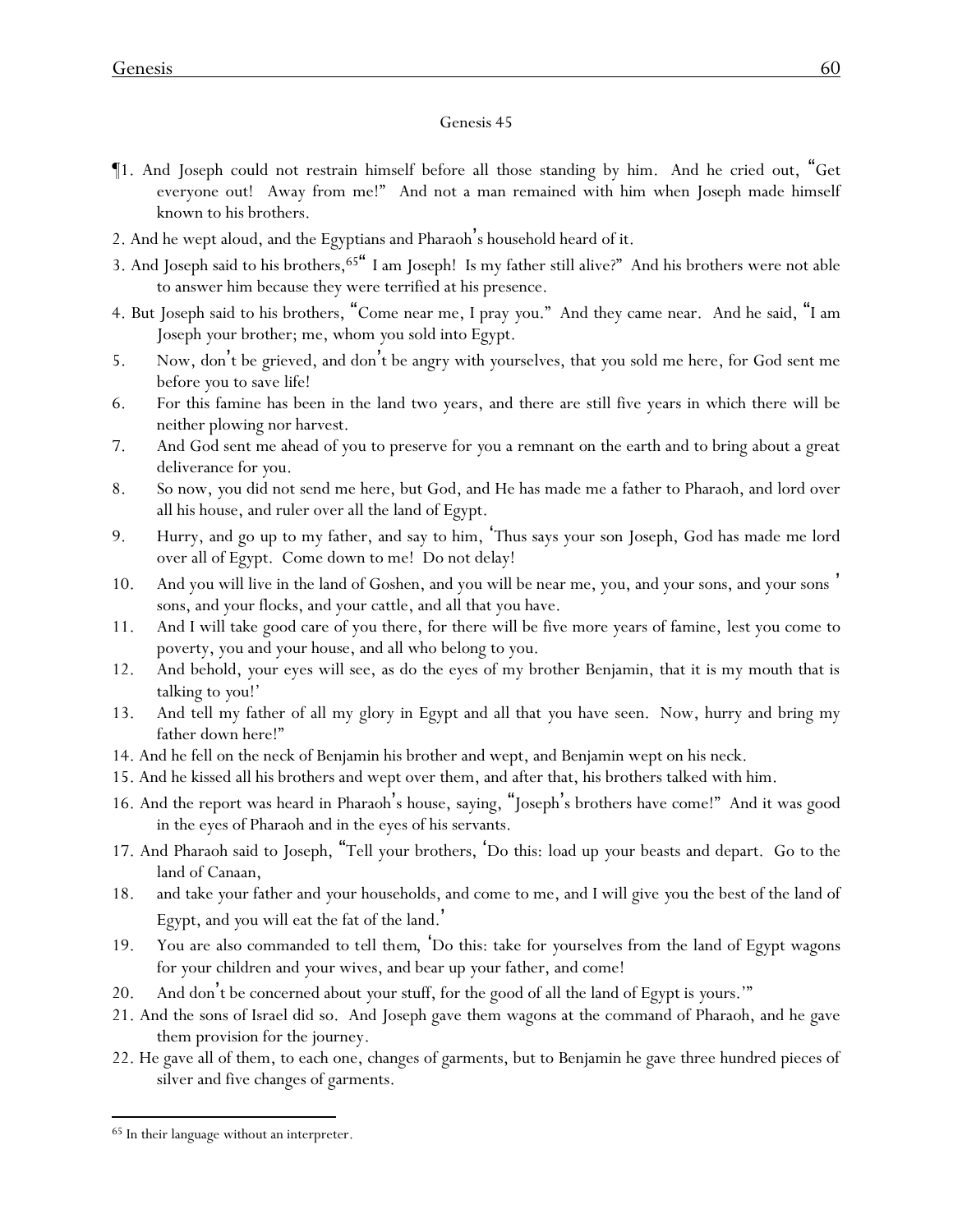- ¶1. And Joseph could not restrain himself before all those standing by him. And he cried out, "Get everyone out! Away from me!" And not a man remained with him when Joseph made himself known to his brothers.
- 2. And he wept aloud, and the Egyptians and Pharaoh's household heard of it.
- 3. And Joseph said to his brothers,<sup>65"</sup> I am Joseph! Is my father still alive?" And his brothers were not able to answer him because they were terrified at his presence.
- 4. But Joseph said to his brothers, "Come near me, I pray *y*ou." And they came near. And he said, "I am Joseph *y*our brother; me, whom *y*ou sold into Egypt.
- 5. Now, don't be grieved, and don't be angry with *y*ourselves, that *y*ou sold me here, for God sent me before *y*ou to save life!
- 6. For this famine has been in the land two years, and there are still five years in which there will be neither plowing nor harvest.
- 7. And God sent me ahead of *y*ou to preserve for *y*ou a remnant on the earth and to bring about a great deliverance for *y*ou.
- 8. So now, *y*ou did not send me here, but God, and He has made me a father to Pharaoh, and lord over all his house, and ruler over all the land of Egypt.
- 9. Hurry, and go up to my father, and say to him, 'Thus says your son Joseph, God has made me lord over all of Egypt. Come down to me! Do not delay!
- 10. And you will live in the land of Goshen, and you will be near me, you, and your sons, and your sons ' sons, and your flocks, and your cattle, and all that you have.
- 11. And I will take good care of you there, for there will be five more years of famine, lest you come to poverty, you and your house, and all who belong to you.
- 12. And behold, *y*our eyes will see, as do the eyes of my brother Benjamin, that it is my mouth that is talking to *y*ou!'
- 13. And tell my father of all my glory in Egypt and all that *y*ou have seen. Now, hurry and bring my father down here!"
- 14. And he fell on the neck of Benjamin his brother and wept, and Benjamin wept on his neck.
- 15. And he kissed all his brothers and wept over them, and after that, his brothers talked with him.
- 16. And the report was heard in Pharaoh's house, saying, "Joseph's brothers have come!" And it was good in the eyes of Pharaoh and in the eyes of his servants.
- 17. And Pharaoh said to Joseph, "Tell your brothers, 'Do this: load up *y*our beasts and depart. Go to the land of Canaan,
- 18. and take *y*our father and *y*our households, and come to me, and I will give *y*ou the best of the land of Egypt, and *y*ou will eat the fat of the land. '
- 19. You are also commanded *to tell them*, 'Do this: take for *y*ourselves from the land of Egypt wagons for *y*our children and *y*our wives, and bear up *y*our father, and come!
- 20. And don't be concerned about *y*our stuff, for the good of all the land of Egypt is *y*ours.'"
- 21. And the sons of Israel did so. And Joseph gave them wagons at the command of Pharaoh, and he gave them provision for the journey.
- 22. He gave all of them, to each one, changes of garments, but to Benjamin he gave three hundred pieces of silver and five changes of garments.

<sup>65</sup> In their language without an interpreter.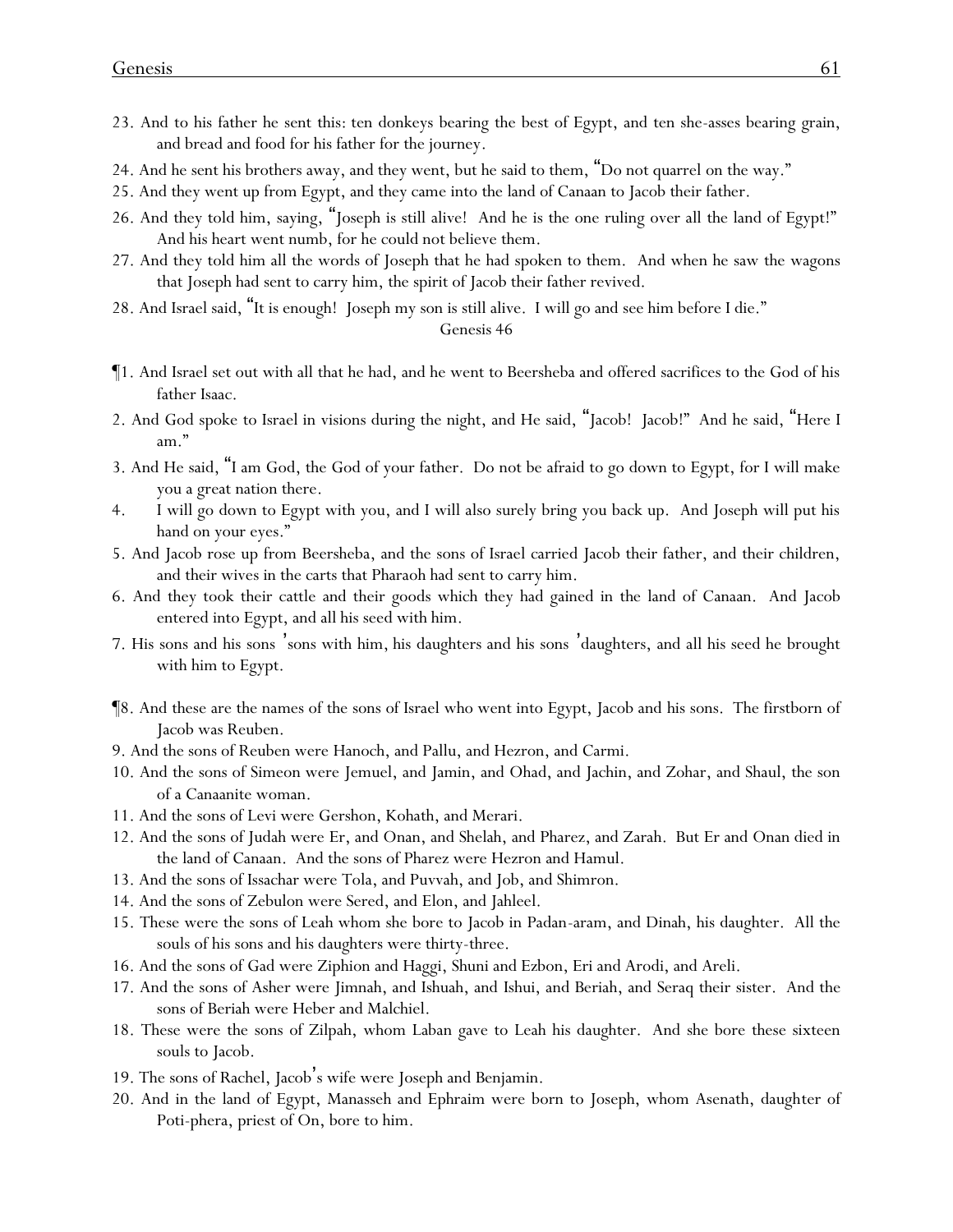- 23. And to his father he sent this: ten donkeys bearing the best of Egypt, and ten she-asses bearing grain, and bread and food for his father for the journey.
- 24. And he sent his brothers away, and they went, but he said to them, "Do not quarrel on the way."
- 25. And they went up from Egypt, and they came into the land of Canaan to Jacob their father.
- 26. And they told him, saying, "Joseph is still alive! And he is the one ruling over all the land of Egypt!" And his heart went numb, for he could not believe them.
- 27. And they told him all the words of Joseph that he had spoken to them. And when he saw the wagons that Joseph had sent to carry him, the spirit of Jacob their father revived.
- 28. And Israel said, "It is enough! Joseph my son is still alive. I will go and see him before I die."

- ¶1. And Israel set out with all that he had, and he went to Beersheba and offered sacrifices to the God of his father Isaac.
- 2. And God spoke to Israel in visions during the night, and He said, "Jacob! Jacob!" And he said, "Here I am."
- 3. And He said, "I am God, the God of your father. Do not be afraid to go down to Egypt, for I will make you a great nation there.
- 4. I will go down to Egypt with you, and I will also surely bring you back up. And Joseph will put his hand on your eyes."
- 5. And Jacob rose up from Beersheba, and the sons of Israel carried Jacob their father, and their children, and their wives in the carts that Pharaoh had sent to carry him.
- 6. And they took their cattle and their goods which they had gained in the land of Canaan. And Jacob entered into Egypt, and all his seed with him.
- 7. His sons and his sons 'sons with him, his daughters and his sons 'daughters, and all his seed he brought with him to Egypt.
- ¶8. And these are the names of the sons of Israel who went into Egypt, Jacob and his sons. The firstborn of Jacob was Reuben.
- 9. And the sons of Reuben were Hanoch, and Pallu, and Hezron, and Carmi.
- 10. And the sons of Simeon were Jemuel, and Jamin, and Ohad, and Jachin, and Zohar, and Shaul, the son of a Canaanite woman.
- 11. And the sons of Levi were Gershon, Kohath, and Merari.
- 12. And the sons of Judah were Er, and Onan, and Shelah, and Pharez, and Zarah. But Er and Onan died in the land of Canaan. And the sons of Pharez were Hezron and Hamul.
- 13. And the sons of Issachar were Tola, and Puvvah, and Job, and Shimron.
- 14. And the sons of Zebulon were Sered, and Elon, and Jahleel.
- 15. These were the sons of Leah whom she bore to Jacob in Padan-aram, and Dinah, his daughter. All the souls of his sons and his daughters were thirty-three.
- 16. And the sons of Gad were Ziphion and Haggi, Shuni and Ezbon, Eri and Arodi, and Areli.
- 17. And the sons of Asher were Jimnah, and Ishuah, and Ishui, and Beriah, and Seraq their sister. And the sons of Beriah were Heber and Malchiel.
- 18. These were the sons of Zilpah, whom Laban gave to Leah his daughter. And she bore these sixteen souls to Jacob.
- 19. The sons of Rachel, Jacob's wife were Joseph and Benjamin.
- 20. And in the land of Egypt, Manasseh and Ephraim were born to Joseph, whom Asenath, daughter of Poti-phera, priest of On, bore to him.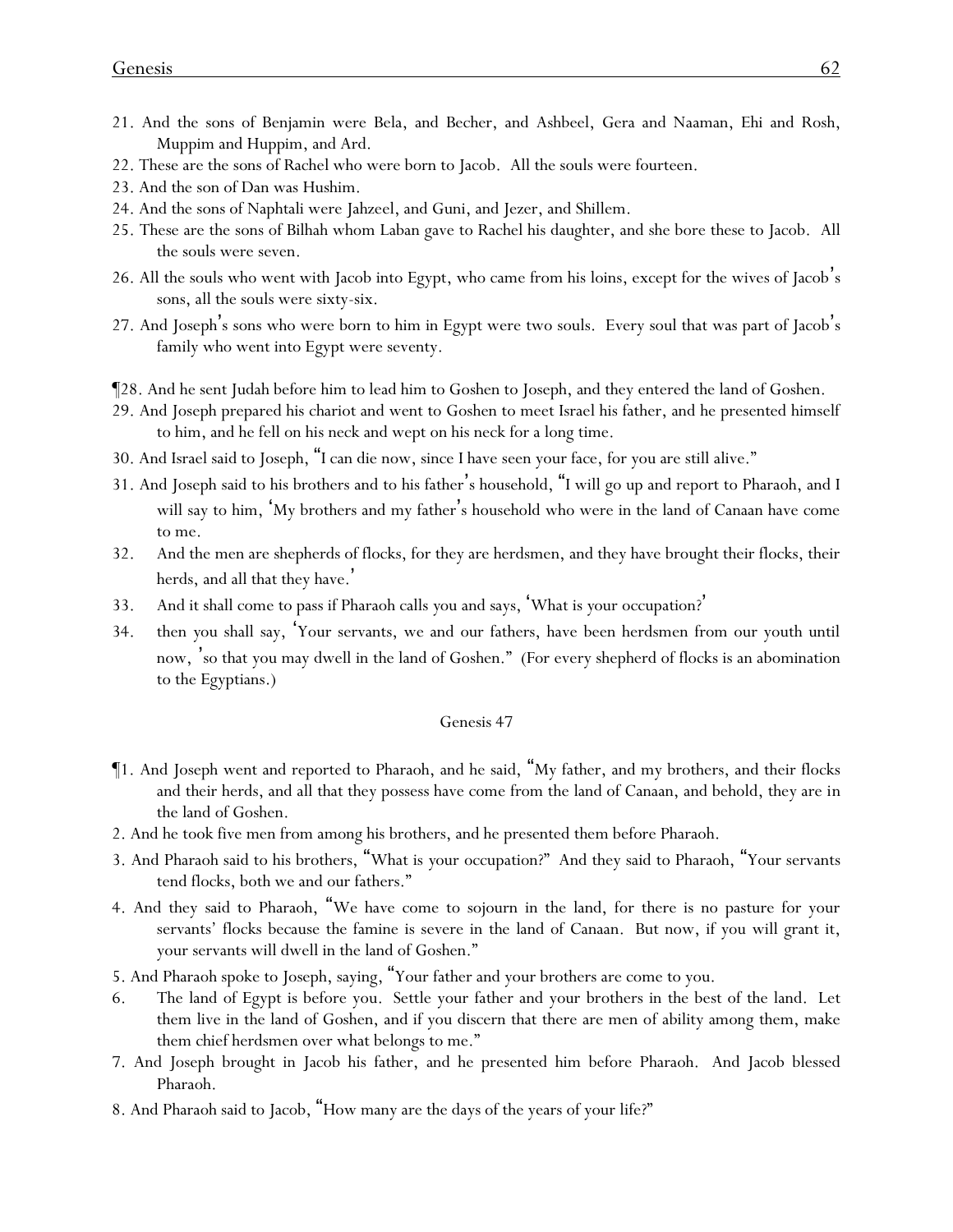- 21. And the sons of Benjamin were Bela, and Becher, and Ashbeel, Gera and Naaman, Ehi and Rosh, Muppim and Huppim, and Ard.
- 22. These are the sons of Rachel who were born to Jacob. All the souls were fourteen.
- 23. And the son of Dan was Hushim.
- 24. And the sons of Naphtali were Jahzeel, and Guni, and Jezer, and Shillem.
- 25. These are the sons of Bilhah whom Laban gave to Rachel his daughter, and she bore these to Jacob. All the souls were seven.
- 26. All the souls who went with Jacob into Egypt, who came from his loins, except for the wives of Jacob's sons, all the souls were sixty-six.
- 27. And Joseph's sons who were born to him in Egypt were two souls. Every soul that was part of Jacob's family who went into Egypt were seventy.
- ¶28. And he sent Judah before him to lead him to Goshen to Joseph, and they entered the land of Goshen.
- 29. And Joseph prepared his chariot and went to Goshen to meet Israel his father, and he presented himself to him, and he fell on his neck and wept on his neck for a long time.
- 30. And Israel said to Joseph, "I can die now, since I have seen your face, for you are still alive."
- 31. And Joseph said to his brothers and to his father's household, "I will go up and report to Pharaoh, and I will say to him, 'My brothers and my father's household who were in the land of Canaan have come to me.
- 32. And the men are shepherds of flocks, for they are herdsmen, and they have brought their flocks, their herds, and all that they have.'
- 33. And it shall come to pass if Pharaoh calls *y*ou and says, 'What is *y*our occupation? '
- 34. then *y*ou shall say, 'Your servants, we and our fathers, have been herdsmen from our youth until now, 'so that you may dwell in the land of Goshen." (For every shepherd of flocks is an abomination to the Egyptians.)

- ¶1. And Joseph went and reported to Pharaoh, and he said, "My father, and my brothers, and their flocks and their herds, and all that they possess have come from the land of Canaan, and behold, they are in the land of Goshen.
- 2. And he took five men from among his brothers, and he presented them before Pharaoh.
- 3. And Pharaoh said to his brothers, "What is *y*our occupation?" And they said to Pharaoh, "Your servants tend flocks, both we and our fathers."
- 4. And they said to Pharaoh, "We have come to sojourn in the land, for there is no pasture for your servants' flocks because the famine is severe in the land of Canaan. But now, if you will grant it, your servants will dwell in the land of Goshen."
- 5. And Pharaoh spoke to Joseph, saying, "Your father and your brothers are come to you.
- 6. The land of Egypt is before you. Settle your father and your brothers in the best of the land. Let them live in the land of Goshen, and if you discern that there are men of ability among them, make them chief herdsmen over what belongs to me."
- 7. And Joseph brought in Jacob his father, and he presented him before Pharaoh. And Jacob blessed Pharaoh.
- 8. And Pharaoh said to Jacob, "How many are the days of the years of your life?"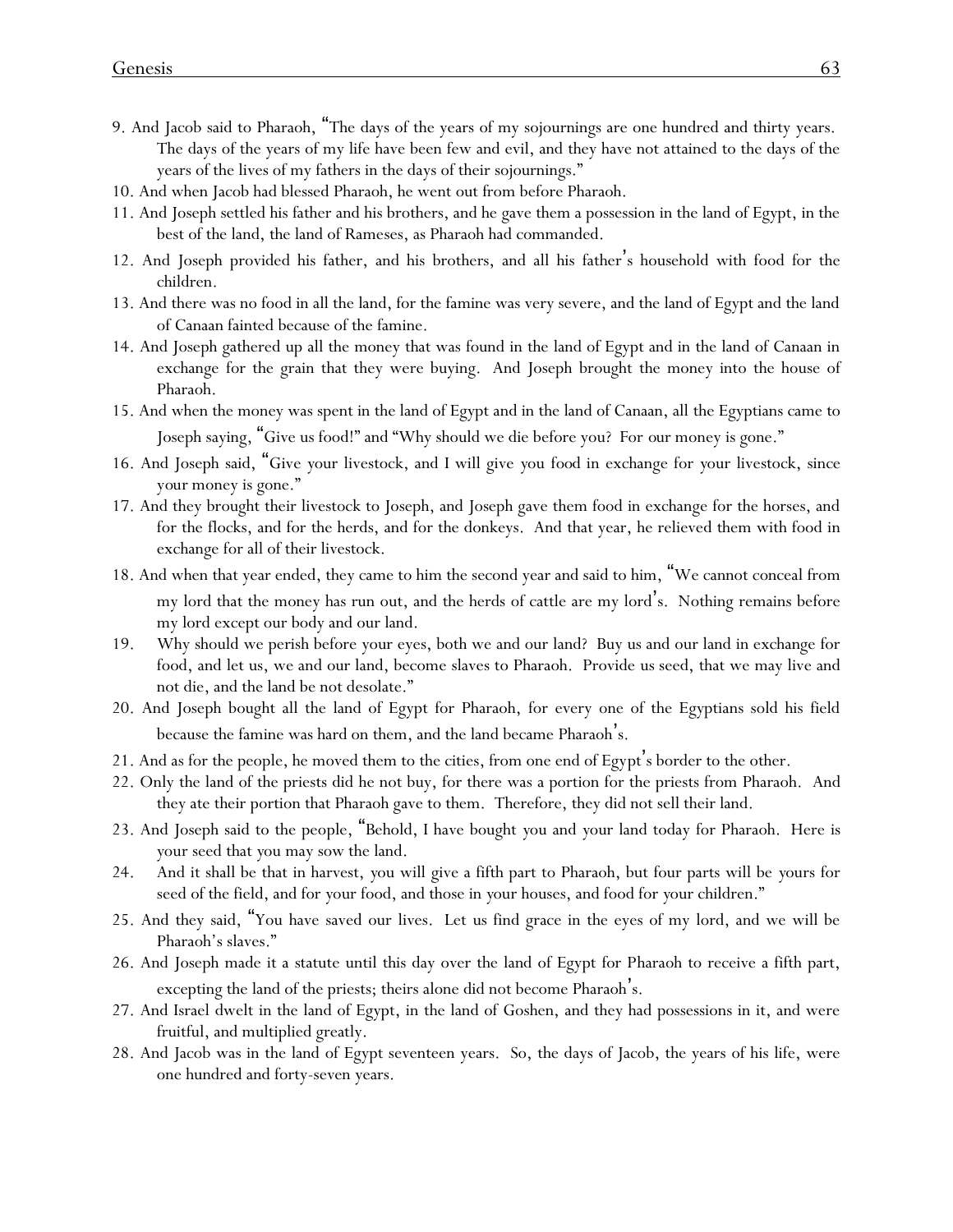- 9. And Jacob said to Pharaoh, "The days of the years of my sojournings are one hundred and thirty years. The days of the years of my life have been few and evil, and they have not attained to the days of the years of the lives of my fathers in the days of their sojournings."
- 10. And when Jacob had blessed Pharaoh, he went out from before Pharaoh.
- 11. And Joseph settled his father and his brothers, and he gave them a possession in the land of Egypt, in the best of the land, the land of Rameses, as Pharaoh had commanded.
- 12. And Joseph provided his father, and his brothers, and all his father's household with food for the children.
- 13. And there was no food in all the land, for the famine was very severe, and the land of Egypt and the land of Canaan fainted because of the famine.
- 14. And Joseph gathered up all the money that was found in the land of Egypt and in the land of Canaan in exchange for the grain that they were buying. And Joseph brought the money into the house of Pharaoh.
- 15. And when the money was spent in the land of Egypt and in the land of Canaan, all the Egyptians came to Joseph saying, "Give us food!" and "Why should we die before you? For *our* money is gone."
- 16. And Joseph said, "Give *y*our livestock, and I will give *y*ou *food* in exchange for *y*our livestock, since *your* money is gone."
- 17. And they brought their livestock to Joseph, and Joseph gave them food in exchange for the horses, and for the flocks, and for the herds, and for the donkeys. And that year, he relieved them with food in exchange for all of their livestock.
- 18. And when that year ended, they came to him the second year and said to him, "We cannot conceal from my lord that the money has run out, and the herds of cattle are my lord's. Nothing remains before my lord except our body and our land.
- 19. Why should we perish before your eyes, both we and our land? Buy us and our land in exchange for food, and let us, we and our land, become slaves to Pharaoh. Provide *us* seed, that we may live and not die, and the land be not desolate."
- 20. And Joseph bought all the land of Egypt for Pharaoh, for every one of the Egyptians sold his field because the famine was hard on them, and the land became Pharaoh's.
- 21. And as for the people, he moved them to the cities, from one end of Egypt's border to the other.
- 22. Only the land of the priests did he not buy, for there was a portion for the priests from Pharaoh. And they ate their portion that Pharaoh gave to them. Therefore, they did not sell their land.
- 23. And Joseph said to the people, "Behold, I have bought *y*ou and *y*our land today for Pharaoh. Here is *y*our seed that *y*ou may sow the land.
- 24. And it shall be that in harvest, *y*ou will give a fifth part to Pharaoh, but four parts will be *y*ours for seed of the field, and for *y*our food, and those in *y*our houses, and food for *y*our children."
- 25. And they said, "You have saved our lives. Let us find grace in the eyes of my lord, and we will be Pharaoh's slaves."
- 26. And Joseph made it a statute until this day over the land of Egypt for Pharaoh to receive a fifth part, excepting the land of the priests; theirs alone did not become Pharaoh's.
- 27. And Israel dwelt in the land of Egypt, in the land of Goshen, and they had possessions in it, and were fruitful, and multiplied greatly.
- 28. And Jacob was in the land of Egypt seventeen years. So, the days of Jacob, the years of his life, were one hundred and forty-seven years.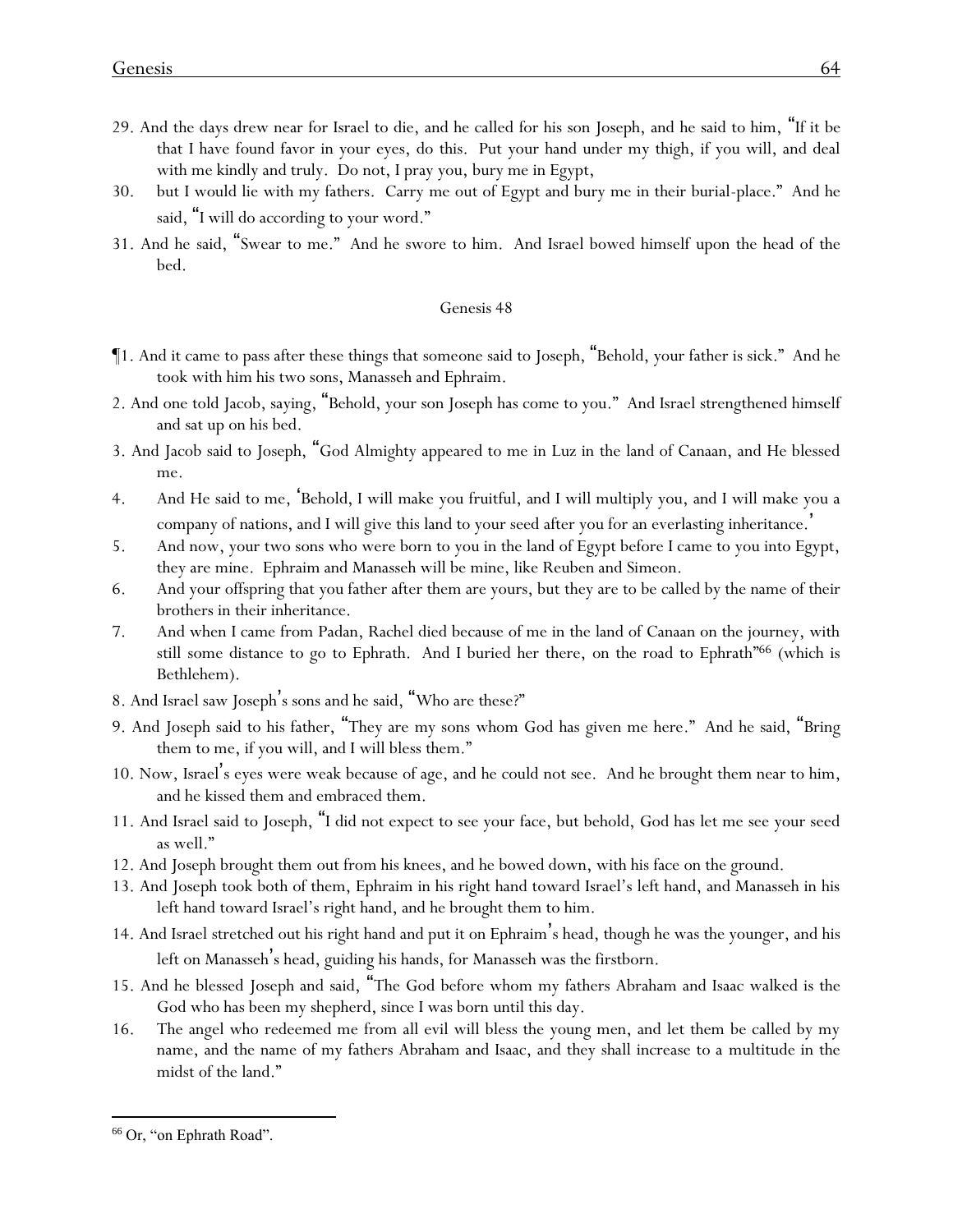- 29. And the days drew near for Israel to die, and he called for his son Joseph, and he said to him, "If it be that I have found favor in your eyes, do this. Put your hand under my thigh, if you will, and deal with me kindly and truly. Do not, I pray you, bury me in Egypt,
- 30. but I would lie with my fathers. Carry me out of Egypt and bury me in their burial-place." And he said, "I will do according to your word."
- 31. And he said, "Swear to me." And he swore to him. And Israel bowed himself upon the head of the bed.

- ¶1. And it came to pass after these things that someone said to Joseph, "Behold, your father is sick." And he took with him his two sons, Manasseh and Ephraim.
- 2. And one told Jacob, saying, "Behold, your son Joseph has come to you." And Israel strengthened himself and sat up on his bed.
- 3. And Jacob said to Joseph, "God Almighty appeared to me in Luz in the land of Canaan, and He blessed me.
- 4. And He said to me, 'Behold, I will make you fruitful, and I will multiply you, and I will make you a company of nations, and I will give this land to your seed after you for an everlasting inheritance. '
- 5. And now, your two sons who were born to you in the land of Egypt before I came to you into Egypt, they are mine. Ephraim and Manasseh will be mine, like Reuben and Simeon.
- 6. And your offspring that you father after them are yours, but they are to be called by the name of their brothers in their inheritance.
- 7. And when I came from Padan, Rachel died because of me in the land of Canaan on the journey, with still some distance to go to Ephrath. And I buried her there, on the road to Ephrath"<sup>66</sup> (which is Bethlehem).
- 8. And Israel saw Joseph's sons and he said, "Who are these?"
- 9. And Joseph said to his father, "They are my sons whom God has given me here." And he said, "Bring them to me, if you will, and I will bless them."
- 10. Now, Israel's eyes were weak because of age, and he could not see. And he brought them near to him, and he kissed them and embraced them.
- 11. And Israel said to Joseph, "I did not expect to see your face, but behold, God has let me see your seed as well."
- 12. And Joseph brought them out from his knees, and he bowed down, with his face on the ground.
- 13. And Joseph took both of them, Ephraim in his right hand toward Israel's left hand, and Manasseh in his left hand toward Israel's right hand, and he brought them to him.
- 14. And Israel stretched out his right hand and put it on Ephraim's head, though he was the younger, and his left on Manasseh's head, guiding his hands, for Manasseh was the firstborn.
- 15. And he blessed Joseph and said, "The God before whom my fathers Abraham and Isaac walked is the God who has been my shepherd, since I was born until this day.
- 16. The angel who redeemed me from all evil will bless the young men, and let them be called by my name, and the name of my fathers Abraham and Isaac, and they shall increase to a multitude in the midst of the land."

<sup>66</sup> Or, "on Ephrath Road".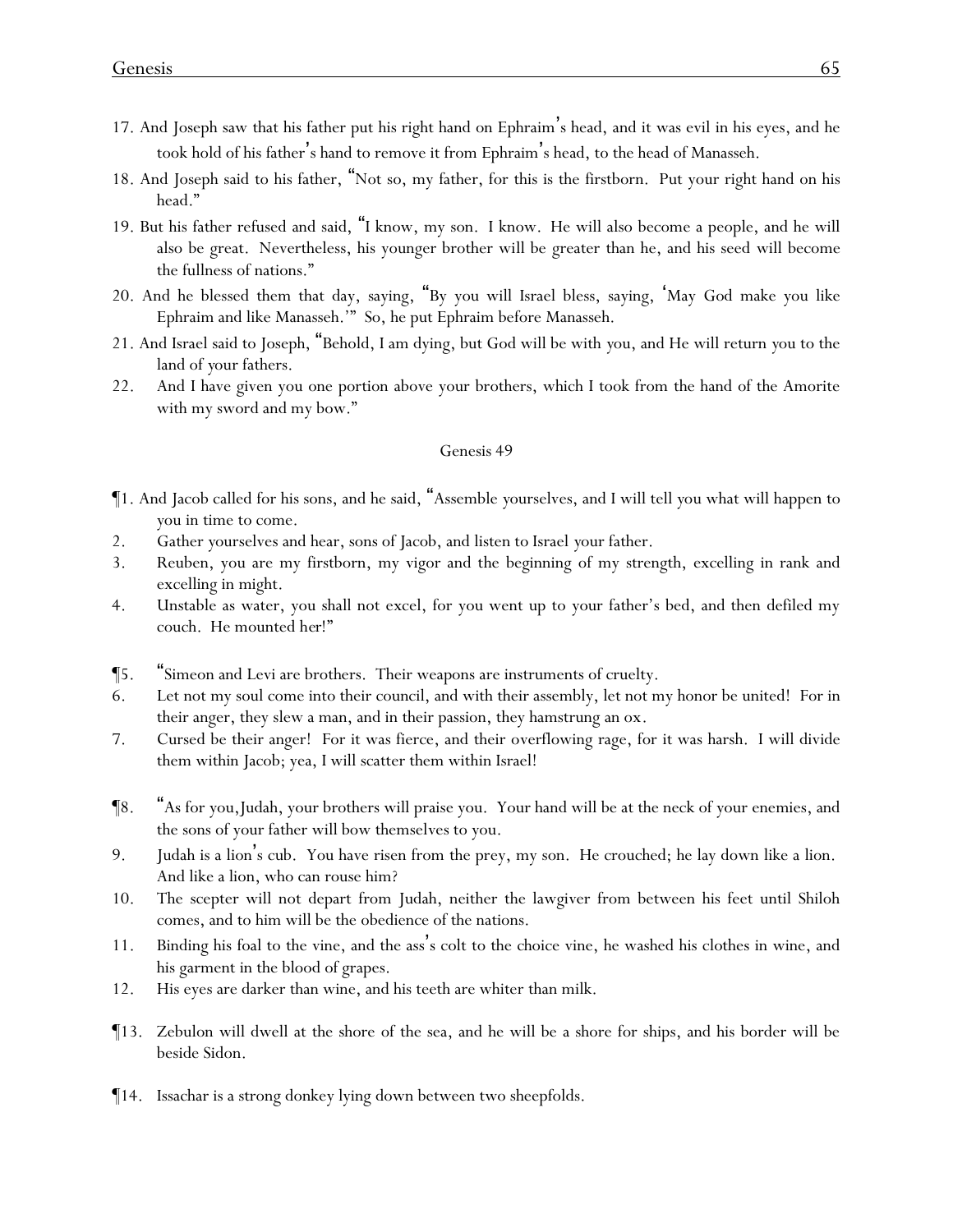- 17. And Joseph saw that his father put his right hand on Ephraim's head, and it was evil in his eyes, and he took hold of his father's hand to remove it from Ephraim's head, to the head of Manasseh.
- 18. And Joseph said to his father, "Not so, my father, for this is the firstborn. Put your right hand on his head."
- 19. But his father refused and said, "I know, my son. I know. He will also become a people, and he will also be great. Nevertheless, his younger brother will be greater than he, and his seed will become the fullness of nations."
- 20. And he blessed them that day, saying, "By you will Israel bless, saying, 'May God make you like Ephraim and like Manasseh.'" So, he put Ephraim before Manasseh.
- 21. And Israel said to Joseph, "Behold, I am dying, but God will be with *y*ou, and He will return *y*ou to the land of *y*our fathers.
- 22. And I have given you one portion above your brothers, which I took from the hand of the Amorite with my sword and my bow."

- ¶1. And Jacob called for his sons, and he said, "Assemble *y*ourselves, and I will tell *y*ou what will happen to *y*ou in time to come.
- 2. Gather *y*ourselves and hear, sons of Jacob, and listen to Israel *y*our father.
- 3. Reuben, you are my firstborn, my vigor and the beginning of my strength, excelling in rank and excelling in might.
- 4. Unstable as water, you shall not excel, for you went up to your father's bed, and then defiled my couch. He mounted *her!*"
- ¶5. "Simeon and Levi are brothers. Their weapons are instruments of cruelty.
- 6. Let not my soul come into their council, and with their assembly, let not my honor be united! For in their anger, they slew a man, and in their passion, they hamstrung an ox.
- 7. Cursed be their anger! For it was fierce, and their overflowing rage, for it was harsh. I will divide them within Jacob; yea, I will scatter them within Israel!
- ¶8. "As for you,Judah, your brothers will praise you. Your hand will be at the neck of your enemies, and the sons of your father will bow themselves to you.
- 9. Judah is a lion's cub. You have risen from the prey, my son. He crouched; he lay down like a lion. And like a lion, who can rouse him?
- 10. The scepter will not depart from Judah, neither the lawgiver from between his feet until Shiloh comes, and to him will be the obedience of the nations.
- 11. Binding his foal to the vine, and the ass's colt to the choice vine, he washed his clothes in wine, and his garment in the blood of grapes.
- 12. His eyes are darker than wine, and his teeth are whiter than milk.
- ¶13. Zebulon will dwell at the shore of the sea, and he will be a shore for ships, and his border will be beside Sidon.
- ¶14. Issachar is a strong donkey lying down between two sheepfolds.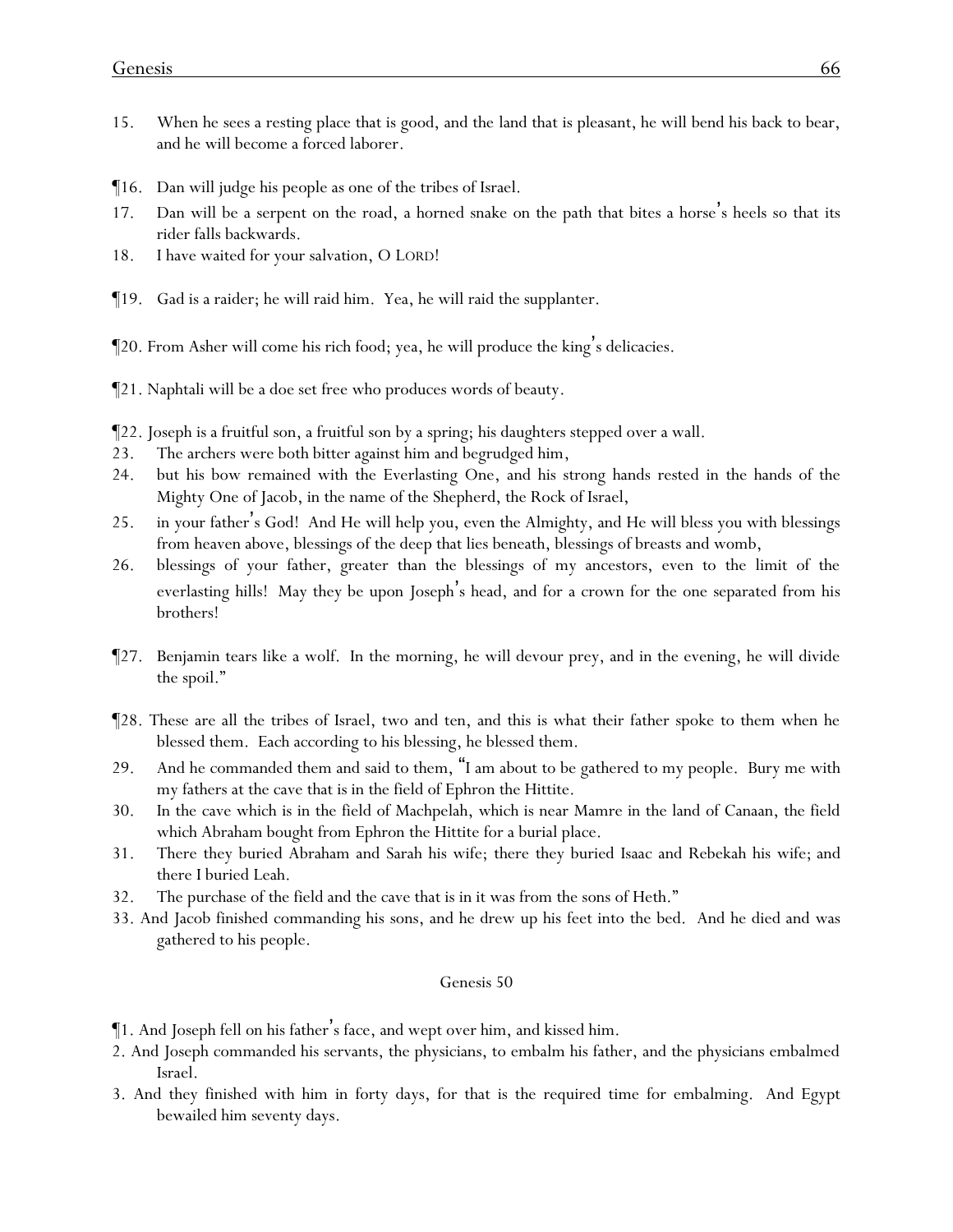- 15. When he sees a resting place that is good, and the land that is pleasant, he will bend his back to bear, and he will become a forced laborer.
- ¶16. Dan will judge his people as one of the tribes of Israel.
- 17. Dan will be a serpent on the road, a horned snake on the path that bites a horse 's heels so that its rider falls backwards.
- 18. I have waited for your salvation, O LORD!
- ¶19. Gad is a raider; he will raid him. Yea, he will raid the supplanter.
- ¶20. From Asher will come his rich food; yea, he will produce the king's delicacies.
- ¶21. Naphtali will be a doe set free who produces words of beauty.
- ¶22. Joseph is a fruitful son, a fruitful son by a spring; his daughters stepped over a wall.
- 23. The archers were both bitter against him and begrudged him,
- 24. but his bow remained with the Everlasting One, and his strong hands rested in the hands of the Mighty One of Jacob, in the name of the Shepherd, the Rock of Israel,
- 25. in your father's God! And He will help you, even the Almighty, and He will bless you with blessings from heaven above, blessings of the deep that lies beneath, blessings of breasts and womb,
- 26. blessings of your father, greater than the blessings of my ancestors, even to the limit of the everlasting hills! May they be upon Joseph's head, and for a crown for the one separated from his brothers!
- ¶27. Benjamin tears like a wolf. In the morning, he will devour prey, and in the evening, he will divide the spoil."
- ¶28. These are all the tribes of Israel, two and ten, and this is what their father spoke to them when he blessed them. Each according to his blessing, he blessed them.
- 29. And he commanded them and said to them, "I am about to be gathered to my people. Bury me with my fathers at the cave that is in the field of Ephron the Hittite.
- 30. In the cave which is in the field of Machpelah, which is near Mamre in the land of Canaan, the field which Abraham bought from Ephron the Hittite for a burial place.
- 31. There they buried Abraham and Sarah his wife; there they buried Isaac and Rebekah his wife; and there I buried Leah.
- 32. The purchase of the field and the cave that is in it was from the sons of Heth."
- 33. And Jacob finished commanding his sons, and he drew up his feet into the bed. And he died and was gathered to his people.

- ¶1. And Joseph fell on his father's face, and wept over him, and kissed him.
- 2. And Joseph commanded his servants, the physicians, to embalm his father, and the physicians embalmed Israel.
- 3. And they finished with him in forty days, for that is the required time for embalming. And Egypt bewailed him seventy days.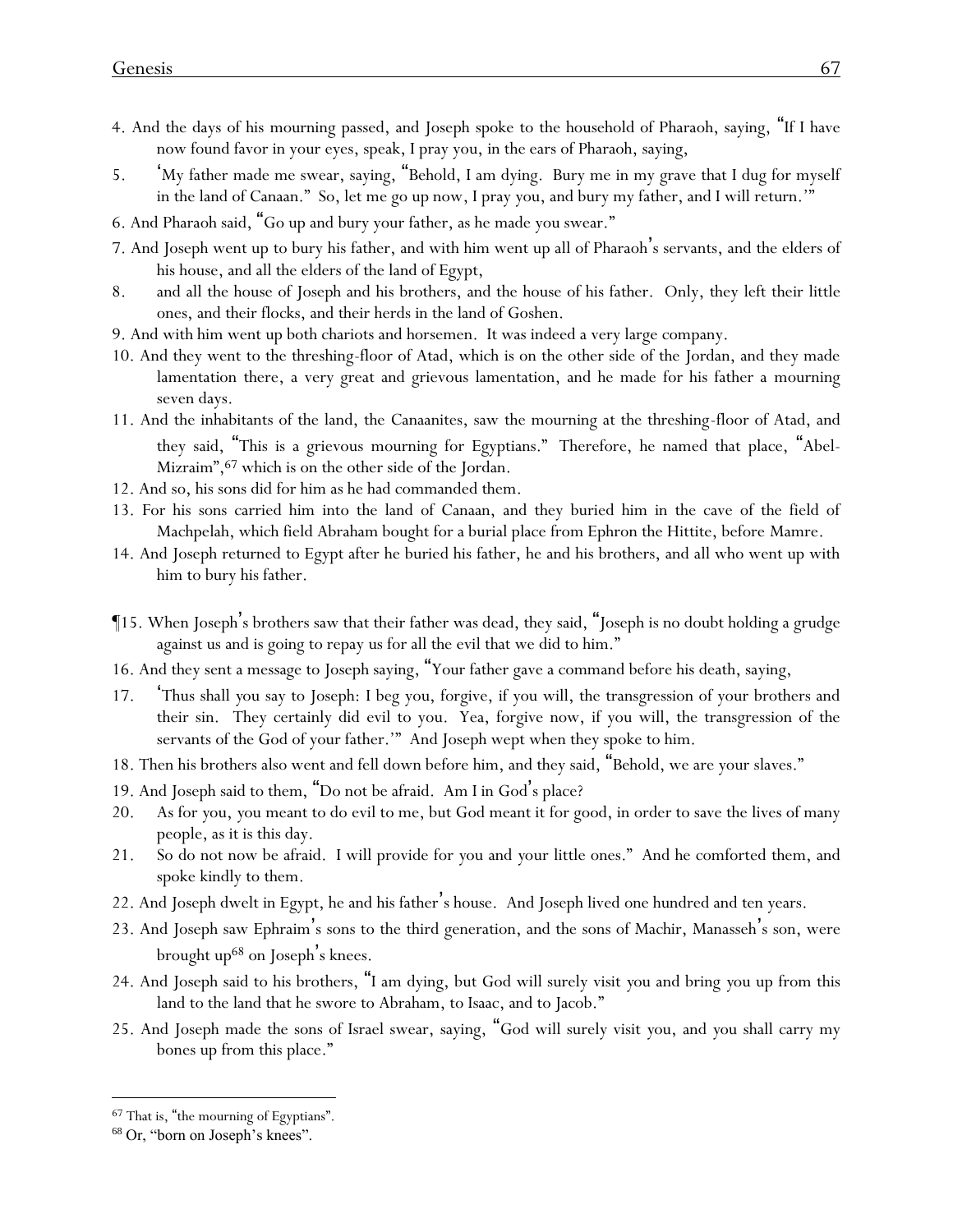- 4. And the days of his mourning passed, and Joseph spoke to the household of Pharaoh, saying, "If I have now found favor in your eyes, speak, I pray you, in the ears of Pharaoh, saying,
- 5. 'My father made me swear, saying, "Behold, I am dying. Bury me in my grave that I dug for myself in the land of Canaan." So, let me go up now, I pray you, and bury my father, and I will return.'"
- 6. And Pharaoh said, "Go up and bury your father, as he made you swear."
- 7. And Joseph went up to bury his father, and with him went up all of Pharaoh's servants, and the elders of his house, and all the elders of the land of Egypt,
- 8. and all the house of Joseph and his brothers, and the house of his father. Only, they left their little ones, and their flocks, and their herds in the land of Goshen.
- 9. And with him went up both chariots and horsemen. It was indeed a very large company.
- 10. And they went to the threshing-floor of Atad, which is on the other side of the Jordan, and they made lamentation there, a very great and grievous lamentation, and he made for his father a mourning seven days.
- 11. And the inhabitants of the land, the Canaanites, saw the mourning at the threshing-floor of Atad, and they said, "This is a grievous mourning for Egyptians." Therefore, he named that place, "Abel-Mizraim", <sup>67</sup> which is on the other side of the Jordan.
- 12. And so, his sons did for him as he had commanded them.
- 13. For his sons carried him into the land of Canaan, and they buried him in the cave of the field of Machpelah, which field Abraham bought for a burial place from Ephron the Hittite, before Mamre.
- 14. And Joseph returned to Egypt after he buried his father, he and his brothers, and all who went up with him to bury his father.
- ¶15. When Joseph's brothers saw that their father was dead, they said, "Joseph is no doubt holding a grudge against us and is going to repay us for all the evil that we did to him."
- 16. And they sent a message to Joseph saying, "Your father gave a command before his death, saying,
- 17. 'Thus shall *y*ou say to Joseph: I beg you, forgive, if you will, the transgression of your brothers and their sin. They certainly did evil to you. Yea, forgive now, if you will, the transgression of the servants of the God of your father.'" And Joseph wept when they spoke to him.
- 18. Then his brothers also went and fell down before him, and they said, "Behold, we are your slaves."
- 19. And Joseph said to them, "Do not be afraid. Am I in God's place?
- 20. As for *y*ou, *y*ou meant to do evil to me, but God meant it for good, in order to save the lives of many people, as it is this day.
- 21. So do not now be afraid. I will provide for *y*ou and *y*our little ones." And he comforted them, and spoke kindly to them.
- 22. And Joseph dwelt in Egypt, he and his father's house. And Joseph lived one hundred and ten years.
- 23. And Joseph saw Ephraim's sons to the third generation, and the sons of Machir, Manasseh's son, were brought up<sup>68</sup> on Joseph's knees.
- 24. And Joseph said to his brothers, "I am dying, but God will surely visit *y*ou and bring *y*ou up from this land to the land that he swore to Abraham, to Isaac, and to Jacob."
- 25. And Joseph made the sons of Israel swear, saying, "God will surely visit *y*ou, and *y*ou shall carry my bones up from this place."

<sup>67</sup> That is, "the mourning of Egyptians".

<sup>68</sup> Or, "born on Joseph's knees".